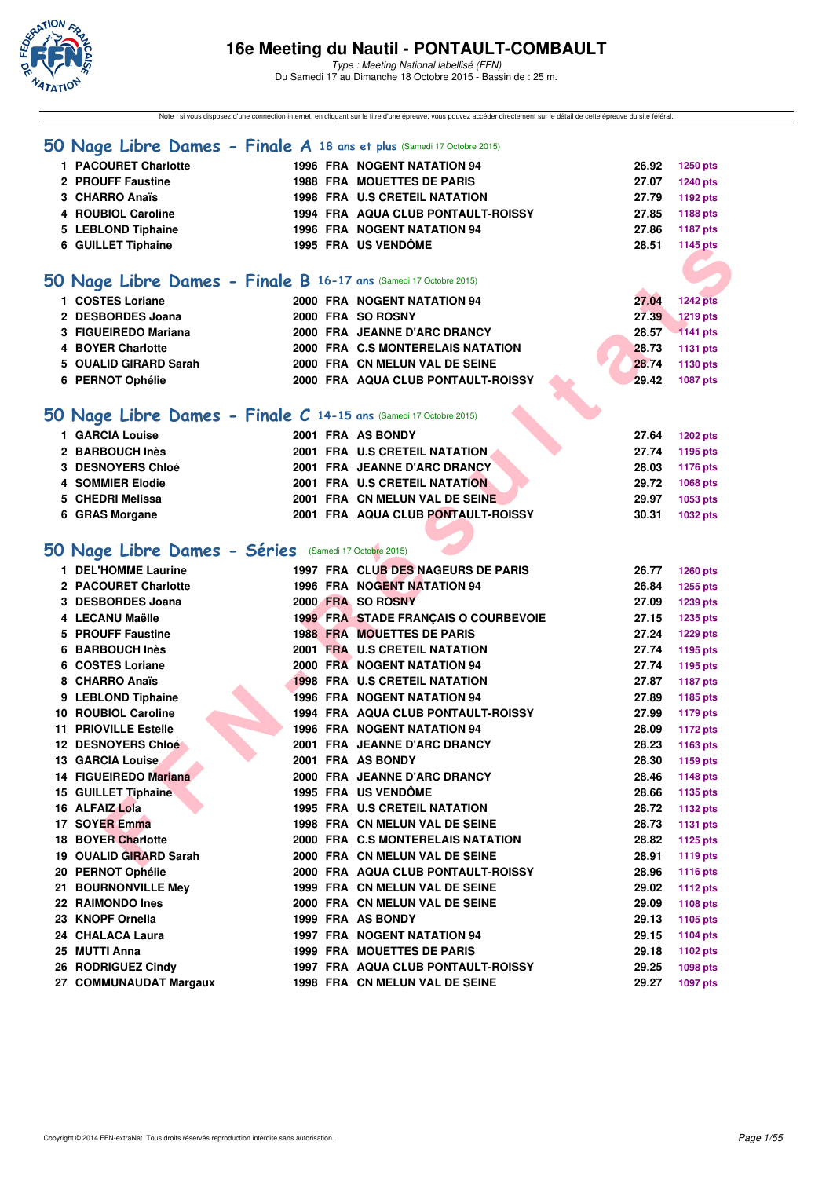

Note : si vous disposez d'une connection internet, en cliquant sur le titre d'une épreuve, vous pouvez accéder directement sur le détail de cette épreuve du site féféral.

|                                                       | 50 Nage Libre Dames - Finale A 18 ans et plus (Samedi 17 Octobre 2015) |                                      |
|-------------------------------------------------------|------------------------------------------------------------------------|--------------------------------------|
| 1 PACOURET Charlotte                                  |                                                                        |                                      |
| 2 PROUFF Faustine                                     | 1996 FRA NOGENT NATATION 94<br><b>1988 FRA MOUETTES DE PARIS</b>       | 26.92<br>1250 pts<br>27.07           |
| 3 CHARRO Anaïs                                        | 1998 FRA U.S CRETEIL NATATION                                          | <b>1240 pts</b><br>27.79             |
| 4 ROUBIOL Caroline                                    | 1994 FRA AQUA CLUB PONTAULT-ROISSY                                     | 1192 pts<br>27.85                    |
|                                                       | 1996 FRA NOGENT NATATION 94                                            | 1188 pts<br>27.86                    |
| 5 LEBLOND Tiphaine<br>6 GUILLET Tiphaine              | 1995 FRA US VENDÔME                                                    | <b>1187 pts</b><br>28.51<br>1145 pts |
|                                                       |                                                                        |                                      |
|                                                       |                                                                        |                                      |
|                                                       | 50 Nage Libre Dames - Finale B 16-17 ans (Samedi 17 Octobre 2015)      |                                      |
| 1 COSTES Loriane                                      | 2000 FRA NOGENT NATATION 94                                            | 27.04<br><b>1242 pts</b>             |
| 2 DESBORDES Joana                                     | 2000 FRA SO ROSNY                                                      | 27.39<br><b>1219 pts</b>             |
| 3 FIGUEIREDO Mariana                                  | 2000 FRA JEANNE D'ARC DRANCY                                           | 28.57<br><b>1141 pts</b>             |
| 4 BOYER Charlotte                                     | 2000 FRA C.S MONTERELAIS NATATION                                      | 28.73<br><b>1131 pts</b>             |
| 5 OUALID GIRARD Sarah                                 | 2000 FRA CN MELUN VAL DE SEINE                                         | 28.74<br>1130 pts                    |
| 6 PERNOT Ophélie                                      | 2000 FRA AQUA CLUB PONTAULT-ROISSY                                     | 29.42<br><b>1087 pts</b>             |
|                                                       |                                                                        |                                      |
|                                                       | 50 Nage Libre Dames - Finale C 14-15 ans (Samedi 17 Octobre 2015)      |                                      |
| 1 GARCIA Louise                                       | 2001 FRA AS BONDY                                                      | 27.64<br><b>1202 pts</b>             |
| 2 BARBOUCH Inès                                       | 2001 FRA U.S CRETEIL NATATION                                          | 27.74<br>1195 pts                    |
| 3 DESNOYERS Chloé                                     | 2001 FRA JEANNE D'ARC DRANCY                                           | 28.03<br>1176 pts                    |
| 4 SOMMIER Elodie                                      | 2001 FRA U.S CRETEIL NATATION                                          | 29.72<br>1068 pts                    |
| 5 CHEDRI Melissa                                      | 2001 FRA CN MELUN VAL DE SEINE                                         | 29.97<br>1053 pts                    |
| 6 GRAS Morgane                                        | 2001 FRA AQUA CLUB PONTAULT-ROISSY                                     | 30.31<br><b>1032 pts</b>             |
|                                                       |                                                                        |                                      |
| 50 Nage Libre Dames - Séries (Samedi 17 Octobre 2015) |                                                                        |                                      |
| 1 DEL'HOMME Laurine                                   | 1997 FRA CLUB DES NAGEURS DE PARIS                                     | 26.77<br><b>1260 pts</b>             |
| 2 PACOURET Charlotte                                  | 1996 FRA NOGENT NATATION 94                                            | 26.84<br>1255 pts                    |
| 3 DESBORDES Joana                                     | 2000 FRA SO ROSNY                                                      | 27.09<br>1239 pts                    |
| 4 LECANU Maëlle                                       | 1999 FRA STADE FRANÇAIS O COURBEVOIE                                   | 27.15<br><b>1235 pts</b>             |
| 5 PROUFF Faustine                                     | <b>1988 FRA MOUETTES DE PARIS</b>                                      | 27.24<br><b>1229 pts</b>             |
| 6 BARBOUCH Inès                                       | 2001 FRA U.S CRETEIL NATATION                                          | 27.74<br>1195 pts                    |
| 6 COSTES Loriane                                      | 2000 FRA NOGENT NATATION 94                                            | 27.74<br>1195 pts                    |
| 8 CHARRO Anaïs                                        | <b>1998 FRA U.S CRETEIL NATATION</b>                                   | 27.87<br><b>1187 pts</b>             |
| 9 LEBLOND Tiphaine                                    | 1996 FRA NOGENT NATATION 94                                            | 27.89<br>1185 pts                    |
| 10 ROUBIOL Caroline                                   | 1994 FRA AQUA CLUB PONTAULT-ROISSY                                     | 27.99<br><b>1179 pts</b>             |
| <b>11 PRIOVILLE Estelle</b>                           | <b>1996 FRA NOGENT NATATION 94</b>                                     | 28.09<br><b>1172 pts</b>             |
| <b>12 DESNOYERS Chloé</b>                             | 2001 FRA JEANNE D'ARC DRANCY                                           | 28.23<br>1163 pts                    |
| 13 GARCIA Louise                                      | 2001 FRA AS BONDY                                                      | 28.30<br>1159 pts                    |
| 14 FIGUEIREDO Mariana                                 | 2000 FRA JEANNE D'ARC DRANCY                                           | 28.46<br>1148 pts                    |
| <b>15 GUILLET Tiphaine</b>                            | <b>1995 FRA US VENDOME</b>                                             | 28.66<br>1135 pts                    |
| 16 ALFAIZ Lola                                        | <b>1995 FRA U.S CRETEIL NATATION</b>                                   | 28.72<br><b>1132 pts</b>             |
| 17 SOYER Emma                                         | 1998 FRA CN MELUN VAL DE SEINE                                         | 28.73<br><b>1131 pts</b>             |
| <b>18 BOYER Charlotte</b>                             | 2000 FRA C.S MONTERELAIS NATATION                                      | 28.82<br>1125 pts                    |
| 19 OUALID GIRARD Sarah                                | 2000 FRA CN MELUN VAL DE SEINE                                         | 28.91<br><b>1119 pts</b>             |
| 20 PERNOT Ophélie                                     | 2000 FRA AQUA CLUB PONTAULT-ROISSY                                     | 28.96<br><b>1116 pts</b>             |
| 21 BOURNONVILLE Mey                                   | 1999 FRA CN MELUN VAL DE SEINE                                         | 29.02<br><b>1112 pts</b>             |
| 22 RAIMONDO Ines                                      | 2000 FRA CN MELUN VAL DE SEINE                                         | 29.09<br>1108 pts                    |
| 23 KNOPF Ornella                                      | 1999 FRA AS BONDY                                                      | 29.13<br>1105 pts                    |
| 24 CHALACA Laura                                      | 1997 FRA NOGENT NATATION 94                                            | 29.15<br><b>1104 pts</b>             |
| 25 MUTTI Anna                                         | 1999 FRA MOUETTES DE PARIS                                             | 29.18<br>1102 pts                    |
| 26 RODRIGUEZ Cindy                                    | 1997 FRA AQUA CLUB PONTAULT-ROISSY                                     | 29.25<br>1098 pts                    |
| 27 COMMUNAUDAT Margaux                                | 1998 FRA CN MELUN VAL DE SEINE                                         | 29.27<br><b>1097 pts</b>             |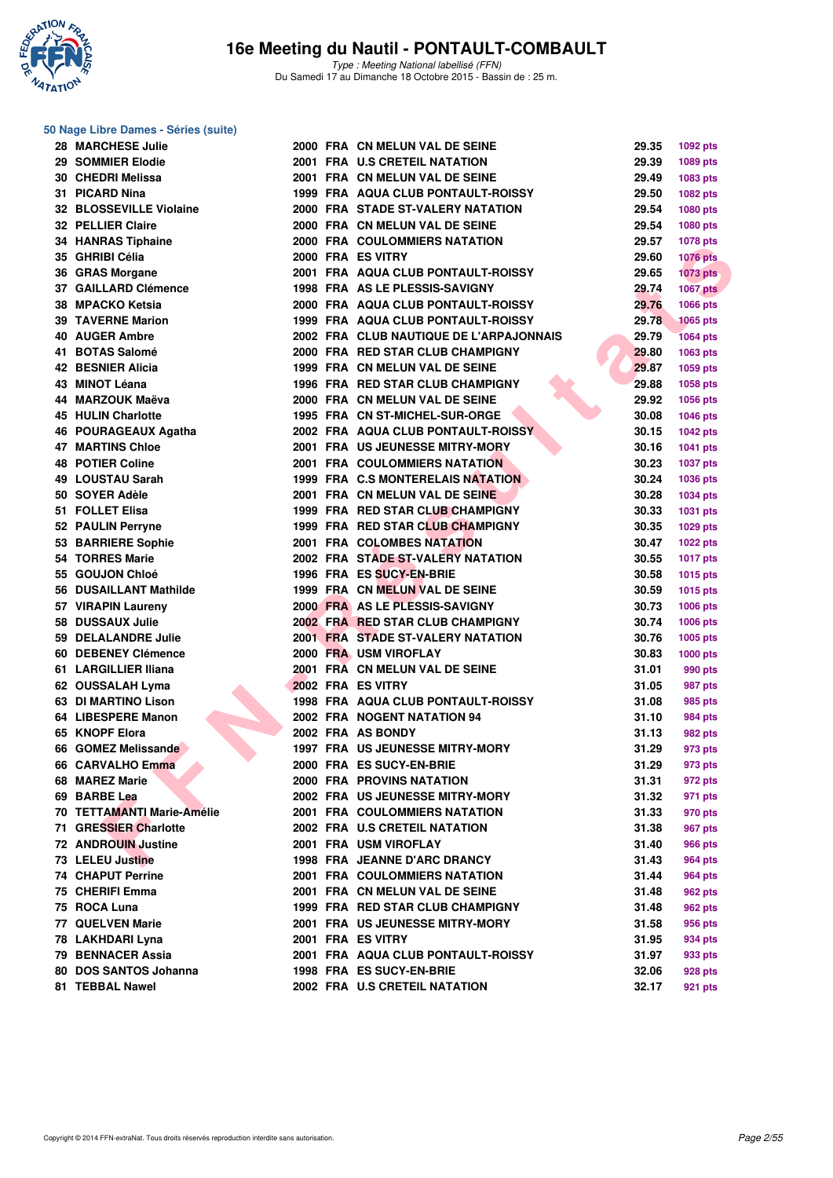

#### **50 Nage Libre Dames - Séries (suite)**

| 28 MARCHESE Julie          |  | 2000 FRA CN MELUN VAL DE SEINE           | 29.35 | 1092 pts                    |
|----------------------------|--|------------------------------------------|-------|-----------------------------|
| 29 SOMMIER Elodie          |  | 2001 FRA U.S CRETEIL NATATION            | 29.39 | 1089 pts                    |
| 30 CHEDRI Melissa          |  | 2001 FRA CN MELUN VAL DE SEINE           | 29.49 | 1083 pts                    |
| 31 PICARD Nina             |  | 1999 FRA AQUA CLUB PONTAULT-ROISSY       | 29.50 | 1082 pts                    |
| 32 BLOSSEVILLE Violaine    |  | 2000 FRA STADE ST-VALERY NATATION        | 29.54 | 1080 pts                    |
| 32 PELLIER Claire          |  | 2000 FRA CN MELUN VAL DE SEINE           | 29.54 | <b>1080 pts</b>             |
| 34 HANRAS Tiphaine         |  | 2000 FRA COULOMMIERS NATATION            | 29.57 | <b>1078 pts</b>             |
| 35 GHRIBI Célia            |  | 2000 FRA ES VITRY                        | 29.60 | <b>1076 pts</b>             |
| 36 GRAS Morgane            |  | 2001 FRA AQUA CLUB PONTAULT-ROISSY       | 29.65 | <b>1073 pts</b>             |
| 37 GAILLARD Clémence       |  | 1998 FRA AS LE PLESSIS-SAVIGNY           | 29.74 | <b>1067 pts</b>             |
| 38 MPACKO Ketsia           |  | 2000 FRA AQUA CLUB PONTAULT-ROISSY       | 29.76 | 1066 pts                    |
| <b>39 TAVERNE Marion</b>   |  | 1999 FRA AQUA CLUB PONTAULT-ROISSY       | 29.78 | <b>1065 pts</b>             |
| 40 AUGER Ambre             |  | 2002 FRA CLUB NAUTIQUE DE L'ARPAJONNAIS  | 29.79 | <b>1064 pts</b>             |
| 41 BOTAS Salomé            |  | 2000 FRA RED STAR CLUB CHAMPIGNY         | 29.80 | 1063 pts                    |
| <b>42 BESNIER Alicia</b>   |  | 1999 FRA CN MELUN VAL DE SEINE           | 29.87 | 1059 pts                    |
| 43 MINOT Léana             |  | 1996 FRA RED STAR CLUB CHAMPIGNY         | 29.88 | 1058 pts                    |
| 44 MARZOUK Maëva           |  | 2000 FRA CN MELUN VAL DE SEINE           | 29.92 | <b>1056 pts</b>             |
| <b>45 HULIN Charlotte</b>  |  | 1995 FRA CN ST-MICHEL-SUR-ORGE           | 30.08 | 1046 pts                    |
| 46 POURAGEAUX Agatha       |  | 2002 FRA AQUA CLUB PONTAULT-ROISSY       | 30.15 | <b>1042 pts</b>             |
| <b>47 MARTINS Chloe</b>    |  | 2001 FRA US JEUNESSE MITRY-MORY          | 30.16 | 1041 pts                    |
| <b>48 POTIER Coline</b>    |  | <b>2001 FRA COULOMMIERS NATATION</b>     | 30.23 | <b>1037 pts</b>             |
| 49 LOUSTAU Sarah           |  | 1999 FRA C.S MONTERELAIS NATATION        | 30.24 |                             |
| 50 SOYER Adèle             |  | 2001 FRA CN MELUN VAL DE SEINE           | 30.28 | <b>1036 pts</b><br>1034 pts |
| 51 FOLLET Elisa            |  | 1999 FRA RED STAR CLUB CHAMPIGNY         | 30.33 |                             |
| 52 PAULIN Perryne          |  | 1999 FRA RED STAR CLUB CHAMPIGNY         |       | <b>1031 pts</b>             |
| 53 BARRIERE Sophie         |  |                                          | 30.35 | 1029 pts                    |
|                            |  | 2001 FRA COLOMBES NATATION               | 30.47 | 1022 pts                    |
| <b>54 TORRES Marie</b>     |  | 2002 FRA STADE ST-VALERY NATATION        | 30.55 | 1017 pts                    |
| 55 GOUJON Chloé            |  | 1996 FRA ES SUCY-EN-BRIE                 | 30.58 | <b>1015 pts</b>             |
| 56 DUSAILLANT Mathilde     |  | 1999 FRA CN MELUN VAL DE SEINE           | 30.59 | 1015 pts                    |
| 57 VIRAPIN Laureny         |  | 2000 FRA AS LE PLESSIS-SAVIGNY           | 30.73 | 1006 pts                    |
| 58 DUSSAUX Julie           |  | 2002 FRA RED STAR CLUB CHAMPIGNY         | 30.74 | 1006 pts                    |
| 59 DELALANDRE Julie        |  | <b>2001 FRA STADE ST-VALERY NATATION</b> | 30.76 | 1005 pts                    |
| 60 DEBENEY Clémence        |  | 2000 FRA USM VIROFLAY                    | 30.83 | 1000 pts                    |
| 61 LARGILLIER Iliana       |  | 2001 FRA CN MELUN VAL DE SEINE           | 31.01 | 990 pts                     |
| 62 OUSSALAH Lyma           |  | 2002 FRA ES VITRY                        | 31.05 | 987 pts                     |
| <b>63 DI MARTINO Lison</b> |  | 1998 FRA AQUA CLUB PONTAULT-ROISSY       | 31.08 | 985 pts                     |
| 64 LIBESPERE Manon         |  | 2002 FRA NOGENT NATATION 94              | 31.10 | 984 pts                     |
| 65 KNOPF Elora             |  | 2002 FRA AS BONDY                        | 31.13 | 982 pts                     |
| 66 GOMEZ Melissande        |  | 1997 FRA US JEUNESSE MITRY-MORY          | 31.29 | 973 pts                     |
| 66 CARVALHO Emma           |  | 2000 FRA ES SUCY-EN-BRIE                 | 31.29 | 973 pts                     |
| 68 MAREZ Marie             |  | <b>2000 FRA PROVINS NATATION</b>         | 31.31 | 972 pts                     |
| 69 BARBE Lea               |  | 2002 FRA US JEUNESSE MITRY-MORY          | 31.32 | 971 pts                     |
| 70 TETTAMANTI Marie-Amélie |  | <b>2001 FRA COULOMMIERS NATATION</b>     | 31.33 | 970 pts                     |
| 71 GRESSIER Charlotte      |  | 2002 FRA U.S CRETEIL NATATION            | 31.38 | 967 pts                     |
| <b>72 ANDROUIN Justine</b> |  | 2001 FRA USM VIROFLAY                    | 31.40 | 966 pts                     |
| 73 LELEU Justine           |  | 1998 FRA JEANNE D'ARC DRANCY             | 31.43 | <b>964 pts</b>              |
| <b>74 CHAPUT Perrine</b>   |  | <b>2001 FRA COULOMMIERS NATATION</b>     | 31.44 | 964 pts                     |
| 75 CHERIFI Emma            |  | 2001 FRA CN MELUN VAL DE SEINE           | 31.48 | 962 pts                     |
| 75 ROCA Luna               |  | 1999 FRA RED STAR CLUB CHAMPIGNY         | 31.48 | 962 pts                     |
| 77 QUELVEN Marie           |  | 2001 FRA US JEUNESSE MITRY-MORY          | 31.58 | 956 pts                     |
| 78 LAKHDARI Lyna           |  | 2001 FRA ES VITRY                        | 31.95 | 934 pts                     |
| 79 BENNACER Assia          |  | 2001 FRA AQUA CLUB PONTAULT-ROISSY       | 31.97 | 933 pts                     |
| 80 DOS SANTOS Johanna      |  | 1998 FRA ES SUCY-EN-BRIE                 | 32.06 | 928 pts                     |
| 81 TEBBAL Nawel            |  | 2002 FRA U.S CRETEIL NATATION            | 32.17 | 921 pts                     |
|                            |  |                                          |       |                             |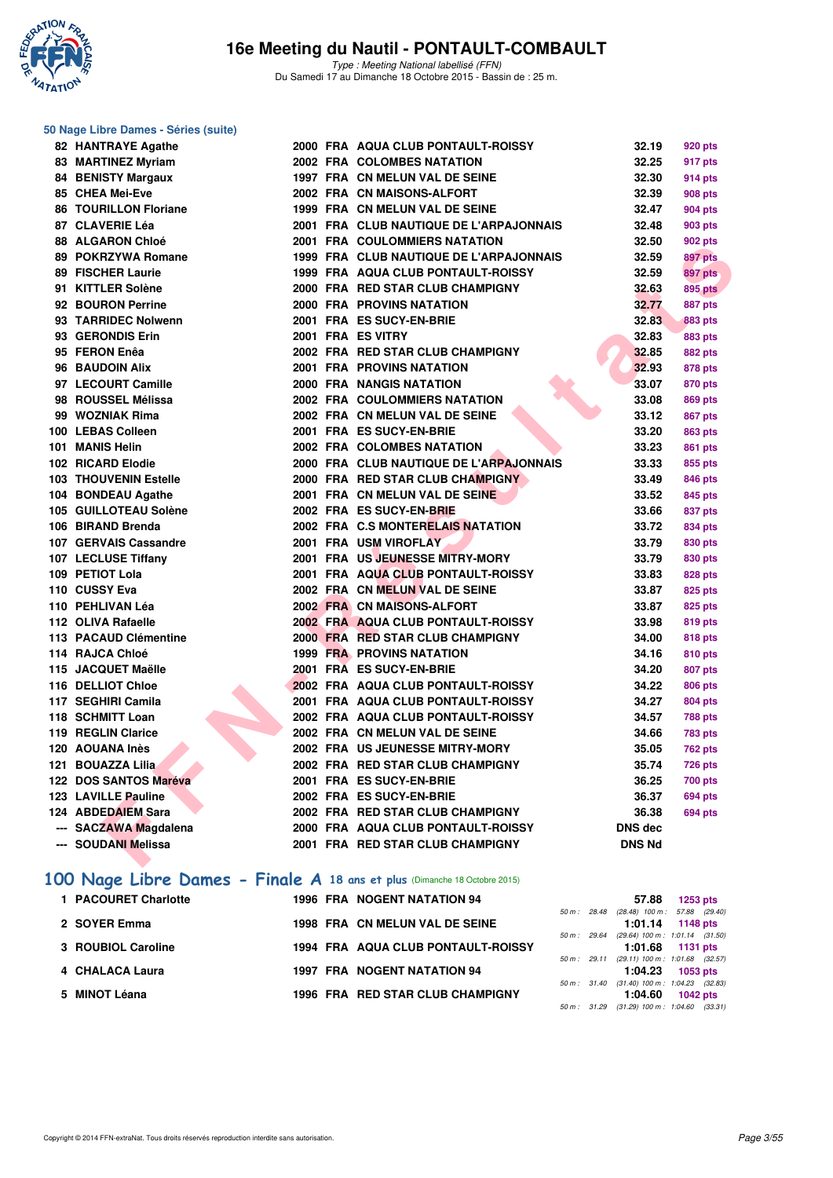

# **50 Nage Libre Dames - Séries (suite)**

| 82 HANTRAYE Agathe           |  | 2000 FRA AQUA CLUB PONTAULT-ROISSY        | 32.19          | <b>920 pts</b> |
|------------------------------|--|-------------------------------------------|----------------|----------------|
| 83 MARTINEZ Myriam           |  | 2002 FRA COLOMBES NATATION                | 32.25          | 917 pts        |
| <b>84 BENISTY Margaux</b>    |  | 1997 FRA CN MELUN VAL DE SEINE            | 32.30          | 914 pts        |
| 85 CHEA Mei-Eve              |  | 2002 FRA CN MAISONS-ALFORT                | 32.39          | <b>908 pts</b> |
| <b>86 TOURILLON Floriane</b> |  | 1999 FRA CN MELUN VAL DE SEINE            | 32.47          | 904 pts        |
| 87 CLAVERIE Léa              |  | 2001 FRA CLUB NAUTIQUE DE L'ARPAJONNAIS   | 32.48          | <b>903 pts</b> |
| 88 ALGARON Chloé             |  | <b>2001 FRA COULOMMIERS NATATION</b>      | 32.50          | 902 pts        |
| 89 POKRZYWA Romane           |  | 1999 FRA CLUB NAUTIQUE DE L'ARPAJONNAIS   | 32.59          | <b>897 pts</b> |
| 89 FISCHER Laurie            |  | <b>1999 FRA AQUA CLUB PONTAULT-ROISSY</b> | 32.59          | 897 pts        |
| 91 KITTLER Solène            |  | 2000 FRA RED STAR CLUB CHAMPIGNY          | 32.63          | <b>895 pts</b> |
| 92 BOURON Perrine            |  | <b>2000 FRA PROVINS NATATION</b>          | 32.77          | 887 pts        |
| 93 TARRIDEC Nolwenn          |  | 2001 FRA ES SUCY-EN-BRIE                  | 32.83          | <b>883 pts</b> |
| 93 GERONDIS Erin             |  | 2001 FRA ES VITRY                         | 32.83          | 883 pts        |
| 95 FERON Enêa                |  | 2002 FRA RED STAR CLUB CHAMPIGNY          | 32.85          | <b>882 pts</b> |
| 96 BAUDOIN Alix              |  | <b>2001 FRA PROVINS NATATION</b>          | 32.93          | 878 pts        |
| 97 LECOURT Camille           |  | 2000 FRA NANGIS NATATION                  | 33.07          | 870 pts        |
| 98 ROUSSEL Mélissa           |  | 2002 FRA COULOMMIERS NATATION             | 33.08          | <b>869 pts</b> |
| 99 WOZNIAK Rima              |  | 2002 FRA CN MELUN VAL DE SEINE            | 33.12          | <b>867 pts</b> |
| 100 LEBAS Colleen            |  | 2001 FRA ES SUCY-EN-BRIE                  | 33.20          | <b>863 pts</b> |
| 101 MANIS Helin              |  | 2002 FRA COLOMBES NATATION                | 33.23          | <b>861 pts</b> |
| 102 RICARD Elodie            |  | 2000 FRA CLUB NAUTIQUE DE L'ARPAJONNAIS   | 33.33          | 855 pts        |
| <b>103 THOUVENIN Estelle</b> |  | 2000 FRA RED STAR CLUB CHAMPIGNY          | 33.49          | 846 pts        |
| 104 BONDEAU Agathe           |  | 2001 FRA CN MELUN VAL DE SEINE            | 33.52          | 845 pts        |
| 105 GUILLOTEAU Solène        |  | 2002 FRA ES SUCY-EN-BRIE                  | 33.66          | 837 pts        |
| 106 BIRAND Brenda            |  | 2002 FRA C.S MONTERELAIS NATATION         | 33.72          | 834 pts        |
| 107 GERVAIS Cassandre        |  | 2001 FRA USM VIROFLAY                     | 33.79          | 830 pts        |
| 107 LECLUSE Tiffany          |  | 2001 FRA US JEUNESSE MITRY-MORY           | 33.79          | 830 pts        |
| 109 PETIOT Lola              |  | 2001 FRA AQUA CLUB PONTAULT-ROISSY        | 33.83          | 828 pts        |
| 110 CUSSY Eva                |  | 2002 FRA CN MELUN VAL DE SEINE            | 33.87          | 825 pts        |
| 110 PEHLIVAN Léa             |  | 2002 FRA CN MAISONS-ALFORT                | 33.87          | 825 pts        |
| 112 OLIVA Rafaelle           |  | 2002 FRA AQUA CLUB PONTAULT-ROISSY        | 33.98          | 819 pts        |
| 113 PACAUD Clémentine        |  | 2000 FRA RED STAR CLUB CHAMPIGNY          | 34.00          | 818 pts        |
| 114 RAJCA Chloé              |  | <b>1999 FRA PROVINS NATATION</b>          | 34.16          | 810 pts        |
| 115 JACQUET Maëlle           |  | 2001 FRA ES SUCY-EN-BRIE                  | 34.20          | 807 pts        |
| 116 DELLIOT Chloe            |  | 2002 FRA AQUA CLUB PONTAULT-ROISSY        | 34.22          | <b>806 pts</b> |
| 117 SEGHIRI Camila           |  | 2001 FRA AQUA CLUB PONTAULT-ROISSY        | 34.27          | 804 pts        |
| 118 SCHMITT Loan             |  | 2002 FRA AQUA CLUB PONTAULT-ROISSY        | 34.57          | <b>788 pts</b> |
| 119 REGLIN Clarice           |  | 2002 FRA CN MELUN VAL DE SEINE            | 34.66          | <b>783 pts</b> |
| 120 AOUANA Inès              |  | 2002 FRA US JEUNESSE MITRY-MORY           | 35.05          | <b>762 pts</b> |
| 121 BOUAZZA Lilia            |  | 2002 FRA RED STAR CLUB CHAMPIGNY          | 35.74          | <b>726 pts</b> |
| 122 DOS SANTOS Maréva        |  | 2001 FRA ES SUCY-EN-BRIE                  | 36.25          | <b>700 pts</b> |
| 123 LAVILLE Pauline          |  | 2002 FRA ES SUCY-EN-BRIE                  | 36.37          | <b>694 pts</b> |
| 124 ABDEDAIEM Sara           |  | 2002 FRA RED STAR CLUB CHAMPIGNY          | 36.38          | 694 pts        |
| --- SACZAWA Magdalena        |  | 2000 FRA AQUA CLUB PONTAULT-ROISSY        | <b>DNS dec</b> |                |
| --- SOUDANI Melissa          |  | 2001 FRA RED STAR CLUB CHAMPIGNY          | <b>DNS Nd</b>  |                |
|                              |  |                                           |                |                |

# **[100 Nage Libre Dames - Finale A](http://www.ffnatation.fr/webffn/resultats.php?idact=nat&go=epr&idcpt=33325&idepr=2) 18 ans et plus** (Dimanche 18 Octobre 2015)

|  |                                                                                                                                                                                      | 57.88 | $1253$ pts             |                                                                                                                                                                                                                                                                                                             |
|--|--------------------------------------------------------------------------------------------------------------------------------------------------------------------------------------|-------|------------------------|-------------------------------------------------------------------------------------------------------------------------------------------------------------------------------------------------------------------------------------------------------------------------------------------------------------|
|  |                                                                                                                                                                                      |       |                        |                                                                                                                                                                                                                                                                                                             |
|  |                                                                                                                                                                                      |       |                        |                                                                                                                                                                                                                                                                                                             |
|  |                                                                                                                                                                                      |       |                        |                                                                                                                                                                                                                                                                                                             |
|  |                                                                                                                                                                                      |       |                        |                                                                                                                                                                                                                                                                                                             |
|  |                                                                                                                                                                                      |       |                        |                                                                                                                                                                                                                                                                                                             |
|  |                                                                                                                                                                                      |       |                        |                                                                                                                                                                                                                                                                                                             |
|  |                                                                                                                                                                                      |       |                        |                                                                                                                                                                                                                                                                                                             |
|  |                                                                                                                                                                                      |       |                        |                                                                                                                                                                                                                                                                                                             |
|  | 1996 FRA NOGENT NATATION 94<br>1998 FRA CN MELUN VAL DE SEINE<br><b>1994 FRA AQUA CLUB PONTAULT-ROISSY</b><br><b>1997 FRA NOGENT NATATION 94</b><br>1996 FRA RED STAR CLUB CHAMPIGNY |       | 50 m: 29.64<br>1:04.60 | 50 m : 28.48 (28.48) 100 m : 57.88 (29.40)<br>$1:01.14$ 1148 pts<br>$(29.64)$ 100 m : 1:01.14 $(31.50)$<br>$1:01.68$ 1131 pts<br>50 m: 29.11 (29.11) 100 m: 1:01.68 (32.57)<br>$1:04.23$ 1053 pts<br>50 m: 31.40 (31.40) 100 m: 1:04.23 (32.83)<br>$1042$ pts<br>50 m: 31.29 (31.29) 100 m: 1:04.60 (33.31) |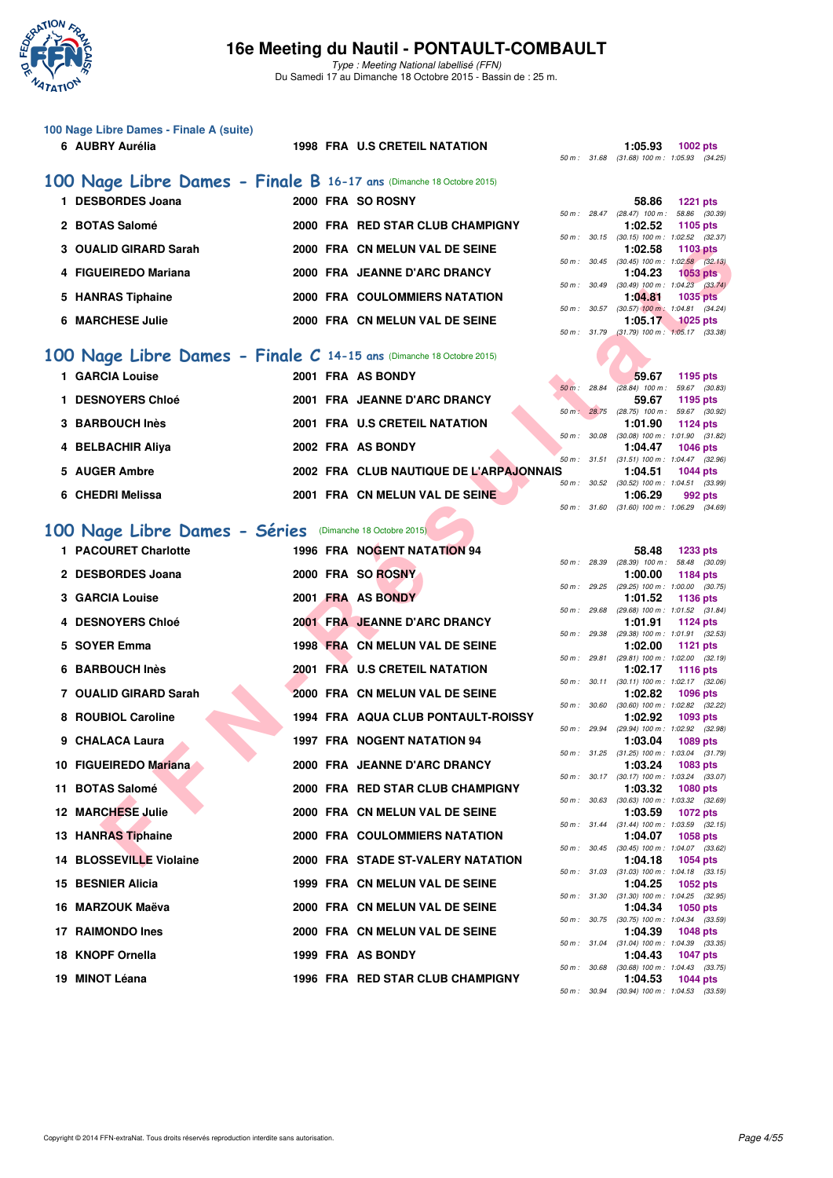

Type : Meeting National labellisé (FFN) Du Samedi 17 au Dimanche 18 Octobre 2015 - Bassin de : 25 m.

### **100 Nage Libre Dames - Finale A (suite)**

#### **6 AUBRY Aurélia 1998 FRA U.S CRETEIL NATATION 1:05.93 1002 pts**

### **[100 Nage Libre Dames - Finale B](http://www.ffnatation.fr/webffn/resultats.php?idact=nat&go=epr&idcpt=33325&idepr=2) 16-17 ans** (Dimanche 18 Octobre 2015)

| <b>DESBORDES Joana</b> | 2000 FRA SO ROSNY                |        |              | 58.86                              | <b>1221 pts</b> |  |
|------------------------|----------------------------------|--------|--------------|------------------------------------|-----------------|--|
|                        |                                  |        | 50 m: 28.47  | $(28.47)$ 100 m : 58.86 (30.       |                 |  |
| 2 BOTAS Salomé         | 2000 FRA RED STAR CLUB CHAMPIGNY |        |              | 1:02.52                            | 1105 pts        |  |
|                        |                                  |        | 50 m : 30.15 | $(30.15)$ 100 m : 1:02.52 $(32.5)$ |                 |  |
| 3 OUALID GIRARD Sarah  | 2000 FRA CN MELUN VAL DE SEINE   |        |              | 1:02.58                            | 1103 pts        |  |
|                        |                                  | 50 m : | 30.45        | $(30.45)$ 100 m : 1:02.58 $(32.$   |                 |  |
| 4 FIGUEIREDO Mariana   | 2000 FRA JEANNE D'ARC DRANCY     |        |              | 1:04.23                            | <b>1053 pts</b> |  |
|                        |                                  | 50 m : | 30.49        | $(30.49)$ 100 m : 1:04.23 $(33.$   |                 |  |
| 5 HANRAS Tiphaine      | 2000 FRA COULOMMIERS NATATION    |        |              | 1:04.81                            | 1035 pts        |  |
|                        |                                  | 50 m : | 30.57        | $(30.57)$ 100 m : 1:04.81 (34.     |                 |  |
| 6 MARCHESE Julie       | 2000 FRA CN MELUN VAL DE SEINE   |        |              | 1:05.17                            | 1025 pts        |  |
|                        |                                  |        |              |                                    |                 |  |

## **[100 Nage Libre Dames - Finale C](http://www.ffnatation.fr/webffn/resultats.php?idact=nat&go=epr&idcpt=33325&idepr=2) 14-15 ans** (Dimanche 18 Octobre 2015)

| 1 GARCIA Louise        | 2001 FRA AS BONDY                       |                          | 59.67                              | 1195 pts |
|------------------------|-----------------------------------------|--------------------------|------------------------------------|----------|
|                        |                                         | $50 m$ :                 | 28.84 (28.84) 100 m : 59.67 (30.   |          |
| <b>DESNOYERS Chloé</b> | 2001 FRA JEANNE D'ARC DRANCY            |                          | 59.67                              | 1195 pts |
|                        |                                         | $50 m$ :<br>28.75        | $(28.75)$ 100 m : 59.67 (30.       |          |
| 3 BARBOUCH Inès        | 2001 FRA U.S CRETEIL NATATION           |                          | 1:01.90                            | 1124 pts |
|                        |                                         | 50 m: 30.08              | $(30.08)$ 100 m : 1.01.90 $(31.$   |          |
| 4 BELBACHIR Aliya      | 2002 FRA AS BONDY                       |                          | 1:04.47                            | 1046 pts |
|                        |                                         | $50 m$ : $31.51$         | $(31.51)$ 100 m : 1:04.47 (32.     |          |
| 5 AUGER Ambre          | 2002 FRA CLUB NAUTIQUE DE L'ARPAJONNAIS |                          | 1:04.51                            | 1044 pts |
|                        |                                         | $50 \text{ m}$ : $30.52$ | $(30.52)$ 100 m : 1:04.51 $(33.1)$ |          |
| 6 CHEDRI Melissa       | 2001 FRA CN MELUN VAL DE SEINE          |                          | 1:06.29                            | 992 pts  |

# [100 Nage Libre Dames - Séries](http://www.ffnatation.fr/webffn/resultats.php?idact=nat&go=epr&idcpt=33325&idepr=2) (Dimanche 18 Octobre 2015)

| 3 OUALID GIRARD Sarah                                               |  | 2000 FRA CN MELUN VAL DE SEINE          |              |              | 1:02.58                    | 1103 pts                                                        |
|---------------------------------------------------------------------|--|-----------------------------------------|--------------|--------------|----------------------------|-----------------------------------------------------------------|
| 4 FIGUEIREDO Mariana                                                |  | 2000 FRA JEANNE D'ARC DRANCY            |              |              | 1:04.23                    | 50 m : 30.45 (30.45) 100 m : 1:02.58 (32.13)<br>$1053$ pts      |
| 5 HANRAS Tiphaine                                                   |  | 2000 FRA COULOMMIERS NATATION           |              |              | 1:04.81                    | 50 m : 30.49 (30.49) 100 m : 1:04.23 (33.74)<br><b>1035 pts</b> |
|                                                                     |  |                                         |              | 50 m : 30.57 |                            | $(30.57)$ 100 m : 1:04.81 $(34.24)$                             |
| <b>6 MARCHESE Julie</b>                                             |  | 2000 FRA CN MELUN VAL DE SEINE          |              |              | 1:05.17                    | $1025$ pts<br>50 m: 31.79 (31.79) 100 m: 1:05.17 (33.38)        |
|                                                                     |  |                                         |              |              |                            |                                                                 |
| 00 Nage Libre Dames - Finale C 14-15 ans (Dimanche 18 Octobre 2015) |  |                                         |              |              |                            |                                                                 |
| 1 GARCIA Louise                                                     |  | 2001 FRA AS BONDY                       |              | 50 m : 28.84 | 59.67<br>$(28.84)$ 100 m : | 1195 pts                                                        |
| 1 DESNOYERS Chloé                                                   |  | 2001 FRA JEANNE D'ARC DRANCY            |              |              | 59.67                      | 59.67 (30.83)<br>1195 pts                                       |
| 3 BARBOUCH Inès                                                     |  | 2001 FRA U.S CRETEIL NATATION           | 50 m: 28.75  |              | 1:01.90                    | (28.75) 100 m : 59.67 (30.92)                                   |
|                                                                     |  |                                         | 50 m : 30.08 |              |                            | 1124 pts<br>$(30.08)$ 100 m : 1:01.90 $(31.82)$                 |
| 4 BELBACHIR Aliya                                                   |  | 2002 FRA AS BONDY                       |              | 50 m : 31.51 | 1:04.47                    | <b>1046 pts</b><br>$(31.51)$ 100 m : 1:04.47 $(32.96)$          |
| 5 AUGER Ambre                                                       |  | 2002 FRA CLUB NAUTIQUE DE L'ARPAJONNAIS |              |              | 1:04.51                    | <b>1044 pts</b>                                                 |
|                                                                     |  |                                         |              |              |                            | 50 m : 30.52 (30.52) 100 m : 1:04.51 (33.99)                    |
| 6 CHEDRI Melissa                                                    |  | 2001 FRA CN MELUN VAL DE SEINE          |              |              | 1:06.29                    | 992 pts<br>50 m: 31.60 (31.60) 100 m: 1:06.29 (34.69)           |
|                                                                     |  |                                         |              |              |                            |                                                                 |
| 00 Nage Libre Dames - Séries (Dimanche 18 Octobre 2015)             |  |                                         |              |              |                            |                                                                 |
| 1 PACOURET Charlotte                                                |  | 1996 FRA NOGENT NATATION 94             | 50 m : 28.39 |              | 58.48<br>$(28.39)$ 100 m : | <b>1233 pts</b><br>58.48 (30.09)                                |
| 2 DESBORDES Joana                                                   |  | 2000 FRA SO ROSNY                       |              |              | 1:00.00                    | 1184 pts                                                        |
| 3 GARCIA Louise                                                     |  | 2001 FRA AS BONDY                       |              |              | 1:01.52                    | 50 m: 29.25 (29.25) 100 m: 1:00.00 (30.75)<br>1136 pts          |
|                                                                     |  |                                         | 50 m: 29.68  |              |                            | (29.68) 100 m: 1:01.52 (31.84)                                  |
| 4 DESNOYERS Chloé                                                   |  | 2001 FRA JEANNE D'ARC DRANCY            |              | 50 m : 29.38 | 1:01.91                    | <b>1124 pts</b><br>(29.38) 100 m: 1:01.91 (32.53)               |
| 5 SOYER Emma                                                        |  | 1998 FRA CN MELUN VAL DE SEINE          |              |              | 1:02.00                    | 1121 pts                                                        |
| 6 BARBOUCH Inès                                                     |  | 2001 FRA U.S CRETEIL NATATION           |              |              | 1:02.17                    | 50 m: 29.81 (29.81) 100 m: 1:02.00 (32.19)<br><b>1116 pts</b>   |
|                                                                     |  |                                         |              |              |                            | 50 m: 30.11 (30.11) 100 m: 1:02.17 (32.06)                      |
| 7 OUALID GIRARD Sarah                                               |  | 2000 FRA CN MELUN VAL DE SEINE          |              |              | 1:02.82                    | <b>1096 pts</b><br>50 m : 30.60 (30.60) 100 m : 1:02.82 (32.22) |
| 8 ROUBIOL Caroline                                                  |  | 1994 FRA AQUA CLUB PONTAULT-ROISSY      |              |              | 1:02.92                    | 1093 pts                                                        |
| 9 CHALACA Laura                                                     |  | 1997 FRA NOGENT NATATION 94             |              | 50 m : 29.94 | 1:03.04                    | (29.94) 100 m: 1:02.92 (32.98)<br>1089 pts                      |
|                                                                     |  |                                         |              |              |                            | 50 m: 31.25 (31.25) 100 m: 1:03.04 (31.79)                      |
| 10 FIGUEIREDO Mariana                                               |  | 2000 FRA JEANNE D'ARC DRANCY            |              |              | 1:03.24                    | 1083 pts<br>50 m: 30.17 (30.17) 100 m: 1:03.24 (33.07)          |
| 11 BOTAS Salomé                                                     |  | 2000 FRA RED STAR CLUB CHAMPIGNY        |              |              | 1:03.32                    | <b>1080 pts</b>                                                 |
| 12 MARCHESE Julie                                                   |  | 2000 FRA CN MELUN VAL DE SEINE          |              |              | 1:03.59                    | 50 m: 30.63 (30.63) 100 m: 1:03.32 (32.69)<br>1072 pts          |
|                                                                     |  |                                         |              |              |                            | 50 m: 31.44 (31.44) 100 m: 1:03.59 (32.15)                      |
| 13 HANRAS Tiphaine                                                  |  | <b>2000 FRA COULOMMIERS NATATION</b>    |              |              | 1:04.07                    | 1058 pts<br>50 m : 30.45 (30.45) 100 m : 1:04.07 (33.62)        |
| 14 BLOSSEVILLE Violaine                                             |  | 2000 FRA STADE ST-VALERY NATATION       |              |              | 1:04.18                    | <b>1054 pts</b>                                                 |
| 15 BESNIER Alicia                                                   |  | 1999 FRA CN MELUN VAL DE SEINE          |              |              | 1:04.25                    | 50 m: 31.03 (31.03) 100 m: 1:04.18 (33.15)<br>1052 pts          |
|                                                                     |  |                                         |              |              |                            | 50 m: 31.30 (31.30) 100 m: 1:04.25 (32.95)                      |
| 16 MARZOUK Maëva                                                    |  | 2000 FRA CN MELUN VAL DE SEINE          |              |              | 1:04.34                    | <b>1050 pts</b><br>50 m : 30.75 (30.75) 100 m : 1:04.34 (33.59) |
| 17 RAIMONDO Ines                                                    |  | 2000 FRA CN MELUN VAL DE SEINE          |              |              | 1:04.39                    | <b>1048 pts</b>                                                 |
| 18 KNOPF Ornella                                                    |  | 1999 FRA AS BONDY                       |              |              | 1:04.43                    | 50 m: 31.04 (31.04) 100 m: 1:04.39 (33.35)<br><b>1047 pts</b>   |
|                                                                     |  |                                         |              |              |                            | 50 m: 30.68 (30.68) 100 m: 1:04.43 (33.75)                      |
| 19 MINOT Léana                                                      |  | 1996 FRA RED STAR CLUB CHAMPIGNY        |              |              | 1:04.53                    | <b>1044 pts</b>                                                 |

|  | 1:05.93                                      | <b>1002 pts</b> |  |
|--|----------------------------------------------|-----------------|--|
|  | 50 m : 31.68 (31.68) 100 m : 1:05.93 (34.25) |                 |  |

|                |       | 58.86             | <b>1221 pts</b>     |  |
|----------------|-------|-------------------|---------------------|--|
| $50 m$ : 28.47 |       | $(28.47)$ 100 m : | 58.86 (30.39)       |  |
|                |       | 1:02.52           | 1105 pts            |  |
| $50 m$ :       | 30.15 | $(30.15)$ 100 m : | 1:02.52 (32.37)     |  |
|                |       | 1:02.58           | 1103 pts            |  |
| $50 m$ :       | 30.45 | $(30.45)$ 100 m : | $1:02.58$ $(32.13)$ |  |
|                |       | 1:04.23           | 1053 pts            |  |
| $50 m$ :       | 30.49 | $(30.49)$ 100 m : | $1:04.23$ $(33.74)$ |  |
|                |       | 1:04.81           | 1035 pts            |  |
| $50 m$ :       | 30.57 | $(30.57)$ 100 m : | $1:04.81$ $(34.24)$ |  |
|                |       |                   | $1:05.17$ 1025 pts  |  |
| 50 m :         | 31.79 | (31.79) 100 m:    | $1:05.17$ $(33.38)$ |  |

|     |                                              | 59.67 1195 pts     |
|-----|----------------------------------------------|--------------------|
|     | $50 m$ : 28.84 (28.84) 100 m :               | 59.67 (30.83)      |
|     |                                              | 59.67 1195 pts     |
|     | 50 m: 28.75 (28.75) 100 m:                   | 59.67 (30.92)      |
|     |                                              | $1:01.90$ 1124 pts |
|     | 50 m : 30.08 (30.08) 100 m : 1:01.90 (31.82) |                    |
|     |                                              | 1:04.47 1046 pts   |
|     | 50 m: 31.51 (31.51) 100 m: 1:04.47 (32.96)   |                    |
| IS. |                                              | $1:04.51$ 1044 pts |
|     | 50 m: 30.52 (30.52) 100 m: 1:04.51 (33.99)   |                    |
|     |                                              | $1:06.29$ 992 pts  |
|     | 50 m: 31.60 (31.60) 100 m: 1:06.29 (34.69)   |                    |

|             |       | 58.48             | 1233 pts            |         |
|-------------|-------|-------------------|---------------------|---------|
| 50 m: 28.39 |       | $(28.39)$ 100 m : | 58.48 (30.09)       |         |
|             |       | 1:00.00           | 1184 pts            |         |
| $50 m$ :    | 29.25 | $(29.25)$ 100 m : | 1:00.00 (30.75)     |         |
|             |       | 1:01.52           | 1136 pts            |         |
| $50 m$ :    | 29.68 | $(29.68) 100 m$ : | $1:01.52$ $(31.84)$ |         |
|             |       | 1:01.91           | <b>1124 pts</b>     |         |
| $50 m$ :    | 29.38 | $(29.38) 100 m$ : | 1:01.91 (32.53)     |         |
|             |       | 1:02.00           | 1121 pts            |         |
| $50 m$ :    | 29.81 | $(29.81)$ 100 m : | 1:02.00 (32.19)     |         |
|             |       | 1:02.17           | 1116 pts            |         |
| $50 m$ :    | 30.11 | $(30.11)$ 100 m : | 1:02.17 (32.06)     |         |
|             |       | 1:02.82           | 1096 pts            |         |
| $50 m$ :    | 30.60 | $(30.60)$ 100 m : | 1:02.82 (32.22)     |         |
|             |       | 1:02.92           | 1093 pts            |         |
| $50 m$ :    | 29.94 | $(29.94)$ 100 m : | 1:02.92 (32.98)     |         |
|             |       | 1:03.04           | 1089 pts            |         |
| $50 m$ :    | 31.25 | $(31.25)$ 100 m : | 1:03.04 (31.79)     |         |
|             |       | 1:03.24           | 1083 pts            |         |
| $50 m$ :    | 30.17 | $(30.17) 100 m$ : | 1:03.24 (33.07)     |         |
|             |       | 1:03.32           | 1080 pts            |         |
| $50 m$ :    | 30.63 | $(30.63)$ 100 m : | 1:03.32 (32.69)     |         |
|             |       | 1:03.59           | <b>1072 pts</b>     |         |
| $50 m$ :    | 31.44 | $(31.44) 100 m$ : | $1:03.59$ $(32.15)$ |         |
|             |       | 1:04.07           | 1058 pts            |         |
| $50 m$ :    | 30.45 | $(30.45)$ 100 m : | 1:04.07 (33.62)     |         |
|             |       | 1:04.18           | 1054 pts            |         |
| $50 m$ :    | 31.03 | $(31.03) 100 m$ : | $1:04.18$ $(33.15)$ |         |
|             |       | 1:04.25           | 1052 pts            |         |
| $50 m$ :    | 31.30 | $(31.30) 100 m$ : | 1:04.25 (32.95)     |         |
|             |       | 1:04.34           | 1050 pts            |         |
| $50 m$ :    | 30.75 | $(30.75)$ 100 m : | 1:04.34 (33.59)     |         |
|             |       | 1:04.39           | <b>1048 pts</b>     |         |
| $50 m$ :    | 31.04 | $(31.04) 100 m$ : | 1:04.39 (33.35)     |         |
|             |       | 1:04.43           | <b>1047 pts</b>     |         |
| $50 m$ :    | 30.68 | $(30.68) 100 m$ : | $1:04.43$ $(33.75)$ |         |
|             |       | 1:04.53           | 1044 pts            |         |
| $50 m$ :    | 30.94 | $(30.94)$ 100 m : | 1:04.53             | (33.59) |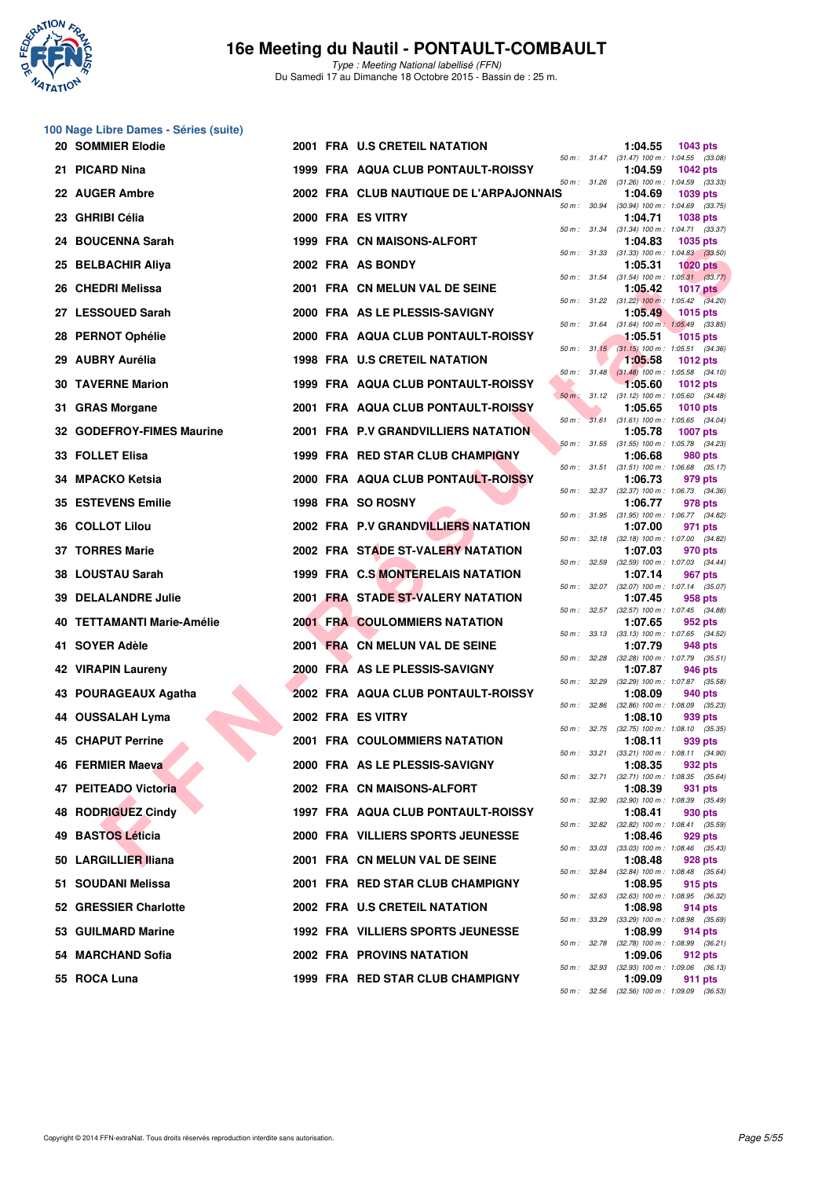

Type : Meeting National labellisé (FFN) Du Samedi 17 au Dimanche 18 Octobre 2015 - Bassin de : 25 m.

# **100 Nage Libre Dames - Séries (suite)**

|     | so hage Libre Banics centes (saite)<br>20 SOMMIER Elodie |  | 2001 FRA U.S CRETEIL NATATION            |              |              | 1:04.55 | 1043 pts                                                      |
|-----|----------------------------------------------------------|--|------------------------------------------|--------------|--------------|---------|---------------------------------------------------------------|
|     | 21 PICARD Nina                                           |  | 1999 FRA AQUA CLUB PONTAULT-ROISSY       |              |              | 1:04.59 | 50 m: 31.47 (31.47) 100 m: 1:04.55 (33.08)<br><b>1042 pts</b> |
|     | 22 AUGER Ambre                                           |  | 2002 FRA CLUB NAUTIQUE DE L'ARPAJONNAIS  |              | 50 m : 31.26 | 1:04.69 | $(31.26)$ 100 m : 1:04.59 $(33.33)$<br>1039 pts               |
|     | 23 GHRIBI Célia                                          |  | 2000 FRA ES VITRY                        |              | 50 m : 30.94 | 1:04.71 | $(30.94)$ 100 m : 1:04.69 $(33.75)$<br>1038 pts               |
|     | 24 BOUCENNA Sarah                                        |  | 1999 FRA CN MAISONS-ALFORT               |              |              | 1:04.83 | 50 m: 31.34 (31.34) 100 m: 1:04.71 (33.37)<br><b>1035 pts</b> |
|     | 25 BELBACHIR Aliya                                       |  | 2002 FRA AS BONDY                        |              |              | 1:05.31 | 50 m: 31.33 (31.33) 100 m: 1:04.83 (33.50)<br>$1020$ pts      |
|     | 26 CHEDRI Melissa                                        |  | 2001 FRA CN MELUN VAL DE SEINE           |              |              | 1:05.42 | 50 m: 31.54 (31.54) 100 m: 1:05.31 (33.77)<br><b>1017 pts</b> |
|     | 27 LESSOUED Sarah                                        |  | 2000 FRA AS LE PLESSIS-SAVIGNY           |              |              | 1:05.49 | 50 m: 31.22 (31.22) 100 m: 1:05.42 (34.20)<br>1015 pts        |
|     | 28 PERNOT Ophélie                                        |  | 2000 FRA AQUA CLUB PONTAULT-ROISSY       |              | 50 m : 31.64 | 1:05.51 | $(31.64)$ 100 m : 1:05.49 $(33.85)$<br><b>1015 pts</b>        |
|     | 29 AUBRY Aurélia                                         |  | 1998 FRA U.S CRETEIL NATATION            |              |              | 1:05.58 | 50 m: 31.15 (31.15) 100 m: 1:05.51 (34.36)<br>1012 pts        |
| 30. | <b>TAVERNE Marion</b>                                    |  | 1999 FRA AQUA CLUB PONTAULT-ROISSY       |              | 50 m: 31.48  | 1:05.60 | $(31.48)$ 100 m : 1:05.58 $(34.10)$<br>1012 $pts$             |
| 31. | <b>GRAS Morgane</b>                                      |  | 2001 FRA AQUA CLUB PONTAULT-ROISSY       |              |              | 1:05.65 | 50 m: 31.12 (31.12) 100 m: 1:05.60 (34.48)<br><b>1010 pts</b> |
|     | 32 GODEFROY-FIMES Maurine                                |  | 2001 FRA P.V GRANDVILLIERS NATATION      |              |              | 1:05.78 | 50 m: 31.61 (31.61) 100 m: 1:05.65 (34.04)<br><b>1007 pts</b> |
|     | 33 FOLLET Elisa                                          |  | 1999 FRA RED STAR CLUB CHAMPIGNY         |              |              | 1:06.68 | 50 m: 31.55 (31.55) 100 m: 1:05.78 (34.23)<br><b>980 pts</b>  |
|     | 34 MPACKO Ketsia                                         |  | 2000 FRA AQUA CLUB PONTAULT-ROISSY       |              | 50 m: 31.51  | 1:06.73 | $(31.51)$ 100 m : 1:06.68 $(35.17)$<br>979 pts                |
|     | <b>35 ESTEVENS Emilie</b>                                |  | 1998 FRA SO ROSNY                        |              | 50 m : 32.37 | 1:06.77 | $(32.37)$ 100 m : 1:06.73 $(34.36)$<br>978 pts                |
|     | 36 COLLOT Lilou                                          |  | 2002 FRA P.V GRANDVILLIERS NATATION      |              |              | 1:07.00 | 50 m: 31.95 (31.95) 100 m: 1:06.77 (34.82)<br>971 pts         |
|     | 37 TORRES Marie                                          |  | 2002 FRA STADE ST-VALERY NATATION        |              | 50 m : 32.18 | 1:07.03 | $(32.18)$ 100 m : 1:07.00 $(34.82)$<br>970 pts                |
|     | 38 LOUSTAU Sarah                                         |  | 1999 FRA C.S MONTERELAIS NATATION        |              |              | 1:07.14 | 50 m: 32.59 (32.59) 100 m: 1:07.03 (34.44)<br>967 pts         |
|     | 39 DELALANDRE Julie                                      |  | 2001 FRA STADE ST-VALERY NATATION        |              | 50 m: 32.07  | 1:07.45 | (32.07) 100 m : 1:07.14 (35.07)<br>958 pts                    |
|     | 40 TETTAMANTI Marie-Amélie                               |  | <b>2001 FRA COULOMMIERS NATATION</b>     |              | 50 m : 32.57 | 1:07.65 | $(32.57)$ 100 m : 1:07.45 $(34.88)$<br>952 pts                |
|     | 41 SOYER Adèle                                           |  | 2001 FRA CN MELUN VAL DE SEINE           |              | 50 m : 33.13 | 1:07.79 | (33.13) 100 m: 1:07.65 (34.52)<br>948 pts                     |
|     | 42 VIRAPIN Laureny                                       |  | 2000 FRA AS LE PLESSIS-SAVIGNY           |              | 50 m : 32.28 | 1:07.87 | $(32.28)$ 100 m : 1:07.79 $(35.51)$<br>946 pts                |
|     | 43 POURAGEAUX Agatha                                     |  | 2002 FRA AQUA CLUB PONTAULT-ROISSY       |              |              | 1:08.09 | 50 m: 32.29 (32.29) 100 m: 1:07.87 (35.58)<br>940 pts         |
|     | 44 OUSSALAH Lyma                                         |  | 2002 FRA ES VITRY                        | 50 m : 32.86 |              | 1:08.10 | (32.86) 100 m: 1:08.09 (35.23)<br>939 pts                     |
|     | <b>45 CHAPUT Perrine</b>                                 |  | <b>2001 FRA COULOMMIERS NATATION</b>     |              |              | 1:08.11 | 50 m: 32.75 (32.75) 100 m: 1:08.10 (35.35)<br>939 pts         |
|     | 46 FERMIER Maeva                                         |  | 2000 FRA AS LE PLESSIS-SAVIGNY           |              |              | 1:08.35 | 50 m: 33.21 (33.21) 100 m: 1:08.11 (34.90)<br>932 pts         |
|     | 47 PEITEADO Victoria                                     |  | 2002 FRA CN MAISONS-ALFORT               |              | 50 m : 32.71 | 1:08.39 | (32.71) 100 m: 1:08.35 (35.64)<br>931 pts                     |
| 48  | <b>RODRIGUEZ Cindy</b>                                   |  | 1997 FRA AQUA CLUB PONTAULT-ROISSY       | 50 m: 32.90  |              | 1:08.41 | (32.90) 100 m: 1:08.39 (35.49)<br>930 pts                     |
| 49  | <b>BASTOS Léticia</b>                                    |  | 2000 FRA VILLIERS SPORTS JEUNESSE        |              |              | 1:08.46 | 50 m: 32.82 (32.82) 100 m: 1:08.41 (35.59)<br>929 pts         |
| 50  | <b>LARGILLIER Iliana</b>                                 |  | 2001 FRA CN MELUN VAL DE SEINE           | 50 m : 33.03 |              | 1:08.48 | $(33.03)$ 100 m : 1:08.46 $(35.43)$<br>928 pts                |
| 51. | <b>SOUDANI Melissa</b>                                   |  | 2001 FRA RED STAR CLUB CHAMPIGNY         |              | 50 m : 32.84 | 1:08.95 | $(32.84)$ 100 m : 1:08.48 $(35.64)$<br>915 pts                |
|     | 52 GRESSIER Charlotte                                    |  | 2002 FRA U.S CRETEIL NATATION            | 50 m: 32.63  |              | 1:08.98 | $(32.63)$ 100 m : 1:08.95 $(36.32)$<br>914 pts                |
| 53  | <b>GUILMARD Marine</b>                                   |  | <b>1992 FRA VILLIERS SPORTS JEUNESSE</b> | 50 m : 33.29 |              | 1:08.99 | (33.29) 100 m : 1:08.98 (35.69)<br>914 pts                    |
|     | 54 MARCHAND Sofia                                        |  | <b>2002 FRA PROVINS NATATION</b>         | 50 m : 32.78 |              | 1:09.06 | $(32.78)$ 100 m : 1:08.99 $(36.21)$<br>912 pts                |
|     | 55 ROCA Luna                                             |  | 1999 FRA RED STAR CLUB CHAMPIGNY         |              | 50 m : 32.93 | 1:09.09 | $(32.93)$ 100 m : 1:09.06 $(36.13)$<br>911 pts                |
|     |                                                          |  |                                          | 50 m: 32.56  |              |         | $(32.56)$ 100 m : 1:09.09 $(36.53)$                           |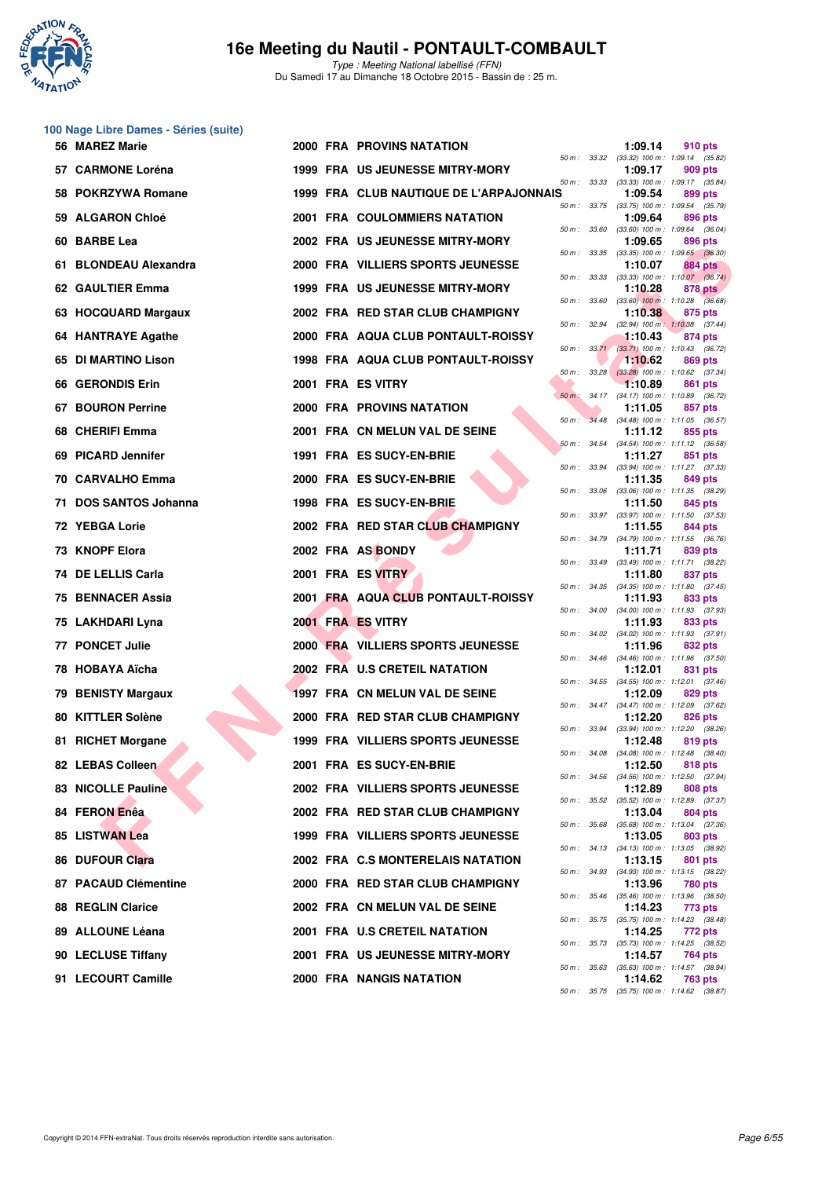

Type : Meeting National labellisé (FFN) Du Samedi 17 au Dimanche 18 Octobre 2015 - Bassin de : 25 m.

# **100 Nage Libre Dames - Séries (suite)**

|     | 56 MAREZ Marie            |  | <b>2000 FRA PROVINS NATATION</b>         |             |                  | 1:09.14 | 910 pts                                                                                             |
|-----|---------------------------|--|------------------------------------------|-------------|------------------|---------|-----------------------------------------------------------------------------------------------------|
|     | 57 CARMONE Loréna         |  | <b>1999 FRA US JEUNESSE MITRY-MORY</b>   |             |                  | 1:09.17 | 50 m: 33.32 (33.32) 100 m: 1:09.14 (35.82)<br>909 pts<br>50 m: 33.33 (33.33) 100 m: 1:09.17 (35.84) |
|     | 58 POKRZYWA Romane        |  | 1999 FRA CLUB NAUTIQUE DE L'ARPAJONNAIS  |             |                  | 1:09.54 | 899 pts                                                                                             |
|     | 59 ALGARON Chloé          |  | <b>2001 FRA COULOMMIERS NATATION</b>     |             |                  | 1:09.64 | 50 m : 33.75 (33.75) 100 m : 1:09.54 (35.79)<br>896 pts                                             |
|     | 60 BARBE Lea              |  | 2002 FRA US JEUNESSE MITRY-MORY          |             | 50 m : 33.60     | 1:09.65 | $(33.60)$ 100 m : 1:09.64 $(36.04)$<br>896 pts                                                      |
| 61. | <b>BLONDEAU Alexandra</b> |  | 2000 FRA VILLIERS SPORTS JEUNESSE        |             | 50 m: 33.35      | 1:10.07 | $(33.35)$ 100 m : 1:09.65 $(36.30)$<br>884 pts                                                      |
|     | 62 GAULTIER Emma          |  | <b>1999 FRA US JEUNESSE MITRY-MORY</b>   | 50 m: 33.33 |                  | 1:10.28 | $(33.33)$ 100 m : 1:10.07 $(36.74)$<br>878 pts                                                      |
|     | 63 HOCQUARD Margaux       |  | 2002 FRA RED STAR CLUB CHAMPIGNY         |             | 50 m : 33.60     | 1:10.38 | $(33.60)$ 100 m : 1:10.28 $(36.68)$<br>875 pts                                                      |
|     | 64 HANTRAYE Agathe        |  | 2000 FRA AQUA CLUB PONTAULT-ROISSY       |             | 50 m: 32.94      | 1:10.43 | $(32.94)$ 100 m : 1:10.38 $(37.44)$<br>874 pts                                                      |
|     | 65 DI MARTINO Lison       |  | 1998 FRA AQUA CLUB PONTAULT-ROISSY       |             |                  | 1:10.62 | 50 m: 33.71 (33.71) 100 m: 1:10.43 (36.72)<br>869 pts                                               |
|     | 66 GERONDIS Erin          |  | 2001 FRA ES VITRY                        |             | $50 m$ : $33.28$ | 1:10.89 | $(33.28)$ 100 m : 1:10.62 $(37.34)$<br>861 pts                                                      |
| 67. | <b>BOURON Perrine</b>     |  | 2000 FRA PROVINS NATATION                |             |                  | 1:11.05 | 50 m: 34.17 (34.17) 100 m: 1:10.89 (36.72)<br>857 pts                                               |
|     | 68 CHERIFI Emma           |  | 2001 FRA CN MELUN VAL DE SEINE           | $50 m$ :    |                  | 1:11.12 | 34.48 (34.48) 100 m : 1:11.05 (36.57)<br>855 pts<br>$(34.54)$ 100 m : 1:11.12 $(36.58)$             |
| 69. | <b>PICARD Jennifer</b>    |  | 1991 FRA ES SUCY-EN-BRIE                 |             | 50 m: 34.54      | 1:11.27 | 851 pts                                                                                             |
|     | 70 CARVALHO Emma          |  | 2000 FRA ES SUCY-EN-BRIE                 |             |                  | 1:11.35 | 50 m: 33.94 (33.94) 100 m: 1:11.27 (37.33)<br>849 pts                                               |
| 71  | <b>DOS SANTOS Johanna</b> |  | 1998 FRA ES SUCY-EN-BRIE                 |             | 50 m : 33.06     | 1:11.50 | $(33.06)$ 100 m : 1:11.35 $(38.29)$<br>845 pts<br>50 m: 33.97 (33.97) 100 m: 1:11.50 (37.53)        |
|     | 72 YEBGA Lorie            |  | 2002 FRA RED STAR CLUB CHAMPIGNY         |             | 50 m : 34.79     | 1:11.55 | 844 pts<br>$(34.79)$ 100 m : 1:11.55 $(36.76)$                                                      |
|     | 73 KNOPF Elora            |  | 2002 FRA AS BONDY                        |             | 50 m : 33.49     | 1:11.71 | 839 pts<br>(33.49) 100 m: 1:11.71 (38.22)                                                           |
|     | 74 DE LELLIS Carla        |  | 2001 FRA ES VITRY                        |             |                  | 1:11.80 | 837 pts<br>50 m: 34.35 (34.35) 100 m: 1:11.80 (37.45)                                               |
|     | 75 BENNACER Assia         |  | 2001 FRA AQUA CLUB PONTAULT-ROISSY       |             | 50 m : 34.00     | 1:11.93 | 833 pts                                                                                             |
|     | 75 LAKHDARI Lyna          |  | 2001 FRA ES VITRY                        |             |                  | 1:11.93 | $(34.00)$ 100 m : 1:11.93 $(37.93)$<br>833 pts<br>50 m: 34.02 (34.02) 100 m: 1:11.93 (37.91)        |
|     | 77 PONCET Julie           |  | 2000 FRA VILLIERS SPORTS JEUNESSE        |             | 50 m: 34.46      | 1:11.96 | 832 pts<br>$(34.46)$ 100 m : 1:11.96 $(37.50)$                                                      |
|     | 78 HOBAYA Aïcha           |  | 2002 FRA U.S CRETEIL NATATION            |             |                  | 1:12.01 | 831 pts<br>50 m: 34.55 (34.55) 100 m: 1:12.01 (37.46)                                               |
|     | 79 BENISTY Margaux        |  | 1997 FRA CN MELUN VAL DE SEINE           |             |                  | 1:12.09 | 829 pts<br>50 m: 34.47 (34.47) 100 m: 1:12.09 (37.62)                                               |
|     | 80 KITTLER Solène         |  | 2000 FRA RED STAR CLUB CHAMPIGNY         |             | 50 m : 33.94     | 1:12.20 | 826 pts<br>$(33.94)$ 100 m : 1:12.20 $(38.26)$                                                      |
| 81. | <b>RICHET Morgane</b>     |  | <b>1999 FRA VILLIERS SPORTS JEUNESSE</b> |             | 50 m : 34.08     | 1:12.48 | 819 pts<br>$(34.08)$ 100 m : 1:12.48 $(38.40)$                                                      |
|     | 82 LEBAS Colleen          |  | 2001 FRA ES SUCY-EN-BRIE                 |             |                  | 1:12.50 | 818 pts<br>50 m: 34.56 (34.56) 100 m: 1:12.50 (37.94)                                               |
|     | 83 NICOLLE Pauline        |  | 2002 FRA VILLIERS SPORTS JEUNESSE        |             |                  | 1:12.89 | 808 pts<br>50 m: 35.52 (35.52) 100 m: 1:12.89 (37.37)                                               |
|     | 84 FERON Enêa             |  | 2002 FRA RED STAR CLUB CHAMPIGNY         |             |                  | 1:13.04 | 804 pts<br>50 m: 35.68 (35.68) 100 m: 1:13.04 (37.36)                                               |
|     | 85 LISTWAN Lea            |  | <b>1999 FRA VILLIERS SPORTS JEUNESSE</b> |             |                  | 1:13.05 | 803 pts<br>50 m: 34.13 (34.13) 100 m: 1:13.05 (38.92)                                               |
|     | 86 DUFOUR Clara           |  | 2002 FRA C.S MONTERELAIS NATATION        |             |                  | 1:13.15 | 801 pts<br>50 m: 34.93 (34.93) 100 m: 1:13.15 (38.22)                                               |
|     | 87 PACAUD Clémentine      |  | 2000 FRA RED STAR CLUB CHAMPIGNY         |             |                  | 1:13.96 | 780 pts<br>50 m: 35.46 (35.46) 100 m: 1:13.96 (38.50)                                               |
|     | <b>88 REGLIN Clarice</b>  |  | 2002 FRA CN MELUN VAL DE SEINE           |             |                  | 1:14.23 | 773 pts<br>50 m: 35.75 (35.75) 100 m: 1:14.23 (38.48)                                               |
|     | 89 ALLOUNE Léana          |  | 2001 FRA U.S CRETEIL NATATION            |             |                  | 1:14.25 | 772 pts<br>50 m: 35.73 (35.73) 100 m: 1:14.25 (38.52)                                               |
|     | 90 LECLUSE Tiffany        |  | 2001 FRA US JEUNESSE MITRY-MORY          |             |                  | 1:14.57 | 764 pts<br>50 m: 35.63 (35.63) 100 m: 1:14.57 (38.94)                                               |
|     | 91 LECOURT Camille        |  | 2000 FRA NANGIS NATATION                 |             |                  | 1:14.62 | <b>763 pts</b><br>50 m: 35.75 (35.75) 100 m: 1:14.62 (38.87)                                        |
|     |                           |  |                                          |             |                  |         |                                                                                                     |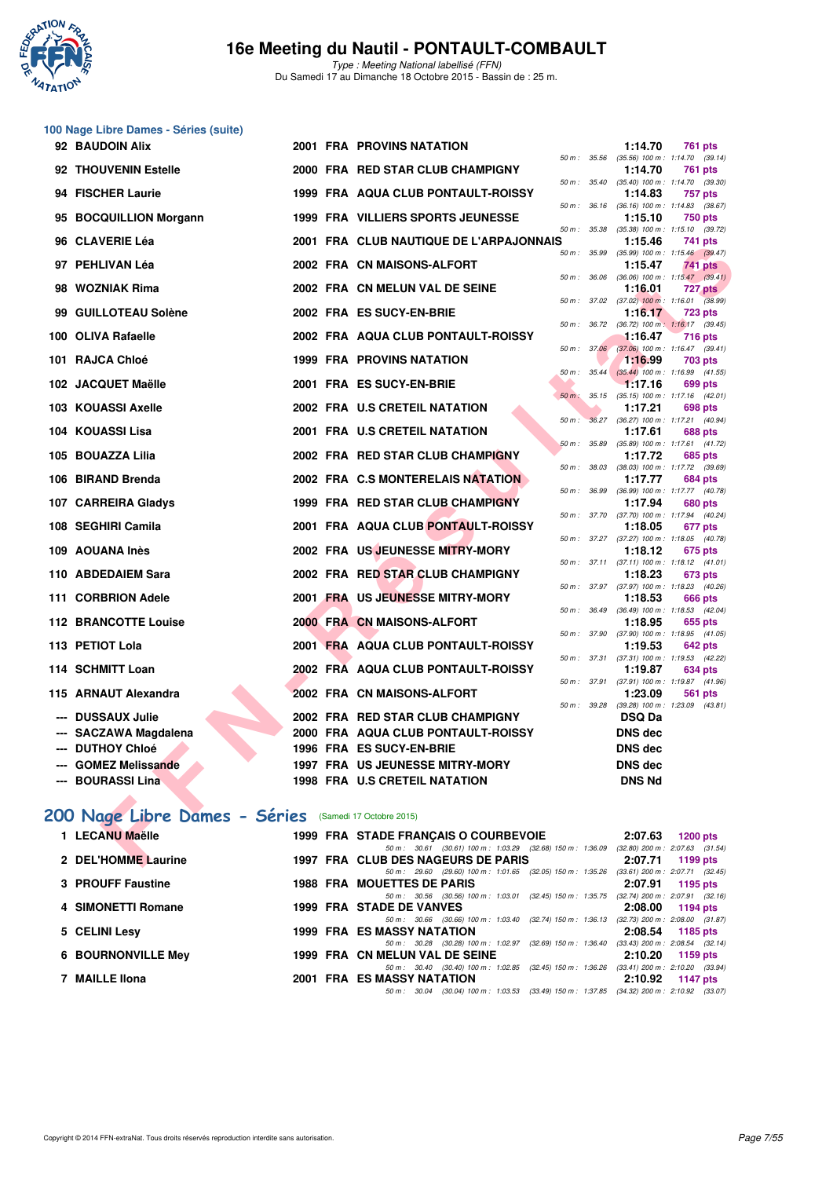

Type : Meeting National labellisé (FFN) Du Samedi 17 au Dimanche 18 Octobre 2015 - Bassin de : 25 m.

|    | 100 Nage Libre Dames - Séries (suite)                  |  |                                                                                                                                |              |                  |                                                         |                 |  |
|----|--------------------------------------------------------|--|--------------------------------------------------------------------------------------------------------------------------------|--------------|------------------|---------------------------------------------------------|-----------------|--|
|    | 92 BAUDOIN Alix                                        |  | <b>2001 FRA PROVINS NATATION</b>                                                                                               | 50 m: 35.56  |                  | 1:14.70<br>$(35.56)$ 100 m : 1:14.70 $(39.14)$          | 761 pts         |  |
|    | 92 THOUVENIN Estelle                                   |  | 2000 FRA RED STAR CLUB CHAMPIGNY                                                                                               |              |                  | 1:14.70<br>50 m: 35.40 (35.40) 100 m: 1:14.70 (39.30)   | 761 pts         |  |
|    | 94 FISCHER Laurie                                      |  | 1999 FRA AQUA CLUB PONTAULT-ROISSY                                                                                             |              |                  | 1:14.83                                                 | 757 pts         |  |
|    | 95 BOCQUILLION Morgann                                 |  | <b>1999 FRA VILLIERS SPORTS JEUNESSE</b>                                                                                       |              | 50 m : 36.16     | $(36.16)$ 100 m : 1:14.83 $(38.67)$<br>1:15.10          | 750 pts         |  |
|    | 96 CLAVERIE Léa                                        |  | 2001 FRA CLUB NAUTIQUE DE L'ARPAJONNAIS                                                                                        | 50 m : 35.38 |                  | $(35.38)$ 100 m : 1:15.10 $(39.72)$<br>1:15.46          | 741 pts         |  |
|    | 97 PEHLIVAN Léa                                        |  | 2002 FRA CN MAISONS-ALFORT                                                                                                     |              | 50 m : 35.99     | $(35.99)$ 100 m : 1:15.46 $(39.47)$<br>1:15.47          | 741 pts         |  |
|    | 98 WOZNIAK Rima                                        |  | 2002 FRA CN MELUN VAL DE SEINE                                                                                                 | 50 m : 36.06 |                  | $(36.06)$ 100 m : 1:15.47 $(39.41)$<br>1:16.01          | <b>727 pts</b>  |  |
| 99 | <b>GUILLOTEAU Solène</b>                               |  | 2002 FRA ES SUCY-EN-BRIE                                                                                                       |              |                  | 50 m : 37.02 (37.02) 100 m : 1:16.01 (38.99)<br>1:16.17 | <b>723 pts</b>  |  |
|    | 100 OLIVA Rafaelle                                     |  | 2002 FRA AQUA CLUB PONTAULT-ROISSY                                                                                             |              |                  | 50 m: 36.72 (36.72) 100 m: 1:16.17 (39.45)<br>1:16.47   | 716 pts         |  |
|    | 101 RAJCA Chloé                                        |  | <b>1999 FRA PROVINS NATATION</b>                                                                                               |              | 50 m: 37.06      | $(37.06)$ 100 m : 1:16.47 $(39.41)$<br>1:16.99          | 703 pts         |  |
|    | 102 JACQUET Maëlle                                     |  | 2001 FRA ES SUCY-EN-BRIE                                                                                                       |              | $50 m$ : $35.44$ | $(35.44)$ 100 m : 1:16.99 $(41.55)$<br>1:17.16          | 699 pts         |  |
|    |                                                        |  |                                                                                                                                | $50 m$ :     |                  | 35.15 (35.15) 100 m: 1:17.16 (42.01)                    |                 |  |
|    | 103 KOUASSI Axelle                                     |  | 2002 FRA U.S CRETEIL NATATION                                                                                                  | $50 m$ :     |                  | 1:17.21<br>36.27 (36.27) 100 m : 1:17.21 (40.94)        | 698 pts         |  |
|    | 104 KOUASSI Lisa                                       |  | 2001 FRA U.S CRETEIL NATATION                                                                                                  |              |                  | 1:17.61                                                 | 688 pts         |  |
|    | 105 BOUAZZA Lilia                                      |  | 2002 FRA RED STAR CLUB CHAMPIGNY                                                                                               | 50 m : 35.89 |                  | $(35.89)$ 100 m : 1:17.61 $(41.72)$<br>1:17.72          | 685 pts         |  |
|    |                                                        |  |                                                                                                                                |              |                  | 50 m: 38.03 (38.03) 100 m: 1:17.72 (39.69)              |                 |  |
|    | 106 BIRAND Brenda                                      |  | 2002 FRA C.S MONTERELAIS NATATION                                                                                              | 50 m : 36.99 |                  | 1:17.77<br>(36.99) 100 m: 1:17.77 (40.78)               | 684 pts         |  |
|    | 107 CARREIRA Gladys                                    |  | 1999 FRA RED STAR CLUB CHAMPIGNY                                                                                               |              |                  | 1:17.94                                                 | 680 pts         |  |
|    | 108 SEGHIRI Camila                                     |  | 2001 FRA AQUA CLUB PONTAULT-ROISSY                                                                                             |              | 50 m : 37.70     | (37.70) 100 m: 1:17.94 (40.24)<br>1:18.05               | 677 pts         |  |
|    | 109 AOUANA Inès                                        |  | 2002 FRA US JEUNESSE MITRY-MORY                                                                                                |              |                  | 50 m: 37.27 (37.27) 100 m: 1:18.05 (40.78)<br>1:18.12   | 675 pts         |  |
|    | 110 ABDEDAIEM Sara                                     |  | 2002 FRA RED STAR CLUB CHAMPIGNY                                                                                               |              |                  | 50 m: 37.11 (37.11) 100 m: 1:18.12 (41.01)<br>1:18.23   | 673 pts         |  |
|    |                                                        |  |                                                                                                                                |              |                  | 50 m: 37.97 (37.97) 100 m: 1:18.23 (40.26)              |                 |  |
|    | 111 CORBRION Adele                                     |  | 2001 FRA US JEUNESSE MITRY-MORY                                                                                                | 50 m : 36.49 |                  | 1:18.53<br>$(36.49)$ 100 m : 1:18.53 $(42.04)$          | 666 pts         |  |
|    | <b>112 BRANCOTTE Louise</b>                            |  | 2000 FRA CN MAISONS-ALFORT                                                                                                     |              |                  | 1:18.95                                                 | 655 pts         |  |
|    | 113 PETIOT Lola                                        |  | 2001 FRA AQUA CLUB PONTAULT-ROISSY                                                                                             |              |                  | 50 m: 37.90 (37.90) 100 m: 1:18.95 (41.05)<br>1:19.53   | 642 pts         |  |
|    | 114 SCHMITT Loan                                       |  | 2002 FRA AQUA CLUB PONTAULT-ROISSY                                                                                             |              | 50 m : 37.31     | (37.31) 100 m: 1:19.53 (42.22)<br>1:19.87               | 634 pts         |  |
|    | 115 ARNAUT Alexandra                                   |  | 2002 FRA CN MAISONS-ALFORT                                                                                                     |              | 50 m : 37.91     | (37.91) 100 m: 1:19.87 (41.96)<br>1:23.09               | 561 pts         |  |
|    |                                                        |  |                                                                                                                                |              |                  | 50 m: 39.28 (39.28) 100 m: 1:23.09 (43.81)              |                 |  |
|    | --- DUSSAUX Julie                                      |  | 2002 FRA RED STAR CLUB CHAMPIGNY                                                                                               |              |                  | <b>DSQ Da</b>                                           |                 |  |
|    | --- SACZAWA Magdalena                                  |  | 2000 FRA AQUA CLUB PONTAULT-ROISSY                                                                                             |              |                  | DNS dec                                                 |                 |  |
|    | --- DUTHOY Chloé<br>--- GOMEZ Melissande               |  | 1996 FRA ES SUCY-EN-BRIE<br><b>1997 FRA US JEUNESSE MITRY-MORY</b>                                                             |              |                  | <b>DNS</b> dec<br><b>DNS</b> dec                        |                 |  |
|    | --- BOURASSI Lina                                      |  | 1998 FRA U.S CRETEIL NATATION                                                                                                  |              |                  | <b>DNS Nd</b>                                           |                 |  |
|    |                                                        |  |                                                                                                                                |              |                  |                                                         |                 |  |
|    | 200 Nage Libre Dames - Séries (Samedi 17 Octobre 2015) |  |                                                                                                                                |              |                  |                                                         |                 |  |
|    | 1 LECANU Maëlle                                        |  | 1999 FRA STADE FRANÇAIS O COURBEVOIE                                                                                           |              |                  | 2:07.63                                                 | <b>1200 pts</b> |  |
|    | 2 DEL'HOMME Laurine                                    |  | 50 m: 30.61 (30.61) 100 m: 1:03.29 (32.68) 150 m: 1:36.09 (32.80) 200 m: 2:07.63 (31.54)<br>1997 FRA CLUB DES NAGEURS DE PARIS |              |                  | 2:07.71                                                 | 1199 pts        |  |

# **[200 Nage Libre Dames - Séries](http://www.ffnatation.fr/webffn/resultats.php?idact=nat&go=epr&idcpt=33325&idepr=3)** (Samedi 17 Octobre 2015)

| 1 LECANU Maëlle           | 1999 FRA STADE FRANCAIS O COURBEVOIE                                                                                          | 2:07.63<br>$1200$ pts                                        |
|---------------------------|-------------------------------------------------------------------------------------------------------------------------------|--------------------------------------------------------------|
| 2 DEL'HOMME Laurine       | 50 m: 30.61 (30.61) 100 m: 1:03.29 (32.68) 150 m: 1:36.09<br>1997 FRA CLUB DES NAGEURS DE PARIS                               | $(32.80)$ 200 m : $2:07.63$ $(31.54)$<br>2:07.71<br>1199 pts |
| 3 PROUFF Faustine         | 50 m: 29.60 (29.60) 100 m: 1:01.65 (32.05) 150 m: 1:35.26<br>1988 FRA MOUETTES DE PARIS                                       | $(33.61)$ 200 m : 2:07.71 $(32.45)$<br>2:07.91<br>1195 pts   |
| 4 SIMONETTI Romane        | 50 m: 30.56 (30.56) 100 m: 1:03.01 (32.45) 150 m: 1:35.75<br><b>1999 FRA STADE DE VANVES</b>                                  | $(32.74)$ 200 m : 2:07.91 $(32.16)$<br>2:08.00<br>1194 pts   |
| 5 CELINI Lesv             | 50 m: 30.66 (30.66) 100 m: 1:03.40 (32.74) 150 m: 1:36.13 (32.73) 200 m: 2:08.00 (31.87)<br><b>1999 FRA ES MASSY NATATION</b> | 2:08.54 1185 pts                                             |
| <b>6 BOURNONVILLE Mey</b> | 50 m : 30.28 (30.28) 100 m : 1:02.97 (32.69) 150 m : 1:36.40<br>1999 FRA CN MELUN VAL DE SEINE                                | $(33.43)$ 200 m : 2:08.54 $(32.14)$<br>2:10.20<br>1159 pts   |
| 7 MAILLE IIona            | 50 m: 30.40 (30.40) 100 m: 1:02.85<br>(32.45) 150 m : 1:36.26<br>2001 FRA ES MASSY NATATION                                   | $(33.41)$ 200 m : 2:10.20 $(33.94)$<br>2:10.92<br>1147 pts   |
|                           | (30.04) 100 m : 1:03.53 (33.49) 150 m : 1:37.85 (34.32) 200 m : 2:10.92 (33.07)<br>50 m : 30.04                               |                                                              |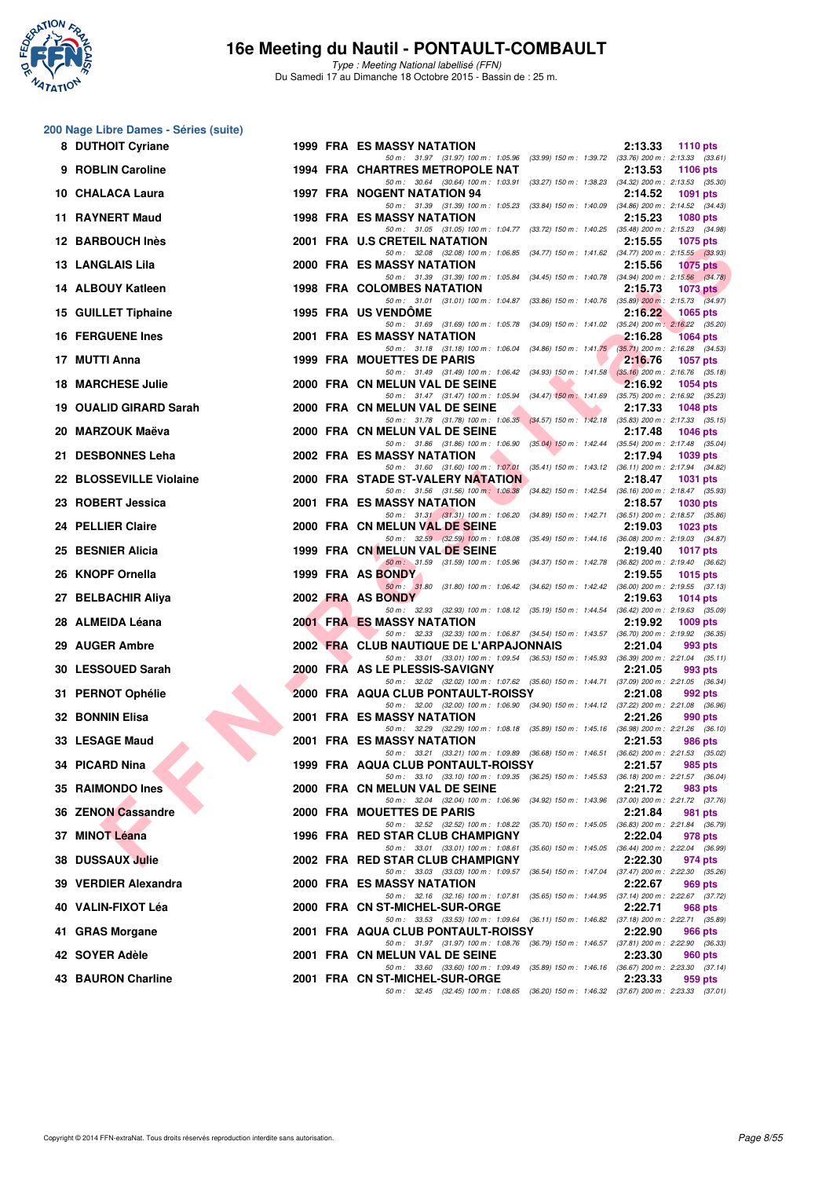

Type : Meeting National labellisé (FFN) Du Samedi 17 au Dimanche 18 Octobre 2015 - Bassin de : 25 m.

#### **200 Nage Libre Dames - Séries (suite)**

| 8 DUTHOIT Cyriane                    |  | <b>1999 FRA ES MASSY NATATION</b><br>2:13.33<br><b>1110 pts</b>                                                                                                  |
|--------------------------------------|--|------------------------------------------------------------------------------------------------------------------------------------------------------------------|
| 9 ROBLIN Caroline                    |  | 50 m: 31.97 (31.97) 100 m: 1:05.96 (33.99) 150 m: 1:39.72 (33.76) 200 m: 2:13.33 (33.61)<br><b>1994 FRA CHARTRES METROPOLE NAT</b><br>2:13.53<br><b>1106 pts</b> |
| 10 CHALACA Laura                     |  | 50 m: 30.64 (30.64) 100 m: 1:03.91 (33.27) 150 m: 1:38.23 (34.32) 200 m: 2:13.53 (35.30)<br><b>1997 FRA NOGENT NATATION 94</b><br>2:14.52<br><b>1091 pts</b>     |
| 11 RAYNERT Maud                      |  | 50 m: 31.39 (31.39) 100 m: 1:05.23 (33.84) 150 m: 1:40.09 (34.86) 200 m: 2:14.52 (34.43)<br><b>1998 FRA ES MASSY NATATION</b><br>2:15.23<br>1080 pts             |
| 12 BARBOUCH Inès                     |  | 50 m: 31.05 (31.05) 100 m: 1:04.77 (33.72) 150 m: 1:40.25 (35.48) 200 m: 2:15.23 (34.98)<br>2001 FRA U.S CRETEIL NATATION<br>2:15.55<br>1075 pts                 |
| 13 LANGLAIS Lila                     |  | 50 m: 32.08 (32.08) 100 m: 1:06.85 (34.77) 150 m: 1:41.62 (34.77) 200 m: 2:15.55 (33.93)<br>2000 FRA ES MASSY NATATION<br>2:15.56<br><b>1075 pts</b>             |
| 14 ALBOUY Katleen                    |  | 50 m: 31.39 (31.39) 100 m: 1:05.84 (34.45) 150 m: 1:40.78 (34.94) 200 m: 2:15.56 (34.78)<br><b>1998 FRA COLOMBES NATATION</b><br>2:15.73<br>1073 $p$ ts          |
| 15 GUILLET Tiphaine                  |  | 50 m: 31.01 (31.01) 100 m: 1:04.87 (33.86) 150 m: 1:40.76 (35.89) 200 m: 2:15.73 (34.97)<br><b>1995 FRA US VENDOME</b><br>2:16.22<br><b>1065 pts</b>             |
| <b>16 FERGUENE Ines</b>              |  | 50 m: 31.69 (31.69) 100 m: 1:05.78 (34.09) 150 m: 1:41.02 (35.24) 200 m: 2:16.22 (35.20)<br>2001 FRA ES MASSY NATATION<br>2:16.28<br>1064 pts                    |
| 17 MUTTI Anna                        |  | 50 m: 31.18 (31.18) 100 m: 1:06.04 (34.86) 150 m: 1:41.75 (35.71) 200 m: 2:16.28 (34.53)<br>1999 FRA MOUETTES DE PARIS<br>2:16.76<br><b>1057 pts</b>             |
| <b>18 MARCHESE Julie</b>             |  | 50 m: 31.49 (31.49) 100 m: 1:06.42 (34.93) 150 m: 1:41.58 (35.16) 200 m: 2:16.76 (35.18)<br>2000 FRA CN MELUN VAL DE SEINE<br>2:16.92<br>1054 pts                |
| 19 OUALID GIRARD Sarah               |  | 50 m: 31.47 (31.47) 100 m: 1:05.94 (34.47) 150 m: 1:41.69 (35.75) 200 m: 2:16.92 (35.23)<br>2000 FRA CN MELUN VAL DE SEINE<br>2:17.33<br><b>1048 pts</b>         |
| 20 MARZOUK Maëva                     |  | 50 m: 31.78 (31.78) 100 m: 1:06.35 (34.57) 150 m: 1:42.18 (35.83) 200 m: 2:17.33 (35.15)<br>2000 FRA CN MELUN VAL DE SEINE<br>2:17.48<br><b>1046 pts</b>         |
| 21 DESBONNES Leha                    |  | 50 m: 31.86 (31.86) 100 m: 1:06.90 (35.04) 150 m: 1:42.44 (35.54) 200 m: 2:17.48 (35.04)<br>2002 FRA ES MASSY NATATION<br>2:17.94<br>1039 pts                    |
| 22 BLOSSEVILLE Violaine              |  | 50 m: 31.60 (31.60) 100 m: 1:07.01 (35.41) 150 m: 1:43.12 (36.11) 200 m: 2:17.94 (34.82)<br>2000 FRA STADE ST-VALERY NATATION<br>2:18.47<br><b>1031 pts</b>      |
| 23 ROBERT Jessica                    |  | 50 m: 31.56 (31.56) 100 m: 1:06.38<br>$(34.82)$ 150 m : 1:42.54 $(36.16)$ 200 m : 2:18.47 $(35.93)$<br><b>2001 FRA ES MASSY NATATION</b><br>2:18.57<br>1030 pts  |
| 24 PELLIER Claire                    |  | 50 m: 31.31 (31.31) 100 m: 1:06.20 (34.89) 150 m: 1:42.71 (36.51) 200 m: 2:18.57 (35.86)<br>2000 FRA CN MELUN VAL DE SEINE<br>2:19.03<br><b>1023 pts</b>         |
| 25 BESNIER Alicia                    |  | 50 m: 32.59 (32.59) 100 m: 1:08.08 (35.49) 150 m: 1:44.16 (36.08) 200 m: 2:19.03 (34.87)<br>1999 FRA CN MELUN VAL DE SEINE<br>2:19.40<br><b>1017 pts</b>         |
| 26 KNOPF Ornella                     |  | 50 m : 31.59 (31.59) 100 m : 1:05.96 (34.37) 150 m : 1:42.78 (36.82) 200 m : 2:19.40 (36.62)<br>1999 FRA AS BONDY<br>2:19.55<br>1015 $pts$                       |
| 27 BELBACHIR Aliya                   |  | 50 m: 31.80 (31.80) 100 m: 1:06.42 (34.62) 150 m: 1:42.42 (36.00) 200 m: 2:19.55 (37.13)<br>2002 FRA AS BONDY<br>2:19.63<br>1014 $pts$                           |
| 28 ALMEIDA Léana                     |  | 50 m: 32.93 (32.93) 100 m: 1:08.12 (35.19) 150 m: 1:44.54 (36.42) 200 m: 2:19.63 (35.09)<br><b>2001 FRA ES MASSY NATATION</b><br>2:19.92<br>$1009$ pts           |
| 29 AUGER Ambre                       |  | 50 m: 32.33 (32.33) 100 m: 1:06.87 (34.54) 150 m: 1:43.57 (36.70) 200 m: 2:19.92 (36.35)<br>2002 FRA CLUB NAUTIQUE DE L'ARPAJONNAIS<br>2:21.04<br>993 pts        |
| 30 LESSOUED Sarah                    |  | 50 m: 33.01 (33.01) 100 m: 1:09.54 (36.53) 150 m: 1:45.93 (36.39) 200 m: 2:21.04 (35.11)<br>2000 FRA AS LE PLESSIS-SAVIGNY<br>2:21.05<br>993 pts                 |
|                                      |  | 50 m: 32.02 (32.02) 100 m: 1:07.62 (35.60) 150 m: 1:44.71 (37.09) 200 m: 2:21.05 (36.34)<br>2000 FRA AQUA CLUB PONTAULT-ROISSY                                   |
| 31 PERNOT Ophélie<br>32 BONNIN Elisa |  | 2:21.08<br>992 pts<br>50 m: 32.00 (32.00) 100 m: 1:06.90 (34.90) 150 m: 1:44.12 (37.22) 200 m: 2:21.08 (36.96)<br><b>2001 FRA ES MASSY NATATION</b>              |
|                                      |  | 2:21.26<br>990 pts<br>50 m: 32.29 (32.29) 100 m: 1:08.18 (35.89) 150 m: 1:45.16 (36.98) 200 m: 2:21.26 (36.10)                                                   |
| 33 LESAGE Maud                       |  | <b>2001 FRA ES MASSY NATATION</b><br>2:21.53<br>986 pts<br>50 m: 33.21 (33.21) 100 m: 1:09.89 (36.68) 150 m: 1:46.51 (36.62) 200 m: 2:21.53 (35.02)              |
| 34 PICARD Nina                       |  | 1999 FRA AQUA CLUB PONTAULT-ROISSY<br>2:21.57<br>985 pts<br>50 m : 33.10 (33.10) 100 m : 1:09.35<br>(36.25) 150 m : 1:45.53 (36.18) 200 m : 2:21.57 (36.04)      |
| 35 RAIMONDO Ines                     |  | 2000 FRA CN MELUN VAL DE SEINE<br>2:21.72<br>983 pts<br>50 m: 32.04 (32.04) 100 m: 1:06.96<br>(34.92) 150 m : 1:43.96 (37.00) 200 m : 2:21.72 (37.76)            |
| 36 ZENON Cassandre                   |  | 2000 FRA MOUETTES DE PARIS<br>2:21.84<br>981 pts<br>50 m : 32.52 (32.52) 100 m : 1:08.22<br>(35.70) 150 m : 1:45.05 (36.83) 200 m : 2:21.84 (36.79)              |
| 37 MINOT Léana                       |  | 1996 FRA RED STAR CLUB CHAMPIGNY<br>2:22.04<br>978 pts<br>50 m: 33.01 (33.01) 100 m: 1:08.61<br>(35.60) 150 m: 1:45.05 (36.44) 200 m: 2:22.04 (36.99)            |
| 38 DUSSAUX Julie                     |  | 2002 FRA RED STAR CLUB CHAMPIGNY<br>2:22.30<br>974 pts<br>50 m: 33.03 (33.03) 100 m: 1:09.57<br>(36.54) 150 m : 1:47.04 (37.47) 200 m : 2:22.30 (35.26)          |
| 39 VERDIER Alexandra                 |  | <b>2000 FRA ES MASSY NATATION</b><br>2:22.67<br>969 pts<br>50 m: 32.16 (32.16) 100 m: 1:07.81<br>(35.65) 150 m : 1:44.95 (37.14) 200 m : 2:22.67 (37.72)         |
| 40 VALIN-FIXOT Léa                   |  | 2000 FRA CN ST-MICHEL-SUR-ORGE<br>2:22.71<br>968 pts<br>50 m: 33.53 (33.53) 100 m: 1:09.64 (36.11) 150 m: 1:46.82 (37.18) 200 m: 2:22.71 (35.89)                 |
| 41 GRAS Morgane                      |  | 2001 FRA AQUA CLUB PONTAULT-ROISSY<br>2:22.90<br>966 pts<br>50 m : 31.97 (31.97) 100 m : 1:08.76<br>(36.79) 150 m : 1:46.57 (37.81) 200 m : 2:22.90 (36.33)      |
| 42 SOYER Adèle                       |  | 2001 FRA CN MELUN VAL DE SEINE<br>2:23.30<br>960 pts<br>50 m : 33.60 (33.60) 100 m : 1:09.49 (35.89) 150 m : 1:46.16 (36.67) 200 m : 2:23.30 (37.14)             |
| 43 BAURON Charline                   |  | 2001 FRA CN ST-MICHEL-SUR-ORGE<br>2:23.33<br>959 pts<br>50 m: 32.45 (32.45) 100 m: 1:08.65 (36.20) 150 m: 1:46.32 (37.67) 200 m: 2:23.33 (37.01)                 |
|                                      |  |                                                                                                                                                                  |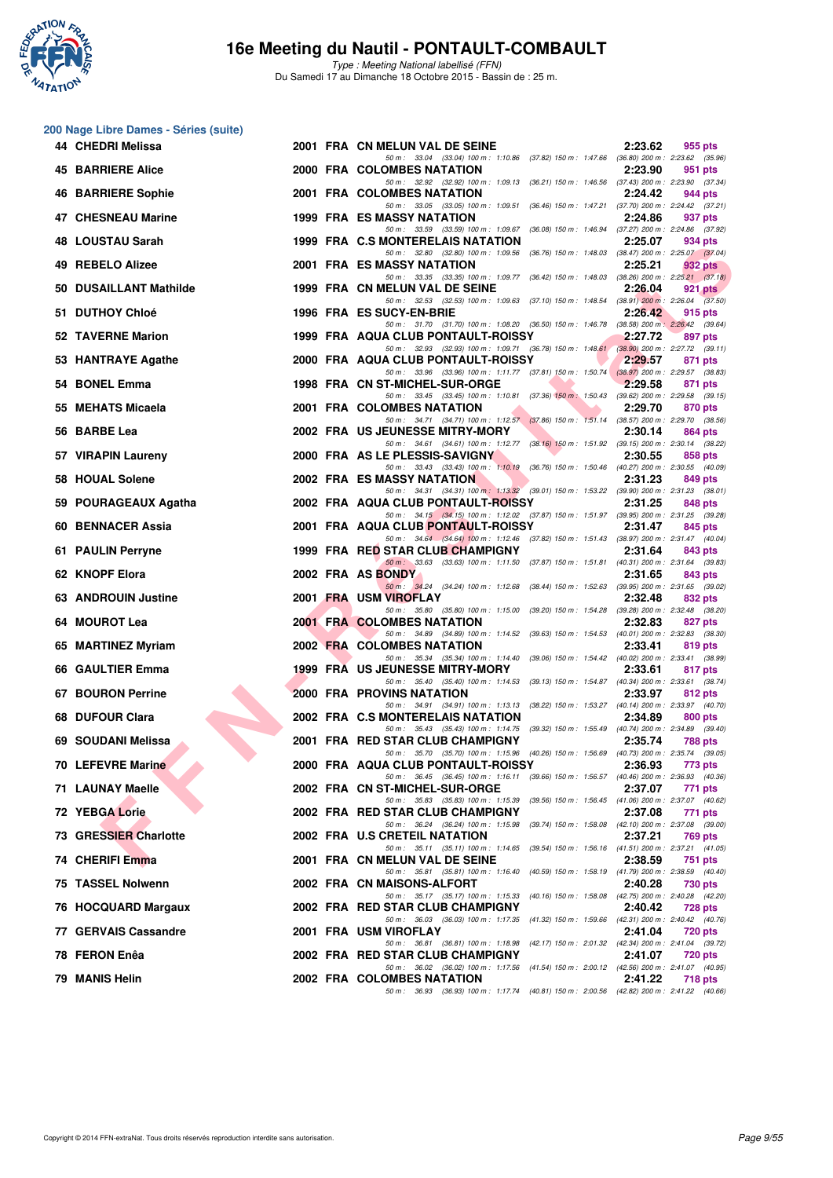

**200 Nage Libre Dames - Séries (suite)**

#### **16e Meeting du Nautil - PONTAULT-COMBAULT**

Type : Meeting National labellisé (FFN) Du Samedi 17 au Dimanche 18 Octobre 2015 - Bassin de : 25 m.

| 44 CHEDRI Melissa         |  | 2001 FRA CN MELUN VAL DE SEINE                                                                                                     | 2:23.62 | 955 pts        |
|---------------------------|--|------------------------------------------------------------------------------------------------------------------------------------|---------|----------------|
| <b>45 BARRIERE Alice</b>  |  | 50 m: 33.04 (33.04) 100 m: 1:10.86 (37.82) 150 m: 1:47.66 (36.80) 200 m: 2:23.62 (35.96)<br>2000 FRA COLOMBES NATATION             | 2:23.90 | 951 pts        |
| <b>46 BARRIERE Sophie</b> |  | 50 m: 32.92 (32.92) 100 m: 1:09.13 (36.21) 150 m: 1:46.56 (37.43) 200 m: 2:23.90 (37.34)<br>2001 FRA COLOMBES NATATION             | 2:24.42 | 944 pts        |
| 47 CHESNEAU Marine        |  | 50 m: 33.05 (33.05) 100 m: 1:09.51 (36.46) 150 m: 1:47.21 (37.70) 200 m: 2:24.42 (37.21)<br><b>1999 FRA ES MASSY NATATION</b>      | 2:24.86 | 937 pts        |
| 48 LOUSTAU Sarah          |  | 50 m: 33.59 (33.59) 100 m: 1:09.67 (36.08) 150 m: 1:46.94 (37.27) 200 m: 2:24.86 (37.92)<br>1999 FRA C.S MONTERELAIS NATATION      | 2:25.07 | 934 pts        |
| 49 REBELO Alizee          |  | 50 m: 32.80 (32.80) 100 m: 1:09.56 (36.76) 150 m: 1:48.03 (38.47) 200 m: 2:25.07 (37.04)<br>2001 FRA ES MASSY NATATION             | 2:25.21 | 932 pts        |
| 50 DUSAILLANT Mathilde    |  | 50 m: 33.35 (33.35) 100 m: 1:09.77 (36.42) 150 m: 1:48.03 (38.26) 200 m: 2:25.21 (37.18)<br>1999 FRA CN MELUN VAL DE SEINE         | 2:26.04 | $921$ pts      |
| 51 DUTHOY Chloé           |  | 50 m: 32.53 (32.53) 100 m: 1:09.63 (37.10) 150 m: 1:48.54 (38.91) 200 m: 2:26.04 (37.50)<br>1996 FRA ES SUCY-EN-BRIE               | 2:26.42 | 915 pts        |
| 52 TAVERNE Marion         |  | 50 m: 31.70 (31.70) 100 m: 1:08.20 (36.50) 150 m: 1:46.78 (38.58) 200 m: 2:26.42 (39.64)<br>1999 FRA AQUA CLUB PONTAULT-ROISSY     | 2:27.72 | 897 pts        |
| 53 HANTRAYE Agathe        |  | 50 m : 32.93 (32.93) 100 m : 1:09.71 (36.78) 150 m : 1:48.61 (38.90) 200 m : 2:27.72 (39.11)<br>2000 FRA AQUA CLUB PONTAULT-ROISSY | 2:29.57 | 871 pts        |
| 54 BONEL Emma             |  | 50 m: 33.96 (33.96) 100 m: 1:11.77 (37.81) 150 m: 1:50.74 (38.97) 200 m: 2:29.57 (38.83)<br>1998 FRA CN ST-MICHEL-SUR-ORGE         | 2:29.58 | 871 pts        |
| 55 MEHATS Micaela         |  | 50 m: 33.45 (33.45) 100 m: 1:10.81 (37.36) 150 m: 1:50.43 (39.62) 200 m: 2:29.58 (39.15)<br>2001 FRA COLOMBES NATATION             | 2:29.70 | 870 pts        |
| 56 BARBE Lea              |  | 50 m: 34.71 (34.71) 100 m: 1:12.57 (37.86) 150 m: 1:51.14 (38.57) 200 m: 2:29.70 (38.56)<br>2002 FRA US JEUNESSE MITRY-MORY        | 2:30.14 | 864 pts        |
| 57 VIRAPIN Laureny        |  | 50 m: 34.61 (34.61) 100 m: 1:12.77 (38.16) 150 m: 1:51.92 (39.15) 200 m: 2:30.14 (38.22)<br>2000 FRA AS LE PLESSIS-SAVIGNY         | 2:30.55 | 858 pts        |
| 58 HOUAL Solene           |  | 50 m: 33.43 (33.43) 100 m: 1:10.19 (36.76) 150 m: 1:50.46 (40.27) 200 m: 2:30.55 (40.09)<br><b>2002 FRA ES MASSY NATATION</b>      | 2:31.23 | 849 pts        |
| 59 POURAGEAUX Agatha      |  | 50 m: 34.31 (34.31) 100 m: 1:13.32 (39.01) 150 m: 1:53.22 (39.90) 200 m: 2:31.23 (38.01)<br>2002 FRA AQUA CLUB PONTAULT-ROISSY     | 2:31.25 | 848 pts        |
| 60 BENNACER Assia         |  | 50 m: 34.15 (34.15) 100 m: 1:12.02 (37.87) 150 m: 1:51.97 (39.95) 200 m: 2:31.25 (39.28)<br>2001 FRA AQUA CLUB PONTAULT-ROISSY     | 2:31.47 | 845 pts        |
| 61 PAULIN Perryne         |  | 50 m: 34.64 (34.64) 100 m: 1:12.46 (37.82) 150 m: 1:51.43 (38.97) 200 m: 2:31.47 (40.04)<br>1999 FRA RED STAR CLUB CHAMPIGNY       | 2:31.64 | 843 pts        |
| 62 KNOPF Elora            |  | 50 m: 33.63 (33.63) 100 m: 1:11.50 (37.87) 150 m: 1:51.81 (40.31) 200 m: 2:31.64 (39.83)<br>2002 FRA AS BONDY                      | 2:31.65 |                |
| 63 ANDROUIN Justine       |  | 50 m: 34.24 (34.24) 100 m: 1:12.68 (38.44) 150 m: 1:52.63 (39.95) 200 m: 2:31.65 (39.02)                                           | 2:32.48 | 843 pts        |
|                           |  | 2001 FRA USM VIROFLAY<br>50 m: 35.80 (35.80) 100 m: 1:15.00 (39.20) 150 m: 1:54.28 (39.28) 200 m: 2:32.48 (38.20)                  |         | 832 pts        |
| 64 MOUROT Lea             |  | 2001 FRA COLOMBES NATATION<br>50 m: 34.89 (34.89) 100 m: 1:14.52 (39.63) 150 m: 1:54.53 (40.01) 200 m: 2:32.83 (38.30)             | 2:32.83 | 827 pts        |
| 65 MARTINEZ Myriam        |  | 2002 FRA COLOMBES NATATION<br>50 m: 35.34 (35.34) 100 m: 1:14.40 (39.06) 150 m: 1:54.42 (40.02) 200 m: 2:33.41 (38.99)             | 2:33.41 | 819 pts        |
| 66 GAULTIER Emma          |  | 1999 FRA US JEUNESSE MITRY-MORY<br>50 m: 35.40 (35.40) 100 m: 1:14.53 (39.13) 150 m: 1:54.87 (40.34) 200 m: 2:33.61 (38.74)        | 2:33.61 | 817 pts        |
| 67 BOURON Perrine         |  | <b>2000 FRA PROVINS NATATION</b><br>50 m: 34.91 (34.91) 100 m: 1:13.13 (38.22) 150 m: 1:53.27 (40.14) 200 m: 2:33.97 (40.70)       | 2:33.97 | 812 pts        |
| 68 DUFOUR Clara           |  | 2002 FRA C.S MONTERELAIS NATATION<br>50 m: 35.43 (35.43) 100 m: 1:14.75 (39.32) 150 m: 1:55.49 (40.74) 200 m: 2:34.89 (39.40)      | 2:34.89 | 800 pts        |
| 69 SOUDANI Melissa        |  | 2001 FRA RED STAR CLUB CHAMPIGNY<br>50 m: 35.70 (35.70) 100 m: 1:15.96 (40.26) 150 m: 1:56.69 (40.73) 200 m: 2:35.74 (39.05)       | 2:35.74 | 788 pts        |
| 70 LEFEVRE Marine         |  | 2000 FRA AQUA CLUB PONTAULT-ROISSY<br>50 m: 36.45 (36.45) 100 m: 1:16.11 (39.66) 150 m: 1:56.57 (40.46) 200 m: 2:36.93 (40.36)     | 2:36.93 | 773 pts        |
| 71 LAUNAY Maelle          |  | 2002 FRA CN ST-MICHEL-SUR-ORGE<br>50 m: 35.83 (35.83) 100 m: 1:15.39 (39.56) 150 m: 1:56.45 (41.06) 200 m: 2:37.07 (40.62)         | 2:37.07 | 771 pts        |
| <b>72 YEBGA Lorie</b>     |  | 2002 FRA RED STAR CLUB CHAMPIGNY<br>50 m: 36.24 (36.24) 100 m: 1:15.98 (39.74) 150 m: 1:58.08 (42.10) 200 m: 2:37.08 (39.00)       | 2:37.08 | 771 pts        |
| 73 GRESSIER Charlotte     |  | 2002 FRA U.S CRETEIL NATATION<br>50 m: 35.11 (35.11) 100 m: 1:14.65 (39.54) 150 m: 1:56.16 (41.51) 200 m: 2:37.21 (41.05)          | 2:37.21 | 769 pts        |
| 74 CHERIFI Emma           |  | 2001 FRA CN MELUN VAL DE SEINE<br>50 m: 35.81 (35.81) 100 m: 1:16.40 (40.59) 150 m: 1:58.19 (41.79) 200 m: 2:38.59 (40.40)         | 2:38.59 | 751 pts        |
| 75 TASSEL Nolwenn         |  | 2002 FRA CN MAISONS-ALFORT<br>50 m: 35.17 (35.17) 100 m: 1:15.33 (40.16) 150 m: 1:58.08 (42.75) 200 m: 2:40.28 (42.20)             | 2:40.28 | 730 pts        |
| 76 HOCQUARD Margaux       |  | 2002 FRA RED STAR CLUB CHAMPIGNY<br>50 m: 36.03 (36.03) 100 m: 1:17.35 (41.32) 150 m: 1:59.66 (42.31) 200 m: 2:40.42 (40.76)       | 2:40.42 | <b>728 pts</b> |
| 77 GERVAIS Cassandre      |  | 2001 FRA USM VIROFLAY<br>50 m: 36.81 (36.81) 100 m: 1:18.98 (42.17) 150 m: 2:01.32 (42.34) 200 m: 2:41.04 (39.72)                  | 2:41.04 | <b>720 pts</b> |
| 78 FERON Enêa             |  | 2002 FRA RED STAR CLUB CHAMPIGNY                                                                                                   | 2:41.07 | 720 pts        |
| 79 MANIS Helin            |  | 50 m: 36.02 (36.02) 100 m: 1:17.56 (41.54) 150 m: 2:00.12 (42.56) 200 m: 2:41.07 (40.95)<br>2002 FRA COLOMBES NATATION             | 2:41.22 | 718 pts        |
|                           |  | 50 m: 36.93 (36.93) 100 m: 1:17.74 (40.81) 150 m: 2:00.56 (42.82) 200 m: 2:41.22 (40.66)                                           |         |                |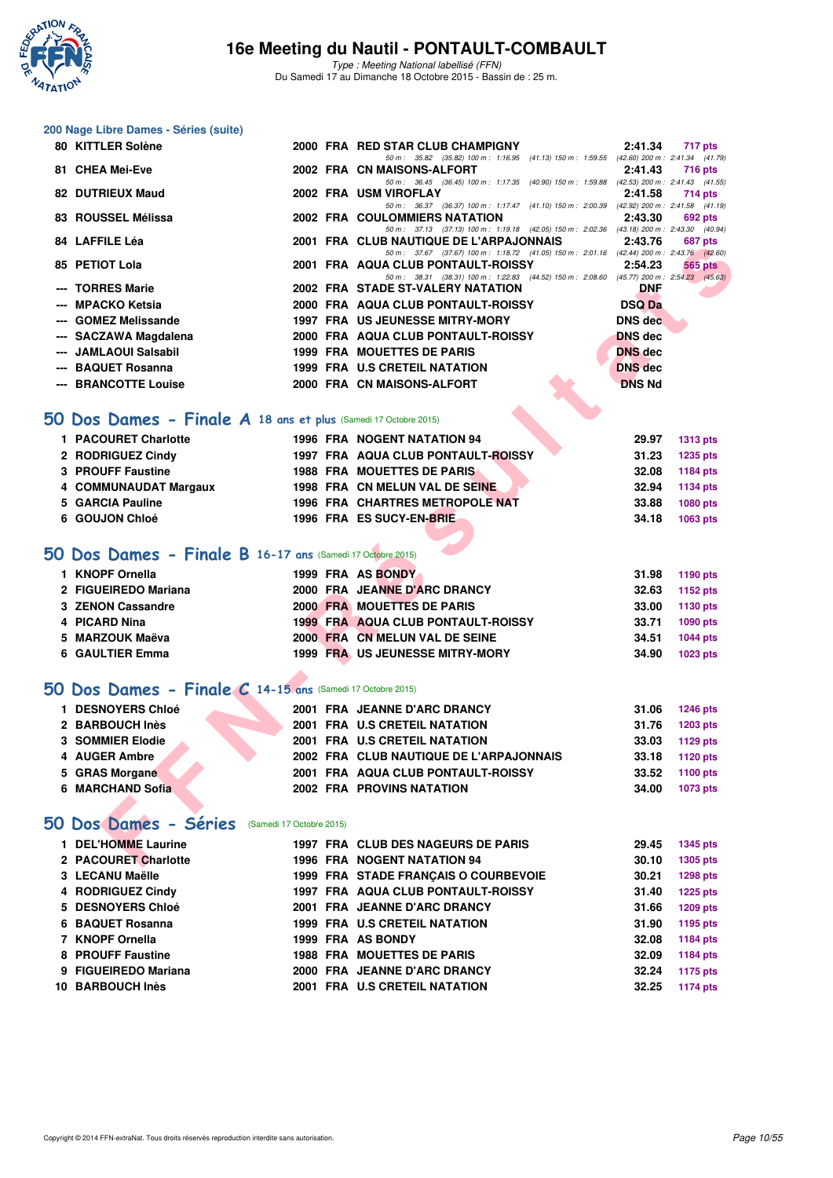

**200 Nage Libre Dames - Séries (suite)**

## **16e Meeting du Nautil - PONTAULT-COMBAULT**

Type : Meeting National labellisé (FFN) Du Samedi 17 au Dimanche 18 Octobre 2015 - Bassin de : 25 m.

| 80 KITTLER Solène                                               |  | 2000 FRA RED STAR CLUB CHAMPIGNY                                                                                                    | 2:41.34        | 717 pts         |
|-----------------------------------------------------------------|--|-------------------------------------------------------------------------------------------------------------------------------------|----------------|-----------------|
| 81 CHEA Mei-Eve                                                 |  | 50 m: 35.82 (35.82) 100 m: 1:16.95 (41.13) 150 m: 1:59.55 (42.60) 200 m: 2:41.34 (41.79)<br>2002 FRA CN MAISONS-ALFORT              | 2:41.43        | <b>716 pts</b>  |
| 82 DUTRIEUX Maud                                                |  | 50 m: 36.45 (36.45) 100 m: 1:17.35 (40.90) 150 m: 1:59.88 (42.53) 200 m: 2:41.43 (41.55)<br>2002 FRA USM VIROFLAY                   | 2:41.58        | 714 pts         |
| 83 ROUSSEL Mélissa                                              |  | 50 m: 36.37 (36.37) 100 m: 1:17.47 (41.10) 150 m: 2:00.39 (42.92) 200 m: 2:41.58 (41.19)<br><b>2002 FRA COULOMMIERS NATATION</b>    | 2:43.30        | 692 pts         |
| 84 LAFFILE Léa                                                  |  | 50 m: 37.13 (37.13) 100 m: 1:19.18 (42.05) 150 m: 2:02.36 (43.18) 200 m: 2:43.30 (40.94)                                            |                |                 |
|                                                                 |  | 2001 FRA CLUB NAUTIQUE DE L'ARPAJONNAIS<br>50 m: 37.67 (37.67) 100 m: 1:18.72 (41.05) 150 m: 2:01.16 (42.44) 200 m: 2:43.76 (42.60) | 2:43.76        | 687 pts         |
| 85 PETIOT Lola                                                  |  | 2001 FRA AQUA CLUB PONTAULT-ROISSY<br>50 m: 38.31 (38.31) 100 m: 1:22.83 (44.52) 150 m: 2:08.60 (45.77) 200 m: 2:54.23 (45.63)      | 2:54.23        | 565 pts         |
| --- TORRES Marie                                                |  | 2002 FRA STADE ST-VALERY NATATION                                                                                                   | DNF            |                 |
| --- MPACKO Ketsia                                               |  | 2000 FRA AQUA CLUB PONTAULT-ROISSY                                                                                                  | <b>DSQ Da</b>  |                 |
| --- GOMEZ Melissande                                            |  | <b>1997 FRA US JEUNESSE MITRY-MORY</b>                                                                                              | <b>DNS</b> dec |                 |
| --- SACZAWA Magdalena                                           |  | 2000 FRA AQUA CLUB PONTAULT-ROISSY                                                                                                  | <b>DNS dec</b> |                 |
| --- JAMLAOUI Salsabil                                           |  | 1999 FRA MOUETTES DE PARIS                                                                                                          | <b>DNS</b> dec |                 |
| --- BAQUET Rosanna                                              |  | 1999 FRA U.S CRETEIL NATATION                                                                                                       | <b>DNS</b> dec |                 |
| --- BRANCOTTE Louise                                            |  | 2000 FRA CN MAISONS-ALFORT                                                                                                          | <b>DNS Nd</b>  |                 |
|                                                                 |  |                                                                                                                                     |                |                 |
| 50 Dos Dames - Finale A 18 ans et plus (Samedi 17 Octobre 2015) |  |                                                                                                                                     |                |                 |
| 1 PACOURET Charlotte                                            |  | <b>1996 FRA NOGENT NATATION 94</b>                                                                                                  | 29.97          | <b>1313 pts</b> |
| 2 RODRIGUEZ Cindy                                               |  | 1997 FRA AQUA CLUB PONTAULT-ROISSY                                                                                                  | 31.23          | <b>1235 pts</b> |
| 3 PROUFF Faustine                                               |  | <b>1988 FRA MOUETTES DE PARIS</b>                                                                                                   | 32.08          | 1184 pts        |
| 4 COMMUNAUDAT Margaux                                           |  | 1998 FRA CN MELUN VAL DE SEINE                                                                                                      | 32.94          | 1134 pts        |
| 5 GARCIA Pauline                                                |  | 1996 FRA CHARTRES METROPOLE NAT                                                                                                     | 33.88          | 1080 pts        |
| 6 GOUJON Chloé                                                  |  | 1996 FRA ES SUCY-EN-BRIE                                                                                                            | 34.18          | 1063 pts        |
|                                                                 |  |                                                                                                                                     |                |                 |
| 50 Dos Dames - Finale B 16-17 ans (Samedi 17 Octobre 2015)      |  |                                                                                                                                     |                |                 |
| 1 KNOPF Ornella                                                 |  | 1999 FRA AS BONDY                                                                                                                   | 31.98          | <b>1190 pts</b> |
| 2 FIGUEIREDO Mariana                                            |  | 2000 FRA JEANNE D'ARC DRANCY                                                                                                        | 32.63          | 1152 pts        |
| 3 ZENON Cassandre                                               |  | 2000 FRA MOUETTES DE PARIS                                                                                                          | 33.00          | 1130 pts        |
| 4 PICARD Nina                                                   |  | <b>1999 FRA AQUA CLUB PONTAULT-ROISSY</b>                                                                                           | 33.71          | 1090 pts        |
| 5 MARZOUK Maëva                                                 |  | 2000 FRA CN MELUN VAL DE SEINE                                                                                                      | 34.51          | <b>1044 pts</b> |
| 6 GAULTIER Emma                                                 |  | 1999 FRA US JEUNESSE MITRY-MORY                                                                                                     | 34.90          | 1023 pts        |
|                                                                 |  |                                                                                                                                     |                |                 |
| 50 Dos Dames - Finale C 14-15 ans (Samedi 17 Octobre 2015)      |  |                                                                                                                                     |                |                 |
| 1 DESNOYERS Chloé                                               |  | 2001 FRA JEANNE D'ARC DRANCY                                                                                                        | 31.06          | <b>1246 pts</b> |
| 2 BARBOUCH Inès                                                 |  | 2001 FRA U.S CRETEIL NATATION                                                                                                       | 31.76          | <b>1203 pts</b> |
| <b>3 SOMMIER Elodie</b>                                         |  | 2001 FRA U.S CRETEIL NATATION                                                                                                       | 33.03          | 1129 pts        |
| 4 AUGER Ambre                                                   |  | 2002 FRA CLUB NAUTIQUE DE L'ARPAJONNAIS                                                                                             | 33.18          | <b>1120 pts</b> |
| 5 GRAS Morgane                                                  |  | 2001 FRA AQUA CLUB PONTAULT-ROISSY                                                                                                  | 33.52          | 1100 pts        |
| 6 MARCHAND Sofia                                                |  | <b>2002 FRA PROVINS NATATION</b>                                                                                                    | 34.00          | 1073 pts        |
|                                                                 |  |                                                                                                                                     |                |                 |
| 50 Dos Dames - Séries<br>(Samedi 17 Octobre 2015)               |  |                                                                                                                                     |                |                 |
| 1 DEL'HOMME Laurine                                             |  | 1997 FRA CLUB DES NAGEURS DE PARIS                                                                                                  | 29.45          | 1345 pts        |
| 2 PACOURET Charlotte                                            |  | <b>1996 FRA NOGENT NATATION 94</b>                                                                                                  | 30.10          | 1305 pts        |
| 3 LECANU Maëlle                                                 |  | 1999 FRA STADE FRANÇAIS O COURBEVOIE                                                                                                | 30.21          | <b>1298 pts</b> |
| 4 RODRIGUEZ Cindy                                               |  | 1997 FRA AQUA CLUB PONTAULT-ROISSY                                                                                                  | 31.40          | <b>1225 pts</b> |
| 5 DESNOYERS Chloé                                               |  | 2001 FRA JEANNE D'ARC DRANCY                                                                                                        | 31.66          | 1209 pts        |
| 6 BAQUET Rosanna                                                |  | <b>1999 FRA U.S CRETEIL NATATION</b>                                                                                                | 31.90          | 1195 pts        |
| 7 KNOPF Ornella                                                 |  | 1999 FRA AS BONDY                                                                                                                   | 32.08          | 1184 pts        |
| 8 PROUFF Faustine                                               |  | <b>1988 FRA MOUETTES DE PARIS</b>                                                                                                   | 32.09          | <b>1184 pts</b> |
| 9 FIGUEIREDO Mariana                                            |  | 2000 FRA JEANNE D'ARC DRANCY                                                                                                        | 32.24          | <b>1175 pts</b> |

**10 BARBOUCH Inès 2001 FRA U.S CRETEIL NATATION 32.25 1174 pts**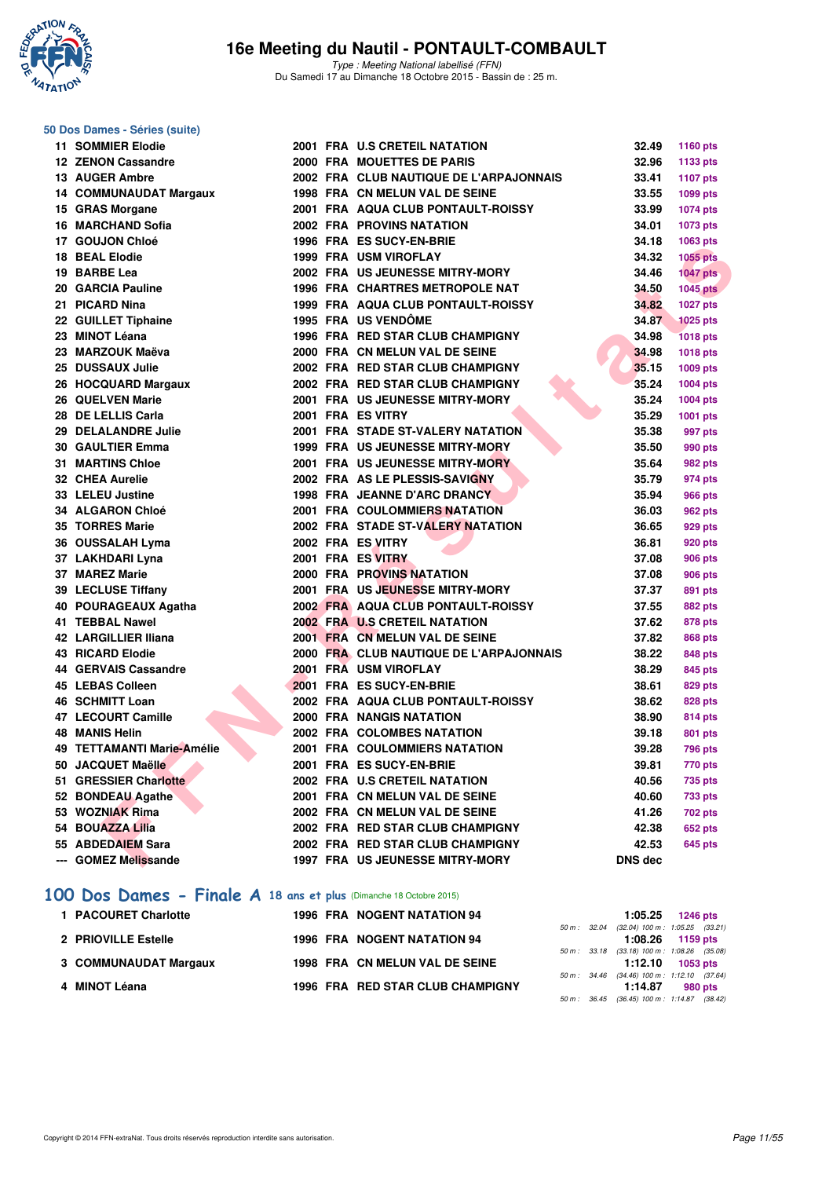

Type : Meeting National labellisé (FFN) Du Samedi 17 au Dimanche 18 Octobre 2015 - Bassin de : 25 m.

#### **50 Dos Dames - Séries (suite)**

| 11 SOMMIER Elodie          |  | 2001 FRA U.S CRETEIL NATATION             | 32.49          | <b>1160 pts</b> |
|----------------------------|--|-------------------------------------------|----------------|-----------------|
| 12 ZENON Cassandre         |  | 2000 FRA MOUETTES DE PARIS                | 32.96          | 1133 pts        |
| 13 AUGER Ambre             |  | 2002 FRA CLUB NAUTIQUE DE L'ARPAJONNAIS   | 33.41          | 1107 pts        |
| 14 COMMUNAUDAT Margaux     |  | 1998 FRA CN MELUN VAL DE SEINE            | 33.55          | 1099 pts        |
| 15 GRAS Morgane            |  | 2001 FRA AQUA CLUB PONTAULT-ROISSY        | 33.99          | <b>1074 pts</b> |
| 16 MARCHAND Sofia          |  | 2002 FRA PROVINS NATATION                 | 34.01          | 1073 pts        |
| 17 GOUJON Chloé            |  | 1996 FRA ES SUCY-EN-BRIE                  | 34.18          | 1063 pts        |
| 18 BEAL Elodie             |  | 1999 FRA USM VIROFLAY                     | 34.32          | <b>1055 pts</b> |
| 19 BARBE Lea               |  | 2002 FRA US JEUNESSE MITRY-MORY           | 34.46          | <b>1047 pts</b> |
| 20 GARCIA Pauline          |  | 1996 FRA CHARTRES METROPOLE NAT           | 34.50          | <b>1045 pts</b> |
| 21 PICARD Nina             |  | <b>1999 FRA AQUA CLUB PONTAULT-ROISSY</b> | 34.82          | <b>1027 pts</b> |
| 22 GUILLET Tiphaine        |  | 1995 FRA US VENDÔME                       | 34.87          | <b>1025 pts</b> |
| 23 MINOT Léana             |  | 1996 FRA RED STAR CLUB CHAMPIGNY          | 34.98          | <b>1018 pts</b> |
| 23 MARZOUK Maëva           |  | 2000 FRA CN MELUN VAL DE SEINE            | 34.98          | <b>1018 pts</b> |
| 25 DUSSAUX Julie           |  | 2002 FRA RED STAR CLUB CHAMPIGNY          | 35.15          | 1009 pts        |
| 26 HOCQUARD Margaux        |  | 2002 FRA RED STAR CLUB CHAMPIGNY          | 35.24          | 1004 pts        |
| 26 QUELVEN Marie           |  | 2001 FRA US JEUNESSE MITRY-MORY           | 35.24          | 1004 pts        |
| 28 DE LELLIS Carla         |  | 2001 FRA ES VITRY                         | 35.29          | 1001 pts        |
| 29 DELALANDRE Julie        |  | 2001 FRA STADE ST-VALERY NATATION         | 35.38          | 997 pts         |
| 30 GAULTIER Emma           |  | <b>1999 FRA US JEUNESSE MITRY-MORY</b>    | 35.50          | 990 pts         |
| <b>31 MARTINS Chloe</b>    |  | 2001 FRA US JEUNESSE MITRY-MORY           | 35.64          | 982 pts         |
| 32 CHEA Aurelie            |  | 2002 FRA AS LE PLESSIS-SAVIGNY            | 35.79          | 974 pts         |
| 33 LELEU Justine           |  | 1998 FRA JEANNE D'ARC DRANCY              | 35.94          | <b>966 pts</b>  |
| 34 ALGARON Chloé           |  | <b>2001 FRA COULOMMIERS NATATION</b>      | 36.03          | 962 pts         |
| 35 TORRES Marie            |  | 2002 FRA STADE ST-VALERY NATATION         | 36.65          | 929 pts         |
| 36 OUSSALAH Lyma           |  | 2002 FRA ES VITRY                         | 36.81          | 920 pts         |
| 37 LAKHDARI Lyna           |  | 2001 FRA ES VITRY                         | 37.08          | 906 pts         |
| 37 MAREZ Marie             |  | 2000 FRA PROVINS NATATION                 | 37.08          | <b>906 pts</b>  |
| 39 LECLUSE Tiffany         |  | 2001 FRA US JEUNESSE MITRY-MORY           | 37.37          | 891 pts         |
| 40 POURAGEAUX Agatha       |  | 2002 FRA AQUA CLUB PONTAULT-ROISSY        | 37.55          | 882 pts         |
| 41 TEBBAL Nawel            |  | 2002 FRA U.S CRETEIL NATATION             | 37.62          | <b>878 pts</b>  |
| 42 LARGILLIER Iliana       |  | 2001 FRA CN MELUN VAL DE SEINE            | 37.82          | <b>868 pts</b>  |
| 43 RICARD Elodie           |  | 2000 FRA CLUB NAUTIQUE DE L'ARPAJONNAIS   | 38.22          | 848 pts         |
| 44 GERVAIS Cassandre       |  | 2001 FRA USM VIROFLAY                     | 38.29          | 845 pts         |
| 45 LEBAS Colleen           |  | 2001 FRA ES SUCY-EN-BRIE                  | 38.61          | <b>829 pts</b>  |
| 46 SCHMITT Loan            |  | 2002 FRA AQUA CLUB PONTAULT-ROISSY        | 38.62          | <b>828 pts</b>  |
| 47 LECOURT Camille         |  | 2000 FRA NANGIS NATATION                  | 38.90          | 814 pts         |
| <b>48 MANIS Helin</b>      |  | 2002 FRA COLOMBES NATATION                | 39.18          | 801 pts         |
| 49 TETTAMANTI Marie-Amélie |  | 2001 FRA COULOMMIERS NATATION             | 39.28          | <b>796 pts</b>  |
| 50 JACQUET Maëlle          |  | 2001 FRA ES SUCY-EN-BRIE                  | 39.81          | <b>770 pts</b>  |
| 51 GRESSIER Charlotte      |  | 2002 FRA U.S CRETEIL NATATION             | 40.56          | 735 pts         |
| 52 BONDEAU Agathe          |  | 2001 FRA CN MELUN VAL DE SEINE            | 40.60          | <b>733 pts</b>  |
| 53 WOZNIAK Rima            |  | 2002 FRA CN MELUN VAL DE SEINE            | 41.26          | <b>702 pts</b>  |
| 54 BOUAZZA Lilia           |  | 2002 FRA RED STAR CLUB CHAMPIGNY          | 42.38          | 652 pts         |
| 55 ABDEDAIEM Sara          |  | 2002 FRA RED STAR CLUB CHAMPIGNY          | 42.53          | <b>645 pts</b>  |
| --- GOMEZ Melissande       |  | <b>1997 FRA US JEUNESSE MITRY-MORY</b>    | <b>DNS</b> dec |                 |
|                            |  |                                           |                |                 |

#### **[100 Dos Dames - Finale A](http://www.ffnatation.fr/webffn/resultats.php?idact=nat&go=epr&idcpt=33325&idepr=12) 18 ans et plus** (Dimanche 18 Octobre 2015)

| 1 PACOURET Charlotte  | <b>1996 FRA NOGENT NATATION 94</b> |  |         | $1:05.25$ 1246 pts                                               |
|-----------------------|------------------------------------|--|---------|------------------------------------------------------------------|
| 2 PRIOVILLE Estelle   | <b>1996 FRA NOGENT NATATION 94</b> |  |         | 50 m: 32.04 (32.04) 100 m: 1:05.25 (33.21)<br>$1:08.26$ 1159 pts |
| 3 COMMUNAUDAT Margaux | 1998 FRA CN MELUN VAL DE SEINE     |  |         | 50 m: 33.18 (33.18) 100 m: 1:08.26 (35.08)<br>$1:12.10$ 1053 pts |
| 4 MINOT Léana         | 1996 FRA RED STAR CLUB CHAMPIGNY   |  | 1:14.87 | 50 m: 34.46 (34.46) 100 m: 1:12.10 (37.64)<br>980 pts            |
|                       |                                    |  |         | 50 m: 36.45 (36.45) 100 m: 1:14.87 (38.42)                       |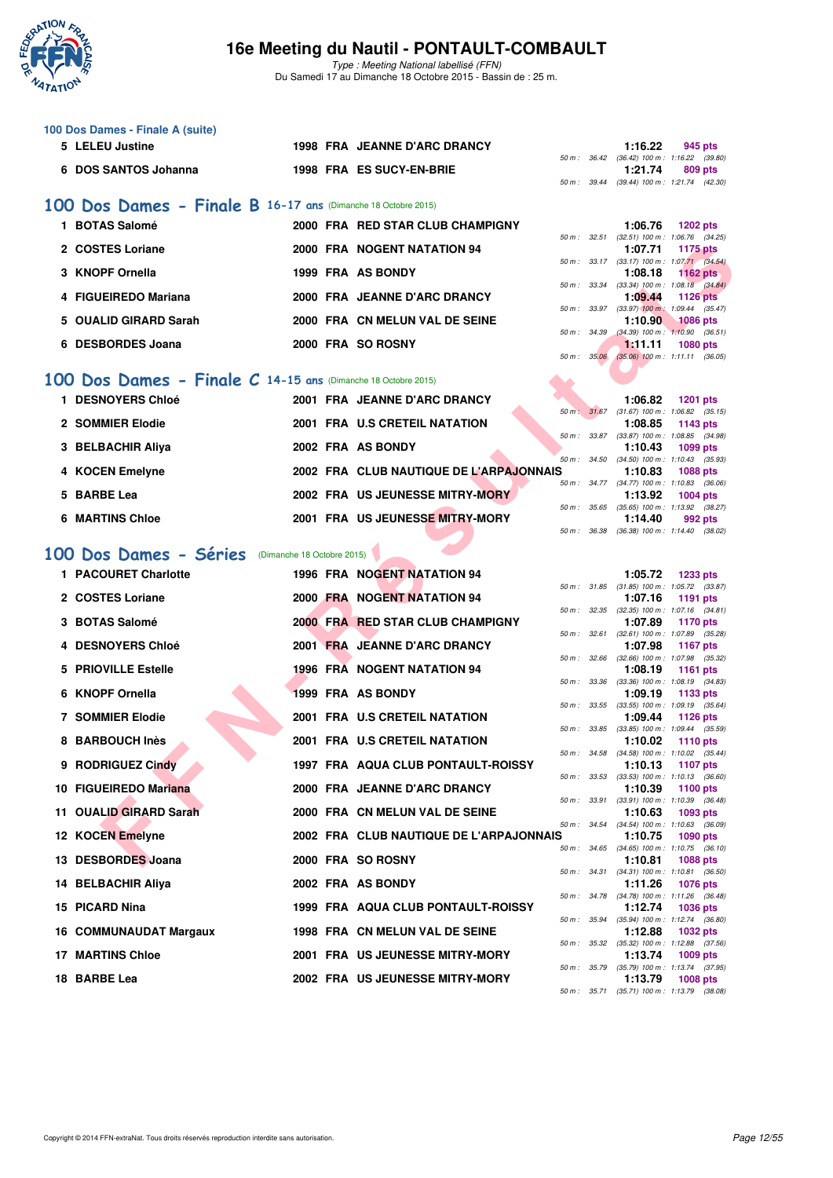

Type : Meeting National labellisé (FFN) Du Samedi 17 au Dimanche 18 Octobre 2015 - Bassin de : 25 m.

#### **100 Dos Dames - Finale A (suite)**

| 5 LELEU Justine      |  | <b>1998 FRA JEANNE D'ARC DRANCY</b> |  | 1:16.22                                                | 945 pts |  |
|----------------------|--|-------------------------------------|--|--------------------------------------------------------|---------|--|
| 6 DOS SANTOS Johanna |  | 1998 FRA ES SUCY-EN-BRIE            |  | 50 m : 36.42 (36.42) 100 m : 1:16.22 (39.80<br>1:21.74 | 809 pts |  |
|                      |  |                                     |  | 50 m: 39.44 (39.44) 100 m: 1:21.74 (42.30              |         |  |

#### **[100 Dos Dames - Finale B](http://www.ffnatation.fr/webffn/resultats.php?idact=nat&go=epr&idcpt=33325&idepr=12) 16-17 ans** (Dimanche 18 Octobre 2015)

| <b>BOTAS Salomé</b>    |  | 2000 FRA RED STAR CLUB CHAMPIGNY |
|------------------------|--|----------------------------------|
| 2 COSTES Loriane       |  | 2000 FRA NOGENT NATATION 94      |
| 3 KNOPF Ornella        |  | 1999 FRA AS BONDY                |
| 4 FIGUEIREDO Mariana   |  | 2000 FRA JEANNE D'ARC DRANCY     |
| 5 OUALID GIRARD Sarah  |  | 2000 FRA CN MELUN VAL DE SEINE   |
| <b>DESBORDES Joana</b> |  | 2000 FRA SO ROSNY                |

#### **[100 Dos Dames - Finale C](http://www.ffnatation.fr/webffn/resultats.php?idact=nat&go=epr&idcpt=33325&idepr=12) 14-15 ans** (Dimanche 18 Octobre 2015)

| <b>DESNOYERS Chloé</b> |  | 2001 FRA JEANNE D'ARC DRANCY            |                        | 1:06.82                                        | <b>1201 pts</b> |  |
|------------------------|--|-----------------------------------------|------------------------|------------------------------------------------|-----------------|--|
| 2 SOMMIER Elodie       |  | 2001 FRA U.S CRETEIL NATATION           | $50 \text{ m}$ : 31.67 | $(31.67)$ 100 m : 1:06.82 $(35.15)$<br>1:08.85 | 1143 $pts$      |  |
| 3 BELBACHIR Aliya      |  | 2002 FRA AS BONDY                       | 50 m: 33.87            | $(33.87)$ 100 m : 1:08.85 $(34.98)$<br>1:10.43 | $1099$ pts      |  |
| 4 KOCEN Emelyne        |  | 2002 FRA CLUB NAUTIQUE DE L'ARPAJONNAIS | $50 m$ : $34.50$       | $(34.50)$ 100 m : 1:10.43 $(35.93)$<br>1:10.83 | <b>1088 pts</b> |  |
| 5 BARBE Lea            |  | 2002 FRA US JEUNESSE MITRY-MORY         | $50 m$ : $34.77$       | $(34.77)$ 100 m : 1:10.83 $(36.06)$<br>1:13.92 | $1004$ pts      |  |
| <b>6 MARTINS Chloe</b> |  | 2001 FRA US JEUNESSE MITRY-MORY         | $50 m$ : $35.65$       | $(35.65)$ 100 m : 1:13.92 $(38.27)$<br>1:14.40 | 992 pts         |  |
|                        |  |                                         | 50 m : 36.38           | $(36.38)$ 100 m : 1:14.40 $(38.02)$            |                 |  |

# [100 Dos Dames - Séries](http://www.ffnatation.fr/webffn/resultats.php?idact=nat&go=epr&idcpt=33325&idepr=12) (Dimanche 18 Octobre 2015)

|           | 2 COSTES Loriane                                          |                            | 2000 FRA NOGENT NATATION 94             |              |              | 1:07.71                                                                             | 1175 pts        |  |
|-----------|-----------------------------------------------------------|----------------------------|-----------------------------------------|--------------|--------------|-------------------------------------------------------------------------------------|-----------------|--|
|           | 3 KNOPF Ornella                                           |                            | 1999 FRA AS BONDY                       |              |              | 50 m: 33.17 (33.17) 100 m: 1:07.71 (34.54)<br>1:08.18                               | <b>1162 pts</b> |  |
|           | 4 FIGUEIREDO Mariana                                      |                            | 2000 FRA JEANNE D'ARC DRANCY            |              |              | 50 m: 33.34 (33.34) 100 m: 1:08.18 (34.84)<br>1:09.44                               | <b>1126 pts</b> |  |
|           | 5 OUALID GIRARD Sarah                                     |                            |                                         |              |              | 50 m : 33.97 (33.97) 100 m : 1:09.44 (35.47)                                        |                 |  |
|           |                                                           |                            | 2000 FRA CN MELUN VAL DE SEINE          | 50 m : 34.39 |              | 1:10.90<br>$(34.39)$ 100 m : 1:10.90 $(36.51)$                                      | <b>1086 pts</b> |  |
|           | 6 DESBORDES Joana                                         |                            | 2000 FRA SO ROSNY                       | 50 m : 35.06 |              | 1.11.11<br>$(35.06)$ 100 m : 1:11.11 $(36.05)$                                      | <b>1080 pts</b> |  |
| 00        | Dos Dames - Finale C 14-15 ans (Dimanche 18 Octobre 2015) |                            |                                         |              |              |                                                                                     |                 |  |
|           | 1 DESNOYERS Chloé                                         |                            | 2001 FRA JEANNE D'ARC DRANCY            |              |              |                                                                                     |                 |  |
|           |                                                           |                            |                                         |              |              | 1:06.82<br>50 m: 31.67 (31.67) 100 m: 1:06.82 (35.15)                               | <b>1201 pts</b> |  |
|           | 2 SOMMIER Elodie                                          |                            | 2001 FRA U.S CRETEIL NATATION           |              | 50 m : 33.87 | 1:08.85<br>$(33.87)$ 100 m : 1:08.85 $(34.98)$                                      | 1143 pts        |  |
|           | 3 BELBACHIR Aliya                                         |                            | 2002 FRA AS BONDY                       |              |              | 1:10.43                                                                             | 1099 pts        |  |
|           | 4 KOCEN Emelyne                                           |                            | 2002 FRA CLUB NAUTIQUE DE L'ARPAJONNAIS | 50 m: 34.50  |              | $(34.50)$ 100 m : 1:10.43 $(35.93)$<br>1:10.83                                      | 1088 pts        |  |
|           | 5 BARBE Lea                                               |                            | 2002 FRA US JEUNESSE MITRY-MORY         |              |              | 50 m: 34.77 (34.77) 100 m: 1:10.83 (36.06)                                          |                 |  |
|           |                                                           |                            |                                         |              |              | 1:13.92<br>50 m: 35.65 (35.65) 100 m: 1:13.92 (38.27)                               | 1004 pts        |  |
|           | <b>6 MARTINS Chloe</b>                                    |                            | 2001 FRA US JEUNESSE MITRY-MORY         | 50 m : 36.38 |              | 1:14.40<br>(36.38) 100 m: 1:14.40 (38.02)                                           | 992 pts         |  |
|           |                                                           |                            |                                         |              |              |                                                                                     |                 |  |
| <b>OO</b> | Dos Dames - Séries                                        | (Dimanche 18 Octobre 2015) |                                         |              |              |                                                                                     |                 |  |
|           | 1 PACOURET Charlotte                                      |                            | <b>1996 FRA NOGENT NATATION 94</b>      |              |              | 1:05.72<br>50 m: 31.85 (31.85) 100 m: 1:05.72 (33.87)                               | <b>1233 pts</b> |  |
|           | 2 COSTES Loriane                                          |                            | 2000 FRA NOGENT NATATION 94             | 50 m : 32.35 |              | 1:07.16<br>$(32.35)$ 100 m : 1:07.16 $(34.81)$                                      | 1191 pts        |  |
|           | 3 BOTAS Salomé                                            |                            | 2000 FRA RED STAR CLUB CHAMPIGNY        |              |              | 1:07.89                                                                             | <b>1170 pts</b> |  |
|           | <b>4 DESNOYERS Chloé</b>                                  |                            | 2001 FRA JEANNE D'ARC DRANCY            |              | 50 m: 32.61  | (32.61) 100 m: 1:07.89 (35.28)<br>1:07.98                                           | <b>1167 pts</b> |  |
|           |                                                           |                            |                                         |              |              | 50 m : 32.66 (32.66) 100 m : 1:07.98 (35.32)                                        |                 |  |
|           | 5 PRIOVILLE Estelle                                       |                            | 1996 FRA NOGENT NATATION 94             | 50 m : 33.36 |              | 1:08.19<br>$(33.36)$ 100 m : 1:08.19 $(34.83)$                                      | <b>1161 pts</b> |  |
|           | 6 KNOPF Ornella                                           |                            | 1999 FRA AS BONDY                       |              |              | 1:09.19<br>50 m: 33.55 (33.55) 100 m: 1:09.19 (35.64)                               | 1133 pts        |  |
|           | <b>7 SOMMIER Elodie</b>                                   |                            | 2001 FRA U.S CRETEIL NATATION           |              |              | 1:09.44                                                                             | <b>1126 pts</b> |  |
|           | 8 BARBOUCH Inès                                           |                            | 2001 FRA U.S CRETEIL NATATION           | 50 m : 33.85 |              | $(33.85)$ 100 m : 1:09.44 $(35.59)$<br>1:10.02                                      | <b>1110 pts</b> |  |
|           |                                                           |                            |                                         | 50 m : 34.58 |              | $(34.58)$ 100 m : 1:10.02 $(35.44)$                                                 |                 |  |
|           | 9 RODRIGUEZ Cindy                                         |                            | 1997 FRA AQUA CLUB PONTAULT-ROISSY      | 50 m: 33.53  |              | 1:10.13<br>$(33.53)$ 100 m : 1:10.13 $(36.60)$                                      | <b>1107 pts</b> |  |
|           | 10 FIGUEIREDO Mariana                                     |                            | 2000 FRA JEANNE D'ARC DRANCY            |              | 50 m : 33.91 | 1:10.39<br>$(33.91)$ 100 m : 1:10.39 $(36.48)$                                      | 1100 pts        |  |
|           | 11 OUALID GIRARD Sarah                                    |                            | 2000 FRA CN MELUN VAL DE SEINE          |              |              | 1:10.63                                                                             | 1093 pts        |  |
|           | 12 KOCEN Emelyne                                          |                            | 2002 FRA CLUB NAUTIQUE DE L'ARPAJONNAIS |              |              | 50 m: 34.54 (34.54) 100 m: 1:10.63 (36.09)<br>1:10.75                               | <b>1090 pts</b> |  |
|           |                                                           |                            | 2000 FRA SO ROSNY                       |              |              | 50 m: 34.65 (34.65) 100 m: 1:10.75 (36.10)                                          |                 |  |
|           | 13 DESBORDES Joana                                        |                            |                                         | 50 m : 34.31 |              | 1:10.81<br>(34.31) 100 m : 1:10.81 (36.50)                                          | <b>1088 pts</b> |  |
|           | 14 BELBACHIR Aliya                                        |                            | 2002 FRA AS BONDY                       |              | 50 m : 34.78 | 1:11.26<br>$(34.78)$ 100 m : 1:11.26 $(36.48)$                                      | <b>1076 pts</b> |  |
|           | 15 PICARD Nina                                            |                            | 1999 FRA AQUA CLUB PONTAULT-ROISSY      |              |              | 1:12.74                                                                             | 1036 pts        |  |
|           | 16 COMMUNAUDAT Margaux                                    |                            | 1998 FRA CN MELUN VAL DE SEINE          |              | 50 m : 35.94 | (35.94) 100 m: 1:12.74 (36.80)<br>1:12.88                                           | <b>1032 pts</b> |  |
|           |                                                           |                            |                                         |              | 50 m : 35.32 | $(35.32)$ 100 m : 1:12.88 $(37.56)$                                                 |                 |  |
|           | <b>17 MARTINS Chloe</b>                                   |                            | 2001 FRA US JEUNESSE MITRY-MORY         |              |              | 1:13.74<br>50 m : 35.79 (35.79) 100 m : 1:13.74 (37.95)                             | 1009 pts        |  |
|           | 18 BARBE Lea                                              |                            | 2002 FRA US JEUNESSE MITRY-MORY         |              |              | 1:13.79<br>$50 \text{ m}$ : $35.71$ $(35.71)$ $100 \text{ m}$ : $1:13.79$ $(38.08)$ | <b>1008 pts</b> |  |
|           |                                                           |                            |                                         |              |              |                                                                                     |                 |  |

**1:06.76 1202 pts** 

**2 COSTES Loriane 2000 FRA NOGENT NATATION 94 1:07.71 1175 pts**

50 m : 32.51 (32.51) 100 m : 1:06.76 (34.25)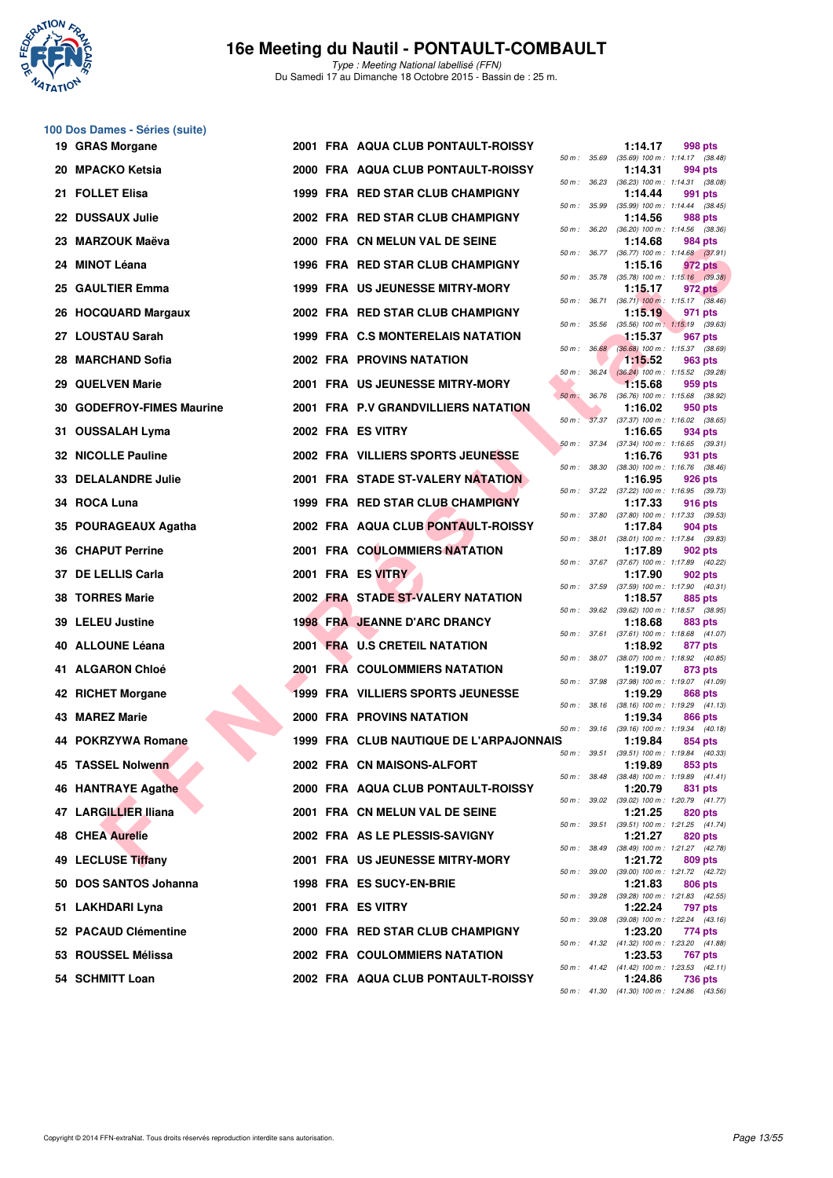

|  | 100 Dos Dames - Séries (suite) |  |
|--|--------------------------------|--|
|  | 10 CDAS Morgano                |  |

| 19 GRAS Morgane            |  | 2001 FRA AQUA CLUB PONTAULT-ROISSY       |                  |                | 1:14.17 | 998 pts                                                 |
|----------------------------|--|------------------------------------------|------------------|----------------|---------|---------------------------------------------------------|
| 20 MPACKO Ketsia           |  | 2000 FRA AQUA CLUB PONTAULT-ROISSY       | 50 m : 35.69     |                | 1:14.31 | $(35.69)$ 100 m : 1:14.17 $(38.48)$<br>994 pts          |
| 21 FOLLET Elisa            |  | 1999 FRA RED STAR CLUB CHAMPIGNY         | 50 m : 36.23     |                | 1:14.44 | $(36.23)$ 100 m : 1:14.31 $(38.08)$<br>991 pts          |
| 22 DUSSAUX Julie           |  | 2002 FRA RED STAR CLUB CHAMPIGNY         | 50 m : 35.99     |                | 1:14.56 | $(35.99)$ 100 m : 1:14.44 $(38.45)$<br>988 pts          |
| 23 MARZOUK Maëva           |  | 2000 FRA CN MELUN VAL DE SEINE           | 50 m: 36.20      |                | 1:14.68 | $(36.20)$ 100 m : 1:14.56 $(38.36)$<br>984 pts          |
| 24 MINOT Léana             |  | 1996 FRA RED STAR CLUB CHAMPIGNY         |                  |                | 1:15.16 | 50 m: 36.77 (36.77) 100 m: 1:14.68 (37.91)<br>972 pts   |
| 25 GAULTIER Emma           |  | <b>1999 FRA US JEUNESSE MITRY-MORY</b>   |                  |                | 1:15.17 | 50 m: 35.78 (35.78) 100 m: 1:15.16 (39.38)<br>972 pts   |
| 26 HOCQUARD Margaux        |  | 2002 FRA RED STAR CLUB CHAMPIGNY         |                  | 50 m : 36.71   | 1:15.19 | $(36.71)$ 100 m : 1:15.17 $(38.46)$<br>971 pts          |
| 27 LOUSTAU Sarah           |  | 1999 FRA C.S MONTERELAIS NATATION        | 50 m : 35.56     |                | 1:15.37 | $(35.56)$ 100 m : 1:15.19 $(39.63)$<br>967 pts          |
| 28 MARCHAND Sofia          |  | <b>2002 FRA PROVINS NATATION</b>         |                  | 50 m: 36.68    | 1:15.52 | $(36.68)$ 100 m : 1:15.37 $(38.69)$<br>963 pts          |
| 29 QUELVEN Marie           |  | 2001 FRA US JEUNESSE MITRY-MORY          |                  | $50 m$ : 36.24 | 1.15.68 | $(36.24)$ 100 m : 1:15.52 $(39.28)$<br>959 pts          |
| 30 GODEFROY-FIMES Maurine  |  | 2001 FRA P.V GRANDVILLIERS NATATION      | $50 m$ : $36.76$ |                | 1:16.02 | (36.76) 100 m: 1:15.68 (38.92)<br>950 pts               |
| 31 OUSSALAH Lyma           |  | 2002 FRA ES VITRY                        |                  |                | 1:16.65 | 50 m: 37.37 (37.37) 100 m: 1:16.02 (38.65)<br>934 pts   |
| <b>32 NICOLLE Pauline</b>  |  | 2002 FRA VILLIERS SPORTS JEUNESSE        | 50 m: 37.34      |                | 1:16.76 | $(37.34)$ 100 m : 1:16.65 $(39.31)$<br>931 pts          |
| <b>33 DELALANDRE Julie</b> |  | <b>2001 FRA STADE ST-VALERY NATATION</b> | 50 m : 38.30     |                | 1:16.95 | $(38.30)$ 100 m : 1:16.76 $(38.46)$<br>926 pts          |
| 34 ROCA Luna               |  | 1999 FRA RED STAR CLUB CHAMPIGNY         |                  |                | 1:17.33 | 50 m: 37.22 (37.22) 100 m: 1:16.95 (39.73)<br>916 pts   |
| 35 POURAGEAUX Agatha       |  | 2002 FRA AQUA CLUB PONTAULT-ROISSY       |                  |                | 1:17.84 | 50 m: 37.80 (37.80) 100 m: 1:17.33 (39.53)<br>904 pts   |
| 36 CHAPUT Perrine          |  | 2001 FRA COULOMMIERS NATATION            |                  |                | 1:17.89 | 50 m: 38.01 (38.01) 100 m: 1:17.84 (39.83)<br>902 pts   |
| 37 DE LELLIS Carla         |  | 2001 FRA ES VITRY                        |                  |                | 1:17.90 | 50 m: 37.67 (37.67) 100 m: 1:17.89 (40.22)<br>902 pts   |
| 38 TORRES Marie            |  | 2002 FRA STADE ST-VALERY NATATION        |                  |                | 1:18.57 | 50 m: 37.59 (37.59) 100 m: 1:17.90 (40.31)<br>885 pts   |
| 39 LELEU Justine           |  | <b>1998 FRA JEANNE D'ARC DRANCY</b>      | 50 m : 39.62     |                | 1:18.68 | $(39.62)$ 100 m : 1:18.57 $(38.95)$<br>883 pts          |
| 40 ALLOUNE Léana           |  | 2001 FRA U.S CRETEIL NATATION            |                  |                | 1:18.92 | 50 m: 37.61 (37.61) 100 m: 1:18.68 (41.07)<br>877 pts   |
| 41 ALGARON Chloé           |  | <b>2001 FRA COULOMMIERS NATATION</b>     |                  |                | 1:19.07 | 50 m: 38.07 (38.07) 100 m: 1:18.92 (40.85)<br>873 pts   |
| 42 RICHET Morgane          |  | 1999 FRA VILLIERS SPORTS JEUNESSE        | 50 m : 37.98     |                | 1:19.29 | (37.98) 100 m: 1:19.07 (41.09)<br>868 pts               |
| 43 MAREZ Marie             |  | 2000 FRA PROVINS NATATION                |                  |                | 1:19.34 | 50 m: 38.16 (38.16) 100 m: 1:19.29 (41.13)<br>866 pts   |
| 44 POKRZYWA Romane         |  | 1999 FRA CLUB NAUTIQUE DE L'ARPAJONNAIS  |                  |                | 1:19.84 | 50 m: 39.16 (39.16) 100 m: 1:19.34 (40.18)<br>854 pts   |
| 45 TASSEL Nolwenn          |  | 2002 FRA CN MAISONS-ALFORT               |                  | 50 m : 39.51   | 1:19.89 | $(39.51)$ 100 m : 1:19.84 $(40.33)$<br>853 pts          |
| 46 HANTRAYE Agathe         |  | 2000 FRA AQUA CLUB PONTAULT-ROISSY       |                  | 50 m : 38.48   | 1:20.79 | $(38.48)$ 100 m : 1:19.89 $(41.41)$<br>831 pts          |
| 47 LARGILLIER Iliana       |  | 2001 FRA CN MELUN VAL DE SEINE           |                  |                | 1:21.25 | 50 m : 39.02 (39.02) 100 m : 1:20.79 (41.77)<br>820 pts |
| <b>48 CHEA Aurelie</b>     |  | 2002 FRA AS LE PLESSIS-SAVIGNY           |                  | 50 m : 39.51   | 1:21.27 | $(39.51)$ 100 m : 1:21.25 $(41.74)$<br>820 pts          |
| 49 LECLUSE Tiffany         |  | 2001 FRA US JEUNESSE MITRY-MORY          |                  |                | 1:21.72 | 50 m: 38.49 (38.49) 100 m: 1:21.27 (42.78)<br>809 pts   |
| 50 DOS SANTOS Johanna      |  | 1998 FRA ES SUCY-EN-BRIE                 |                  | 50 m : 39.00   | 1:21.83 | (39.00) 100 m : 1:21.72 (42.72)<br>806 pts              |
| 51 LAKHDARI Lyna           |  | 2001 FRA ES VITRY                        |                  | 50 m : 39.28   | 1:22.24 | (39.28) 100 m: 1:21.83 (42.55)<br>797 pts               |
| 52 PACAUD Clémentine       |  | 2000 FRA RED STAR CLUB CHAMPIGNY         |                  |                | 1:23.20 | 50 m: 39.08 (39.08) 100 m: 1:22.24 (43.16)<br>774 pts   |
| 53   ROUSSEL Mélissa       |  | <b>2002 FRA COULOMMIERS NATATION</b>     |                  |                | 1:23.53 | 50 m: 41.32 (41.32) 100 m: 1:23.20 (41.88)<br>767 pts   |
| 54 SCHMITT Loan            |  | 2002 FRA AQUA CLUB PONTAULT-ROISSY       |                  |                | 1:24.86 | 50 m: 41.42 (41.42) 100 m: 1:23.53 (42.11)<br>736 pts   |
|                            |  |                                          |                  |                |         | $50m - 4130$ $(4130)100m - 12486$ $(4356)$              |

| $50 m$ : | 35.99 | $(35.99)$ 100 m :                    | 1:14.44<br>(38.45)             |
|----------|-------|--------------------------------------|--------------------------------|
|          |       | 1:14.56                              | <b>988 pts</b>                 |
| $50 m$ : | 36.20 | $(36.20)$ 100 m :                    | 1:14.56<br>(38.36)             |
|          |       | 1:14.68                              | 984 pts                        |
| $50 m$ : | 36.77 | $(36.77)$ 100 m :<br>1:15.16         | (37.91)<br>1:14.68<br>972 pts  |
| $50 m$ : | 35.78 | $(35.78) 100 m$ :                    | 1:15.16 (39.38)                |
|          |       | 1:15.17                              | 972 pts                        |
| $50 m$ : | 36.71 | $(36.71)$ 100 m :                    | $1:15.17$ (38.46)              |
|          |       | 1:15.19                              | 971 pts                        |
| $50 m$ : | 35.56 | $(35.56) 100 m$ :                    | $1:15.19$ (39.63)              |
|          |       | 1:15.37                              | 967 pts                        |
| $50 m$ : | 36.68 | $(36.68) 100 m$ :<br>1:15.52         | 1:15.37 (38.69)<br>963 pts     |
| $50 m$ : | 36.24 | $(36.24)$ 100 m :                    | 1:15.52<br>(39.28)             |
|          |       | 1:15.68                              | 959 pts                        |
| $50 m$ : | 36.76 | $(36.76) 100 m$ :                    | 1:15.68<br>(38.92)             |
|          |       | 1:16.02                              | 950 pts                        |
| $50 m$ : | 37.37 | $(37.37) 100 m$ :                    | 1:16.02<br>(38.65)             |
|          |       | 1:16.65                              | 934 pts                        |
| $50 m$ : | 37.34 | (37.34) 100 m :                      | 1:16.65 (39.31)                |
| $50 m$ : | 38.30 | 1:16.76<br>$(38.30)$ 100 m :         | 931 pts<br>$1:16.76$ (38.46)   |
|          |       | 1:16.95                              | 926 pts                        |
| $50 m$ : | 37.22 | (37.22) 100 m :                      | 1:16.95<br>(39.73)             |
|          |       | 1:17.33                              | <b>916 pts</b>                 |
| $50 m$ : | 37.80 | $(37.80)$ 100 m :                    | 1:17.33<br>(39.53)             |
|          |       | 1:17.84                              | 904 pts                        |
| $50 m$ : | 38.01 | $(38.01)$ 100 m :                    | 1:17.84<br>(39.83)             |
| $50 m$ : | 37.67 | 1:17.89                              | 902 pts                        |
|          |       | $(37.67) 100 m$ :<br>1:17.90         | 1:17.89<br>(40.22)<br>902 pts  |
| $50 m$ : | 37.59 | $(37.59) 100 m$ :                    | 1:17.90(40.31)                 |
|          |       | 1:18.57                              | 885 pts                        |
| $50 m$ : | 39.62 | (39.62) 100 m :                      | 1:18.57 (38.95)                |
|          |       | 1:18.68                              | <b>883 pts</b>                 |
| $50 m$ : | 37.61 | $(37.61)$ 100 m :                    | 1:18.68 (41.07)                |
|          |       | 1:18.92                              | 877 pts                        |
| $50 m$ : | 38.07 | (38.07) 100 m :<br>1:19.07           | 1:18.92 (40.85)<br>873 pts     |
| $50 m$ : | 37.98 | $(37.98) 100 m$ :                    | 1:19.07 (41.09)                |
|          |       | 1:19.29                              | 868 pts                        |
| $50 m$ : | 38.16 | $(38.16) 100 m$ :                    | 1:19.29<br>(41.13)             |
|          |       | 1:19.34                              | 866 pts                        |
| $50 m$ : | 39.16 | $(39.16) 100 m$ :                    | 1:19.34<br>(40.18)             |
|          |       | 1:19.84                              | 854 pts<br>$1:19.84$ $(40.33)$ |
| $50 m$ : | 39.51 | $(39.51)$ 100 m :<br>1:19.89         | 853 pts                        |
| $50 m$ : | 38.48 | $(38.48) 100 m$ :                    | 1:19.89<br>(41.41)             |
|          |       | 1:20.79                              | 831 pts                        |
| $50 m$ : | 39.02 | $(39.02)$ 100 m :                    | 1:20.79<br>(41.77)             |
|          |       | 1:21.25                              | 820 pts                        |
| 50 m :   | 39.51 | $(39.51)$ 100 m :                    | 1:21.25 (41.74)                |
|          |       | 1:21.27                              | 820 pts                        |
| 50 m :   | 38.49 | $(38.49) 100 m$ :<br>1:21.72         | 1:21.27<br>(42.78)<br>809 pts  |
| $50 m$ : | 39.00 | (39.00) 100 m :                      | 1:21.72<br>(42.72)             |
|          |       | 1:21.83                              | 806 pts                        |
| $50 m$ : | 39.28 | (39.28) 100 m :                      | 1:21.83<br>(42.55)             |
|          |       | 1:22.24                              | 797 pts                        |
| $50 m$ : | 39.08 | $(39.08)$ 100 m :                    | 1:22.24<br>(43.16)             |
|          |       | 1:23.20                              | 774 pts                        |
| $50 m$ : | 41.32 | $(41.32) 100 m$ :                    | 1:23.20<br>(41.88)             |
| $50 m$ : | 41.42 | 1:23.53<br>$(41.42)$ 100 m : 1:23.53 | 767 pts<br>(42.11)             |
|          |       | 1:24.86                              | <b>736 pts</b>                 |
| 50 m :   | 41.30 | $(41.30)$ 100 m : 1:24.86            | (43.56)                        |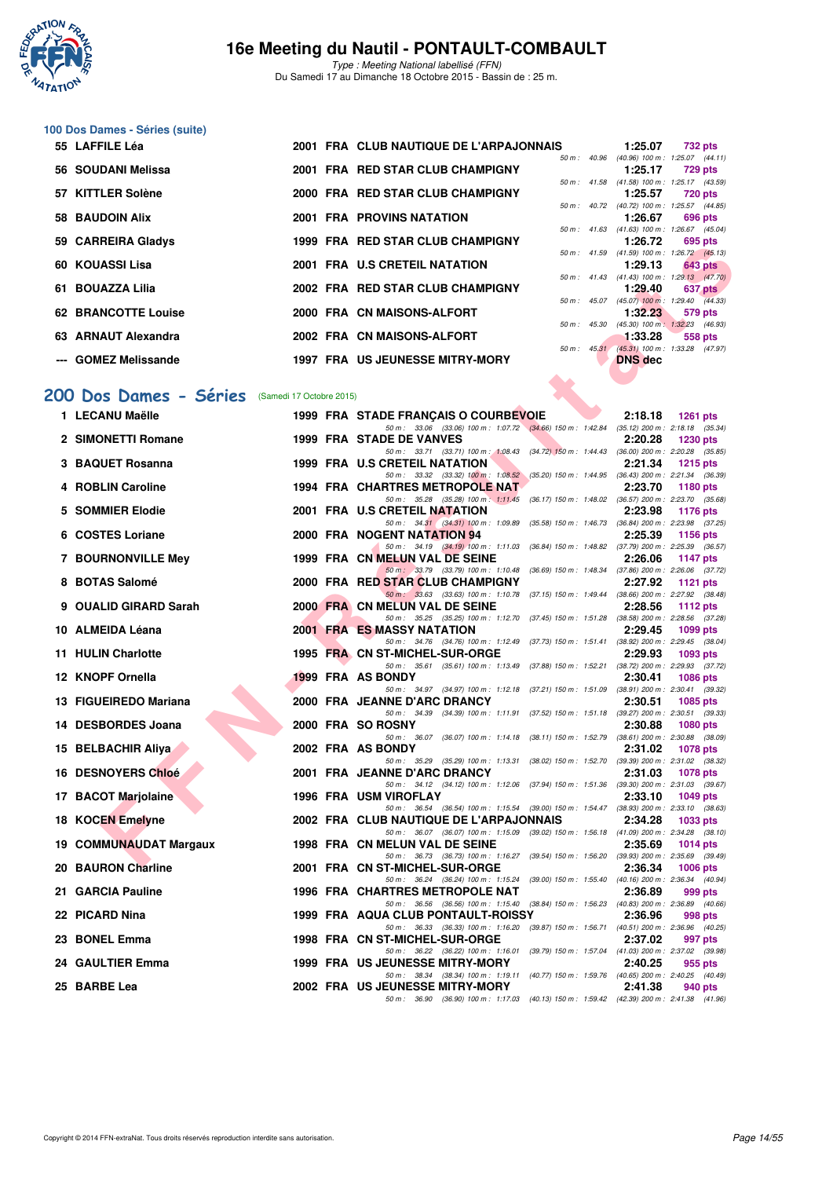

Type : Meeting National labellisé (FFN) Du Samedi 17 au Dimanche 18 Octobre 2015 - Bassin de : 25 m.

#### **100 Dos Dames - Séries (suite)**

| 55 LAFFILE Léa             |  | 2001 FRA CLUB NAUTIQUE DE L'ARPAJONNAIS |                | 1:25.07                                               |                | 732 pts |
|----------------------------|--|-----------------------------------------|----------------|-------------------------------------------------------|----------------|---------|
|                            |  |                                         | 50 m: 40.96    | (40.96) 100 m: 1:25.07 (44.11)                        |                |         |
| 56 SOUDANI Melissa         |  | 2001 FRA RED STAR CLUB CHAMPIGNY        |                | 1:25.17                                               |                | 729 pts |
|                            |  |                                         | 50 m: 41.58    | (41.58) 100 m: 1:25.17 (43.59                         |                |         |
| 57 KITTLER Solène          |  | 2000 FRA RED STAR CLUB CHAMPIGNY        |                | 1:25.57                                               |                | 720 pts |
|                            |  |                                         |                | 50 m : 40.72 (40.72) 100 m : 1:25.57 (44.85           |                |         |
| 58 BAUDOIN Alix            |  | <b>2001 FRA PROVINS NATATION</b>        |                | 1:26.67                                               |                | 696 pts |
|                            |  |                                         |                | 50 m: 41.63 (41.63) 100 m: 1:26.67 (45.04             |                |         |
| 59 CARREIRA Gladys         |  | 1999 FRA RED STAR CLUB CHAMPIGNY        |                | 1:26.72                                               |                | 695 pts |
|                            |  |                                         |                | 50 m: 41.59 (41.59) 100 m: 1:26.72 (45.13             |                |         |
| 60 KOUASSI Lisa            |  | 2001 FRA U.S CRETEIL NATATION           |                | 1:29.13                                               | <b>643 pts</b> |         |
| 61 BOUAZZA Lilia           |  | 2002 FRA RED STAR CLUB CHAMPIGNY        | $50 m$ : 41.43 | (41.43) 100 m: 1:29.13 (47.70                         |                |         |
|                            |  |                                         |                | 1:29.40<br>50 m: 45.07 (45.07) 100 m: 1:29.40 (44.33) |                | 637 pts |
| <b>62 BRANCOTTE Louise</b> |  | 2000 FRA CN MAISONS-ALFORT              |                | 1:32.23                                               |                | 579 pts |
|                            |  |                                         | 50 m: 45.30    | (45.30) 100 m: 1:32.23 (46.93                         |                |         |
| 63 ARNAUT Alexandra        |  | 2002 FRA CN MAISONS-ALFORT              |                | 1:33.28                                               |                | 558 pts |
|                            |  |                                         | 50 m: 45.31    | (45.31) 100 m: 1:33.28 (47.97)                        |                |         |
| --- GOMEZ Melissande       |  | <b>1997 FRA US JEUNESSE MITRY-MORY</b>  |                | <b>DNS</b> dec                                        |                |         |
|                            |  |                                         |                |                                                       |                |         |

#### [200 Dos Dames - Séries](http://www.ffnatation.fr/webffn/resultats.php?idact=nat&go=epr&idcpt=33325&idepr=13) (Samedi 17 Octobre 2015)

| JJ UMNNEINA UIQUYS                             |  | <b>RED STAR CLOB CHAMFIGNT</b>                                                                                                 |  | 1.20.72        | ບວບ µເວ                                                      |
|------------------------------------------------|--|--------------------------------------------------------------------------------------------------------------------------------|--|----------------|--------------------------------------------------------------|
| 60   KOUASSI Lisa                              |  | 2001 FRA U.S CRETEIL NATATION                                                                                                  |  | 1:29.13        | 50 m: 41.59 (41.59) 100 m: 1:26.72 (45.13)<br><b>643 pts</b> |
| 61 BOUAZZA Lilia                               |  | 2002 FRA RED STAR CLUB CHAMPIGNY                                                                                               |  | 1:29.40        | 50 m: 41.43 (41.43) 100 m: 1:29.13 (47.70)<br>637 pts        |
|                                                |  |                                                                                                                                |  |                | 50 m: 45.07 (45.07) 100 m: 1:29.40 (44.33)                   |
| 62 BRANCOTTE Louise                            |  | 2000 FRA CN MAISONS-ALFORT                                                                                                     |  | 1:32.23        | 579 pts<br>50 m: 45.30 (45.30) 100 m: 1:32.23 (46.93)        |
| 63 ARNAUT Alexandra                            |  | 2002 FRA CN MAISONS-ALFORT                                                                                                     |  | 1:33.28        | 558 pts                                                      |
| --- GOMEZ Melissande                           |  | <b>1997 FRA US JEUNESSE MITRY-MORY</b>                                                                                         |  | <b>DNS</b> dec | 50 m: 45.31 (45.31) 100 m: 1:33.28 (47.97)                   |
|                                                |  |                                                                                                                                |  |                |                                                              |
| 00 Dos Dames - Séries (Samedi 17 Octobre 2015) |  |                                                                                                                                |  |                |                                                              |
| 1 LECANU Maëlle                                |  | 1999 FRA STADE FRANÇAIS O COURBEVOIE                                                                                           |  | 2:18.18        | 1261 pts                                                     |
| 2 SIMONETTI Romane                             |  | 50 m: 33.06 (33.06) 100 m: 1:07.72 (34.66) 150 m: 1:42.84 (35.12) 200 m: 2:18.18 (35.34)<br><b>1999 FRA STADE DE VANVES</b>    |  | 2:20.28        | <b>1230 pts</b>                                              |
|                                                |  | 50 m: 33.71 (33.71) 100 m: 1:08.43 (34.72) 150 m: 1:44.43 (36.00) 200 m: 2:20.28 (35.85)                                       |  |                |                                                              |
| 3 BAQUET Rosanna                               |  | 1999 FRA U.S CRETEIL NATATION<br>50 m: 33.32 (33.32) 100 m: 1:08.52 (35.20) 150 m: 1:44.95 (36.43) 200 m: 2:21.34 (36.39)      |  | 2:21.34        | 1215 $pts$                                                   |
| 4 ROBLIN Caroline                              |  | <b>1994 FRA CHARTRES METROPOLE NAT</b>                                                                                         |  | 2:23.70        | 1180 $pts$                                                   |
| 5 SOMMIER Elodie                               |  | 50 m: 35.28 (35.28) 100 m: 1:11.45 (36.17) 150 m: 1:48.02 (36.57) 200 m: 2:23.70 (35.68)<br>2001 FRA U.S CRETEIL NATATION      |  | 2:23.98        | 1176 pts                                                     |
|                                                |  | 50 m: 34.31 (34.31) 100 m: 1:09.89 (35.58) 150 m: 1:46.73 (36.84) 200 m: 2:23.98 (37.25)                                       |  |                |                                                              |
| 6 COSTES Loriane                               |  | 2000 FRA NOGENT NATATION 94<br>50 m: 34.19 (34.19) 100 m: 1:11.03 (36.84) 150 m: 1:48.82 (37.79) 200 m: 2:25.39 (36.57)        |  | 2:25.39        | 1156 pts                                                     |
| 7 BOURNONVILLE Mey                             |  | 1999 FRA CN MELUN VAL DE SEINE                                                                                                 |  | 2:26.06        | 1147 pts                                                     |
| 8 BOTAS Salomé                                 |  | 50 m: 33.79 (33.79) 100 m: 1:10.48 (36.69) 150 m: 1:48.34 (37.86) 200 m: 2:26.06 (37.72)<br>2000 FRA RED STAR CLUB CHAMPIGNY   |  | 2:27.92        | 1121 $pts$                                                   |
| 9 OUALID GIRARD Sarah                          |  | 50 m: 33.63 (33.63) 100 m: 1:10.78 (37.15) 150 m: 1:49.44 (38.66) 200 m: 2:27.92 (38.48)<br>2000 FRA CN MELUN VAL DE SEINE     |  |                |                                                              |
|                                                |  | 50 m: 35.25 (35.25) 100 m: 1:12.70 (37.45) 150 m: 1:51.28 (38.58) 200 m: 2:28.56 (37.28)                                       |  | 2:28.56        | 1112 $pts$                                                   |
| 10 ALMEIDA Léana                               |  | <b>2001 FRA ES MASSY NATATION</b><br>50 m: 34.76 (34.76) 100 m: 1:12.49 (37.73) 150 m: 1:51.41 (38.92) 200 m: 2:29.45 (38.04)  |  | 2:29.45        | 1099 pts                                                     |
| 11 HULIN Charlotte                             |  | 1995 FRA CN ST-MICHEL-SUR-ORGE                                                                                                 |  | 2:29.93        | 1093 pts                                                     |
| 12 KNOPF Ornella                               |  | 50 m: 35.61 (35.61) 100 m: 1:13.49 (37.88) 150 m: 1:52.21 (38.72) 200 m: 2:29.93 (37.72)<br>1999 FRA AS BONDY                  |  | 2:30.41        | <b>1086 pts</b>                                              |
|                                                |  | 50 m: 34.97 (34.97) 100 m: 1:12.18 (37.21) 150 m: 1:51.09 (38.91) 200 m: 2:30.41 (39.32)                                       |  |                |                                                              |
| 13 FIGUEIREDO Mariana                          |  | 2000 FRA JEANNE D'ARC DRANCY<br>50 m: 34.39 (34.39) 100 m: 1:11.91 (37.52) 150 m: 1:51.18 (39.27) 200 m: 2:30.51 (39.33)       |  | 2:30.51        | <b>1085 pts</b>                                              |
| 14 DESBORDES Joana                             |  | 2000 FRA SO ROSNY                                                                                                              |  | 2:30.88        | <b>1080 pts</b>                                              |
| 15 BELBACHIR Aliya                             |  | 50 m: 36.07 (36.07) 100 m: 1:14.18 (38.11) 150 m: 1:52.79 (38.61) 200 m: 2:30.88 (38.09)<br>2002 FRA AS BONDY                  |  | 2:31.02        | <b>1078 pts</b>                                              |
|                                                |  | 50 m: 35.29 (35.29) 100 m: 1:13.31 (38.02) 150 m: 1:52.70 (39.39) 200 m: 2:31.02 (38.32)                                       |  |                |                                                              |
| <b>16 DESNOYERS Chloé</b>                      |  | 2001 FRA JEANNE D'ARC DRANCY<br>50 m: 34.12 (34.12) 100 m: 1:12.06 (37.94) 150 m: 1:51.36 (39.30) 200 m: 2:31.03 (39.67)       |  | 2:31.03        | <b>1078 pts</b>                                              |
| 17 BACOT Marjolaine                            |  | 1996 FRA USM VIROFLAY<br>50 m: 36.54 (36.54) 100 m: 1:15.54 (39.00) 150 m: 1:54.47 (38.93) 200 m: 2:33.10 (38.63)              |  | 2:33.10        | <b>1049 pts</b>                                              |
| 18 KOCEN Emelyne                               |  | 2002 FRA CLUB NAUTIQUE DE L'ARPAJONNAIS                                                                                        |  | 2:34.28        | 1033 pts                                                     |
| 19 COMMUNAUDAT Margaux                         |  | 50 m: 36.07 (36.07) 100 m: 1:15.09 (39.02) 150 m: 1:56.18 (41.09) 200 m: 2:34.28 (38.10)<br>1998 FRA CN MELUN VAL DE SEINE     |  | 2:35.69        | 1014 pts                                                     |
|                                                |  | 50 m: 36.73 (36.73) 100 m: 1:16.27 (39.54) 150 m: 1:56.20 (39.93) 200 m: 2:35.69 (39.49)                                       |  |                |                                                              |
| 20 BAURON Charline                             |  | 2001 FRA CN ST-MICHEL-SUR-ORGE<br>50 m: 36.24 (36.24) 100 m: 1:15.24 (39.00) 150 m: 1:55.40 (40.16) 200 m: 2:36.34 (40.94)     |  | 2:36.34        | 1006 pts                                                     |
| 21 GARCIA Pauline                              |  | 1996 FRA CHARTRES METROPOLE NAT                                                                                                |  | 2:36.89        | 999 pts                                                      |
| 22 PICARD Nina                                 |  | 50 m: 36.56 (36.56) 100 m: 1:15.40 (38.84) 150 m: 1:56.23 (40.83) 200 m: 2:36.89 (40.66)<br>1999 FRA AQUA CLUB PONTAULT-ROISSY |  | 2:36.96        | 998 pts                                                      |
|                                                |  | 50 m: 36.33 (36.33) 100 m: 1:16.20 (39.87) 150 m: 1:56.71 (40.51) 200 m: 2:36.96 (40.25)                                       |  |                |                                                              |
| 23 BONEL Emma                                  |  | 1998 FRA CN ST-MICHEL-SUR-ORGE<br>50 m: 36.22 (36.22) 100 m: 1:16.01 (39.79) 150 m: 1:57.04 (41.03) 200 m: 2:37.02 (39.98)     |  | 2:37.02        | 997 pts                                                      |
| 24 GAULTIER Emma                               |  | 1999 FRA US JEUNESSE MITRY-MORY                                                                                                |  | 2:40.25        | 955 pts                                                      |
| 25 BARBE Lea                                   |  | 50 m: 38.34 (38.34) 100 m: 1:19.11 (40.77) 150 m: 1:59.76 (40.65) 200 m: 2:40.25 (40.49)<br>2002 FRA US JEUNESSE MITRY-MORY    |  | 2:41.38        | 940 pts                                                      |
|                                                |  | 50 m: 36.90 (36.90) 100 m: 1:17.03 (40.13) 150 m: 1:59.42 (42.39) 200 m: 2:41.38 (41.96)                                       |  |                |                                                              |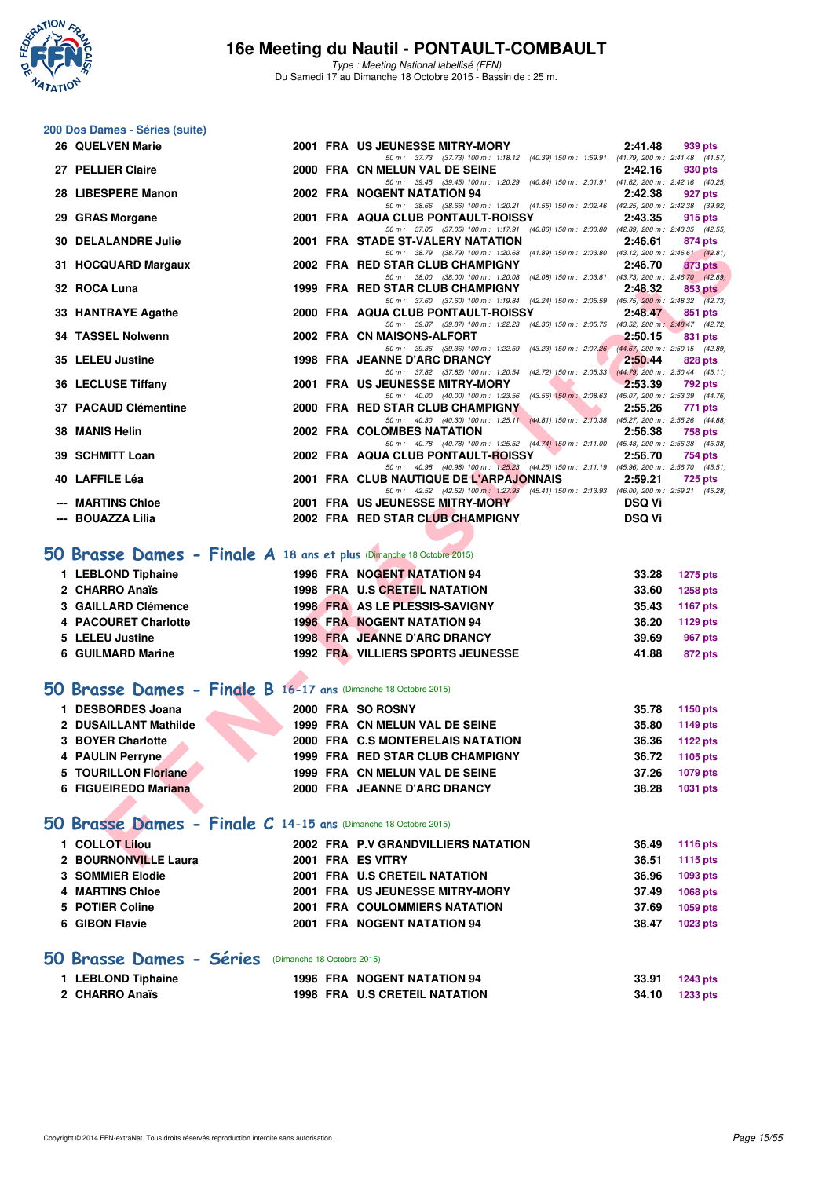

Type : Meeting National labellisé (FFN) Du Samedi 17 au Dimanche 18 Octobre 2015 - Bassin de : 25 m.

# **200 Dos Dames - Séries (suite)**

| 26 QUELVEN Marie                                                       |  | 2001 FRA US JEUNESSE MITRY-MORY                                                                                                     | 2:41.48       | 939 pts                     |
|------------------------------------------------------------------------|--|-------------------------------------------------------------------------------------------------------------------------------------|---------------|-----------------------------|
| 27 PELLIER Claire                                                      |  | 50 m: 37.73 (37.73) 100 m: 1:18.12 (40.39) 150 m: 1:59.91 (41.79) 200 m: 2:41.48 (41.57)<br>2000 FRA CN MELUN VAL DE SEINE          | 2:42.16       | 930 pts                     |
| 28 LIBESPERE Manon                                                     |  | 50 m: 39.45 (39.45) 100 m: 1:20.29 (40.84) 150 m: 2:01.91 (41.62) 200 m: 2:42.16 (40.25)<br>2002 FRA NOGENT NATATION 94             | 2:42.38       | 927 pts                     |
|                                                                        |  | 50 m: 38.66 (38.66) 100 m: 1:20.21 (41.55) 150 m: 2:02.46 (42.25) 200 m: 2:42.38 (39.92)                                            |               |                             |
| 29 GRAS Morgane                                                        |  | 2001 FRA AQUA CLUB PONTAULT-ROISSY<br>50 m: 37.05 (37.05) 100 m: 1:17.91 (40.86) 150 m: 2:00.80 (42.89) 200 m: 2:43.35 (42.55)      | 2:43.35       | 915 pts                     |
| <b>30 DELALANDRE Julie</b>                                             |  | 2001 FRA STADE ST-VALERY NATATION<br>50 m: 38.79 (38.79) 100 m: 1:20.68 (41.89) 150 m: 2:03.80 (43.12) 200 m: 2:46.61 (42.81)       | 2:46.61       | 874 pts                     |
| 31 HOCQUARD Margaux                                                    |  | 2002 FRA RED STAR CLUB CHAMPIGNY                                                                                                    | 2:46.70       | 873 pts                     |
| 32 ROCA Luna                                                           |  | 50 m: 38.00 (38.00) 100 m: 1:20.08 (42.08) 150 m: 2:03.81 (43.73) 200 m: 2:46.70 (42.89)<br>1999 FRA RED STAR CLUB CHAMPIGNY        | 2:48.32       | <b>853 pts</b>              |
| 33 HANTRAYE Agathe                                                     |  | 50 m: 37.60 (37.60) 100 m: 1:19.84 (42.24) 150 m: 2:05.59 (45.75) 200 m: 2:48.32 (42.73)<br>2000 FRA AQUA CLUB PONTAULT-ROISSY      | 2:48.47       | 851 pts                     |
|                                                                        |  | 50 m: 39.87 (39.87) 100 m: 1:22.23 (42.36) 150 m: 2:05.75 (43.52) 200 m: 2:48.47 (42.72)                                            |               |                             |
| 34 TASSEL Nolwenn                                                      |  | 2002 FRA CN MAISONS-ALFORT<br>50 m: 39.36 (39.36) 100 m: 1:22.59<br>(43.23) 150 m : 2:07.26 (44.67) 200 m : 2:50.15 (42.89)         | 2:50.15       | 831 pts                     |
| 35 LELEU Justine                                                       |  | 1998 FRA JEANNE D'ARC DRANCY                                                                                                        | 2:50.44       | 828 pts                     |
| 36 LECLUSE Tiffany                                                     |  | 50 m: 37.82 (37.82) 100 m: 1:20.54 (42.72) 150 m: 2:05.33 (44.79) 200 m: 2:50.44 (45.11)<br>2001 FRA US JEUNESSE MITRY-MORY         | 2:53.39       | 792 pts                     |
|                                                                        |  | 50 m : 40.00 (40.00) 100 m : 1:23.56 (43.56) $150 \text{ m}$ : 2:08.63 (45.07) 200 m : 2:53.39 (44.76)                              |               |                             |
| 37 PACAUD Clémentine                                                   |  | 2000 FRA RED STAR CLUB CHAMPIGNY<br>50 m: 40.30 (40.30) 100 m: 1:25.11 (44.81) 150 m: 2:10.38 (45.27) 200 m: 2:55.26 (44.88)        | 2:55.26       | 771 pts                     |
| 38 MANIS Helin                                                         |  | 2002 FRA COLOMBES NATATION                                                                                                          | 2:56.38       | <b>758 pts</b>              |
| 39 SCHMITT Loan                                                        |  | 50 m: 40.78 (40.78) 100 m: 1:25.52 (44.74) 150 m: 2:11.00 (45.48) 200 m: 2:56.38 (45.38)<br>2002 FRA AQUA CLUB PONTAULT-ROISSY      | 2:56.70       | 754 pts                     |
|                                                                        |  | 50 m: 40.98 (40.98) 100 m: 1:25.23 (44.25) 150 m: 2:11.19 (45.96) 200 m: 2:56.70 (45.51)                                            |               |                             |
| 40 LAFFILE Léa                                                         |  | 2001 FRA CLUB NAUTIQUE DE L'ARPAJONNAIS<br>50 m: 42.52 (42.52) 100 m: 1:27.93 (45.41) 150 m: 2:13.93 (46.00) 200 m: 2:59.21 (45.28) | 2:59.21       | <b>725 pts</b>              |
| --- MARTINS Chloe                                                      |  | 2001 FRA US JEUNESSE MITRY-MORY                                                                                                     | <b>DSQ Vi</b> |                             |
| --- BOUAZZA Lilia                                                      |  | 2002 FRA RED STAR CLUB CHAMPIGNY                                                                                                    | <b>DSQ Vi</b> |                             |
|                                                                        |  |                                                                                                                                     |               |                             |
| $50$ Brasse Dames - Finale A 18 ans et plus (Dimanche 18 Octobre 2015) |  |                                                                                                                                     |               |                             |
| 1 LEBLOND Tiphaine                                                     |  | 1996 FRA NOGENT NATATION 94                                                                                                         | 33.28         | 1275 pts                    |
| 2 CHARRO Anaïs                                                         |  | 1998 FRA U.S CRETEIL NATATION                                                                                                       | 33.60         | 1258 pts                    |
| 3 GAILLARD Clémence                                                    |  | 1998 FRA AS LE PLESSIS-SAVIGNY                                                                                                      | 35.43         | <b>1167 pts</b>             |
| 4 PACOURET Charlotte                                                   |  | <b>1996 FRA NOGENT NATATION 94</b>                                                                                                  | 36.20         | 1129 pts                    |
| 5 LELEU Justine                                                        |  | 1998 FRA JEANNE D'ARC DRANCY                                                                                                        | 39.69         | 967 pts                     |
| 6 GUILMARD Marine                                                      |  | 1992 FRA VILLIERS SPORTS JEUNESSE                                                                                                   | 41.88         | <b>872 pts</b>              |
| <b>iO Brasse Dames - Finale B 16-17 ans (Dimanche 18 Octobre 2015)</b> |  |                                                                                                                                     |               |                             |
| 1 DESBORDES Joana                                                      |  | 2000 FRA SO ROSNY                                                                                                                   | 35.78         | <b>1150 pts</b>             |
| 2 DUSAILLANT Mathilde                                                  |  | 1999 FRA CN MELUN VAL DE SEINE                                                                                                      | 35.80         | 1149 pts                    |
| 3 BOYER Charlotte                                                      |  | 2000 FRA C.S MONTERELAIS NATATION                                                                                                   | 36.36         | 1122 pts                    |
| 4 PAULIN Perryne                                                       |  | 1999 FRA RED STAR CLUB CHAMPIGNY                                                                                                    | 36.72         | 1105 pts                    |
| 5 TOURILLON Floriane                                                   |  | 1999 FRA CN MELUN VAL DE SEINE                                                                                                      | 37.26         | 1079 pts                    |
| 6 FIGUEIREDO Mariana                                                   |  | 2000 FRA JEANNE D'ARC DRANCY                                                                                                        | 38.28         | 1031 pts                    |
| <b>iO Brasse Dames - Finale C 14-15 ans (Dimanche 18 Octobre 2015)</b> |  |                                                                                                                                     |               |                             |
| 1 COLLOT Lilou                                                         |  |                                                                                                                                     | 36.49         |                             |
| 2 BOURNONVILLE Laura                                                   |  | 2002 FRA P.V GRANDVILLIERS NATATION<br>2001 FRA ES VITRY                                                                            | 36.51         | <b>1116 pts</b><br>1115 pts |
|                                                                        |  |                                                                                                                                     |               |                             |

#### **[50 Brasse Dames - Finale A](http://www.ffnatation.fr/webffn/resultats.php?idact=nat&go=epr&idcpt=33325&idepr=21) 18 ans et plus** (Dimanche 18 Octobre 2015)

| 1 LEBLOND Tiphaine   | 1996 FRA NOGENT NATATION 94              | 33.28<br>1275 pts        |
|----------------------|------------------------------------------|--------------------------|
| 2 CHARRO Anaïs       | 1998 FRA U.S CRETEIL NATATION            | 33.60<br><b>1258 pts</b> |
| 3 GAILLARD Clémence  | 1998 FRA AS LE PLESSIS-SAVIGNY           | 35.43<br>1167 pts        |
| 4 PACOURET Charlotte | <b>1996 FRA NOGENT NATATION 94</b>       | 36.20<br>1129 pts        |
| 5 LELEU Justine      | 1998 FRA JEANNE D'ARC DRANCY             | 39.69<br>967 pts         |
| 6 GUILMARD Marine    | <b>1992 FRA VILLIERS SPORTS JEUNESSE</b> | 41.88<br>872 pts         |

#### **[50 Brasse Dames - Finale B](http://www.ffnatation.fr/webffn/resultats.php?idact=nat&go=epr&idcpt=33325&idepr=21) 16-17 ans** (Dimanche 18 Octobre 2015)

| <b>DESBORDES Joana</b> |  | 2000 FRA SO ROSNY                 | 35.78 | 1150 pts |
|------------------------|--|-----------------------------------|-------|----------|
| 2 DUSAILLANT Mathilde  |  | 1999 FRA CN MELUN VAL DE SEINE    | 35.80 | 1149 pts |
| 3 BOYER Charlotte      |  | 2000 FRA C.S MONTERELAIS NATATION | 36.36 | 1122 pts |
| 4 PAULIN Perryne       |  | 1999 FRA RED STAR CLUB CHAMPIGNY  | 36.72 | 1105 pts |
| 5 TOURILLON Floriane   |  | 1999 FRA CN MELUN VAL DE SEINE    | 37.26 | 1079 pts |
| 6 FIGUEIREDO Mariana   |  | 2000 FRA JEANNE D'ARC DRANCY      | 38.28 | 1031 pts |

#### **[50 Brasse Dames - Finale C](http://www.ffnatation.fr/webffn/resultats.php?idact=nat&go=epr&idcpt=33325&idepr=21) 14-15 ans** (Dimanche 18 Octobre 2015)

| 1 COLLOT Lilou       |  | 2002 FRA P.V GRANDVILLIERS NATATION  | 36.49 | 1116 pts |
|----------------------|--|--------------------------------------|-------|----------|
| 2 BOURNONVILLE Laura |  | 2001 FRA ES VITRY                    | 36.51 | 1115 pts |
| 3 SOMMIER Elodie     |  | 2001 FRA U.S CRETEIL NATATION        | 36.96 | 1093 pts |
| 4 MARTINS Chloe      |  | 2001 FRA US JEUNESSE MITRY-MORY      | 37.49 | 1068 pts |
| 5 POTIER Coline      |  | <b>2001 FRA COULOMMIERS NATATION</b> | 37.69 | 1059 pts |
| 6 GIBON Flavie       |  | 2001 FRA NOGENT NATATION 94          | 38.47 | 1023 pts |
|                      |  |                                      |       |          |

#### **[50 Brasse Dames - Séries](http://www.ffnatation.fr/webffn/resultats.php?idact=nat&go=epr&idcpt=33325&idepr=21)** (Dimanche 18 Octobre 2015)

| 1 LEBLOND Tiphaine | 1996 FRA NOGENT NATATION 94          | 33.91 1243 pts |
|--------------------|--------------------------------------|----------------|
| 2 CHARRO Anaïs     | <b>1998 FRA U.S CRETEIL NATATION</b> | 34.10 1233 pts |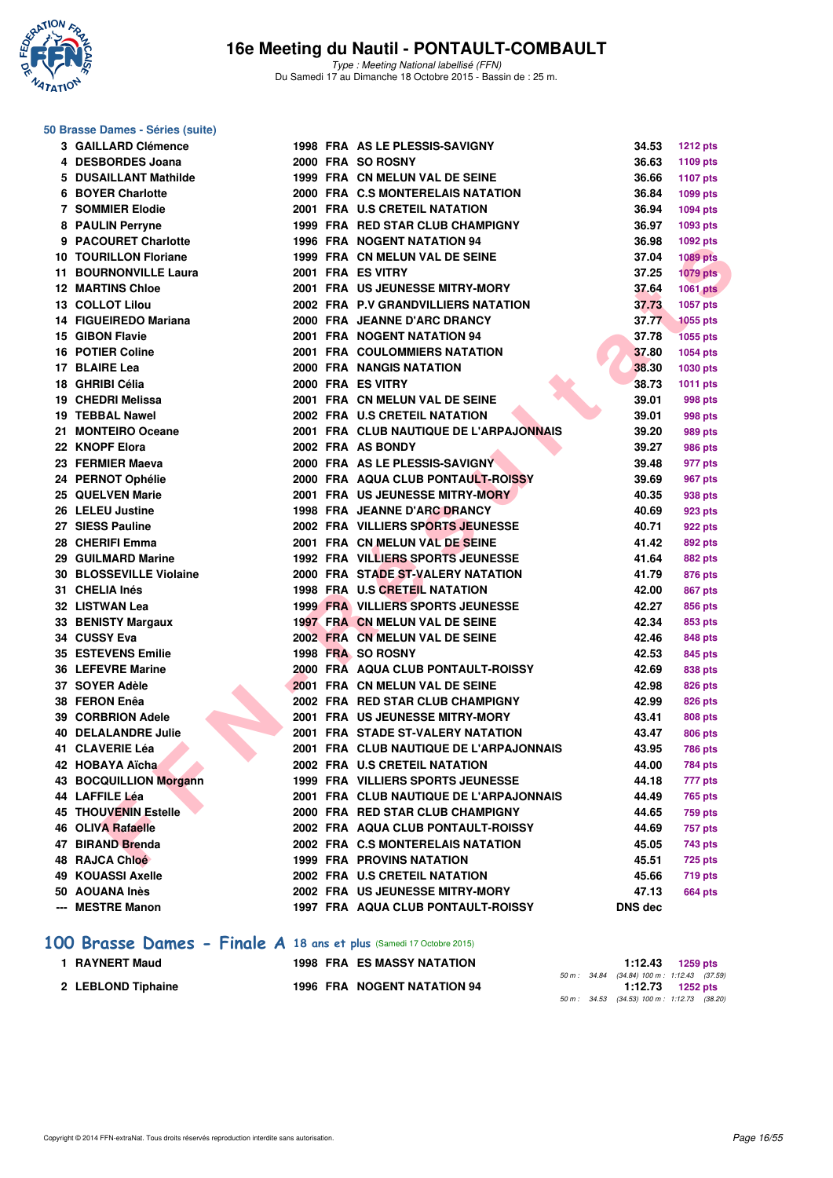

#### **50 Brasse Dames - Séries (suite)**

| <b>3 GAILLARD Clémence</b>    |  | 1998 FRA AS LE PLESSIS-SAVIGNY           | 34.53   | <b>1212 pts</b> |
|-------------------------------|--|------------------------------------------|---------|-----------------|
| 4 DESBORDES Joana             |  | 2000 FRA SO ROSNY                        | 36.63   | 1109 pts        |
| 5 DUSAILLANT Mathilde         |  | 1999 FRA CN MELUN VAL DE SEINE           | 36.66   | <b>1107 pts</b> |
| 6 BOYER Charlotte             |  | 2000 FRA C.S MONTERELAIS NATATION        | 36.84   | 1099 pts        |
| <b>7 SOMMIER Elodie</b>       |  | 2001 FRA U.S CRETEIL NATATION            | 36.94   | 1094 pts        |
| 8 PAULIN Perryne              |  | 1999 FRA RED STAR CLUB CHAMPIGNY         | 36.97   | 1093 pts        |
| 9 PACOURET Charlotte          |  | <b>1996 FRA NOGENT NATATION 94</b>       | 36.98   | 1092 pts        |
| <b>10 TOURILLON Floriane</b>  |  | 1999 FRA CN MELUN VAL DE SEINE           | 37.04   | <b>1089 pts</b> |
| <b>11 BOURNONVILLE Laura</b>  |  | 2001 FRA ES VITRY                        | 37.25   | <b>1079 pts</b> |
| <b>12 MARTINS Chloe</b>       |  | 2001 FRA US JEUNESSE MITRY-MORY          | 37.64   | <b>1061 pts</b> |
| 13 COLLOT Lilou               |  | 2002 FRA P.V GRANDVILLIERS NATATION      | 37.73   | 1057 pts        |
| 14 FIGUEIREDO Mariana         |  | 2000 FRA JEANNE D'ARC DRANCY             | 37.77   | <b>1055 pts</b> |
| 15 GIBON Flavie               |  | 2001 FRA NOGENT NATATION 94              | 37.78   | <b>1055 pts</b> |
| 16 POTIER Coline              |  | <b>2001 FRA COULOMMIERS NATATION</b>     | 37.80   | 1054 pts        |
| 17 BLAIRE Lea                 |  | <b>2000 FRA NANGIS NATATION</b>          | 38.30   | 1030 pts        |
| 18 GHRIBI Célia               |  | 2000 FRA ES VITRY                        | 38.73   | 1011 pts        |
| 19 CHEDRI Melissa             |  | 2001 FRA CN MELUN VAL DE SEINE           | 39.01   | 998 pts         |
| 19 TEBBAL Nawel               |  | 2002 FRA U.S CRETEIL NATATION            | 39.01   | 998 pts         |
| 21 MONTEIRO Oceane            |  | 2001 FRA CLUB NAUTIQUE DE L'ARPAJONNAIS  | 39.20   | 989 pts         |
| 22 KNOPF Elora                |  | 2002 FRA AS BONDY                        | 39.27   | 986 pts         |
| 23 FERMIER Maeva              |  | 2000 FRA AS LE PLESSIS-SAVIGNY           | 39.48   | 977 pts         |
| 24 PERNOT Ophélie             |  | 2000 FRA AQUA CLUB PONTAULT-ROISSY       | 39.69   | 967 pts         |
| 25 QUELVEN Marie              |  | 2001 FRA US JEUNESSE MITRY-MORY          | 40.35   | 938 pts         |
| 26 LELEU Justine              |  | 1998 FRA JEANNE D'ARC DRANCY             | 40.69   | 923 pts         |
| 27 SIESS Pauline              |  | 2002 FRA VILLIERS SPORTS JEUNESSE        | 40.71   | 922 pts         |
| 28 CHERIFI Emma               |  | 2001 FRA CN MELUN VAL DE SEINE           | 41.42   | 892 pts         |
| 29 GUILMARD Marine            |  | <b>1992 FRA VILLIERS SPORTS JEUNESSE</b> | 41.64   | 882 pts         |
| 30 BLOSSEVILLE Violaine       |  | 2000 FRA STADE ST-VALERY NATATION        | 41.79   | 876 pts         |
| 31 CHELIA Inés                |  | 1998 FRA U.S CRETEIL NATATION            | 42.00   | 867 pts         |
| 32 LISTWAN Lea                |  | <b>1999 FRA VILLIERS SPORTS JEUNESSE</b> | 42.27   | 856 pts         |
| 33 BENISTY Margaux            |  | 1997 FRA CN MELUN VAL DE SEINE           | 42.34   | 853 pts         |
| 34 CUSSY Eva                  |  | 2002 FRA CN MELUN VAL DE SEINE           | 42.46   | 848 pts         |
| 35 ESTEVENS Emilie            |  | 1998 FRA SO ROSNY                        | 42.53   | 845 pts         |
| <b>36 LEFEVRE Marine</b>      |  | 2000 FRA AQUA CLUB PONTAULT-ROISSY       | 42.69   | 838 pts         |
| 37 SOYER Adèle                |  | 2001 FRA CN MELUN VAL DE SEINE           | 42.98   | 826 pts         |
| 38 FERON Enêa                 |  | 2002 FRA RED STAR CLUB CHAMPIGNY         | 42.99   | 826 pts         |
| 39 CORBRION Adele             |  | 2001 FRA US JEUNESSE MITRY-MORY          | 43.41   | 808 pts         |
| <b>40 DELALANDRE Julie</b>    |  | 2001 FRA STADE ST-VALERY NATATION        | 43.47   | 806 pts         |
| 41 CLAVERIE Léa               |  | 2001 FRA CLUB NAUTIQUE DE L'ARPAJONNAIS  | 43.95   | <b>786 pts</b>  |
| 42 HOBAYA Aïcha               |  | 2002 FRA U.S CRETEIL NATATION            | 44.00   | <b>784 pts</b>  |
| <b>43 BOCQUILLION Morgann</b> |  | 1999 FRA VILLIERS SPORTS JEUNESSE        | 44.18   | 777 pts         |
| 44 LAFFILE Léa                |  | 2001 FRA CLUB NAUTIQUE DE L'ARPAJONNAIS  | 44.49   | <b>765 pts</b>  |
| <b>45 THOUVENIN Estelle</b>   |  | 2000 FRA RED STAR CLUB CHAMPIGNY         | 44.65   | 759 pts         |
| 46 OLIVA Rafaelle             |  | 2002 FRA AQUA CLUB PONTAULT-ROISSY       | 44.69   | 757 pts         |
| 47 BIRAND Brenda              |  | 2002 FRA C.S MONTERELAIS NATATION        | 45.05   | 743 pts         |
| 48 RAJCA Chloé                |  | 1999 FRA PROVINS NATATION                | 45.51   | <b>725 pts</b>  |
| <b>49 KOUASSI Axelle</b>      |  | 2002 FRA U.S CRETEIL NATATION            | 45.66   | <b>719 pts</b>  |
| 50 AOUANA Inès                |  | 2002 FRA US JEUNESSE MITRY-MORY          | 47.13   | 664 pts         |
| --- MESTRE Manon              |  | 1997 FRA AQUA CLUB PONTAULT-ROISSY       | DNS dec |                 |
|                               |  |                                          |         |                 |

#### **[100 Brasse Dames - Finale A](http://www.ffnatation.fr/webffn/resultats.php?idact=nat&go=epr&idcpt=33325&idepr=22) 18 ans et plus** (Samedi 17 Octobre 2015)

| 1 RAYNERT Maud     |  |                                                                  |  | 1259 pts |                                                                                                                             |
|--------------------|--|------------------------------------------------------------------|--|----------|-----------------------------------------------------------------------------------------------------------------------------|
|                    |  |                                                                  |  |          |                                                                                                                             |
| 2 LEBLOND Tiphaine |  |                                                                  |  |          |                                                                                                                             |
|                    |  |                                                                  |  |          |                                                                                                                             |
|                    |  | <b>1998 FRA ES MASSY NATATION</b><br>1996 FRA NOGENT NATATION 94 |  |          | 1:12.43<br>50 m : 34.84 (34.84) 100 m : 1:12.43 (37.59)<br>$1:12.73$ 1252 pts<br>50 m: 34.53 (34.53) 100 m: 1:12.73 (38.20) |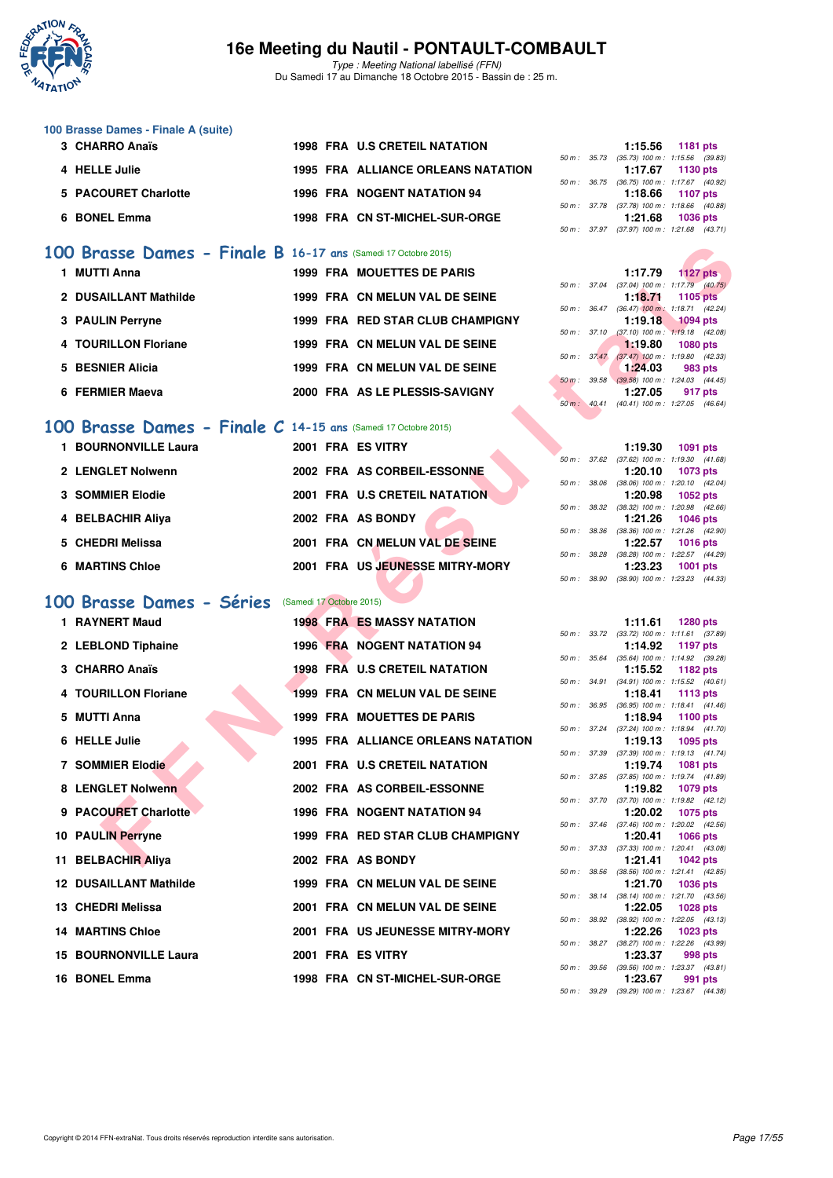

Type : Meeting National labellisé (FFN) Du Samedi 17 au Dimanche 18 Octobre 2015 - Bassin de : 25 m.

| 100 Brasse Dames - Finale A (suite) |                                    |
|-------------------------------------|------------------------------------|
| 3 CHARRO Anaïs                      | 1998 FRA U.S CRETEIL NATATION      |
| 4 HELLE Julie                       | 1995 FRA ALLIANCE ORLEANS NATATION |

| 5 PACOURET Charlotte |  | 1996 FRA NOGENT NATATION 94    |
|----------------------|--|--------------------------------|
| 6 BONEL Emma         |  | 1998 FRA CN ST-MICHEL-SUR-ORGE |

#### **[100 Brasse Dames - Finale B](http://www.ffnatation.fr/webffn/resultats.php?idact=nat&go=epr&idcpt=33325&idepr=22) 16-17 ans** (Samedi 17 Octobre 2015)

| <b>MUTTI Anna</b>     | <b>1999 FRA MOUETTES DE PARIS</b> |          |                          | 1:17.79                                            | <b>1127 pts</b> |
|-----------------------|-----------------------------------|----------|--------------------------|----------------------------------------------------|-----------------|
|                       |                                   |          |                          | 50 m: 37.04 (37.04) 100 m: 1:17.79 (40.            |                 |
| 2 DUSAILLANT Mathilde | 1999 FRA CN MELUN VAL DE SEINE    |          |                          | 1:18.71<br>50 m: 36.47 (36.47) 100 m: 1:18.71 (42. | 1105 pts        |
| 3 PAULIN Perryne      | 1999 FRA RED STAR CLUB CHAMPIGNY  |          |                          | 1:19.18                                            | <b>1094 pts</b> |
|                       |                                   |          | 50 m: 37.10              | $(37.10)$ 100 m : 1:19.18 (42.                     |                 |
| 4 TOURILLON Floriane  | 1999 FRA CN MELUN VAL DE SEINE    |          |                          | 1.19.80                                            | 1080 pts        |
| 5 BESNIER Alicia      | 1999 FRA CN MELUN VAL DE SEINE    |          | $50 \text{ m}$ : $37.47$ | $(37.47)$ 100 m : 1:19.80 (42.<br>1:24.03          | 983 pts         |
|                       |                                   | $50 m$ : |                          | 39.58 (39.58) 100 m : 1:24.03 (44.                 |                 |
| 6 FERMIER Maeva       | 2000 FRA AS LE PLESSIS-SAVIGNY    |          |                          | 1:27.05                                            | 917 pts         |

#### **[100 Brasse Dames - Finale C](http://www.ffnatation.fr/webffn/resultats.php?idact=nat&go=epr&idcpt=33325&idepr=22) 14-15 ans** (Samedi 17 Octobre 2015)

| <b>BOURNONVILLE Laura</b> | 2001 FRA ES VITRY               | 1:19.30<br>1091 pts                              |
|---------------------------|---------------------------------|--------------------------------------------------|
|                           |                                 | $(37.62)$ 100 m : 1:19.30 $(41.$<br>50 m : 37.62 |
| 2 LENGLET Nolwenn         | 2002 FRA AS CORBEIL-ESSONNE     | 1:20.10<br>1073 pts                              |
|                           |                                 | $(38.06)$ 100 m : 1:20.10 $(42.$<br>50 m: 38.06  |
| <b>3 SOMMIER Elodie</b>   | 2001 FRA U.S CRETEIL NATATION   | 1:20.98<br>1052 pts                              |
|                           |                                 | 50 m: 38.32 (38.32) 100 m: 1:20.98 (42.          |
| 4 BELBACHIR Aliya         | 2002 FRA AS BONDY               | 1:21.26<br>1046 pts                              |
|                           |                                 | $(38.36)$ 100 m : 1:21.26 (42.<br>50 m: 38.36    |
| 5 CHEDRI Melissa          | 2001 FRA CN MELUN VAL DE SEINE  | 1:22.57<br>1016 pts                              |
|                           |                                 | (38.28) 100 m : 1:22.57 (44.<br>38.28<br>50 m :  |
| 6 MARTINS Chloe           | 2001 FRA US JEUNESSE MITRY-MORY | 1:23.23<br>1001 pts                              |
|                           |                                 |                                                  |

#### **[100 Brasse Dames - Séries](http://www.ffnatation.fr/webffn/resultats.php?idact=nat&go=epr&idcpt=33325&idepr=22)** (Samedi 17 Octobre 2015)

| 00 Brasse Dames - Finale B 16-17 ans (Samedi 17 Octobre 2015)        |                          |                                           |              |                             |                                                                                       |                 |  |
|----------------------------------------------------------------------|--------------------------|-------------------------------------------|--------------|-----------------------------|---------------------------------------------------------------------------------------|-----------------|--|
| 1 MUTTI Anna                                                         |                          | <b>1999 FRA MOUETTES DE PARIS</b>         |              |                             | 1:17.79                                                                               | 1127 $p$ ts     |  |
| 2 DUSAILLANT Mathilde                                                |                          | 1999 FRA CN MELUN VAL DE SEINE            |              |                             | 50 m : 37.04 (37.04) 100 m : 1:17.79 (40.75)<br>1:18.71                               | 1105 pts        |  |
| 3 PAULIN Perryne                                                     |                          | 1999 FRA RED STAR CLUB CHAMPIGNY          |              | 50 m : 36.47<br>50 m: 37.10 | $(36.47)$ 100 m : 1:18.71 $(42.24)$<br>1:19.18<br>$(37.10)$ 100 m : 1:19.18 $(42.08)$ | <b>1094 pts</b> |  |
| 4 TOURILLON Floriane                                                 |                          | 1999 FRA CN MELUN VAL DE SEINE            |              |                             | 1:19.80                                                                               | <b>1080 pts</b> |  |
| 5 BESNIER Alicia                                                     |                          | 1999 FRA CN MELUN VAL DE SEINE            |              | $50 m$ : $37.47$            | $(37.47)$ 100 m : 1:19.80 $(42.33)$<br>1:24.03                                        | 983 pts         |  |
| 6 FERMIER Maeva                                                      |                          | 2000 FRA AS LE PLESSIS-SAVIGNY            |              | 50 m : 39.58                | $(39.58)$ 100 m : 1:24.03 $(44.45)$<br>1:27.05                                        | 917 pts         |  |
|                                                                      |                          |                                           |              | 50 m: 40.41                 | $(40.41)$ 100 m : 1:27.05 $(46.64)$                                                   |                 |  |
| <b>00 Brasse Dames - Finale C 14-15 ans (Samedi 17 Octobre 2015)</b> |                          |                                           |              |                             |                                                                                       |                 |  |
| 1 BOURNONVILLE Laura                                                 |                          | 2001 FRA ES VITRY                         |              |                             | 1:19.30                                                                               | 1091 pts        |  |
|                                                                      |                          |                                           |              | 50 m : 37.62                | $(37.62)$ 100 m : 1:19.30 $(41.68)$                                                   |                 |  |
| 2 LENGLET Nolwenn                                                    |                          | 2002 FRA AS CORBEIL-ESSONNE               |              | 50 m : 38.06                | 1:20.10<br>$(38.06)$ 100 m : 1:20.10 $(42.04)$                                        | 1073 pts        |  |
| <b>3 SOMMIER Elodie</b>                                              |                          | 2001 FRA U.S CRETEIL NATATION             |              |                             | 1:20.98                                                                               | <b>1052 pts</b> |  |
| 4 BELBACHIR Aliya                                                    |                          | 2002 FRA AS BONDY                         |              |                             | 50 m : 38.32 (38.32) 100 m : 1:20.98 (42.66)<br>1:21.26                               | <b>1046 pts</b> |  |
|                                                                      |                          |                                           | 50 m : 38.36 |                             | (38.36) 100 m: 1:21.26 (42.90)                                                        |                 |  |
| 5 CHEDRI Melissa                                                     |                          | 2001 FRA CN MELUN VAL DE SEINE            |              |                             | 1:22.57                                                                               | <b>1016 pts</b> |  |
| <b>6 MARTINS Chloe</b>                                               |                          | 2001 FRA US JEUNESSE MITRY-MORY           |              |                             | 50 m: 38.28 (38.28) 100 m: 1:22.57 (44.29)<br>1:23.23                                 | <b>1001 pts</b> |  |
|                                                                      |                          |                                           | 50 m : 38.90 |                             | (38.90) 100 m: 1:23.23 (44.33)                                                        |                 |  |
| 00 Brasse Dames - Séries                                             | (Samedi 17 Octobre 2015) |                                           |              |                             |                                                                                       |                 |  |
| 1 RAYNERT Maud                                                       |                          | <b>1998 FRA ES MASSY NATATION</b>         |              |                             | 1:11.61                                                                               | <b>1280 pts</b> |  |
| 2 LEBLOND Tiphaine                                                   |                          | <b>1996 FRA NOGENT NATATION 94</b>        |              |                             | 50 m: 33.72 (33.72) 100 m: 1:11.61 (37.89)<br>1:14.92                                 | 1197 pts        |  |
|                                                                      |                          |                                           |              | 50 m : 35.64                | $(35.64)$ 100 m : 1:14.92 $(39.28)$                                                   |                 |  |
| 3 CHARRO Anaïs                                                       |                          | <b>1998 FRA U.S CRETEIL NATATION</b>      |              |                             | 1:15.52                                                                               | 1182 pts        |  |
| 4 TOURILLON Floriane                                                 |                          | 1999 FRA CN MELUN VAL DE SEINE            |              | 50 m : 34.91                | $(34.91)$ 100 m : 1:15.52 $(40.61)$<br>1:18.41                                        | 1113 pts        |  |
|                                                                      |                          |                                           |              |                             | 50 m: 36.95 (36.95) 100 m: 1:18.41 (41.46)                                            |                 |  |
| 5 MUTTI Anna                                                         |                          | <b>1999 FRA MOUETTES DE PARIS</b>         | 50 m: 37.24  |                             | 1:18.94<br>$(37.24)$ 100 m : 1:18.94 $(41.70)$                                        | 1100 pts        |  |
| 6 HELLE Julie                                                        |                          | <b>1995 FRA ALLIANCE ORLEANS NATATION</b> |              |                             | 1:19.13                                                                               | 1095 pts        |  |
| <b>7 SOMMIER Elodie</b>                                              |                          | 2001 FRA U.S CRETEIL NATATION             |              | 50 m : 37.39                | $(37.39)$ 100 m : 1:19.13 $(41.74)$<br>1:19.74                                        | <b>1081 pts</b> |  |
|                                                                      |                          |                                           |              |                             | 50 m: 37.85 (37.85) 100 m: 1:19.74 (41.89)                                            |                 |  |
| 8 LENGLET Nolwenn                                                    |                          | 2002 FRA AS CORBEIL-ESSONNE               |              |                             | 1:19.82                                                                               | 1079 pts        |  |
| 9 PACOURET Charlotte                                                 |                          | 1996 FRA NOGENT NATATION 94               |              |                             | 50 m: 37.70 (37.70) 100 m: 1:19.82 (42.12)<br>1:20.02                                 | 1075 pts        |  |
|                                                                      |                          |                                           |              |                             | 50 m: 37.46 (37.46) 100 m: 1:20.02 (42.56)                                            |                 |  |
| <b>10 PAULIN Perryne</b>                                             |                          | 1999 FRA RED STAR CLUB CHAMPIGNY          |              |                             | 1:20.41<br>50 m: 37.33 (37.33) 100 m: 1:20.41 (43.08)                                 | <b>1066 pts</b> |  |
| 11 BELBACHIR Aliya                                                   |                          | 2002 FRA AS BONDY                         |              |                             | 1:21.41                                                                               | <b>1042 pts</b> |  |
| <b>12 DUSAILLANT Mathilde</b>                                        |                          | 1999 FRA CN MELUN VAL DE SEINE            |              |                             | 50 m: 38.56 (38.56) 100 m: 1:21.41 (42.85)                                            |                 |  |
|                                                                      |                          |                                           |              |                             | 1:21.70<br>50 m: 38.14 (38.14) 100 m: 1:21.70 (43.56)                                 | 1036 pts        |  |
| 13 CHEDRI Melissa                                                    |                          | 2001 FRA CN MELUN VAL DE SEINE            |              |                             | 1:22.05                                                                               | <b>1028 pts</b> |  |
| <b>14 MARTINS Chloe</b>                                              |                          | 2001 FRA US JEUNESSE MITRY-MORY           |              |                             | 50 m: 38.92 (38.92) 100 m: 1:22.05 (43.13)<br>1:22.26                                 | 1023 pts        |  |
|                                                                      |                          |                                           |              |                             | 50 m: 38.27 (38.27) 100 m: 1:22.26 (43.99)                                            |                 |  |
| <b>15 BOURNONVILLE Laura</b>                                         |                          | 2001 FRA ES VITRY                         |              |                             | 1:23.37<br>50 m: 39.56 (39.56) 100 m: 1:23.37 (43.81)                                 | 998 pts         |  |
| 16 BONEL Emma                                                        |                          | 1998 FRA CN ST-MICHEL-SUR-ORGE            |              |                             | 1:23.67                                                                               | 991 pts         |  |
|                                                                      |                          |                                           |              |                             |                                                                                       |                 |  |

|  | $1:15.56$ 1181 pts                         |
|--|--------------------------------------------|
|  | 50 m: 35.73 (35.73) 100 m: 1:15.56 (39.83) |
|  | 1:17.67 1130 pts                           |
|  | 50 m: 36.75 (36.75) 100 m: 1:17.67 (40.92) |
|  |                                            |
|  | $1:18.66$ 1107 pts                         |
|  | 50 m: 37.78 (37.78) 100 m: 1:18.66 (40.88) |
|  | 1:21.68 1036 pts                           |

|                        | 1:17.79                                      | $1127$ pts          |  |
|------------------------|----------------------------------------------|---------------------|--|
|                        | 50 m : 37.04 (37.04) 100 m : 1:17.79 (40.75) |                     |  |
|                        | $1:18.71$ 1105 pts                           |                     |  |
| $50 m$ : $36.47$       | $(36.47)$ 100 m :                            | $1:18.71$ $(42.24)$ |  |
|                        | $1:19.18$ 1094 pts                           |                     |  |
| $50 \text{ m}$ : 37.10 | $(37.10)$ 100 m : 1:19.18 $(42.08)$          |                     |  |
|                        | 1:19.80 $1080 \text{ pts}$                   |                     |  |
| 50 m: 37.47            | $(37.47)$ 100 m : 1:19.80 $(42.33)$          |                     |  |
|                        | $1:24.03$ 983 pts                            |                     |  |
| 50 m: 39.58            | $(39.58)$ 100 m : 1:24.03 $(44.45)$          |                     |  |
|                        | 1:27.05 917 pts                              |                     |  |
|                        | 50 m: 40.41 (40.41) 100 m: 1:27.05 (46.64)   |                     |  |

|  | $1:19.30$ 1091 pts                         |                     |  |
|--|--------------------------------------------|---------------------|--|
|  | $50 m$ : $37.62$ $(37.62) 100 m$ :         | $1:19.30$ $(41.68)$ |  |
|  | $1:20.10$ 1073 pts                         |                     |  |
|  | 50 m: 38.06 (38.06) 100 m:                 | $1:20.10$ $(42.04)$ |  |
|  | 1:20.98 1052 pts                           |                     |  |
|  | 50 m: 38.32 (38.32) 100 m:                 | 1:20.98 (42.66)     |  |
|  | $1:21.26$ 1046 pts                         |                     |  |
|  | 50 m : 38.36 (38.36) 100 m :               | 1:21.26 (42.90)     |  |
|  | 1:22.57 1016 pts                           |                     |  |
|  | 50 m: 38.28 (38.28) 100 m: 1:22.57 (44.29) |                     |  |
|  | 1:23.23 1001 pts                           |                     |  |
|  | 50 m: 38.90 (38.90) 100 m: 1:23.23 (44.33) |                     |  |

|             |       | 1:11.61           | 1280 pts            |
|-------------|-------|-------------------|---------------------|
| 50 m: 33.72 |       | $(33.72) 100 m$ : | $1:11.61$ (37.89)   |
|             |       | 1:14.92           | 1197 pts            |
| 50 m :      | 35.64 | $(35.64) 100 m$ : | 1:14.92 (39.28)     |
|             |       | 1:15.52           | 1182 pts            |
| $50 m$ :    | 34.91 | $(34.91)$ 100 m : | $1:15.52$ $(40.61)$ |
|             |       | 1:18.41           | 1113 pts            |
| $50 m$ :    | 36.95 | $(36.95)$ 100 m : | $1:18.41$ $(41.46)$ |
|             |       | 1:18.94           | 1100 pts            |
| $50 m$ :    | 37.24 | $(37.24) 100 m$ : | $1:18.94$ $(41.70)$ |
|             |       | 1:19.13           | 1095 pts            |
| 50 m:       | 37.39 | $(37.39)$ 100 m : | $1:19.13$ $(41.74)$ |
|             |       | 1:19.74           | 1081 pts            |
| $50 m$ :    | 37.85 | $(37.85)$ 100 m : | $1:19.74$ $(41.89)$ |
|             |       | 1:19.82           | 1079 pts            |
| 50 m: 37.70 |       | $(37.70)$ 100 m : | $1:19.82$ $(42.12)$ |
|             |       | 1:20.02           | 1075 pts            |
| $50 m$ :    | 37.46 | $(37.46) 100 m$ : | 1:20.02 (42.56)     |
|             |       | 1:20.41           | 1066 pts            |
| $50 m$ :    | 37.33 | $(37.33) 100 m$ : | 1:20.41 (43.08)     |
|             |       | 1:21.41           | <b>1042 pts</b>     |
| 50 m:       | 38.56 | $(38.56) 100 m$ : | $1:21.41$ $(42.85)$ |
|             |       | 1:21.70           | 1036 pts            |
| $50 m$ :    | 38.14 | $(38.14) 100 m$ : | 1:21.70 (43.56)     |
|             |       | 1:22.05           | 1028 pts            |
| $50 m$ :    | 38.92 | $(38.92)$ 100 m : | $1:22.05$ $(43.13)$ |
|             |       | 1:22.26           | 1023 pts            |
| 50 m: 38.27 |       | $(38.27) 100 m$ : | 1:22.26 (43.99)     |
|             |       | 1:23.37           | 998 pts             |
| 50 m: 39.56 |       | $(39.56) 100 m$ : | 1:23.37 (43.81)     |
|             |       | 1:23.67           | 991 pts             |
| $50 m$ :    | 39.29 | $(39.29)$ 100 m : | 1:23.67 (44.38)     |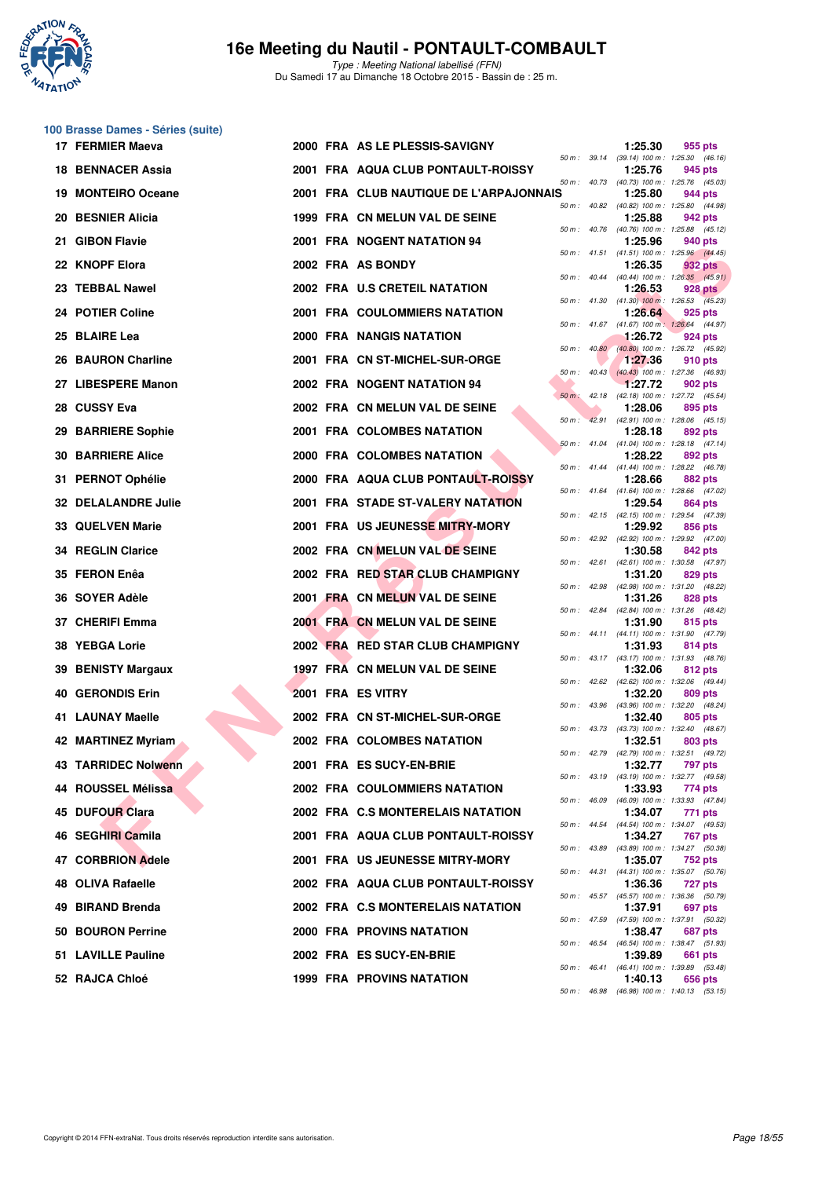

Type : Meeting National labellisé (FFN) Du Samedi 17 au Dimanche 18 Octobre 2015 - Bassin de : 25 m.

#### **100 Brasse Dames - Séries (suite)**

|     | 17 FERMIER Maeva           |  | 2000 FRA AS LE PLESSIS-SAVIGNY          |          |              | 1:25.30 | 955 pts                                                      |
|-----|----------------------------|--|-----------------------------------------|----------|--------------|---------|--------------------------------------------------------------|
|     | <b>18 BENNACER Assia</b>   |  | 2001 FRA AQUA CLUB PONTAULT-ROISSY      |          |              | 1:25.76 | 50 m: 39.14 (39.14) 100 m: 1:25.30 (46.16)<br>945 pts        |
|     | 19 MONTEIRO Oceane         |  | 2001 FRA CLUB NAUTIQUE DE L'ARPAJONNAIS |          |              | 1:25.80 | 50 m: 40.73 (40.73) 100 m: 1:25.76 (45.03)<br>944 pts        |
|     | 20 BESNIER Alicia          |  | 1999 FRA CN MELUN VAL DE SEINE          |          | 50 m : 40.82 | 1:25.88 | (40.82) 100 m: 1:25.80 (44.98)<br>942 pts                    |
| 21. | <b>GIBON Flavie</b>        |  | 2001 FRA NOGENT NATATION 94             |          |              | 1:25.96 | 50 m: 40.76 (40.76) 100 m: 1:25.88 (45.12)<br>940 pts        |
|     | 22 KNOPF Elora             |  | 2002 FRA AS BONDY                       |          |              | 1:26.35 | 50 m: 41.51 (41.51) 100 m: 1:25.96 (44.45)<br>932 pts        |
|     | 23 TEBBAL Nawel            |  | 2002 FRA U.S CRETEIL NATATION           |          |              | 1:26.53 | 50 m : 40.44 (40.44) 100 m : 1:26.35 (45.91)<br>928 pts      |
|     | 24 POTIER Coline           |  | <b>2001 FRA COULOMMIERS NATATION</b>    |          |              | 1:26.64 | 50 m: 41.30 (41.30) 100 m: 1:26.53 (45.23)<br>925 pts        |
|     | 25 BLAIRE Lea              |  | 2000 FRA NANGIS NATATION                |          |              | 1:26.72 | 50 m: 41.67 (41.67) 100 m: 1:26.64 (44.97)<br>924 pts        |
|     | 26 BAURON Charline         |  | 2001 FRA CN ST-MICHEL-SUR-ORGE          |          | 50 m: 40.80  | 1:27.36 | (40.80) 100 m : 1:26.72 (45.92)<br>910 pts                   |
|     | 27 LIBESPERE Manon         |  | 2002 FRA NOGENT NATATION 94             |          |              | 1:27.72 | 50 m : 40.43 (40.43) 100 m : 1:27.36 (46.93)<br>902 pts      |
|     | 28 CUSSY Eva               |  | 2002 FRA CN MELUN VAL DE SEINE          |          |              | 1:28.06 | 50 m : 42.18 (42.18) 100 m : 1:27.72 (45.54)<br>895 pts      |
|     | 29 BARRIERE Sophie         |  | 2001 FRA COLOMBES NATATION              | $50 m$ : |              | 1:28.18 | 42.91 (42.91) 100 m: 1:28.06 (45.15)<br>892 pts              |
|     | <b>30 BARRIERE Alice</b>   |  | 2000 FRA COLOMBES NATATION              |          |              | 1:28.22 | 50 m: 41.04 (41.04) 100 m: 1:28.18 (47.14)<br>892 pts        |
|     | 31 PERNOT Ophélie          |  | 2000 FRA AQUA CLUB PONTAULT-ROISSY      |          |              | 1:28.66 | 50 m: 41.44 (41.44) 100 m: 1:28.22 (46.78)<br><b>882 pts</b> |
|     | <b>32 DELALANDRE Julie</b> |  | 2001 FRA STADE ST-VALERY NATATION       |          |              | 1:29.54 | 50 m: 41.64 (41.64) 100 m: 1:28.66 (47.02)<br>864 pts        |
|     | <b>33 QUELVEN Marie</b>    |  | 2001 FRA US JEUNESSE MITRY-MORY         |          |              | 1:29.92 | 50 m: 42.15 (42.15) 100 m: 1:29.54 (47.39)<br>856 pts        |
|     | <b>34 REGLIN Clarice</b>   |  | 2002 FRA CN MELUN VAL DE SEINE          |          |              | 1:30.58 | 50 m: 42.92 (42.92) 100 m: 1:29.92 (47.00)<br>842 pts        |
|     | 35 FERON Enêa              |  | 2002 FRA RED STAR CLUB CHAMPIGNY        |          |              | 1:31.20 | 50 m: 42.61 (42.61) 100 m: 1:30.58 (47.97)<br>829 pts        |
|     | 36 SOYER Adèle             |  | 2001 FRA CN MELUN VAL DE SEINE          |          |              | 1:31.26 | 50 m: 42.98 (42.98) 100 m: 1:31.20 (48.22)<br>828 pts        |
|     | 37 CHERIFI Emma            |  | 2001 FRA CN MELUN VAL DE SEINE          |          |              | 1:31.90 | 50 m: 42.84 (42.84) 100 m: 1:31.26 (48.42)<br>815 pts        |
|     | 38 YEBGA Lorie             |  | 2002 FRA RED STAR CLUB CHAMPIGNY        |          |              | 1:31.93 | 50 m: 44.11 (44.11) 100 m: 1:31.90 (47.79)<br>814 pts        |
|     | 39 BENISTY Margaux         |  | 1997 FRA CN MELUN VAL DE SEINE          |          |              | 1:32.06 | 50 m: 43.17 (43.17) 100 m: 1:31.93 (48.76)<br>812 pts        |
| 40. | <b>GERONDIS Erin</b>       |  | 2001 FRA ES VITRY                       |          |              | 1:32.20 | 50 m: 42.62 (42.62) 100 m: 1:32.06 (49.44)<br>809 pts        |
|     | 41 LAUNAY Maelle           |  | 2002 FRA CN ST-MICHEL-SUR-ORGE          |          |              | 1:32.40 | 50 m: 43.96 (43.96) 100 m: 1:32.20 (48.24)<br>805 pts        |
|     | 42 MARTINEZ Myriam         |  | 2002 FRA COLOMBES NATATION              |          |              | 1:32.51 | 50 m: 43.73 (43.73) 100 m: 1:32.40 (48.67)<br>803 pts        |
|     | 43 TARRIDEC Nolwenn        |  | 2001 FRA ES SUCY-EN-BRIE                |          |              | 1:32.77 | 50 m: 42.79 (42.79) 100 m: 1:32.51 (49.72)<br>797 pts        |
|     | 44 ROUSSEL Mélissa         |  | <b>2002 FRA COULOMMIERS NATATION</b>    |          |              | 1:33.93 | 50 m : 43.19 (43.19) 100 m : 1:32.77 (49.58)<br>774 pts      |
|     | 45 DUFOUR Clara            |  | 2002 FRA C.S MONTERELAIS NATATION       |          | 50 m : 46.09 | 1:34.07 | (46.09) 100 m: 1:33.93 (47.84)<br>771 pts                    |
|     | 46 SEGHIRI Camila          |  | 2001 FRA AQUA CLUB PONTAULT-ROISSY      |          |              | 1:34.27 | 50 m: 44.54 (44.54) 100 m: 1:34.07 (49.53)<br>767 pts        |
|     | 47 CORBRION Adele          |  | 2001 FRA US JEUNESSE MITRY-MORY         |          |              | 1:35.07 | 50 m: 43.89 (43.89) 100 m: 1:34.27 (50.38)<br>752 pts        |
|     | 48 OLIVA Rafaelle          |  | 2002 FRA AQUA CLUB PONTAULT-ROISSY      |          |              | 1:36.36 | 50 m: 44.31 (44.31) 100 m: 1:35.07 (50.76)<br><b>727 pts</b> |
|     | 49 BIRAND Brenda           |  | 2002 FRA C.S MONTERELAIS NATATION       |          |              | 1:37.91 | 50 m : 45.57 (45.57) 100 m : 1:36.36 (50.79)<br>697 pts      |
|     | 50 BOURON Perrine          |  | 2000 FRA PROVINS NATATION               |          |              | 1:38.47 | 50 m : 47.59 (47.59) 100 m : 1:37.91 (50.32)<br>687 pts      |
|     | 51 LAVILLE Pauline         |  | 2002 FRA ES SUCY-EN-BRIE                |          | 50 m : 46.54 | 1:39.89 | (46.54) 100 m: 1:38.47 (51.93)<br>661 pts                    |
|     | 52 RAJCA Chloé             |  | 1999 FRA PROVINS NATATION               |          |              | 1:40.13 | 50 m: 46.41 (46.41) 100 m: 1:39.89 (53.48)<br>656 pts        |
|     |                            |  |                                         |          | 50 m : 46.98 |         | $(46.98)$ 100 m : 1:40.13 $(53.15)$                          |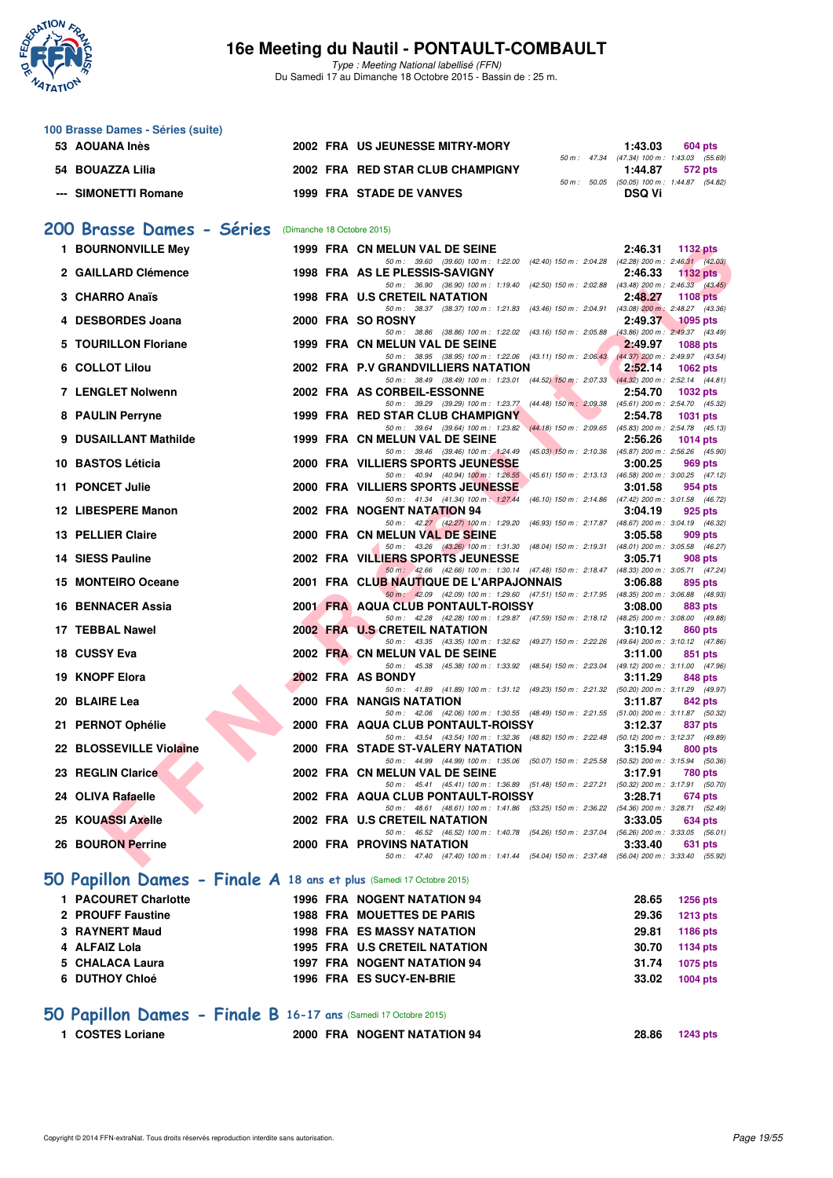

Type : Meeting National labellisé (FFN) Du Samedi 17 au Dimanche 18 Octobre 2015 - Bassin de : 25 m.

| 100 Brasse Dames - Séries (suite) |                                  |                                                           |                                            |
|-----------------------------------|----------------------------------|-----------------------------------------------------------|--------------------------------------------|
| 53 AOUANA Inès                    | 2002 FRA US JEUNESSE MITRY-MORY  |                                                           | 1:43.03<br>604 pts                         |
|                                   |                                  |                                                           | 50 m: 47.34 (47.34) 100 m: 1:43.03 (55.69) |
| 54 BOUAZZA Lilia                  | 2002 FRA RED STAR CLUB CHAMPIGNY |                                                           | 1:44.87<br>572 pts                         |
|                                   |                                  | $50 m$ : $50.05$                                          | (50.05) 100 m : 1:44.87 (54.82)            |
| --- SIMONETTI Romane              | <b>1999 FRA STADE DE VANVES</b>  |                                                           | <b>DSQ Vi</b>                              |
| 200 Brasse Dames - Séries         | (Dimanche 18 Octobre 2015)       |                                                           |                                            |
| <b>BOURNONVILLE Mey</b>           | 1999 FRA CN MELUN VAL DE SEINE   |                                                           | 2:46.31<br>1132 pts                        |
|                                   |                                  | 50 m: 39.60 (39.60) 100 m: 1:22.00 (42.40) 150 m: 2:04.28 | (42.28) 200 m : 2:46.31 (42.03)            |
| 2. GAILLARD Clámanca              | 1998 FRA AS LE DI FSSIS-SAVIGNY  |                                                           | 2.46.33<br>$1132$ nte                      |

| 1 BOURNONVILLE Mey        |  | 1999 FRA CN MELUN VAL DE SEINE<br>2:46.31<br><b>1132 pts</b>                                                                                                  |
|---------------------------|--|---------------------------------------------------------------------------------------------------------------------------------------------------------------|
|                           |  | 50 m: 39.60 (39.60) 100 m: 1:22.00 (42.40) 150 m: 2:04.28 (42.28) 200 m: 2:46.31 (42.03)                                                                      |
| 2 GAILLARD Clémence       |  | 1998 FRA AS LE PLESSIS-SAVIGNY<br>2:46.33<br>1132 $pts$<br>50 m: 36.90 (36.90) 100 m: 1:19.40 (42.50) 150 m: 2:02.88 (43.48) 200 m: 2:46.33 (43.45)           |
| 3 CHARRO Anaïs            |  | 1998 FRA U.S CRETEIL NATATION<br>2:48.27<br><b>1108 pts</b>                                                                                                   |
|                           |  | 50 m: 38.37 (38.37) 100 m: 1:21.83 (43.46) 150 m: 2:04.91 (43.08) 200 m: 2:48.27 (43.36)                                                                      |
| 4 DESBORDES Joana         |  | 2000 FRA SO ROSNY<br>2:49.37<br><b>1095 pts</b>                                                                                                               |
|                           |  | 50 m: 38.86 (38.86) 100 m: 1:22.02 (43.16) 150 m: 2:05.88 (43.86) 200 m: 2:49.37 (43.49)                                                                      |
| 5 TOURILLON Floriane      |  | 1999 FRA CN MELUN VAL DE SEINE<br>2:49.97<br><b>1088 pts</b>                                                                                                  |
| 6 COLLOT Lilou            |  | 50 m: 38.95 (38.95) 100 m: 1:22.06 (43.11) 150 m: 2:06.43 (44.37) 200 m: 2:49.97 (43.54)<br>2002 FRA P.V GRANDVILLIERS NATATION<br>2:52.14<br><b>1062 pts</b> |
|                           |  | 50 m: 38.49 (38.49) 100 m: 1:23.01 (44.52) 150 m: 2:07.33 (44.32) 200 m: 2:52.14 (44.81)                                                                      |
| <b>7 LENGLET Nolwenn</b>  |  | 2002 FRA AS CORBEIL-ESSONNE<br>2:54.70<br><b>1032 pts</b>                                                                                                     |
|                           |  | 50 m: 39.29 (39.29) 100 m: 1:23.77 (44.48) 150 m: 2:09.38 (45.61) 200 m: 2:54.70 (45.32)                                                                      |
| 8 PAULIN Perryne          |  | 1999 FRA RED STAR CLUB CHAMPIGNY<br>2:54.78<br>1031 pts                                                                                                       |
|                           |  | 50 m: 39.64 (39.64) 100 m: 1:23.82 (44.18) 150 m: 2:09.65 (45.83) 200 m: 2:54.78 (45.13)                                                                      |
| 9 DUSAILLANT Mathilde     |  | 2:56.26<br>1999 FRA CN MELUN VAL DE SEINE<br>1014 $pts$<br>50 m: 39.46 (39.46) 100 m: 1:24.49 (45.03) 150 m: 2:10.36 (45.87) 200 m: 2:56.26 (45.90)           |
| 10 BASTOS Léticia         |  | <b>2000 FRA VILLIERS SPORTS JEUNESSE</b><br>3:00.25<br>969 pts                                                                                                |
|                           |  | 50 m: 40.94 (40.94) 100 m: 1:26.55 (45.61) 150 m: 2:13.13 (46.58) 200 m: 3:00.25 (47.12)                                                                      |
| 11 PONCET Julie           |  | 2000 FRA VILLIERS SPORTS JEUNESSE<br>3:01.58<br>954 pts                                                                                                       |
|                           |  | 50 m : 41.34 (41.34) 100 m : 1:27.44<br>(46.10) 150 m : 2:14.86 (47.42) 200 m : 3:01.58 (46.72)                                                               |
| <b>12 LIBESPERE Manon</b> |  | 2002 FRA NOGENT NATATION 94<br>3:04.19<br>925 pts                                                                                                             |
|                           |  | 50 m: 42.27 (42.27) 100 m: 1:29.20 (46.93) 150 m: 2:17.87 (48.67) 200 m: 3:04.19 (46.32)                                                                      |
| 13 PELLIER Claire         |  | 2000 FRA CN MELUN VAL DE SEINE<br>3:05.58<br>909 pts<br>50 m: 43.26 (43.26) 100 m: 1:31.30 (48.04) 150 m: 2:19.31 (48.01) 200 m: 3:05.58 (46.27)              |
| 14 SIESS Pauline          |  | 2002 FRA VILLIERS SPORTS JEUNESSE<br>3:05.71<br>908 pts                                                                                                       |
|                           |  | 50 m: 42.66 (42.66) 100 m: 1:30.14 (47.48) 150 m: 2:18.47 (48.33) 200 m: 3:05.71 (47.24)                                                                      |
| 15 MONTEIRO Oceane        |  | 2001 FRA CLUB NAUTIQUE DE L'ARPAJONNAIS<br>3:06.88<br>895 pts                                                                                                 |
|                           |  | 50 m : 42.09 (42.09) 100 m : 1:29.60 (47.51) 150 m : 2:17.95 (48.35) 200 m : 3:06.88 (48.93)                                                                  |
| 16 BENNACER Assia         |  | 2001 FRA AQUA CLUB PONTAULT-ROISSY<br>3:08.00<br>883 pts                                                                                                      |
| 17 TEBBAL Nawel           |  | 50 m: 42.28 (42.28) 100 m: 1:29.87 (47.59) 150 m: 2:18.12 (48.25) 200 m: 3:08.00 (49.88)<br>2002 FRA U.S CRETEIL NATATION                                     |
|                           |  | 3:10.12<br>860 pts<br>50 m: 43.35 (43.35) 100 m: 1:32.62 (49.27) 150 m: 2:22.26 (49.64) 200 m: 3:10.12 (47.86)                                                |
| 18 CUSSY Eva              |  | 2002 FRA CN MELUN VAL DE SEINE<br>3:11.00<br>851 pts                                                                                                          |
|                           |  | 50 m: 45.38 (45.38) 100 m: 1:33.92 (48.54) 150 m: 2:23.04 (49.12) 200 m: 3:11.00 (47.96)                                                                      |
| 19 KNOPF Elora            |  | 2002 FRA AS BONDY<br>3:11.29<br>848 pts                                                                                                                       |
|                           |  | 50 m: 41.89 (41.89) 100 m: 1:31.12 (49.23) 150 m: 2:21.32 (50.20) 200 m: 3:11.29 (49.97)                                                                      |
| 20 BLAIRE Lea             |  | 2000 FRA NANGIS NATATION<br>3:11.87<br>842 pts                                                                                                                |
| 21 PERNOT Ophélie         |  | 50 m: 42.06 (42.06) 100 m: 1:30.55 (48.49) 150 m: 2:21.55 (51.00) 200 m: 3:11.87 (50.32)<br>2000 FRA AQUA CLUB PONTAULT-ROISSY<br>3:12.37<br>837 pts          |
|                           |  | 50 m: 43.54 (43.54) 100 m: 1:32.36 (48.82) 150 m: 2:22.48 (50.12) 200 m: 3:12.37 (49.89)                                                                      |
| 22 BLOSSEVILLE Violaine   |  | 2000 FRA STADE ST-VALERY NATATION<br>3:15.94<br>800 pts                                                                                                       |
|                           |  | 50 m: 44.99 (44.99) 100 m: 1:35.06 (50.07) 150 m: 2:25.58 (50.52) 200 m: 3:15.94 (50.36)                                                                      |
| 23 REGLIN Clarice         |  | 2002 FRA CN MELUN VAL DE SEINE<br>3:17.91<br>780 pts                                                                                                          |
|                           |  | 50 m: 45.41 (45.41) 100 m: 1:36.89 (51.48) 150 m: 2:27.21 (50.32) 200 m: 3:17.91 (50.70)                                                                      |
| 24 OLIVA Rafaelle         |  | 2002 FRA AQUA CLUB PONTAULT-ROISSY<br>3:28.71<br>674 pts                                                                                                      |
| 25 KOUASSI Axelle         |  | 50 m: 48.61 (48.61) 100 m: 1.41.86 (53.25) 150 m: 2:36.22 (54.36) 200 m: 3:28.71 (52.49)<br>2002 FRA U.S CRETEIL NATATION<br>3:33.05<br>634 pts               |
|                           |  | 50 m: 46.52 (46.52) 100 m: 1:40.78 (54.26) 150 m: 2:37.04 (56.26) 200 m: 3:33.05 (56.01)                                                                      |
| 26 BOURON Perrine         |  | <b>2000 FRA PROVINS NATATION</b><br>3:33.40<br>631 pts                                                                                                        |
|                           |  | 50 m: 47.40 (47.40) 100 m: 1:41.44 (54.04) 150 m: 2:37.48 (56.04) 200 m: 3:33.40 (55.92)                                                                      |
|                           |  |                                                                                                                                                               |

#### **[50 Papillon Dames - Finale A](http://www.ffnatation.fr/webffn/resultats.php?idact=nat&go=epr&idcpt=33325&idepr=31) 18 ans et plus** (Samedi 17 Octobre 2015)

| 1 PACOURET Charlotte |  | <b>1996 FRA NOGENT NATATION 94</b> | 28.65 | 1256 pts |
|----------------------|--|------------------------------------|-------|----------|
| 2 PROUFF Faustine    |  | <b>1988 FRA MOUETTES DE PARIS</b>  | 29.36 | 1213 pts |
| 3 RAYNERT Maud       |  | <b>1998 FRA ES MASSY NATATION</b>  | 29.81 | 1186 pts |
| 4 ALFAIZ Lola        |  | 1995 FRA U.S CRETEIL NATATION      | 30.70 | 1134 pts |
| 5 CHALACA Laura      |  | 1997 FRA NOGENT NATATION 94        | 31.74 | 1075 pts |
| 6 DUTHOY Chloé       |  | 1996 FRA ES SUCY-EN-BRIE           | 33.02 | 1004 pts |
|                      |  |                                    |       |          |

#### **[50 Papillon Dames - Finale B](http://www.ffnatation.fr/webffn/resultats.php?idact=nat&go=epr&idcpt=33325&idepr=31) 16-17 ans** (Samedi 17 Octobre 2015)

| 1 COSTES Loriane | 2000 FRA NOGENT NATATION 94 | 28.86 1243 pts |
|------------------|-----------------------------|----------------|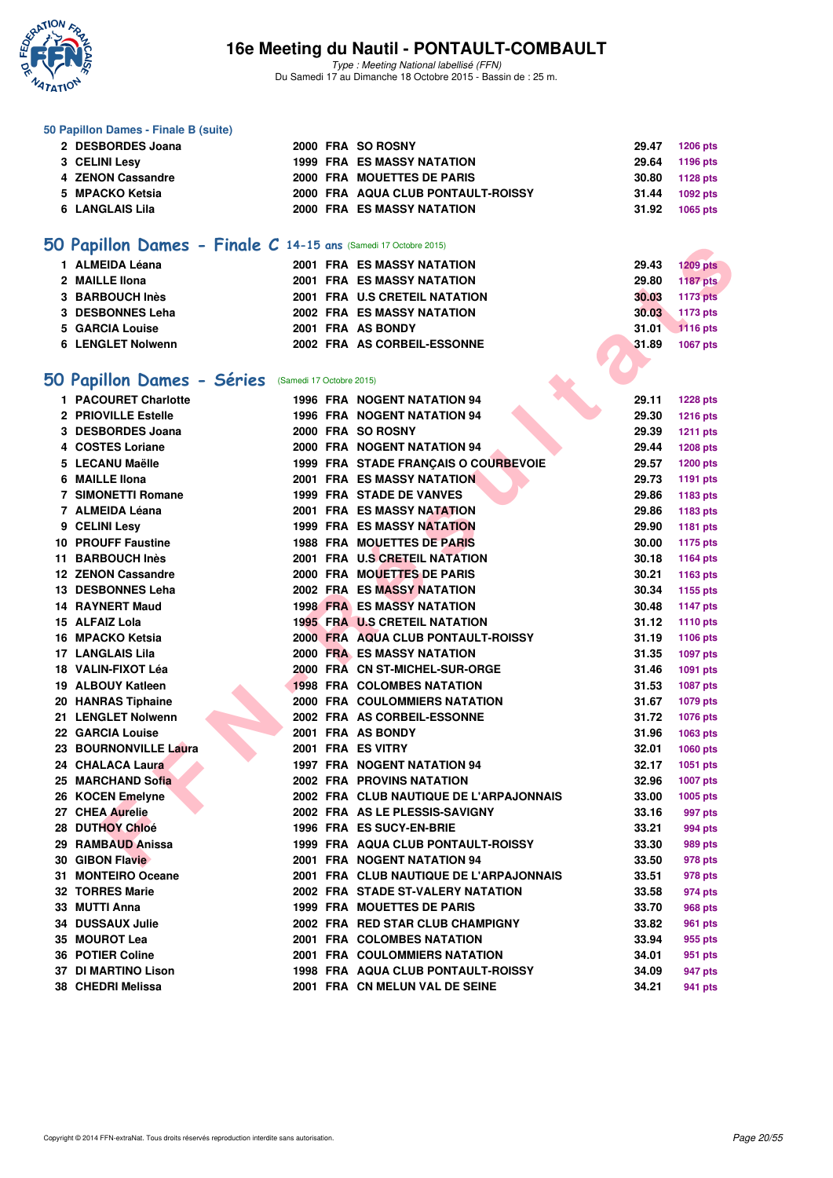

Type : Meeting National labellisé (FFN) Du Samedi 17 au Dimanche 18 Octobre 2015 - Bassin de : 25 m.

#### **50 Papillon Dames - Finale B (suite)**

| 2 DESBORDES Joana    |  | 2000 FRA SO ROSNY                  | 29.47          | 1206 pts |
|----------------------|--|------------------------------------|----------------|----------|
| <b>3 CELINI Lesy</b> |  | <b>1999 FRA ES MASSY NATATION</b>  | 29.64 1196 pts |          |
| 4 ZENON Cassandre    |  | 2000 FRA MOUETTES DE PARIS         | 30.80 1128 pts |          |
| 5 MPACKO Ketsia      |  | 2000 FRA AQUA CLUB PONTAULT-ROISSY | 31.44          | 1092 pts |
| 6 LANGLAIS Lila      |  | 2000 FRA ES MASSY NATATION         | 31.92          | 1065 pts |
|                      |  |                                    |                |          |

## **[50 Papillon Dames - Finale C](http://www.ffnatation.fr/webffn/resultats.php?idact=nat&go=epr&idcpt=33325&idepr=31) 14-15 ans** (Samedi 17 Octobre 2015)

| 50 Papillon Dames - Séries (Samedi 17 Octobre 2015) |                                   |       |                 |
|-----------------------------------------------------|-----------------------------------|-------|-----------------|
| 6 LENGLET Nolwenn                                   | 2002 FRA AS CORBEIL-ESSONNE       | 31.89 | 1067 pts        |
| 5 GARCIA Louise                                     | 2001 FRA AS BONDY                 | 31.01 | 1116 pts        |
| 3 DESBONNES Leha                                    | <b>2002 FRA ES MASSY NATATION</b> | 30.03 | 1173 pts        |
| 3 BARBOUCH Inès                                     | 2001 FRA U.S CRETEIL NATATION     | 30.03 | <b>1173 pts</b> |
| 2 MAILLE IIona                                      | <b>2001 FRA ES MASSY NATATION</b> | 29.80 | <b>1187 pts</b> |
| 1 ALMEIDA Léana                                     | <b>2001 FRA ES MASSY NATATION</b> | 29.43 | <b>1209 pts</b> |
|                                                     |                                   |       |                 |

## **[50 Papillon Dames - Séries](http://www.ffnatation.fr/webffn/resultats.php?idact=nat&go=epr&idcpt=33325&idepr=31)** (Samedi 17 Octobre 2015)

| <b>U Papillon Dames - Finale C 14-15 ans (Samedi 17 Octobre 2015)</b> |  |                                           |       |                 |
|-----------------------------------------------------------------------|--|-------------------------------------------|-------|-----------------|
| 1 ALMEIDA Léana                                                       |  | 2001 FRA ES MASSY NATATION                | 29.43 | <b>1209 pts</b> |
| 2 MAILLE IIona                                                        |  | <b>2001 FRA ES MASSY NATATION</b>         | 29.80 | <b>1187 pts</b> |
| 3 BARBOUCH Inès                                                       |  | 2001 FRA U.S CRETEIL NATATION             | 30.03 | <b>1173 pts</b> |
| 3 DESBONNES Leha                                                      |  | <b>2002 FRA ES MASSY NATATION</b>         | 30.03 | 1173 pts        |
| 5 GARCIA Louise                                                       |  | 2001 FRA AS BONDY                         | 31.01 | <b>1116 pts</b> |
| 6 LENGLET Nolwenn                                                     |  | 2002 FRA AS CORBEIL-ESSONNE               | 31.89 | 1067 pts        |
|                                                                       |  |                                           |       |                 |
| O Papillon Dames - Séries (Samedi 17 Octobre 2015)                    |  |                                           |       |                 |
| 1 PACOURET Charlotte                                                  |  | 1996 FRA NOGENT NATATION 94               | 29.11 | <b>1228 pts</b> |
| 2 PRIOVILLE Estelle                                                   |  | <b>1996 FRA NOGENT NATATION 94</b>        | 29.30 | <b>1216 pts</b> |
| 3 DESBORDES Joana                                                     |  | 2000 FRA SO ROSNY                         | 29.39 | <b>1211 pts</b> |
| 4 COSTES Loriane                                                      |  | 2000 FRA NOGENT NATATION 94               | 29.44 | <b>1208 pts</b> |
| 5 LECANU Maëlle                                                       |  | 1999 FRA STADE FRANÇAIS O COURBEVOIE      | 29.57 | <b>1200 pts</b> |
| 6 MAILLE Ilona                                                        |  | <b>2001 FRA ES MASSY NATATION</b>         | 29.73 | 1191 pts        |
| <b>7 SIMONETTI Romane</b>                                             |  | <b>1999 FRA STADE DE VANVES</b>           | 29.86 | 1183 pts        |
| 7 ALMEIDA Léana                                                       |  | 2001 FRA ES MASSY NATATION                | 29.86 | 1183 pts        |
| 9 CELINI Lesy                                                         |  | <b>1999 FRA ES MASSY NATATION</b>         | 29.90 | 1181 pts        |
| <b>10 PROUFF Faustine</b>                                             |  | <b>1988 FRA MOUETTES DE PARIS</b>         | 30.00 | 1175 pts        |
| 11 BARBOUCH Inès                                                      |  | 2001 FRA U.S CRETEIL NATATION             | 30.18 | <b>1164 pts</b> |
| 12 ZENON Cassandre                                                    |  | 2000 FRA MOUETTES DE PARIS                | 30.21 | 1163 pts        |
| 13 DESBONNES Leha                                                     |  | <b>2002 FRA ES MASSY NATATION</b>         | 30.34 | 1155 pts        |
| 14 RAYNERT Maud                                                       |  | <b>1998 FRA ES MASSY NATATION</b>         | 30.48 | <b>1147 pts</b> |
| 15 ALFAIZ Lola                                                        |  | <b>1995 FRA U.S CRETEIL NATATION</b>      | 31.12 | <b>1110 pts</b> |
| 16 MPACKO Ketsia                                                      |  | 2000 FRA AQUA CLUB PONTAULT-ROISSY        | 31.19 | 1106 pts        |
| 17 LANGLAIS Lila                                                      |  | <b>2000 FRA ES MASSY NATATION</b>         | 31.35 | <b>1097 pts</b> |
| 18 VALIN-FIXOT Léa                                                    |  | 2000 FRA CN ST-MICHEL-SUR-ORGE            | 31.46 | 1091 pts        |
| 19 ALBOUY Katleen                                                     |  | <b>1998 FRA COLOMBES NATATION</b>         | 31.53 | <b>1087 pts</b> |
| 20 HANRAS Tiphaine                                                    |  | 2000 FRA COULOMMIERS NATATION             | 31.67 | <b>1079 pts</b> |
| 21 LENGLET Nolwenn                                                    |  | 2002 FRA AS CORBEIL-ESSONNE               | 31.72 | <b>1076 pts</b> |
| 22 GARCIA Louise                                                      |  | 2001 FRA AS BONDY                         | 31.96 | <b>1063 pts</b> |
| 23 BOURNONVILLE Laura                                                 |  | 2001 FRA ES VITRY                         | 32.01 | 1060 pts        |
| 24 CHALACA Laura                                                      |  | 1997 FRA NOGENT NATATION 94               | 32.17 | 1051 pts        |
| 25 MARCHAND Sofia                                                     |  | <b>2002 FRA PROVINS NATATION</b>          | 32.96 | <b>1007 pts</b> |
| 26 KOCEN Emelyne                                                      |  | 2002 FRA CLUB NAUTIQUE DE L'ARPAJONNAIS   | 33.00 | 1005 pts        |
| 27 CHEA Aurelie                                                       |  | 2002 FRA AS LE PLESSIS-SAVIGNY            | 33.16 | 997 pts         |
| 28 DUTHOY Chloé                                                       |  | 1996 FRA ES SUCY-EN-BRIE                  | 33.21 | 994 pts         |
| 29 RAMBAUD Anissa                                                     |  | 1999 FRA AQUA CLUB PONTAULT-ROISSY        | 33.30 | 989 pts         |
| 30 GIBON Flavie                                                       |  | 2001 FRA NOGENT NATATION 94               | 33.50 | 978 pts         |
| 31 MONTEIRO Oceane                                                    |  | 2001 FRA CLUB NAUTIQUE DE L'ARPAJONNAIS   | 33.51 | 978 pts         |
| 32 TORRES Marie                                                       |  | 2002 FRA STADE ST-VALERY NATATION         | 33.58 | 974 pts         |
| 33 MUTTI Anna                                                         |  | <b>1999 FRA MOUETTES DE PARIS</b>         | 33.70 | 968 pts         |
| 34 DUSSAUX Julie                                                      |  | 2002 FRA RED STAR CLUB CHAMPIGNY          | 33.82 | 961 pts         |
| 35 MOUROT Lea                                                         |  | 2001 FRA COLOMBES NATATION                | 33.94 | 955 pts         |
| 36 POTIER Coline                                                      |  | <b>2001 FRA COULOMMIERS NATATION</b>      | 34.01 | 951 pts         |
| 37 DI MARTINO Lison                                                   |  | <b>1998 FRA AQUA CLUB PONTAULT-ROISSY</b> | 34.09 | 947 pts         |
| 38 CHEDRI Melissa                                                     |  | 2001 FRA CN MELUN VAL DE SEINE            | 34.21 | 941 pts         |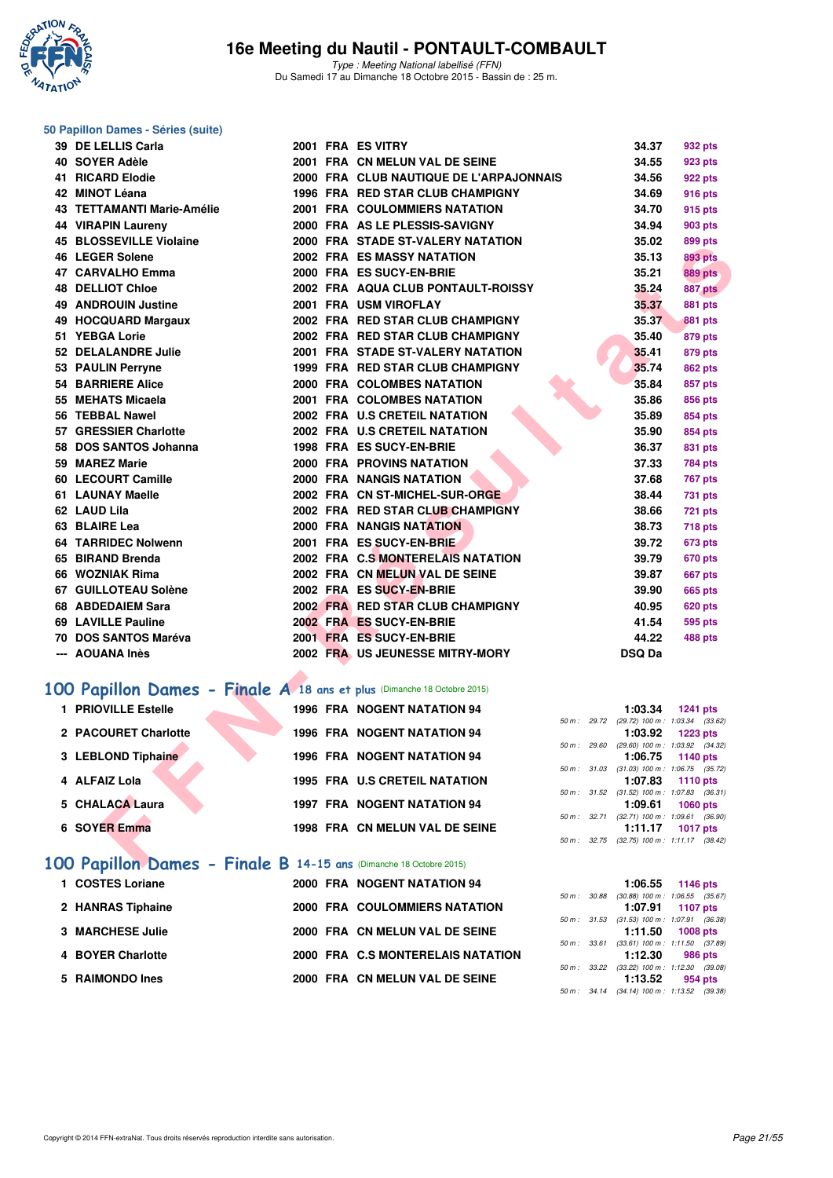

Type : Meeting National labellisé (FFN) Du Samedi 17 au Dimanche 18 Octobre 2015 - Bassin de : 25 m.

#### **50 Papillon Dames - Séries (suite)**

| 39 DE LELLIS Carla                                                             |  | 2001 FRA ES VITRY                       |              | 34.37                                | 932 pts                                                |
|--------------------------------------------------------------------------------|--|-----------------------------------------|--------------|--------------------------------------|--------------------------------------------------------|
| 40 SOYER Adèle                                                                 |  | 2001 FRA CN MELUN VAL DE SEINE          |              | 34.55                                | 923 pts                                                |
| 41 RICARD Elodie                                                               |  | 2000 FRA CLUB NAUTIQUE DE L'ARPAJONNAIS |              | 34.56                                | 922 pts                                                |
| 42 MINOT Léana                                                                 |  | 1996 FRA RED STAR CLUB CHAMPIGNY        |              | 34.69                                | 916 pts                                                |
| 43 TETTAMANTI Marie-Amélie                                                     |  | <b>2001 FRA COULOMMIERS NATATION</b>    |              | 34.70                                | 915 pts                                                |
| <b>44 VIRAPIN Laureny</b>                                                      |  | 2000 FRA AS LE PLESSIS-SAVIGNY          |              | 34.94                                | <b>903 pts</b>                                         |
| <b>45 BLOSSEVILLE Violaine</b>                                                 |  | 2000 FRA STADE ST-VALERY NATATION       |              | 35.02                                | 899 pts                                                |
| 46 LEGER Solene                                                                |  | <b>2002 FRA ES MASSY NATATION</b>       |              | 35.13                                | <b>893 pts</b>                                         |
| 47 CARVALHO Emma                                                               |  | 2000 FRA ES SUCY-EN-BRIE                |              | 35.21                                | <b>889 pts</b>                                         |
| <b>48 DELLIOT Chloe</b>                                                        |  | 2002 FRA AQUA CLUB PONTAULT-ROISSY      |              | 35.24                                | 887 pts                                                |
| <b>49 ANDROUIN Justine</b>                                                     |  | 2001 FRA USM VIROFLAY                   |              | 35.37                                | <b>881 pts</b>                                         |
| 49 HOCQUARD Margaux                                                            |  | 2002 FRA RED STAR CLUB CHAMPIGNY        |              | 35.37                                | <b>881 pts</b>                                         |
| 51 YEBGA Lorie                                                                 |  | 2002 FRA RED STAR CLUB CHAMPIGNY        |              | 35.40                                | <b>879 pts</b>                                         |
| 52 DELALANDRE Julie                                                            |  | 2001 FRA STADE ST-VALERY NATATION       |              | 35.41                                | 879 pts                                                |
| 53 PAULIN Perryne                                                              |  | 1999 FRA RED STAR CLUB CHAMPIGNY        |              | 35.74                                | <b>862 pts</b>                                         |
| <b>54 BARRIERE Alice</b>                                                       |  | 2000 FRA COLOMBES NATATION              |              | 35.84                                | 857 pts                                                |
| 55 MEHATS Micaela                                                              |  | 2001 FRA COLOMBES NATATION              |              | 35.86                                | 856 pts                                                |
| 56 TEBBAL Nawel                                                                |  | 2002 FRA U.S CRETEIL NATATION           |              | 35.89                                | 854 pts                                                |
| 57 GRESSIER Charlotte                                                          |  | 2002 FRA U.S CRETEIL NATATION           |              | 35.90                                | 854 pts                                                |
| 58 DOS SANTOS Johanna                                                          |  | 1998 FRA ES SUCY-EN-BRIE                |              | 36.37                                | 831 pts                                                |
| 59 MAREZ Marie                                                                 |  | <b>2000 FRA PROVINS NATATION</b>        |              | 37.33                                | <b>784 pts</b>                                         |
| 60 LECOURT Camille                                                             |  | 2000 FRA NANGIS NATATION                |              | 37.68                                | <b>767 pts</b>                                         |
| 61 LAUNAY Maelle                                                               |  | 2002 FRA CN ST-MICHEL-SUR-ORGE          |              | 38.44                                | 731 pts                                                |
| 62 LAUD Lila                                                                   |  | 2002 FRA RED STAR CLUB CHAMPIGNY        |              | 38.66                                | <b>721 pts</b>                                         |
| 63 BLAIRE Lea                                                                  |  | 2000 FRA NANGIS NATATION                |              | 38.73                                | 718 pts                                                |
| <b>64 TARRIDEC Nolwenn</b>                                                     |  | 2001 FRA ES SUCY-EN-BRIE                |              | 39.72                                | 673 pts                                                |
| 65 BIRAND Brenda                                                               |  | 2002 FRA C.S MONTERELAIS NATATION       |              | 39.79                                | <b>670 pts</b>                                         |
| 66 WOZNIAK Rima                                                                |  | 2002 FRA CN MELUN VAL DE SEINE          |              | 39.87                                | 667 pts                                                |
| 67 GUILLOTEAU Solène                                                           |  | 2002 FRA ES SUCY-EN-BRIE                |              | 39.90                                | <b>665 pts</b>                                         |
| 68 ABDEDAIEM Sara                                                              |  | 2002 FRA RED STAR CLUB CHAMPIGNY        |              | 40.95                                | <b>620 pts</b>                                         |
| 69 LAVILLE Pauline                                                             |  | 2002 FRA ES SUCY-EN-BRIE                |              | 41.54                                | 595 pts                                                |
| 70 DOS SANTOS Maréva                                                           |  | 2001 FRA ES SUCY-EN-BRIE                |              | 44.22                                | 488 pts                                                |
| --- AOUANA Inès                                                                |  | 2002 FRA US JEUNESSE MITRY-MORY         |              | <b>DSQ Da</b>                        |                                                        |
|                                                                                |  |                                         |              |                                      |                                                        |
| 00 Papillon Dames - Finale A 18 ans et plus (Dimanche 18 Octobre 2015)         |  |                                         |              |                                      |                                                        |
| 1 PRIOVILLE Estelle                                                            |  | <b>1996 FRA NOGENT NATATION 94</b>      |              | 1:03.34                              | <b>1241 pts</b>                                        |
| 2 PACOURET Charlotte                                                           |  | <b>1996 FRA NOGENT NATATION 94</b>      | 50 m : 29.72 | 1:03.92                              | (29.72) 100 m: 1:03.34 (33.62)<br><b>1223 pts</b>      |
|                                                                                |  |                                         | 50 m: 29.60  |                                      | $(29.60)$ 100 m : 1:03.92 $(34.32)$                    |
| 3 LEBLOND Tiphaine                                                             |  | <b>1996 FRA NOGENT NATATION 94</b>      |              | 1:06.75                              | 1140 pts<br>50 m: 31.03 (31.03) 100 m: 1:06.75 (35.72) |
| 4 ALFAIZ Lola                                                                  |  | <b>1995 FRA U.S CRETEIL NATATION</b>    |              | 1:07.83                              | <b>1110 pts</b>                                        |
|                                                                                |  |                                         |              |                                      | 50 m: 31.52 (31.52) 100 m: 1:07.83 (36.31)             |
| 5 CHALACA Laura                                                                |  | 1997 FRA NOGENT NATATION 94             | 50 m : 32.71 | 1:09.61<br>$(32.71)$ 100 m : 1:09.61 | <b>1060 pts</b><br>(36.90)                             |
| <b>6 SOYER Emma</b>                                                            |  | 1998 FRA CN MELUN VAL DE SEINE          |              | 1:11.17                              | 1017 pts                                               |
|                                                                                |  |                                         |              |                                      | 50 m: 32.75 (32.75) 100 m: 1:11.17 (38.42)             |
| $\overline{00}$ Panillon Dames - Finale R 14-15 ans (Dimanche 18 Octobre 2015) |  |                                         |              |                                      |                                                        |

#### **[100 Papillon Dames - Finale A](http://www.ffnatation.fr/webffn/resultats.php?idact=nat&go=epr&idcpt=33325&idepr=32) 18 ans et plus** (Dimanche 18 Octobre 2015)

| 1 PRIOVILLE Estelle                                                | <b>1996 FRA NOGENT NATATION 94</b> |                  |                | 1:03.34                                                       | 1241 pts |  |
|--------------------------------------------------------------------|------------------------------------|------------------|----------------|---------------------------------------------------------------|----------|--|
| 2 PACOURET Charlotte                                               | <b>1996 FRA NOGENT NATATION 94</b> |                  | $50 m$ : 29.72 | (29.72) 100 m : 1:03.34 (33.62)<br>1:03.92 $1223 \text{ pts}$ |          |  |
|                                                                    |                                    | 50 m: 29.60      |                | $(29.60)$ 100 m : 1:03.92 $(34.32)$                           |          |  |
| 3 LEBLOND Tiphaine                                                 | <b>1996 FRA NOGENT NATATION 94</b> |                  |                | $1:06.75$ 1140 pts                                            |          |  |
|                                                                    |                                    |                  |                | 50 m: 31.03 (31.03) 100 m: 1:06.75 (35.72)                    |          |  |
| 4 ALFAIZ Lola                                                      | 1995 FRA U.S CRETEIL NATATION      |                  |                | $1:07.83$ 1110 pts                                            |          |  |
|                                                                    |                                    |                  |                | 50 m: 31.52 (31.52) 100 m: 1:07.83 (36.31)                    |          |  |
| 5 CHALACA Laura                                                    | <b>1997 FRA NOGENT NATATION 94</b> |                  |                | 1:09.61                                                       | 1060 pts |  |
|                                                                    |                                    | $50 m$ : $32.71$ |                | $(32.71)$ 100 m : 1:09.61 $(36.90)$                           |          |  |
| 6 SOYER Emma                                                       | 1998 FRA CN MELUN VAL DE SEINE     |                  |                | 1:11.17 $1017 \text{ pts}$                                    |          |  |
|                                                                    |                                    |                  |                | 50 m: 32.75 (32.75) 100 m: 1:11.17 (38.42)                    |          |  |
| 100 Papillon Dames - Finale B 14-15 ans (Dimanche 18 Octobre 2015) |                                    |                  |                |                                                               |          |  |

| 1 COSTES Loriane  | 2000 FRA NOGENT NATATION 94       |              | 1146 pts<br>1:06.55                                              |
|-------------------|-----------------------------------|--------------|------------------------------------------------------------------|
| 2 HANRAS Tiphaine | 2000 FRA COULOMMIERS NATATION     | 50 m : 30.88 | $(30.88)$ 100 m : 1:06.55 $(35.67)$<br>1:07.91 1107 pts          |
| 3 MARCHESE Julie  | 2000 FRA CN MELUN VAL DE SEINE    |              | 50 m: 31.53 (31.53) 100 m: 1:07.91 (36.38)<br>$1:11.50$ 1008 pts |
| 4 BOYER Charlotte | 2000 FRA C.S MONTERELAIS NATATION | 50 m: 33.61  | $(33.61)$ 100 m : 1:11.50 $(37.89)$<br>1:12.30<br>986 pts        |
|                   |                                   | 50 m : 33.22 | $(33.22)$ 100 m : 1:12.30 $(39.08)$                              |
| 5 RAIMONDO Ines   | 2000 FRA CN MELUN VAL DE SEINE    |              | 1:13.52<br>954 pts<br>50 m: 34.14 (34.14) 100 m: 1:13.52 (39.38) |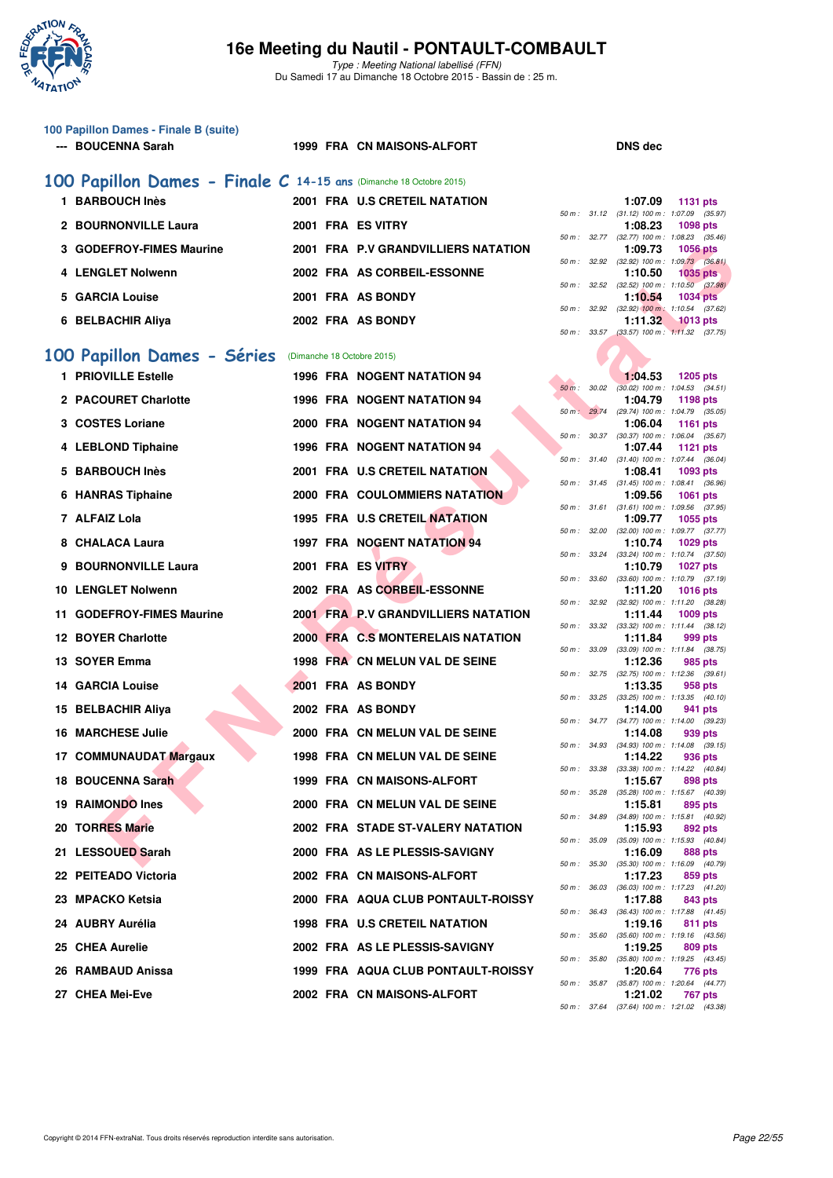

Type : Meeting National labellisé (FFN) Du Samedi 17 au Dimanche 18 Octobre 2015 - Bassin de : 25 m.

| 100 Papillon Dames - Finale B (suite)<br>--- BOUCENNA Sarah        |  | 1999 FRA CN MAISONS-ALFORT           |             |              | <b>DNS dec</b>                                                             |
|--------------------------------------------------------------------|--|--------------------------------------|-------------|--------------|----------------------------------------------------------------------------|
| 100 Papillon Dames - Finale C 14-15 ans (Dimanche 18 Octobre 2015) |  |                                      |             |              |                                                                            |
| 1 BARBOUCH Inès                                                    |  | 2001 FRA U.S CRETEIL NATATION        |             |              | 1:07.09<br><b>1131 pts</b>                                                 |
| 2 BOURNONVILLE Laura                                               |  | 2001 FRA ES VITRY                    |             |              | 50 m: 31.12 (31.12) 100 m: 1:07.09 (35.97)<br>1:08.23<br>1098 pts          |
| 3 GODEFROY-FIMES Maurine                                           |  | 2001 FRA P.V GRANDVILLIERS NATATION  |             |              | 50 m: 32.77 (32.77) 100 m: 1:08.23 (35.46)<br>1:09.73<br><b>1056 pts</b>   |
| 4 LENGLET Nolwenn                                                  |  | 2002 FRA AS CORBEIL-ESSONNE          |             |              | 50 m: 32.92 (32.92) 100 m: 1:09.73 (36.81)<br>1:10.50<br><b>1035 pts</b>   |
| 5 GARCIA Louise                                                    |  | 2001 FRA AS BONDY                    |             |              | 50 m : 32.52 (32.52) 100 m : 1:10.50 (37.98)<br>1:10.54<br><b>1034 pts</b> |
| 6 BELBACHIR Aliya                                                  |  | 2002 FRA AS BONDY                    |             |              | 50 m : 32.92 (32.92) 100 m : 1:10.54 (37.62)<br>1:11.32<br><b>1013 pts</b> |
|                                                                    |  |                                      |             |              | 50 m: 33.57 (33.57) 100 m: 1:11.32 (37.75)                                 |
| 100 Papillon Dames - Séries                                        |  | (Dimanche 18 Octobre 2015)           |             |              |                                                                            |
| 1 PRIOVILLE Estelle                                                |  | <b>1996 FRA NOGENT NATATION 94</b>   | $50 m$ :    | 30.02        | 1:04.53<br><b>1205 pts</b><br>$(30.02)$ 100 m : 1:04.53 $(34.51)$          |
| 2 PACOURET Charlotte                                               |  | <b>1996 FRA NOGENT NATATION 94</b>   |             |              | 1:04.79<br>1198 pts<br>50 m: 29.74 (29.74) 100 m: 1:04.79 (35.05)          |
| 3 COSTES Loriane                                                   |  | 2000 FRA NOGENT NATATION 94          |             |              | 1:06.04<br><b>1161 pts</b>                                                 |
| 4 LEBLOND Tiphaine                                                 |  | <b>1996 FRA NOGENT NATATION 94</b>   |             |              | 50 m: 30.37 (30.37) 100 m: 1:06.04 (35.67)<br>1:07.44<br>1121 pts          |
| 5 BARBOUCH Inès                                                    |  | 2001 FRA U.S CRETEIL NATATION        |             |              | 50 m: 31.40 (31.40) 100 m: 1:07.44 (36.04)<br>1:08.41<br>1093 pts          |
| 6 HANRAS Tiphaine                                                  |  | <b>2000 FRA COULOMMIERS NATATION</b> |             |              | 50 m: 31.45 (31.45) 100 m: 1:08.41 (36.96)<br>1:09.56<br>1061 pts          |
| 7 ALFAIZ Lola                                                      |  | 1995 FRA U.S CRETEIL NATATION        |             |              | 50 m: 31.61 (31.61) 100 m: 1:09.56 (37.95)<br>1:09.77<br>1055 pts          |
| 8 CHALACA Laura                                                    |  | <b>1997 FRA NOGENT NATATION 94</b>   |             |              | 50 m: 32.00 (32.00) 100 m: 1:09.77 (37.77)<br>1:10.74<br><b>1029 pts</b>   |
| 9 BOURNONVILLE Laura                                               |  | 2001 FRA ES VITRY                    |             |              | 50 m: 33.24 (33.24) 100 m: 1:10.74 (37.50)<br>1:10.79<br><b>1027 pts</b>   |
| 10 LENGLET Nolwenn                                                 |  | 2002 FRA AS CORBEIL-ESSONNE          | 50 m: 33.60 |              | $(33.60)$ 100 m : 1:10.79 $(37.19)$<br>1:11.20<br><b>1016 pts</b>          |
| 11 GODEFROY-FIMES Maurine                                          |  | 2001 FRAMP V GRANDVILLIERS NATATION  |             |              | 50 m: 32.92 (32.92) 100 m: 1:11.20 (38.28)<br>1:11.44<br>1009 pts          |
| <b>12 BOYER Charlotte</b>                                          |  | 2000 FRA C.S MONTERELAIS NATATION    |             | 50 m : 33.32 | $(33.32)$ 100 m : 1:11.44 $(38.12)$<br>1:11.84<br>999 pts                  |
| 13 SOYER Emma                                                      |  | 1998 FRA CN MELUN VAL DE SEINE       |             |              | 50 m: 33.09 (33.09) 100 m: 1:11.84 (38.75)<br>1:12.36<br>985 pts           |
| <b>14 GARCIA Louise</b>                                            |  | 2001 FRA AS BONDY                    |             |              | 50 m: 32.75 (32.75) 100 m: 1:12.36 (39.61)                                 |
|                                                                    |  |                                      |             |              | 1:13.35<br>958 pts<br>50 m: 33.25 (33.25) 100 m: 1:13.35 (40.10)           |
| 15 BELBACHIR Aliya                                                 |  | 2002 FRA AS BONDY                    |             |              | 1:14.00<br>941 pts<br>50 m: 34.77 (34.77) 100 m: 1:14.00 (39.23)           |
| <b>16 MARCHESE Julie</b>                                           |  | 2000 FRA CN MELUN VAL DE SEINE       |             |              | 1:14.08<br>939 pts<br>50 m: 34.93 (34.93) 100 m: 1:14.08 (39.15)           |
| 17 COMMUNAUDAT Margaux                                             |  | 1998 FRA CN MELUN VAL DE SEINE       | 50 m: 33.38 |              | 1:14.22<br>936 pts<br>(33.38) 100 m: 1:14.22 (40.84)                       |
| <b>18 BOUCENNA Sarah</b>                                           |  | 1999 FRA CN MAISONS-ALFORT           |             | 50 m : 35.28 | 1:15.67<br>898 pts<br>(35.28) 100 m : 1:15.67 (40.39)                      |
| 19 RAIMONDO Ines                                                   |  | 2000 FRA CN MELUN VAL DE SEINE       |             |              | 1:15.81<br>895 pts<br>50 m: 34.89 (34.89) 100 m: 1:15.81 (40.92)           |
| <b>20 TORRES Marie</b>                                             |  | 2002 FRA STADE ST-VALERY NATATION    |             | 50 m : 35.09 | 1:15.93<br>892 pts<br>$(35.09)$ 100 m : 1:15.93 $(40.84)$                  |
| 21 LESSOUED Sarah                                                  |  | 2000 FRA AS LE PLESSIS-SAVIGNY       |             |              | 1:16.09<br>888 pts<br>50 m: 35.30 (35.30) 100 m: 1:16.09 (40.79)           |
| 22 PEITEADO Victoria                                               |  | 2002 FRA CN MAISONS-ALFORT           |             | 50 m : 36.03 | 1:17.23<br>859 pts                                                         |
| 23 MPACKO Ketsia                                                   |  | 2000 FRA AQUA CLUB PONTAULT-ROISSY   |             |              | (36.03) 100 m: 1:17.23 (41.20)<br>1:17.88<br>843 pts                       |
| 24 AUBRY Aurélia                                                   |  | <b>1998 FRA U.S CRETEIL NATATION</b> |             | 50 m : 36.43 | (36.43) 100 m: 1:17.88 (41.45)<br>1:19.16<br>811 pts                       |
| 25 CHEA Aurelie                                                    |  | 2002 FRA AS LE PLESSIS-SAVIGNY       |             | 50 m : 35.60 | (35.60) 100 m: 1:19.16 (43.56)<br>1:19.25<br>809 pts                       |
| 26 RAMBAUD Anissa                                                  |  | 1999 FRA AQUA CLUB PONTAULT-ROISSY   |             |              | 50 m: 35.80 (35.80) 100 m: 1:19.25 (43.45)<br>1:20.64<br>776 pts           |
| 27 CHEA Mei-Eve                                                    |  | 2002 FRA CN MAISONS-ALFORT           |             |              | 50 m: 35.87 (35.87) 100 m: 1:20.64 (44.77)<br>1:21.02<br>767 pts           |
|                                                                    |  |                                      |             |              | 50 m: 37.64 (37.64) 100 m: 1:21.02 (43.38)                                 |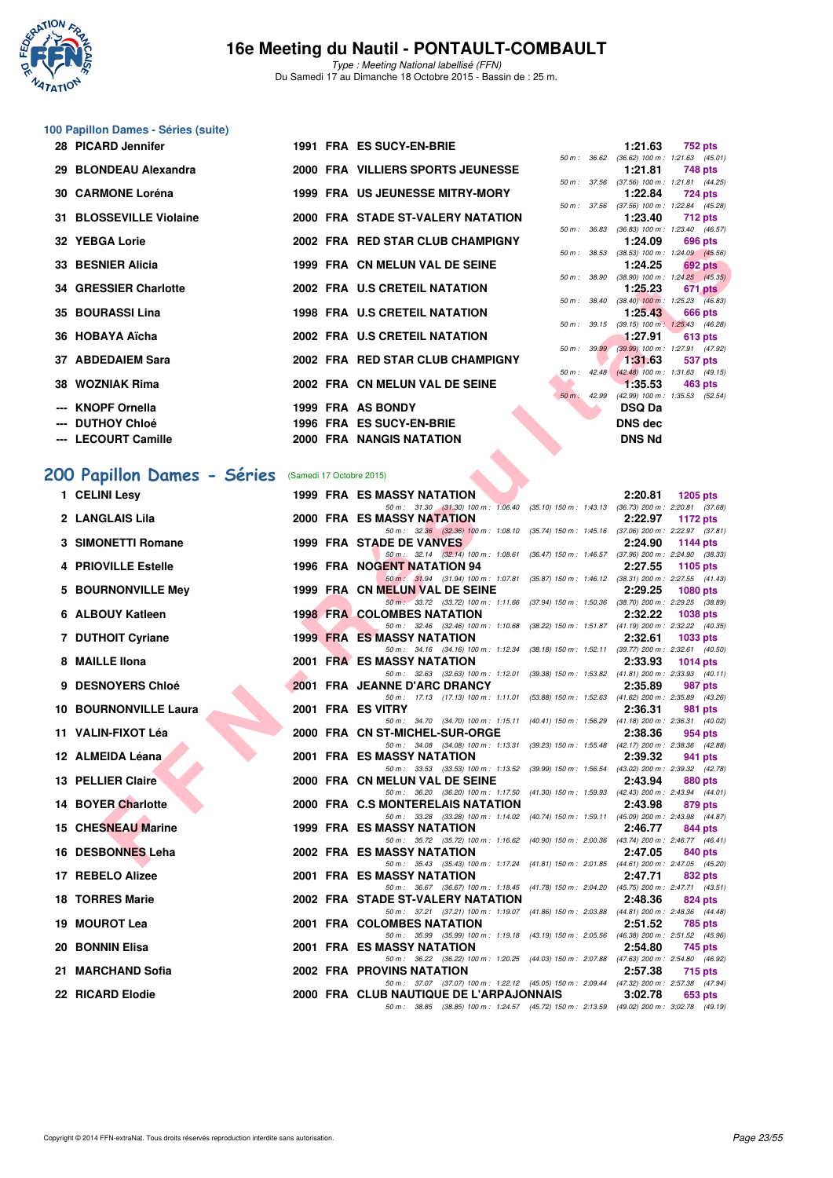

Type : Meeting National labellisé (FFN) Du Samedi 17 au Dimanche 18 Octobre 2015 - Bassin de : 25 m.

# **100 Papillon Dames - Séries (suite)**

| 28 PICARD Jennifer <b>Example 28</b> PICARD |  | 1991 FRA ES SUCY-EN-BRIE             |  | 1:21.63 752 pts                             |  |
|---------------------------------------------|--|--------------------------------------|--|---------------------------------------------|--|
|                                             |  |                                      |  | 50 m : 36.62 (36.62) 100 m : 1:21.63 (45.0) |  |
| 29 BLONDEAU Alexandra                       |  | 2000 FRA VILLIERS SPORTS JEUNESSE    |  | 1:21.81 748 pts                             |  |
|                                             |  |                                      |  | 50 m: 37.56 (37.56) 100 m: 1:21.81 (44.2)   |  |
| 30 CARMONE Loréna                           |  | 1999 FRA US JEUNESSE MITRY-MORY      |  | 1:22.84 724 pts                             |  |
|                                             |  |                                      |  | 50 m: 37.56 (37.56) 100 m: 1:22.84 (45.2    |  |
| 31 BLOSSEVILLE Violaine                     |  | 2000 FRA STADE ST-VALERY NATATION    |  | 1:23.40 712 pts                             |  |
|                                             |  |                                      |  | 50 m : 36.83 (36.83) 100 m : 1:23.40 (46.5  |  |
| 32 YEBGA Lorie                              |  | 2002 FRA RED STAR CLUB CHAMPIGNY     |  | 1:24.09 696 pts                             |  |
|                                             |  |                                      |  | 50 m: 38.53 (38.53) 100 m: 1:24.09 (45.5)   |  |
| 33 BESNIER Alicia                           |  | 1999 FRA CN MELUN VAL DE SEINE       |  | $1:24.25$ 692 pts                           |  |
|                                             |  |                                      |  | 50 m : 38.90 (38.90) 100 m : 1:24.25 (45.3  |  |
| 34 GRESSIER Charlotte                       |  | 2002 FRA U.S CRETEIL NATATION        |  | 1:25.23 671 pts                             |  |
|                                             |  |                                      |  | 50 m : 38.40 (38.40) 100 m : 1:25.23 (46.8  |  |
| 35 BOURASSI Lina                            |  | <b>1998 FRA U.S CRETEIL NATATION</b> |  | 1:25.43 666 pts                             |  |
|                                             |  |                                      |  | 50 m: 39.15 (39.15) 100 m: 1:25.43 (46.2)   |  |
| 36 HOBAYA Aïcha                             |  | 2002 FRA U.S CRETEIL NATATION        |  | $1:27.91$ 613 pts                           |  |
|                                             |  |                                      |  | 50 m : 39.99 (39.99) 100 m : 1:27.91 (47.9  |  |
| 37 ABDEDAIEM Sara                           |  | 2002 FRA RED STAR CLUB CHAMPIGNY     |  | $1:31.63$ 537 pts                           |  |
|                                             |  |                                      |  | 50 m: 42.48 (42.48) 100 m: 1:31.63 (49.1    |  |
| 38 WOZNIAK Rima                             |  | 2002 FRA CN MELUN VAL DE SEINE       |  | $-1:35.53$ 463 pts                          |  |
|                                             |  |                                      |  | 50 m : 42.99 (42.99) 100 m : 1:35.53 (52.5  |  |
| --- KNOPF Ornella                           |  | 1999 FRA AS BONDY                    |  | <b>DSQ Da</b>                               |  |
|                                             |  |                                      |  |                                             |  |
| --- DUTHOY Chloé                            |  | 1996 FRA ES SUCY-EN-BRIE             |  | DNS dec                                     |  |
| --- LECOURT Camille                         |  | <b>2000 FRA NANGIS NATATION</b>      |  | <b>DNS Nd</b>                               |  |
|                                             |  |                                      |  |                                             |  |

|  |  |  |  |  |  | 200 Papillon Dames - Séries (Samedi 17 Octobre 2015) |
|--|--|--|--|--|--|------------------------------------------------------|
|--|--|--|--|--|--|------------------------------------------------------|

| TEDUA LUIG                   |  | <b>ALD STAR ULUD UTAMFRINT</b>                                                                                                 |              | 1.44.05        | บฮบ pเจ                                                        |
|------------------------------|--|--------------------------------------------------------------------------------------------------------------------------------|--------------|----------------|----------------------------------------------------------------|
| 33 BESNIER Alicia            |  | 1999 FRA CN MELUN VAL DE SEINE                                                                                                 |              | 1:24.25        | 50 m : 38.53 (38.53) 100 m : 1:24.09 (45.56)<br><b>692 pts</b> |
| 34 GRESSIER Charlotte        |  | 2002 FRA U.S CRETEIL NATATION                                                                                                  | 50 m : 38.90 | 1:25.23        | $(38.90)$ 100 m : 1:24.25 $(45.35)$<br>671 pts                 |
|                              |  |                                                                                                                                |              |                | 50 m : 38.40 (38.40) 100 m : 1:25.23 (46.83)                   |
| 35 BOURASSI Lina             |  | 1998 FRA U.S CRETEIL NATATION                                                                                                  |              | 1:25.43        | 666 pts<br>50 m: 39.15 (39.15) 100 m: 1:25.43 (46.28)          |
| 36 HOBAYA Aïcha              |  | 2002 FRA U.S CRETEIL NATATION                                                                                                  |              | 1:27.91        | 613 pts                                                        |
| 37 ABDEDAIEM Sara            |  | 2002 FRA RED STAR CLUB CHAMPIGNY                                                                                               | 50 m : 39.99 | 1:31.63        | (39.99) 100 m : 1:27.91 (47.92)<br>537 pts                     |
|                              |  |                                                                                                                                |              |                | 50 m: 42.48 (42.48) 100 m: 1:31.63 (49.15)                     |
| 38 WOZNIAK Rima              |  | 2002 FRA CN MELUN VAL DE SEINE                                                                                                 | 50 m: 42.99  | 1:35.53        | 463 pts<br>(42.99) 100 m: 1:35.53 (52.54)                      |
| <b>KNOPF Ornella</b>         |  | 1999 FRA AS BONDY                                                                                                              |              | <b>DSQ Da</b>  |                                                                |
| <b>DUTHOY Chloé</b>          |  | 1996 FRA ES SUCY-EN-BRIE                                                                                                       |              | <b>DNS dec</b> |                                                                |
| --- LECOURT Camille          |  | 2000 FRA NANGIS NATATION                                                                                                       |              | <b>DNS Nd</b>  |                                                                |
|                              |  |                                                                                                                                |              |                |                                                                |
| 00 Papillon Dames - Séries   |  | (Samedi 17 Octobre 2015)                                                                                                       |              |                |                                                                |
| 1 CELINI Lesy                |  | <b>1999 FRA ES MASSY NATATION</b>                                                                                              |              | 2:20.81        | <b>1205 pts</b>                                                |
| 2 LANGLAIS Lila              |  | 50 m: 31.30 (31.30) 100 m: 1:06.40 (35.10) 150 m: 1:43.13 (36.73) 200 m: 2:20.81 (37.68)<br><b>2000 FRA ES MASSY NATATION</b>  |              | 2:22.97        | 1172 pts                                                       |
|                              |  | 50 m: 32.36 (32.36) 100 m: 1:08.10 (35.74) 150 m: 1:45.16 (37.06) 200 m: 2:22.97 (37.81)                                       |              |                |                                                                |
| 3 SIMONETTI Romane           |  | 1999 FRA STADE DE VANVES<br>50 m: 32.14 (32.14) 100 m: 1:08.61 (36.47) 150 m: 1:46.57 (37.96) 200 m: 2:24.90 (38.33)           |              | 2:24.90        | 1144 pts                                                       |
| 4 PRIOVILLE Estelle          |  | 1996 FRA NOGENT NATATION 94                                                                                                    |              | 2:27.55        | 1105 pts                                                       |
| 5 BOURNONVILLE Mey           |  | 50 m : 31.94 (31.94) 100 m : 1:07.81 (35.87) 150 m : 1:46.12 (38.31) 200 m : 2:27.55 (41.43)<br>1999 FRA CN MELUN VAL DE SEINE |              | 2:29.25        | <b>1080 pts</b>                                                |
|                              |  | 50 m: 33.72 (33.72) 100 m: 1:11.66 (37.94) 150 m: 1:50.36 (38.70) 200 m: 2:29.25 (38.89)                                       |              |                |                                                                |
| 6 ALBOUY Katleen             |  | <b>1998 FRA COLOMBES NATATION</b><br>50 m: 32.46 (32.46) 100 m: 1:10.68 (38.22) 150 m: 1:51.87 (41.19) 200 m: 2:32.22 (40.35)  |              | 2:32.22        | <b>1038 pts</b>                                                |
| 7 DUTHOIT Cyriane            |  | <b>1999 FRA ES MASSY NATATION</b>                                                                                              |              | 2:32.61        | <b>1033 pts</b>                                                |
| 8 MAILLE IIona               |  | 50 m: 34.16 (34.16) 100 m: 1:12.34 (38.18) 150 m: 1:52.11 (39.77) 200 m: 2:32.61 (40.50)<br><b>2001 FRA ES MASSY NATATION</b>  |              | 2:33.93        | 1014 $pts$                                                     |
|                              |  | 50 m: 32.63 (32.63) 100 m: 1:12.01 (39.38) 150 m: 1:53.82 (41.81) 200 m: 2:33.93 (40.11)                                       |              |                |                                                                |
| 9 DESNOYERS Chloé            |  | 2001 FRA JEANNE D'ARC DRANCY<br>50 m: 17.13 (17.13) 100 m: 1:11.01 (53.88) 150 m: 1:52.63 (41.62) 200 m: 2:35.89 (43.26)       |              | 2:35.89        | 987 pts                                                        |
| <b>10 BOURNONVILLE Laura</b> |  | 2001 FRA ES VITRY                                                                                                              |              | 2:36.31        | 981 pts                                                        |
| 11 VALIN-FIXOT Léa           |  | 50 m: 34.70 (34.70) 100 m: 1:15.11 (40.41) 150 m: 1:56.29 (41.18) 200 m: 2:36.31 (40.02)<br>2000 FRA CN ST-MICHEL-SUR-ORGE     |              | 2:38.36        | 954 pts                                                        |
|                              |  | 50 m: 34.08 (34.08) 100 m: 1:13.31 (39.23) 150 m: 1:55.48 (42.17) 200 m: 2:38.36 (42.88)                                       |              |                |                                                                |
| 12 ALMEIDA Léana             |  | <b>2001 FRA ES MASSY NATATION</b><br>50 m: 33.53 (33.53) 100 m: 1:13.52 (39.99) 150 m: 1:56.54 (43.02) 200 m: 2:39.32 (42.78)  |              | 2:39.32        | 941 pts                                                        |
| 13 PELLIER Claire            |  | 2000 FRA CN MELUN VAL DE SEINE                                                                                                 |              | 2:43.94        | 880 pts                                                        |
| 14 BOYER Charlotte           |  | 50 m: 36.20 (36.20) 100 m: 1:17.50 (41.30) 150 m: 1:59.93 (42.43) 200 m: 2:43.94 (44.01)<br>2000 FRA C.S MONTERELAIS NATATION  |              | 2:43.98        | 879 pts                                                        |
|                              |  | 50 m: 33.28 (33.28) 100 m: 1:14.02 (40.74) 150 m: 1:59.11 (45.09) 200 m: 2:43.98 (44.87)                                       |              |                |                                                                |
| <b>15 CHESNEAU Marine</b>    |  | <b>1999 FRA ES MASSY NATATION</b><br>50 m: 35.72 (35.72) 100 m: 1:16.62 (40.90) 150 m: 2:00.36 (43.74) 200 m: 2:46.77 (46.41)  |              | 2:46.77        | 844 pts                                                        |
| 16 DESBONNES Leha            |  | 2002 FRA ES MASSY NATATION                                                                                                     |              | 2:47.05        | 840 pts                                                        |
| 17 REBELO Alizee             |  | 50 m: 35.43 (35.43) 100 m: 1:17.24 (41.81) 150 m: 2:01.85 (44.61) 200 m: 2:47.05 (45.20)<br>2001 FRA ES MASSY NATATION         |              | 2:47.71        | 832 pts                                                        |
|                              |  | 50 m : 36.67 (36.67) 100 m : 1:18.45 (41.78) 150 m : 2:04.20                                                                   |              |                | (45.75) 200 m : 2:47.71 (43.51)                                |
| <b>18 TORRES Marie</b>       |  | 2002 FRA STADE ST-VALERY NATATION<br>50 m: 37.21 (37.21) 100 m: 1:19.07 (41.86) 150 m: 2:03.88 (44.81) 200 m: 2:48.36 (44.48)  |              | 2:48.36        | 824 pts                                                        |
| 19 MOUROT Lea                |  | 2001 FRA COLOMBES NATATION                                                                                                     |              | 2:51.52        | 785 pts                                                        |
| 20 BONNIN Elisa              |  | 50 m: 35.99 (35.99) 100 m: 1:19.18 (43.19) 150 m: 2:05.56 (46.38) 200 m: 2:51.52 (45.96)<br>2001 FRA ES MASSY NATATION         |              | 2:54.80        |                                                                |
|                              |  | 50 m: 36.22 (36.22) 100 m: 1:20.25 (44.03) 150 m: 2:07.88 (47.63) 200 m: 2:54.80 (46.92)                                       |              |                | 745 pts                                                        |
| 21 MARCHAND Sofia            |  | 2002 FRA PROVINS NATATION<br>50 m: 37.07 (37.07) 100 m: 1:22.12 (45.05) 150 m: 2:09.44 (47.32) 200 m: 2:57.38 (47.94)          |              | 2:57.38        | 715 pts                                                        |
| 22 RICARD Elodie             |  | 2000 FRA CLUB NAUTIQUE DE L'ARPAJONNAIS                                                                                        |              | 3:02.78        | 653 pts                                                        |

50 m : 38.85 (38.85) 100 m : 1:24.57 (45.72) 150 m : 2:13.59 (49.02) 200 m : 3:02.78 (49.19)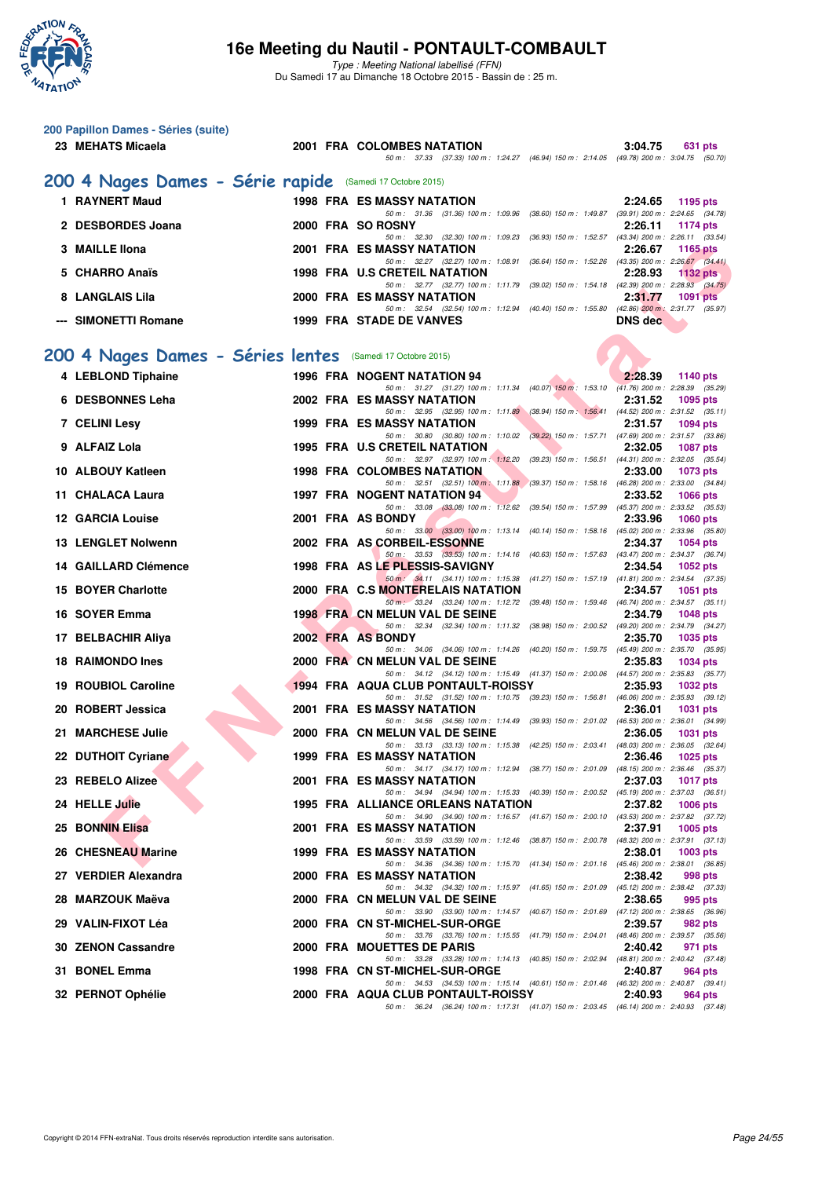

Type : Meeting National labellisé (FFN) Du Samedi 17 au Dimanche 18 Octobre 2015 - Bassin de : 25 m.

| 200 Papillon Dames - Séries (suite)                                         |  |                                                                                                                                |                |                 |
|-----------------------------------------------------------------------------|--|--------------------------------------------------------------------------------------------------------------------------------|----------------|-----------------|
| 23 MEHATS Micaela                                                           |  | 2001 FRA COLOMBES NATATION<br>50 m: 37.33 (37.33) 100 m: 1:24.27 (46.94) 150 m: 2:14.05 (49.78) 200 m: 3:04.75 (50.70)         | 3:04.75        | 631 pts         |
|                                                                             |  |                                                                                                                                |                |                 |
| 200 4 Nages Dames - Série rapide (Samedi 17 Octobre 2015)<br>1 RAYNERT Maud |  |                                                                                                                                |                |                 |
|                                                                             |  | <b>1998 FRA ES MASSY NATATION</b><br>50 m: 31.36 (31.36) 100 m: 1:09.96 (38.60) 150 m: 1:49.87 (39.91) 200 m: 2:24.65 (34.78)  | 2:24.65        | 1195 pts        |
| 2 DESBORDES Joana                                                           |  | 2000 FRA SO ROSNY<br>50 m: 32.30 (32.30) 100 m: 1:09.23 (36.93) 150 m: 1:52.57 (43.34) 200 m: 2:26.11 (33.54)                  | 2:26.11        | 1174 pts        |
| 3 MAILLE IIona                                                              |  | 2001 FRA ES MASSY NATATION<br>50 m: 32.27 (32.27) 100 m: 1.08.91 (36.64) 150 m: 1.52.26 (43.35) 200 m: 2.26.67 (34.41)         | 2:26.67        | 1165 pts        |
| 5 CHARRO Anaïs                                                              |  | 1998 FRA U.S CRETEIL NATATION                                                                                                  | 2:28.93        | <b>1132 pts</b> |
| 8 LANGLAIS Lila                                                             |  | 50 m: 32.77 (32.77) 100 m: 1:11.79 (39.02) 150 m: 1:54.18 (42.39) 200 m: 2:28.93 (34.75)<br>2000 FRA ES MASSY NATATION         | 2:31.77        | <b>1091 pts</b> |
| --- SIMONETTI Romane                                                        |  | 50 m: 32.54 (32.54) 100 m: 1:12.94 (40.40) 150 m: 1:55.80 (42.86) 200 m: 2:31.77 (35.97)<br><b>1999 FRA STADE DE VANVES</b>    | <b>DNS</b> dec |                 |
|                                                                             |  |                                                                                                                                |                |                 |
| 200 4 Nages Dames - Séries lentes (Samedi 17 Octobre 2015)                  |  |                                                                                                                                |                |                 |
| 4 LEBLOND Tiphaine                                                          |  | 1996 FRA NOGENT NATATION 94                                                                                                    | 2:28.39        | 1140 pts        |
| 6 DESBONNES Leha                                                            |  | 50 m: 31.27 (31.27) 100 m: 1:11.34 (40.07) 150 m: 1:53.10 (41.76) 200 m: 2:28.39 (35.29)<br>2002 FRA ES MASSY NATATION         | 2:31.52        | 1095 pts        |
| 7 CELINI Lesy                                                               |  | 50 m: 32.95 (32.95) 100 m: 1:11.89 (38.94) 150 m: 1:56.41 (44.52) 200 m: 2:31.52 (35.11)<br>1999 FRA ES MASSY NATATION         | 2:31.57        | <b>1094 pts</b> |
|                                                                             |  | 50 m: 30.80 (30.80) 100 m: 1:10.02 (39.22) 150 m: 1:57.71 (47.69) 200 m: 2:31.57 (33.86)                                       |                |                 |
| 9 ALFAIZ Lola                                                               |  | 1995 FRA U.S CRETEIL NATATION<br>50 m: 32.97 (32.97) 100 m: 1:12.20 (39.23) 150 m: 1:56.51 (44.31) 200 m: 2:32.05 (35.54)      | 2:32.05        | <b>1087 pts</b> |
| 10 ALBOUY Katleen                                                           |  | <b>1998 FRA COLOMBES NATATION</b><br>50 m: 32.51 (32.51) 100 m: 1:11.88 (39.37) 150 m: 1:58.16 (46.28) 200 m: 2:33.00 (34.84)  | 2:33.00        | 1073 pts        |
| 11 CHALACA Laura                                                            |  | 1997 FRA NOGENT NATATION 94<br>50 m: 33.08 (33.08) 100 m: 1:12.62 (39.54) 150 m: 1:57.99 (45.37) 200 m: 2:33.52 (35.53)        | 2:33.52        | <b>1066 pts</b> |
| 12 GARCIA Louise                                                            |  | 2001 FRA AS BONDY                                                                                                              | 2:33.96        | <b>1060 pts</b> |
| <b>13 LENGLET Nolwenn</b>                                                   |  | 50 m: 33.00 (33.00) 100 m: 1:13.14 (40.14) 150 m: 1:58.16 (45.02) 200 m: 2:33.96 (35.80)<br>2002 FRA AS CORBEIL-ESSONNE        | 2:34.37        | <b>1054 pts</b> |
| 14 GAILLARD Clémence                                                        |  | 50 m: 33.53 (33.53) 100 m: 1:14.16 (40.63) 150 m: 1:57.63 (43.47) 200 m: 2:34.37 (36.74)<br>1998 FRA AS LE PLESSIS-SAVIGNY     | 2:34.54        | <b>1052 pts</b> |
| <b>15 BOYER Charlotte</b>                                                   |  | 50 m: 34.11 (34.11) 100 m: 1:15.38 (41.27) 150 m: 1:57.19 (41.81) 200 m: 2:34.54 (37.35)<br>2000 FRA C.S MONTERELAIS NATATION  | 2:34.57        | 1051 pts        |
|                                                                             |  | 50 m · 33.24 (33.24) 100 m : 1:12.72 (39.48) 150 m : 1:59.46 (46.74) 200 m : 2:34.57 (35.11)                                   |                |                 |
| 16 SOYER Emma                                                               |  | 1998 FRA CN MELUN VAL DE SEINE<br>50 m: 32.34 (32.34) 100 m: 1:11.32 (38.98) 150 m: 2:00.52 (49.20) 200 m: 2:34.79 (34.27)     | 2:34.79        | <b>1048 pts</b> |
| 17 BELBACHIR Aliya                                                          |  | 2002 FRA AS BONDY<br>50 m: 34.06 (34.06) 100 m: 1:14.26 (40.20) 150 m: 1:59.75 (45.49) 200 m: 2:35.70 (35.95)                  | 2:35.70        | 1035 pts        |
| <b>18 RAIMONDO Ines</b>                                                     |  | 2000 FRA CN MELUN VAL DE SEINE                                                                                                 | 2:35.83        | <b>1034 pts</b> |
| 19 ROUBIOL Caroline                                                         |  | 50 m: 34.12 (34.12) 100 m: 1:15.49 (41.37) 150 m: 2:00.06 (44.57) 200 m: 2:35.83 (35.77)<br>1994 FRA AQUA CLUB PONTAULT-ROISSY | 2:35.93        | <b>1032 pts</b> |
| 20 ROBERT Jessica                                                           |  | 50 m: 31.52 (31.52) 100 m: 1:10.75 (39.23) 150 m: 1:56.81 (46.06) 200 m: 2:35.93 (39.12)<br>2001 FRA ES MASSY NATATION         | 2:36.01        | <b>1031 pts</b> |
| 21 MARCHESE Julie                                                           |  | 50 m: 34.56 (34.56) 100 m: 1:14.49 (39.93) 150 m: 2:01.02 (46.53) 200 m: 2:36.01 (34.99)<br>2000 FRA CN MELUN VAL DE SEINE     | 2:36.05        | <b>1031 pts</b> |
|                                                                             |  | 50 m: 33.13 (33.13) 100 m: 1:15.38 (42.25) 150 m: 2:03.41 (48.03) 200 m: 2:36.05 (32.64)<br><b>1999 FRA ES MASSY NATATION</b>  |                |                 |
| 22 DUTHOIT Cyriane                                                          |  | 50 m: 34.17 (34.17) 100 m: 1:12.94 (38.77) 150 m: 2:01.09 (48.15) 200 m: 2:36.46 (35.37)                                       | 2:36.46        | <b>1025 pts</b> |
| 23 REBELO Alizee                                                            |  | 2001 FRA ES MASSY NATATION<br>50 m: 34.94 (34.94) 100 m: 1:15.33 (40.39) 150 m: 2:00.52 (45.19) 200 m: 2:37.03 (36.51)         | 2:37.03        | <b>1017 pts</b> |
| 24 HELLE Julie                                                              |  | 1995 FRA ALLIANCE ORLEANS NATATION<br>50 m: 34.90 (34.90) 100 m: 1:16.57 (41.67) 150 m: 2:00.10 (43.53) 200 m: 2:37.82 (37.72) | 2:37.82        | <b>1006 pts</b> |
| <b>25 BONNIN Elisa</b>                                                      |  | <b>2001 FRA ES MASSY NATATION</b>                                                                                              | 2:37.91        | 1005 pts        |
| <b>26 CHESNEAU Marine</b>                                                   |  | 50 m: 33.59 (33.59) 100 m: 1:12.46 (38.87) 150 m: 2:00.78 (48.32) 200 m: 2:37.91 (37.13)<br>1999 FRA ES MASSY NATATION         | 2:38.01        | $1003$ pts      |
| 27 VERDIER Alexandra                                                        |  | 50 m: 34.36 (34.36) 100 m: 1.15.70 (41.34) 150 m: 2:01.16 (45.46) 200 m: 2:38.01 (36.85)<br>2000 FRA ES MASSY NATATION         | 2:38.42        | 998 pts         |
| 28 MARZOUK Maëva                                                            |  | 50 m: 34.32 (34.32) 100 m: 1:15.97 (41.65) 150 m: 2:01.09 (45.12) 200 m: 2:38.42 (37.33)<br>2000 FRA CN MELUN VAL DE SEINE     | 2:38.65        | 995 pts         |
|                                                                             |  | 50 m: 33.90 (33.90) 100 m: 1:14.57 (40.67) 150 m: 2:01.69 (47.12) 200 m: 2:38.65 (36.96)                                       |                |                 |
| 29 VALIN-FIXOT Léa                                                          |  | 2000 FRA CN ST-MICHEL-SUR-ORGE<br>50 m: 33.76 (33.76) 100 m: 1:15.55 (41.79) 150 m: 2:04.01 (48.46) 200 m: 2:39.57 (35.56)     | 2:39.57        | 982 pts         |
| 30 ZENON Cassandre                                                          |  | 2000 FRA MOUETTES DE PARIS<br>50 m: 33.28 (33.28) 100 m: 1:14.13 (40.85) 150 m: 2:02.94 (48.81) 200 m: 2:40.42 (37.48)         | 2:40.42        | 971 pts         |
| 31 BONEL Emma                                                               |  | 1998 FRA CN ST-MICHEL-SUR-ORGE<br>50 m: 34.53 (34.53) 100 m: 1:15.14 (40.61) 150 m: 2:01.46 (46.32) 200 m: 2:40.87 (39.41)     | 2:40.87        | 964 pts         |
| 32 PERNOT Ophélie                                                           |  | 2000 FRA AQUA CLUB PONTAULT-ROISSY                                                                                             | 2:40.93        | 964 pts         |
|                                                                             |  | 50 m: 36.24 (36.24) 100 m: 1:17.31 (41.07) 150 m: 2:03.45 (46.14) 200 m: 2:40.93 (37.48)                                       |                |                 |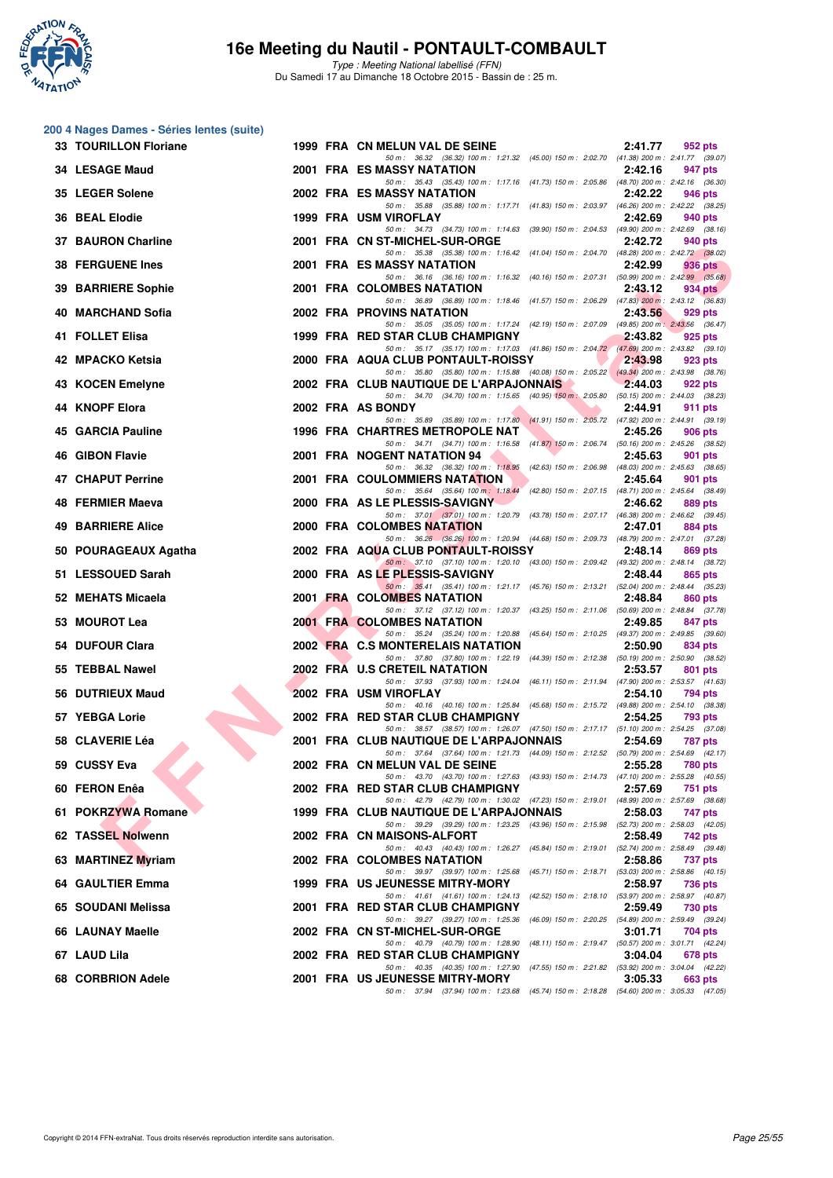

Type : Meeting National labellisé (FFN) Du Samedi 17 au Dimanche 18 Octobre 2015 - Bassin de : 25 m.

#### **200 4 Nages Dames - Séries lentes (suite)**

| 33 TOURILLON Floriane     |  | 1999 FRA CN MELUN VAL DE SEINE                                                                                                      | 2:41.77 | 952 pts        |
|---------------------------|--|-------------------------------------------------------------------------------------------------------------------------------------|---------|----------------|
| 34 LESAGE Maud            |  | 50 m: 36.32 (36.32) 100 m: 1:21.32 (45.00) 150 m: 2:02.70 (41.38) 200 m: 2:41.77 (39.07)<br>2001 FRA ES MASSY NATATION              | 2:42.16 | 947 pts        |
| 35 LEGER Solene           |  | 50 m: 35.43 (35.43) 100 m: 1:17.16 (41.73) 150 m: 2:05.86 (48.70) 200 m: 2:42.16 (36.30)<br>2002 FRA ES MASSY NATATION              | 2:42.22 | 946 pts        |
| 36 BEAL Elodie            |  | 50 m: 35.88 (35.88) 100 m: 1:17.71 (41.83) 150 m: 2:03.97 (46.26) 200 m: 2:42.22 (38.25)<br>1999 FRA USM VIROFLAY                   | 2:42.69 | 940 pts        |
| 37 BAURON Charline        |  | 50 m: 34.73 (34.73) 100 m: 1:14.63 (39.90) 150 m: 2:04.53 (49.90) 200 m: 2:42.69 (38.16)<br>2001 FRA CN ST-MICHEL-SUR-ORGE          | 2:42.72 | 940 pts        |
| <b>38 FERGUENE Ines</b>   |  | 50 m: 35.38 (35.38) 100 m: 1:16.42 (41.04) 150 m: 2:04.70 (48.28) 200 m: 2:42.72 (38.02)<br>2001 FRA ES MASSY NATATION              | 2:42.99 | 936 pts        |
| <b>39 BARRIERE Sophie</b> |  | 50 m: 36.16 (36.16) 100 m: 1:16.32 (40.16) 150 m: 2:07.31 (50.99) 200 m: 2:42.99 (35.68)<br>2001 FRA COLOMBES NATATION              | 2:43.12 | 934 pts        |
| 40 MARCHAND Sofia         |  | 50 m: 36.89 (36.89) 100 m: 1:18.46 (41.57) 150 m: 2:06.29 (47.83) 200 m: 2:43.12 (36.83)<br>2002 FRA PROVINS NATATION               | 2:43.56 | 929 pts        |
| 41 FOLLET Elisa           |  | 50 m: 35.05 (35.05) 100 m: 1:17.24 (42.19) 150 m: 2:07.09 (49.85) 200 m: 2:43.56 (36.47)<br>1999 FRA RED STAR CLUB CHAMPIGNY        | 2:43.82 | 925 pts        |
| 42 MPACKO Ketsia          |  | 50 m: 35.17 (35.17) 100 m: 1:17.03 (41.86) 150 m: 2:04.72 (47.69) 200 m: 2:43.82 (39.10)<br>2000 FRA AQUA CLUB PONTAULT-ROISSY      | 2:43.98 | 923 pts        |
| 43 KOCEN Emelyne          |  | 50 m: 35.80 (35.80) 100 m: 1:15.88 (40.08) 150 m: 2:05.22 (49.34) 200 m: 2:43.98 (38.76)<br>2002 FRA CLUB NAUTIQUE DE L'ARPAJONNAIS | 2:44.03 | 922 pts        |
| 44 KNOPF Elora            |  | 50 m: 34.70 (34.70) 100 m: 1:15.65 (40.95) 150 m: 2:05.80 (50.15) 200 m: 2:44.03 (38.23)<br>2002 FRA AS BONDY                       | 2:44.91 | 911 pts        |
| 45 GARCIA Pauline         |  | 50 m: 35.89 (35.89) 100 m: 1:17.80 (41.91) 150 m: 2:05.72 (47.92) 200 m: 2:44.91 (39.19)<br>1996 FRA CHARTRES METROPOLE NAT         | 2:45.26 | 906 pts        |
| 46 GIBON Flavie           |  | 50 m: 34.71 (34.71) 100 m: 1:16.58 (41.87) 150 m: 2:06.74 (50.16) 200 m: 2:45.26 (38.52)                                            |         |                |
|                           |  | 2001 FRA NOGENT NATATION 94<br>50 m: 36.32 (36.32) 100 m: 1:18.95 (42.63) 150 m: 2:06.98 (48.03) 200 m: 2:45.63 (38.65)             | 2:45.63 | 901 pts        |
| <b>47 CHAPUT Perrine</b>  |  | <b>2001 FRA COULOMMIERS NATATION</b><br>50 m: 35.64 (35.64) 100 m: 1:18.44 (42.80) 150 m: 2:07.15 (48.71) 200 m: 2:45.64 (38.49)    | 2:45.64 | 901 pts        |
| 48 FERMIER Maeva          |  | 2000 FRA AS LE PLESSIS-SAVIGNY<br>50 m: 37.01 (37.01) 100 m: 1:20.79 (43.78) 150 m: 2:07.17 (46.38) 200 m: 2:46.62 (39.45)          | 2:46.62 | 889 pts        |
| <b>49 BARRIERE Alice</b>  |  | 2000 FRA COLOMBES NATATION<br>50 m: 36.26 (36.26) 100 m: 1:20.94 (44.68) 150 m: 2:09.73 (48.79) 200 m: 2:47.01 (37.28)              | 2:47.01 | 884 pts        |
| 50 POURAGEAUX Agatha      |  | 2002 FRA AQUA CLUB PONTAULT-ROISSY<br>50 m: 37.10 (37.10) 100 m: 1:20.10 (43.00) 150 m: 2:09.42 (49.32) 200 m: 2:48.14 (38.72)      | 2:48.14 | 869 pts        |
| 51 LESSOUED Sarah         |  | 2000 FRA AS LE PLESSIS-SAVIGNY<br>50 m: 35.41 (35.41) 100 m: 1:21.17 (45.76) 150 m: 2:13.21 (52.04) 200 m: 2:48.44 (35.23)          | 2:48.44 | 865 pts        |
| 52 MEHATS Micaela         |  | 2001 FRA COLOMBES NATATION<br>50 m: 37.12 (37.12) 100 m: 1:20.37 (43.25) 150 m: 2:11.06 (50.69) 200 m: 2:48.84 (37.78)              | 2:48.84 | 860 pts        |
| 53 MOUROT Lea             |  | 2001 FRA COLOMBES NATATION<br>50 m: 35.24 (35.24) 100 m: 1:20.88 (45.64) 150 m: 2:10.25 (49.37) 200 m: 2:49.85 (39.60)              | 2:49.85 | 847 pts        |
| 54 DUFOUR Clara           |  | 2002 FRA C.S MONTERELAIS NATATION<br>50 m: 37.80 (37.80) 100 m: 1:22.19 (44.39) 150 m: 2:12.38 (50.19) 200 m: 2:50.90 (38.52)       | 2:50.90 | 834 pts        |
| 55 TEBBAL Nawel           |  | 2002 FRA U.S CRETEIL NATATION<br>50 m: 37.93 (37.93) 100 m: 1:24.04 (46.11) 150 m: 2:11.94 (47.90) 200 m: 2:53.57 (41.63)           | 2:53.57 | 801 pts        |
| 56 DUTRIEUX Maud          |  | 2002 FRA USM VIROFLAY<br>50 m: 40.16 (40.16) 100 m: 1:25.84 (45.68) 150 m: 2:15.72 (49.88) 200 m: 2:54.10 (38.38)                   | 2:54.10 | 794 pts        |
| 57 YEBGA Lorie            |  | 2002 FRA RED STAR CLUB CHAMPIGNY<br>50 m: 38.57 (38.57) 100 m: 1:26.07 (47.50) 150 m: 2:17.17 (51.10) 200 m: 2:54.25 (37.08)        | 2:54.25 | <b>793 pts</b> |
| 58 CLAVERIE Léa           |  | 2001 FRA CLUB NAUTIQUE DE L'ARPAJONNAIS<br>50 m: 37.64 (37.64) 100 m: 1:21.73 (44.09) 150 m: 2:12.52 (50.79) 200 m: 2:54.69 (42.17) | 2:54.69 | <b>787 pts</b> |
| 59 CUSSY Eva              |  | 2002 FRA CN MELUN VAL DE SEINE<br>50 m: 43.70 (43.70) 100 m: 1:27.63 (43.93) 150 m: 2:14.73 (47.10) 200 m: 2:55.28 (40.55)          | 2:55.28 | <b>780 pts</b> |
| 60 FERON Enêa             |  | 2002 FRA RED STAR CLUB CHAMPIGNY                                                                                                    | 2:57.69 | 751 pts        |
| 61 POKRZYWA Romane        |  | 50 m: 42.79 (42.79) 100 m: 1:30.02 (47.23) 150 m: 2:19.01 (48.99) 200 m: 2:57.69 (38.68)<br>1999 FRA CLUB NAUTIQUE DE L'ARPAJONNAIS | 2:58.03 | 747 pts        |
| 62 TASSEL Nolwenn         |  | 50 m : 39.29 (39.29) 100 m : 1:23.25 (43.96) 150 m : 2:15.98 (52.73) 200 m : 2:58.03 (42.05)<br>2002 FRA CN MAISONS-ALFORT          | 2:58.49 | 742 pts        |
| 63 MARTINEZ Myriam        |  | 50 m: 40.43 (40.43) 100 m: 1:26.27<br>(45.84) 150 m : 2:19.01 (52.74) 200 m : 2:58.49 (39.48)<br>2002 FRA COLOMBES NATATION         | 2:58.86 | <b>737 pts</b> |
| 64 GAULTIER Emma          |  | 50 m: 39.97 (39.97) 100 m: 1:25.68<br>(45.71) 150 m : 2:18.71 (53.03) 200 m : 2:58.86 (40.15)<br>1999 FRA US JEUNESSE MITRY-MORY    | 2:58.97 | <b>736 pts</b> |
| 65 SOUDANI Melissa        |  | (42.52) 150 m : 2:18.10 (53.97) 200 m : 2:58.97 (40.87)<br>50 m: 41.61 (41.61) 100 m: 1:24.13<br>2001 FRA RED STAR CLUB CHAMPIGNY   | 2:59.49 | 730 pts        |
| 66 LAUNAY Maelle          |  | 50 m: 39.27 (39.27) 100 m: 1:25.36<br>(46.09) 150 m : 2:20.25 (54.89) 200 m : 2:59.49 (39.24)<br>2002 FRA CN ST-MICHEL-SUR-ORGE     | 3:01.71 | 704 pts        |
| 67 LAUD Lila              |  | 50 m: 40.79 (40.79) 100 m: 1:28.90<br>(48.11) 150 m: 2:19.47 (50.57) 200 m: 3:01.71 (42.24)<br>2002 FRA RED STAR CLUB CHAMPIGNY     | 3:04.04 | 678 pts        |
| 68 CORBRION Adele         |  | 50 m : 40.35 (40.35) 100 m : 1:27.90<br>(47.55) 150 m : 2:21.82 (53.92) 200 m : 3:04.04 (42.22)<br>2001 FRA US JEUNESSE MITRY-MORY  | 3:05.33 | 663 pts        |
|                           |  | 50 m: 37.94 (37.94) 100 m: 1:23.68 (45.74) 150 m: 2:18.28 (54.60) 200 m: 3:05.33 (47.05)                                            |         |                |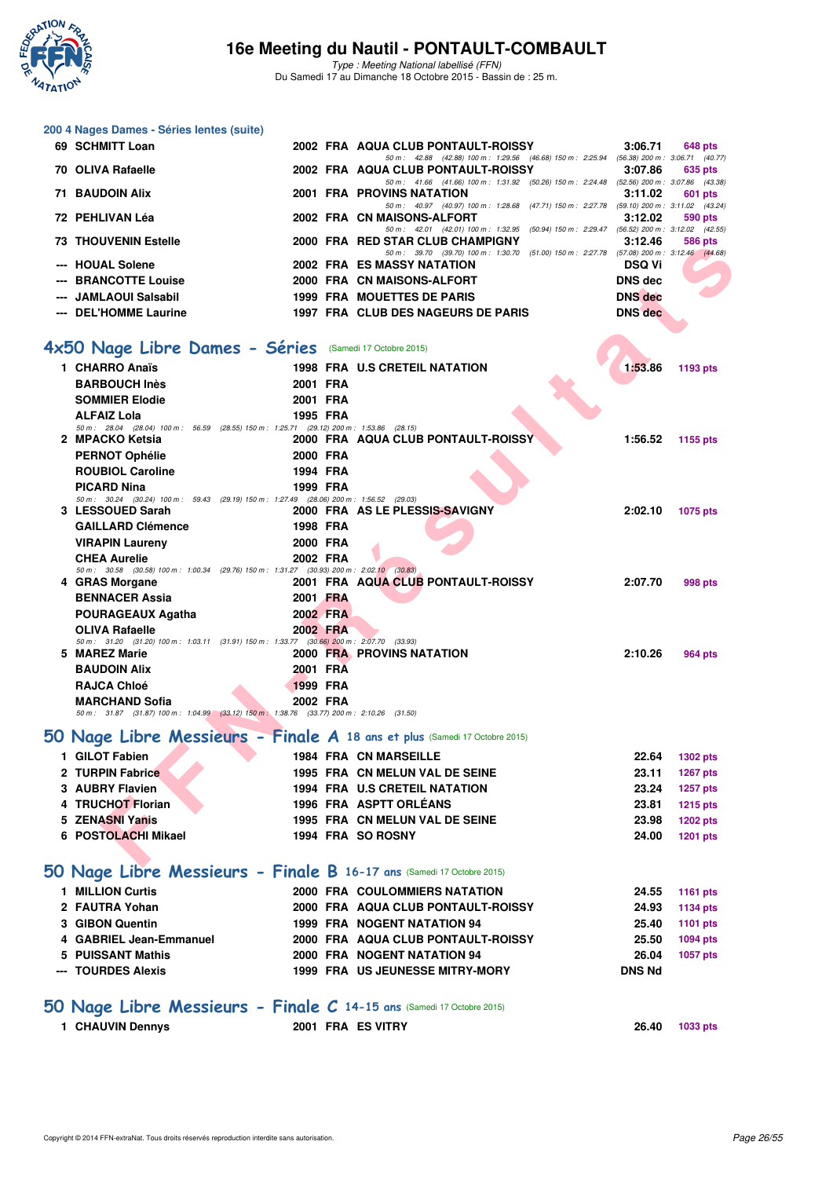

Type : Meeting National labellisé (FFN) Du Samedi 17 au Dimanche 18 Octobre 2015 - Bassin de : 25 m.

| 200 4 Nages Dames - Séries lentes (suite)                                                                         |                 |                                                                                                                                                                                                                          |                |                 |
|-------------------------------------------------------------------------------------------------------------------|-----------------|--------------------------------------------------------------------------------------------------------------------------------------------------------------------------------------------------------------------------|----------------|-----------------|
| 69 SCHMITT Loan                                                                                                   |                 | 2002 FRA AQUA CLUB PONTAULT-ROISSY                                                                                                                                                                                       | 3:06.71        | 648 pts         |
| 70 OLIVA Rafaelle                                                                                                 |                 | 50 m: 42.88 (42.88) 100 m: 1:29.56 (46.68) 150 m: 2:25.94 (56.38) 200 m: 3:06.71 (40.77)<br>2002 FRA AQUA CLUB PONTAULT-ROISSY                                                                                           | 3:07.86        | 635 pts         |
| <b>71 BAUDOIN Alix</b>                                                                                            |                 | 50 m: 41.66 (41.66) 100 m: 1:31.92 (50.26) 150 m: 2:24.48 (52.56) 200 m: 3:07.86 (43.38)<br><b>2001 FRA PROVINS NATATION</b><br>50 m: 40.97 (40.97) 100 m: 1:28.68 (47.71) 150 m: 2:27.78 (59.10) 200 m: 3:11.02 (43.24) | 3:11.02        | 601 pts         |
| 72 PEHLIVAN Léa                                                                                                   |                 | 2002 FRA CN MAISONS-ALFORT<br>50 m: 42.01 (42.01) 100 m: 1:32.95 (50.94) 150 m: 2:29.47 (56.52) 200 m: 3:12.02 (42.55)                                                                                                   | 3:12.02        | 590 pts         |
| <b>73 THOUVENIN Estelle</b>                                                                                       |                 | 2000 FRA RED STAR CLUB CHAMPIGNY<br>50 m: 39.70 (39.70) 100 m: 1:30.70 (51.00) 150 m: 2:27.78 (57.08) 200 m: 3:12.46 (44.68)                                                                                             | 3:12.46        | 586 pts         |
| --- HOUAL Solene                                                                                                  |                 | 2002 FRA ES MASSY NATATION                                                                                                                                                                                               | <b>DSQ Vi</b>  |                 |
| --- BRANCOTTE Louise                                                                                              |                 | 2000 FRA CN MAISONS-ALFORT                                                                                                                                                                                               | <b>DNS dec</b> |                 |
| --- JAMLAOUI Salsabil                                                                                             |                 | 1999 FRA MOUETTES DE PARIS                                                                                                                                                                                               | <b>DNS</b> dec |                 |
| --- DEL'HOMME Laurine                                                                                             |                 | 1997 FRA CLUB DES NAGEURS DE PARIS                                                                                                                                                                                       | <b>DNS</b> dec |                 |
|                                                                                                                   |                 |                                                                                                                                                                                                                          |                |                 |
| 4x50 Nage Libre Dames - Séries (Samedi 17 Octobre 2015)                                                           |                 |                                                                                                                                                                                                                          |                |                 |
| 1 CHARRO Anaïs                                                                                                    |                 | <b>1998 FRA U.S CRETEIL NATATION</b>                                                                                                                                                                                     | 1:53.86        | 1193 pts        |
| <b>BARBOUCH Inès</b>                                                                                              | 2001 FRA        |                                                                                                                                                                                                                          |                |                 |
| <b>SOMMIER Elodie</b>                                                                                             | 2001 FRA        |                                                                                                                                                                                                                          |                |                 |
| <b>ALFAIZ Lola</b>                                                                                                | 1995 FRA        |                                                                                                                                                                                                                          |                |                 |
| 50 m: 28.04 (28.04) 100 m: 56.59 (28.55) 150 m: 1:25.71 (29.12) 200 m: 1:53.86 (28.15)                            |                 |                                                                                                                                                                                                                          | 1:56.52        |                 |
| 2 MPACKO Ketsia                                                                                                   |                 | 2000 FRA AQUA CLUB PONTAULT-ROISSY                                                                                                                                                                                       |                | 1155 pts        |
| <b>PERNOT Ophélie</b>                                                                                             | 2000 FRA        |                                                                                                                                                                                                                          |                |                 |
| <b>ROUBIOL Caroline</b>                                                                                           | 1994 FRA        |                                                                                                                                                                                                                          |                |                 |
| <b>PICARD Nina</b><br>50 m: 30.24 (30.24) 100 m: 59.43 (29.19) 150 m: 1:27.49 (28.06) 200 m: 1:56.52 (29.03)      | 1999 FRA        |                                                                                                                                                                                                                          |                |                 |
| 3 LESSOUED Sarah                                                                                                  |                 | 2000 FRA AS LE PLESSIS-SAVIGNY                                                                                                                                                                                           | 2:02.10        | 1075 pts        |
| <b>GAILLARD Clémence</b>                                                                                          | 1998 FRA        |                                                                                                                                                                                                                          |                |                 |
| <b>VIRAPIN Laureny</b>                                                                                            | 2000 FRA        |                                                                                                                                                                                                                          |                |                 |
| <b>CHEA Aurelie</b>                                                                                               | 2002 FRA        |                                                                                                                                                                                                                          |                |                 |
| 50 m: 30.58 (30.58) 100 m: 1:00.34 (29.76) 150 m: 1:31.27 (30.93) 200 m: 2:02.10 (30.83)                          |                 |                                                                                                                                                                                                                          |                |                 |
| 4 GRAS Morgane                                                                                                    |                 | 2001 FRA AQUA CLUB PONTAULT-ROISSY                                                                                                                                                                                       | 2:07.70        | 998 pts         |
| <b>BENNACER Assia</b>                                                                                             | 2001 FRA        |                                                                                                                                                                                                                          |                |                 |
| POURAGEAUX Agatha                                                                                                 | 2002 FRA        |                                                                                                                                                                                                                          |                |                 |
| <b>OLIVA Rafaelle</b><br>50 m: 31.20 (31.20) 100 m: 1:03.11 (31.91) 150 m: 1:33.77 (30.66) 200 m: 2:07.70 (33.93) | 2002 FRA        |                                                                                                                                                                                                                          |                |                 |
| 5 MAREZ Marie                                                                                                     |                 | <b>2000 FRA PROVINS NATATION</b>                                                                                                                                                                                         | 2:10.26        | 964 pts         |
| <b>BAUDOIN Alix</b>                                                                                               | 2001 FRA        |                                                                                                                                                                                                                          |                |                 |
| <b>RAJCA Chloé</b>                                                                                                | <b>1999 FRA</b> |                                                                                                                                                                                                                          |                |                 |
| <b>MARCHAND Sofia</b>                                                                                             | 2002 FRA        |                                                                                                                                                                                                                          |                |                 |
| 50 m: 31.87 (31.87) 100 m: 1:04.99 (33.12) 150 m: 1:38.76 (33.77) 200 m: 2:10.26 (31.50)                          |                 |                                                                                                                                                                                                                          |                |                 |
| 50 Nage Libre Messieurs - Finale A 18 ans et plus (Samedi 17 Octobre 2015)                                        |                 |                                                                                                                                                                                                                          |                |                 |
| 1 GILOT Fabien                                                                                                    |                 | <b>1984 FRA CN MARSEILLE</b>                                                                                                                                                                                             | 22.64          | <b>1302 pts</b> |
| 2 TURPIN Fabrice                                                                                                  |                 | 1995 FRA CN MELUN VAL DE SEINE                                                                                                                                                                                           | 23.11          | <b>1267 pts</b> |
| 3 AUBRY Flavien                                                                                                   |                 | <b>1994 FRA U.S CRETEIL NATATION</b>                                                                                                                                                                                     | 23.24          | <b>1257 pts</b> |
| 4 TRUCHOT Florian                                                                                                 |                 | 1996 FRA ASPTT ORLEANS                                                                                                                                                                                                   | 23.81          | <b>1215 pts</b> |
| 5 ZENASNI Yanis                                                                                                   |                 | 1995 FRA CN MELUN VAL DE SEINE                                                                                                                                                                                           | 23.98          | <b>1202 pts</b> |
| 6 POSTOLACHI Mikael                                                                                               |                 | 1994 FRA SO ROSNY                                                                                                                                                                                                        | 24.00          | <b>1201 pts</b> |
| 50 Nage Libre Messieurs - Finale B 16-17 ans (Samedi 17 Octobre 2015)                                             |                 |                                                                                                                                                                                                                          |                |                 |
|                                                                                                                   |                 |                                                                                                                                                                                                                          |                |                 |
| 1 MILLION Curtis                                                                                                  |                 | 2000 FRA COULOMMIERS NATATION                                                                                                                                                                                            | 24.55          | <b>1161 pts</b> |
| 2 FAUTRA Yohan                                                                                                    |                 | 2000 FRA AQUA CLUB PONTAULT-ROISSY                                                                                                                                                                                       | 24.93          | <b>1134 pts</b> |
| 3 GIBON Quentin                                                                                                   |                 | <b>1999 FRA NOGENT NATATION 94</b>                                                                                                                                                                                       | 25.40          | <b>1101 pts</b> |
| 4 GABRIEL Jean-Emmanuel                                                                                           |                 | 2000 FRA AQUA CLUB PONTAULT-ROISSY                                                                                                                                                                                       | 25.50          | 1094 pts        |
| 5 PUISSANT Mathis                                                                                                 |                 | 2000 FRA NOGENT NATATION 94                                                                                                                                                                                              | 26.04          | 1057 pts        |
| --- TOURDES Alexis                                                                                                |                 | 1999 FRA US JEUNESSE MITRY-MORY                                                                                                                                                                                          | <b>DNS Nd</b>  |                 |
| 50 Nage Libre Messieurs - Finale C 14-15 ans (Samedi 17 Octobre 2015)                                             |                 |                                                                                                                                                                                                                          |                |                 |
|                                                                                                                   |                 |                                                                                                                                                                                                                          |                |                 |
| 1 CHAUVIN Dennys                                                                                                  |                 | 2001 FRA ES VITRY                                                                                                                                                                                                        | 26.40          | 1033 pts        |
|                                                                                                                   |                 |                                                                                                                                                                                                                          |                |                 |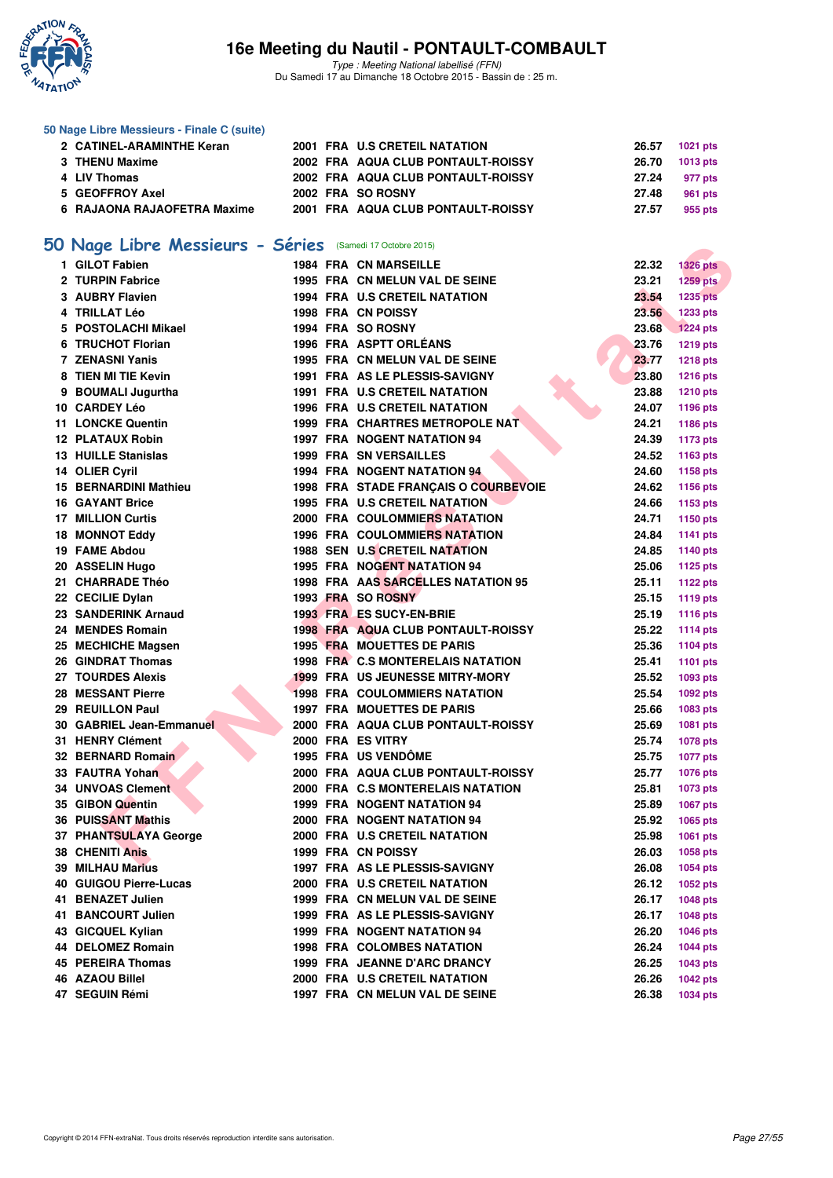

Type : Meeting National labellisé (FFN) Du Samedi 17 au Dimanche 18 Octobre 2015 - Bassin de : 25 m.

#### **50 Nage Libre Messieurs - Finale C (suite)**

| 2 CATINEL-ARAMINTHE Keran   |  | 2001 FRA U.S CRETEIL NATATION      | 26.57          | 1021 pts |
|-----------------------------|--|------------------------------------|----------------|----------|
| 3 THENU Maxime              |  | 2002 FRA AQUA CLUB PONTAULT-ROISSY | 26.70 1013 pts |          |
| 4 LIV Thomas                |  | 2002 FRA AQUA CLUB PONTAULT-ROISSY | 27.24          | 977 pts  |
| 5 GEOFFROY Axel             |  | 2002 FRA SO ROSNY                  | 27.48          | 961 pts  |
| 6 RAJAONA RAJAOFETRA Maxime |  | 2001 FRA AQUA CLUB PONTAULT-ROISSY | 27.57          | 955 pts  |

# **[50 Nage Libre Messieurs - Séries](http://www.ffnatation.fr/webffn/resultats.php?idact=nat&go=epr&idcpt=33325&idepr=51)** (Samedi 17 Octobre 2015)

| <b>U Nage Libre Messieurs - Series</b> (Samedi 17 Octobre 2015) |  |                                           |       |                 |
|-----------------------------------------------------------------|--|-------------------------------------------|-------|-----------------|
| 1 GILOT Fabien                                                  |  | <b>1984 FRA CN MARSEILLE</b>              | 22.32 | <b>1326 pts</b> |
| 2 TURPIN Fabrice                                                |  | 1995 FRA CN MELUN VAL DE SEINE            | 23.21 | 1259 pts        |
| 3 AUBRY Flavien                                                 |  | 1994 FRA U.S CRETEIL NATATION             | 23.54 | <b>1235 pts</b> |
| 4 TRILLAT Léo                                                   |  | <b>1998 FRA CN POISSY</b>                 | 23.56 | 1233 pts        |
| 5 POSTOLACHI Mikael                                             |  | 1994 FRA SO ROSNY                         | 23.68 | <b>1224 pts</b> |
| 6 TRUCHOT Florian                                               |  | 1996 FRA ASPTT ORLÉANS                    | 23.76 | <b>1219 pts</b> |
| 7 ZENASNI Yanis                                                 |  | 1995 FRA CN MELUN VAL DE SEINE            | 23.77 | <b>1218 pts</b> |
| 8 TIEN MI TIE Kevin                                             |  | 1991 FRA AS LE PLESSIS-SAVIGNY            | 23.80 | <b>1216 pts</b> |
| 9 BOUMALI Jugurtha                                              |  | <b>1991 FRA U.S CRETEIL NATATION</b>      | 23.88 | <b>1210 pts</b> |
| 10 CARDEY Léo                                                   |  | 1996 FRA U.S CRETEIL NATATION             | 24.07 | <b>1196 pts</b> |
| <b>11 LONCKE Quentin</b>                                        |  | 1999 FRA CHARTRES METROPOLE NAT           | 24.21 | 1186 pts        |
| <b>12 PLATAUX Robin</b>                                         |  | <b>1997 FRA NOGENT NATATION 94</b>        | 24.39 | 1173 pts        |
| 13 HUILLE Stanislas                                             |  | <b>1999 FRA SN VERSAILLES</b>             | 24.52 | 1163 pts        |
| 14 OLIER Cyril                                                  |  | 1994 FRA NOGENT NATATION 94               | 24.60 | 1158 pts        |
| 15 BERNARDINI Mathieu                                           |  | 1998 FRA STADE FRANÇAIS O COURBEVOIE      | 24.62 | 1156 pts        |
| <b>16 GAYANT Brice</b>                                          |  | 1995 FRA U.S CRETEIL NATATION             | 24.66 | 1153 pts        |
| <b>17 MILLION Curtis</b>                                        |  | <b>2000 FRA COULOMMIERS NATATION</b>      | 24.71 | 1150 pts        |
| 18 MONNOT Eddy                                                  |  | <b>1996 FRA COULOMMIERS NATATION</b>      | 24.84 | <b>1141 pts</b> |
| 19 FAME Abdou                                                   |  | 1988 SEN U.S CRETEIL NATATION             | 24.85 | <b>1140 pts</b> |
| 20 ASSELIN Hugo                                                 |  | 1995 FRA NOGENT NATATION 94               | 25.06 | <b>1125 pts</b> |
| 21 CHARRADE Théo                                                |  | 1998 FRA AAS SARCELLES NATATION 95        | 25.11 | <b>1122 pts</b> |
| 22 CECILIE Dylan                                                |  | 1993 FRA SO ROSNY                         | 25.15 | <b>1119 pts</b> |
| 23 SANDERINK Arnaud                                             |  | 1993 FRA ES SUCY-EN-BRIE                  | 25.19 | <b>1116 pts</b> |
| 24 MENDES Romain                                                |  | <b>1998 FRA AQUA CLUB PONTAULT-ROISSY</b> | 25.22 | <b>1114 pts</b> |
| 25 MECHICHE Magsen                                              |  | <b>1995 FRA MOUETTES DE PARIS</b>         | 25.36 | 1104 pts        |
| 26 GINDRAT Thomas                                               |  | 1998 FRA C.S MONTERELAIS NATATION         | 25.41 | <b>1101 pts</b> |
| 27 TOURDES Alexis                                               |  | <b>1999 FRA US JEUNESSE MITRY-MORY</b>    | 25.52 | 1093 pts        |
| 28 MESSANT Pierre                                               |  | <b>1998 FRA COULOMMIERS NATATION</b>      | 25.54 | 1092 pts        |
| 29 REUILLON Paul                                                |  | <b>1997 FRA MOUETTES DE PARIS</b>         | 25.66 | 1083 pts        |
| 30 GABRIEL Jean-Emmanuel                                        |  | 2000 FRA AQUA CLUB PONTAULT-ROISSY        | 25.69 | 1081 pts        |
| 31 HENRY Clément                                                |  | 2000 FRA ES VITRY                         | 25.74 | 1078 pts        |
| 32 BERNARD Romain                                               |  | 1995 FRA US VENDÖME                       | 25.75 | <b>1077 pts</b> |
| 33 FAUTRA Yohan                                                 |  | 2000 FRA AQUA CLUB PONTAULT-ROISSY        | 25.77 | 1076 pts        |
| 34 UNVOAS Clement                                               |  | 2000 FRA C.S MONTERELAIS NATATION         | 25.81 | 1073 pts        |
| 35 GIBON Quentin                                                |  | 1999 FRA NOGENT NATATION 94               | 25.89 | 1067 pts        |
| <b>36 PUISSANT Mathis</b>                                       |  | 2000 FRA NOGENT NATATION 94               | 25.92 | 1065 pts        |
| 37 PHANTSULAYA George                                           |  | 2000 FRA U.S CRETEIL NATATION             | 25.98 | 1061 pts        |
| <b>38 CHENITI Anis</b>                                          |  | 1999 FRA CN POISSY                        | 26.03 | 1058 pts        |
| 39 MILHAU Marius                                                |  | 1997 FRA AS LE PLESSIS-SAVIGNY            | 26.08 | 1054 pts        |
| 40 GUIGOU Pierre-Lucas                                          |  | 2000 FRA U.S CRETEIL NATATION             | 26.12 | 1052 pts        |
| 41 BENAZET Julien                                               |  | 1999 FRA CN MELUN VAL DE SEINE            | 26.17 | 1048 pts        |
| 41 BANCOURT Julien                                              |  | 1999 FRA AS LE PLESSIS-SAVIGNY            | 26.17 | 1048 pts        |
| 43 GICQUEL Kylian                                               |  | <b>1999 FRA NOGENT NATATION 94</b>        | 26.20 | 1046 pts        |
| 44 DELOMEZ Romain                                               |  | <b>1998 FRA COLOMBES NATATION</b>         | 26.24 | <b>1044 pts</b> |
| <b>45 PEREIRA Thomas</b>                                        |  | 1999 FRA JEANNE D'ARC DRANCY              | 26.25 | 1043 pts        |
| 46 AZAOU Billel                                                 |  | 2000 FRA U.S CRETEIL NATATION             | 26.26 | 1042 pts        |
| 47 SEGUIN Rémi                                                  |  | 1997 FRA CN MELUN VAL DE SEINE            | 26.38 | <b>1034 pts</b> |
|                                                                 |  |                                           |       |                 |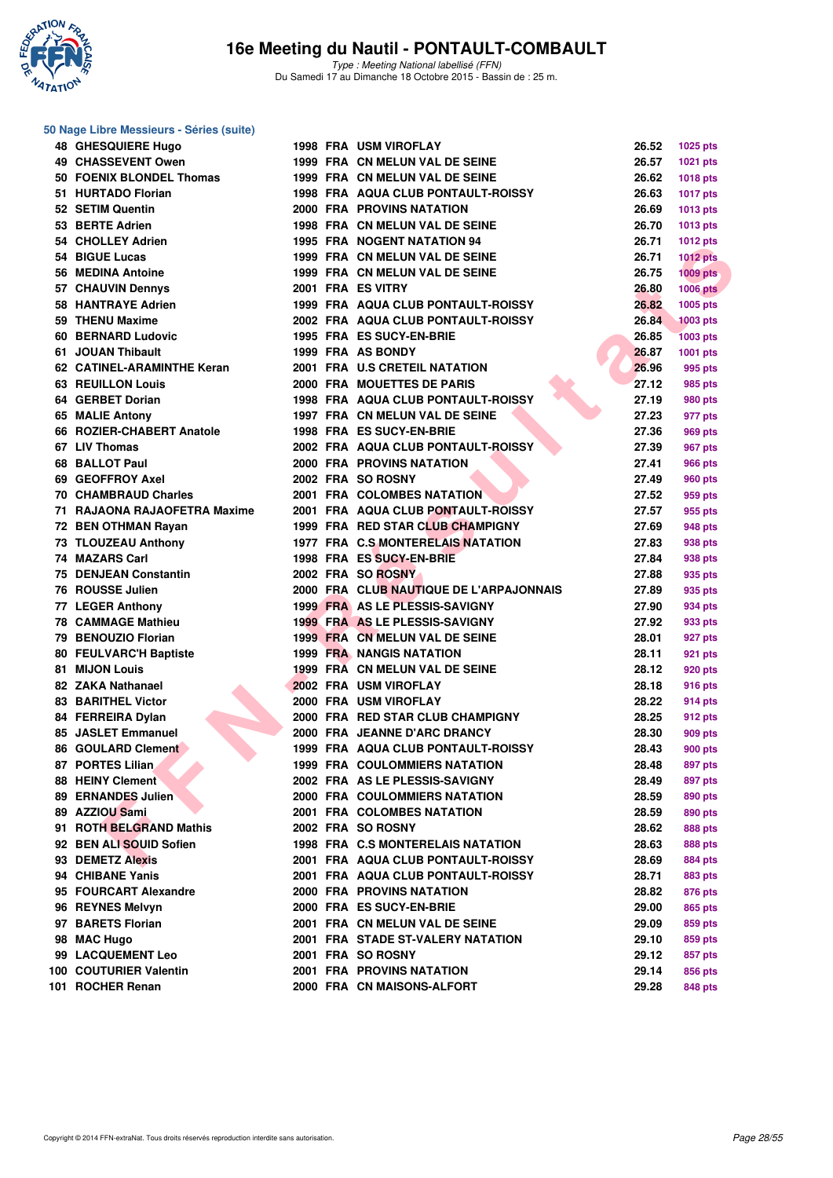

#### **50 Nage Libre Messieurs - Séries (suite)**

| <b>48 GHESQUIERE Hugo</b>    |  | <b>1998 FRA USM VIROFLAY</b>                                           | 26.52 | 1025 pts        |
|------------------------------|--|------------------------------------------------------------------------|-------|-----------------|
| <b>49 CHASSEVENT Owen</b>    |  | 1999 FRA CN MELUN VAL DE SEINE                                         | 26.57 | 1021 pts        |
| 50 FOENIX BLONDEL Thomas     |  | 1999 FRA CN MELUN VAL DE SEINE                                         | 26.62 | 1018 pts        |
| 51 HURTADO Florian           |  | <b>1998 FRA AQUA CLUB PONTAULT-ROISSY</b>                              | 26.63 | <b>1017 pts</b> |
| 52 SETIM Quentin             |  | <b>2000 FRA PROVINS NATATION</b>                                       | 26.69 | <b>1013 pts</b> |
| 53 BERTE Adrien              |  | 1998 FRA CN MELUN VAL DE SEINE                                         | 26.70 | 1013 pts        |
| 54 CHOLLEY Adrien            |  | 1995 FRA NOGENT NATATION 94                                            | 26.71 | <b>1012 pts</b> |
| 54 BIGUE Lucas               |  | 1999 FRA CN MELUN VAL DE SEINE                                         | 26.71 | <b>1012 pts</b> |
| 56 MEDINA Antoine            |  | 1999 FRA CN MELUN VAL DE SEINE                                         | 26.75 | $1009$ pts      |
| 57 CHAUVIN Dennys            |  | 2001 FRA ES VITRY                                                      | 26.80 | <b>1006 pts</b> |
| 58 HANTRAYE Adrien           |  | 1999 FRA AQUA CLUB PONTAULT-ROISSY                                     | 26.82 | 1005 pts        |
| 59 THENU Maxime              |  | 2002 FRA AQUA CLUB PONTAULT-ROISSY                                     | 26.84 | <b>1003 pts</b> |
| 60 BERNARD Ludovic           |  | 1995 FRA ES SUCY-EN-BRIE                                               | 26.85 | <b>1003 pts</b> |
| 61 JOUAN Thibault            |  | 1999 FRA AS BONDY                                                      | 26.87 | 1001 pts        |
| 62 CATINEL-ARAMINTHE Keran   |  | 2001 FRA U.S CRETEIL NATATION                                          | 26.96 | 995 pts         |
| <b>63 REUILLON Louis</b>     |  | 2000 FRA MOUETTES DE PARIS                                             | 27.12 | 985 pts         |
| 64 GERBET Dorian             |  | 1998 FRA AQUA CLUB PONTAULT-ROISSY                                     | 27.19 | 980 pts         |
| 65 MALIE Antony              |  | 1997 FRA CN MELUN VAL DE SEINE                                         | 27.23 | 977 pts         |
| 66 ROZIER-CHABERT Anatole    |  | 1998 FRA ES SUCY-EN-BRIE                                               | 27.36 | 969 pts         |
| 67 LIV Thomas                |  | 2002 FRA AQUA CLUB PONTAULT-ROISSY                                     | 27.39 | 967 pts         |
| 68 BALLOT Paul               |  | 2000 FRA PROVINS NATATION                                              | 27.41 | 966 pts         |
| 69 GEOFFROY Axel             |  | 2002 FRA SO ROSNY                                                      | 27.49 |                 |
| <b>70 CHAMBRAUD Charles</b>  |  | <b>2001 FRA COLOMBES NATATION</b>                                      | 27.52 | 960 pts         |
| 71 RAJAONA RAJAOFETRA Maxime |  | 2001 FRA AQUA CLUB PONTAULT-ROISSY                                     | 27.57 | 959 pts         |
|                              |  |                                                                        |       | 955 pts         |
| 72 BEN OTHMAN Rayan          |  | 1999 FRA RED STAR CLUB CHAMPIGNY<br>1977 FRA C.S. MONTERELAIS NATATION | 27.69 | 948 pts         |
| 73 TLOUZEAU Anthony          |  |                                                                        | 27.83 | 938 pts         |
| 74 MAZARS Carl               |  | 1998 FRA ES SUCY-EN-BRIE                                               | 27.84 | 938 pts         |
| <b>75 DENJEAN Constantin</b> |  | 2002 FRA SO ROSNY                                                      | 27.88 | 935 pts         |
| 76 ROUSSE Julien             |  | 2000 FRA CLUB NAUTIQUE DE L'ARPAJONNAIS                                | 27.89 | 935 pts         |
| 77 LEGER Anthony             |  | 1999 FRA AS LE PLESSIS-SAVIGNY                                         | 27.90 | 934 pts         |
| <b>78 CAMMAGE Mathieu</b>    |  | 1999 FRA AS LE PLESSIS-SAVIGNY                                         | 27.92 | 933 pts         |
| 79 BENOUZIO Florian          |  | 1999 FRA CN MELUN VAL DE SEINE                                         | 28.01 | 927 pts         |
| 80 FEULVARC'H Baptiste       |  | <b>1999 FRA NANGIS NATATION</b>                                        | 28.11 | 921 pts         |
| 81 MIJON Louis               |  | 1999 FRA CN MELUN VAL DE SEINE                                         | 28.12 | 920 pts         |
| 82 ZAKA Nathanael            |  | 2002 FRA USM VIROFLAY                                                  | 28.18 | 916 pts         |
| <b>83 BARITHEL Victor</b>    |  | 2000 FRA USM VIROFLAY                                                  | 28.22 | 914 pts         |
| 84 FERREIRA Dylan            |  | 2000 FRA RED STAR CLUB CHAMPIGNY                                       | 28.25 | 912 pts         |
| 85 JASLET Emmanuel           |  | 2000 FRA JEANNE D'ARC DRANCY                                           | 28.30 | 909 pts         |
| 86 GOULARD Clement           |  | 1999 FRA AQUA CLUB PONTAULT-ROISSY                                     | 28.43 | <b>900 pts</b>  |
| 87 PORTES Lilian             |  | <b>1999 FRA COULOMMIERS NATATION</b>                                   | 28.48 | 897 pts         |
| 88 HEINY Clement             |  | 2002 FRA AS LE PLESSIS-SAVIGNY                                         | 28.49 | 897 pts         |
| 89 ERNANDES Julien           |  | 2000 FRA COULOMMIERS NATATION                                          | 28.59 | 890 pts         |
| 89 AZZIOU Sami               |  | 2001 FRA COLOMBES NATATION                                             | 28.59 | 890 pts         |
| 91 ROTH BELGRAND Mathis      |  | 2002 FRA SO ROSNY                                                      | 28.62 | 888 pts         |
| 92 BEN ALI SOUID Sofien      |  | 1998 FRA C.S MONTERELAIS NATATION                                      | 28.63 | 888 pts         |
| 93 DEMETZ Alexis             |  | 2001 FRA AQUA CLUB PONTAULT-ROISSY                                     | 28.69 | 884 pts         |
| 94 CHIBANE Yanis             |  | 2001 FRA AQUA CLUB PONTAULT-ROISSY                                     | 28.71 | 883 pts         |
| 95 FOURCART Alexandre        |  | <b>2000 FRA PROVINS NATATION</b>                                       | 28.82 | 876 pts         |
| 96 REYNES Melvyn             |  | 2000 FRA ES SUCY-EN-BRIE                                               | 29.00 | 865 pts         |
| 97 BARETS Florian            |  | 2001 FRA CN MELUN VAL DE SEINE                                         | 29.09 | 859 pts         |
| 98 MAC Hugo                  |  | 2001 FRA STADE ST-VALERY NATATION                                      | 29.10 | 859 pts         |
| 99 LACQUEMENT Leo            |  | 2001 FRA SO ROSNY                                                      | 29.12 | 857 pts         |
| 100 COUTURIER Valentin       |  | 2001 FRA PROVINS NATATION                                              | 29.14 | 856 pts         |
| 101 ROCHER Renan             |  | 2000 FRA CN MAISONS-ALFORT                                             | 29.28 | 848 pts         |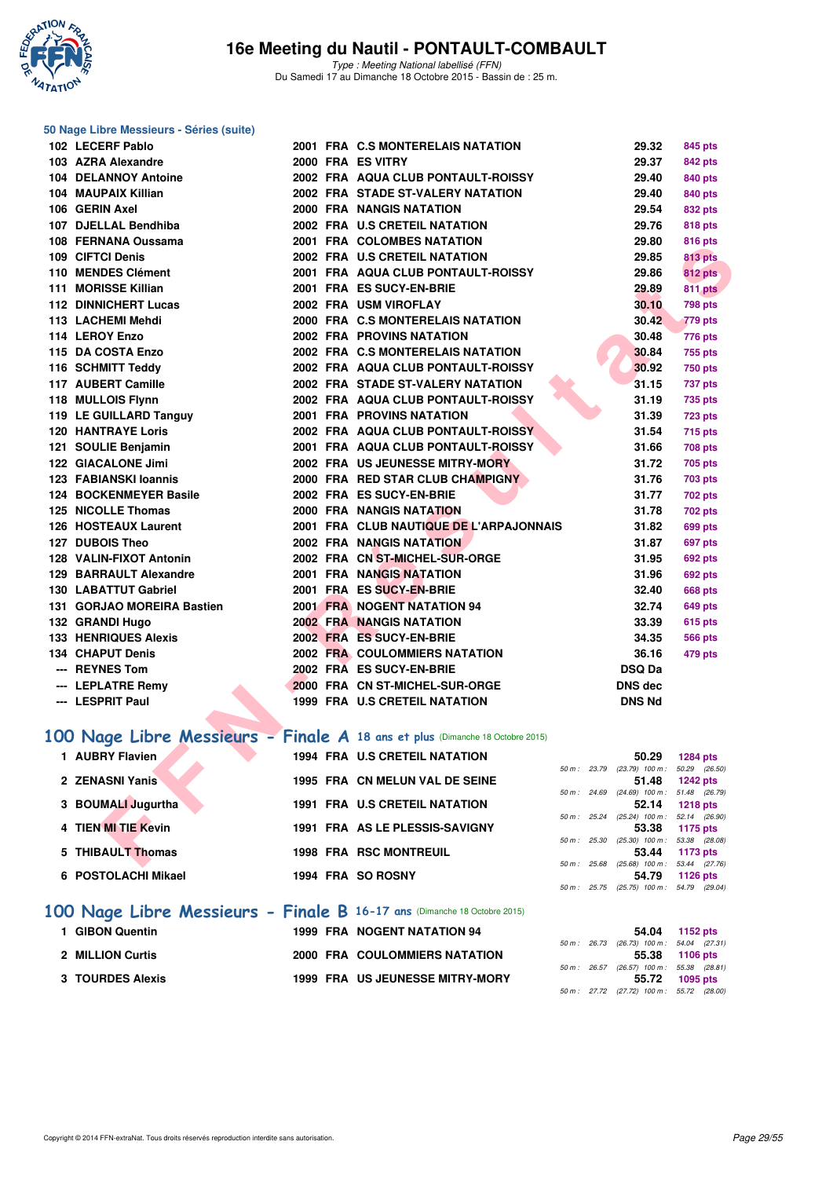

#### **50 Nage Libre Messieurs - Séries (suite)**

| 102 LECERF Pablo                                                              |  | 2001 FRA C.S MONTERELAIS NATATION       | 29.32                                             | 845 pts         |
|-------------------------------------------------------------------------------|--|-----------------------------------------|---------------------------------------------------|-----------------|
| 103 AZRA Alexandre                                                            |  | 2000 FRA ES VITRY                       | 29.37                                             | 842 pts         |
| <b>104 DELANNOY Antoine</b>                                                   |  | 2002 FRA AQUA CLUB PONTAULT-ROISSY      | 29.40                                             | 840 pts         |
| 104 MAUPAIX Killian                                                           |  | 2002 FRA STADE ST-VALERY NATATION       | 29.40                                             | 840 pts         |
| 106 GERIN Axel                                                                |  | 2000 FRA NANGIS NATATION                | 29.54                                             | 832 pts         |
| 107 DJELLAL Bendhiba                                                          |  | 2002 FRA U.S CRETEIL NATATION           | 29.76                                             | <b>818 pts</b>  |
| 108 FERNANA Oussama                                                           |  | 2001 FRA COLOMBES NATATION              | 29.80                                             | <b>816 pts</b>  |
| 109 CIFTCI Denis                                                              |  | 2002 FRA U.S CRETEIL NATATION           | 29.85                                             | <b>813 pts</b>  |
| 110 MENDES Clément                                                            |  | 2001 FRA AQUA CLUB PONTAULT-ROISSY      | 29.86                                             | 812 pts         |
| 111 MORISSE Killian                                                           |  | 2001 FRA ES SUCY-EN-BRIE                | 29.89                                             | 811 pts         |
| <b>112 DINNICHERT Lucas</b>                                                   |  | 2002 FRA USM VIROFLAY                   | 30.10                                             | 798 pts         |
| 113 LACHEMI Mehdi                                                             |  | 2000 FRA C.S MONTERELAIS NATATION       | 30.42                                             | 779 pts         |
| 114 LEROY Enzo                                                                |  | <b>2002 FRA PROVINS NATATION</b>        | 30.48                                             | 776 pts         |
| 115 DA COSTA Enzo                                                             |  | 2002 FRA C.S MONTERELAIS NATATION       | 30.84                                             | 755 pts         |
| 116 SCHMITT Teddy                                                             |  | 2002 FRA AQUA CLUB PONTAULT-ROISSY      | 30.92                                             | <b>750 pts</b>  |
| 117 AUBERT Camille                                                            |  | 2002 FRA STADE ST-VALERY NATATION       | 31.15                                             | 737 pts         |
| 118 MULLOIS Flynn                                                             |  | 2002 FRA AQUA CLUB PONTAULT-ROISSY      | 31.19                                             | <b>735 pts</b>  |
| 119 LE GUILLARD Tanguy                                                        |  | <b>2001 FRA PROVINS NATATION</b>        | 31.39                                             | 723 pts         |
| <b>120 HANTRAYE Loris</b>                                                     |  | 2002 FRA AQUA CLUB PONTAULT-ROISSY      | 31.54                                             | 715 pts         |
| 121 SOULIE Benjamin                                                           |  | 2001 FRA AQUA CLUB PONTAULT-ROISSY      | 31.66                                             | <b>708 pts</b>  |
| 122 GIACALONE Jimi                                                            |  | 2002 FRA US JEUNESSE MITRY-MORY         | 31.72                                             | 705 pts         |
| 123 FABIANSKI Ioannis                                                         |  | 2000 FRA RED STAR CLUB CHAMPIGNY        | 31.76                                             | <b>703 pts</b>  |
| 124 BOCKENMEYER Basile                                                        |  | 2002 FRA ES SUCY-EN-BRIE                | 31.77                                             | <b>702 pts</b>  |
| 125 NICOLLE Thomas                                                            |  | 2000 FRA NANGIS NATATION                | 31.78                                             | <b>702 pts</b>  |
| 126 HOSTEAUX Laurent                                                          |  | 2001 FRA CLUB NAUTIQUE DE L'ARPAJONNAIS | 31.82                                             | 699 pts         |
| 127 DUBOIS Theo                                                               |  | <b>2002 FRA NANGIS NATATION</b>         | 31.87                                             | 697 pts         |
| 128 VALIN-FIXOT Antonin                                                       |  | 2002 FRA CN ST-MICHEL-SUR-ORGE          | 31.95                                             | 692 pts         |
| 129 BARRAULT Alexandre                                                        |  | 2001 FRA NANGIS NATATION                | 31.96                                             | 692 pts         |
| 130 LABATTUT Gabriel                                                          |  | 2001 FRA ES SUCY-EN-BRIE                | 32.40                                             | 668 pts         |
| 131 GORJAO MOREIRA Bastien                                                    |  | 2001 FRA NOGENT NATATION 94             | 32.74                                             | 649 pts         |
| 132 GRANDI Hugo                                                               |  | <b>2002 FRA NANGIS NATATION</b>         | 33.39                                             | 615 pts         |
| <b>133 HENRIQUES Alexis</b>                                                   |  | 2002 FRA ES SUCY-EN-BRIE                | 34.35                                             | <b>566 pts</b>  |
| <b>134 CHAPUT Denis</b>                                                       |  | <b>2002 FRA COULOMMIERS NATATION</b>    | 36.16                                             | 479 pts         |
| --- REYNES Tom                                                                |  | 2002 FRA ES SUCY-EN-BRIE                | <b>DSQ Da</b>                                     |                 |
| --- LEPLATRE Remy                                                             |  | 2000 FRA CN ST-MICHEL-SUR-ORGE          | <b>DNS dec</b>                                    |                 |
| --- LESPRIT Paul                                                              |  | 1999 FRA U.S CRETEIL NATATION           | <b>DNS Nd</b>                                     |                 |
|                                                                               |  |                                         |                                                   |                 |
| 100 Nage Libre Messieurs - Finale A 18 ans et plus (Dimanche 18 Octobre 2015) |  |                                         |                                                   |                 |
| 1 AUBRY Flavien                                                               |  | <b>1994 FRA U.S CRETEIL NATATION</b>    | 50.29                                             | 1284 pts        |
|                                                                               |  |                                         | 50 m: 23.79 (23.79) 100 m: 50.29 (26.50)          |                 |
| 2 ZENASNI Yanis                                                               |  | 1995 FRA CN MELUN VAL DE SEINE          | 51.48                                             | <b>1242 pts</b> |
| 3 BOUMALI Jugurtha                                                            |  | <b>1991 FRA U.S CRETEIL NATATION</b>    | 50 m: 24.69 (24.69) 100 m: 51.48 (26.79)<br>52.14 | <b>1218 pts</b> |
|                                                                               |  |                                         | 50 m: 25.24 (25.24) 100 m: 52.14 (26.90)          |                 |
| 4 TIEN MI TIE Kevin                                                           |  | 1991 FRA AS LE PLESSIS-SAVIGNY          | 53.38                                             | 1175 pts        |
| 5 THIBAULT Thomas                                                             |  | <b>1998 FRA RSC MONTREUIL</b>           | 50 m: 25.30 (25.30) 100 m: 53.38 (28.08)<br>53.44 | 1173 pts        |
|                                                                               |  |                                         | 50 m; 25.68 (25.68) 100 m; 53.44 (27.76)          |                 |

# [100 Nage Libre Messieurs - Finale A](http://www.ffnatation.fr/webffn/resultats.php?idact=nat&go=epr&idcpt=33325&idepr=52) 18 ans et plus (Dimanche 18 Octobre 2015)

| 1 AUBRY Flavien     | <b>1994 FRA U.S CRETEIL NATATION</b> |                        | 50.29                             | <b>1284 pts</b> |
|---------------------|--------------------------------------|------------------------|-----------------------------------|-----------------|
|                     |                                      | 50 m: 23.79            | $(23.79)$ 100 m : 50.29 $(26.50)$ |                 |
| 2 ZENASNI Yanis     | 1995 FRA CN MELUN VAL DE SEINE       |                        | 51.48                             | 1242 pts        |
|                     |                                      | $50 \text{ m}$ : 24.69 | $(24.69)$ 100 m : 51.48 $(26.79)$ |                 |
| 3 BOUMALI Jugurtha  | <b>1991 FRA U.S CRETEIL NATATION</b> |                        | 52.14                             | <b>1218 pts</b> |
|                     |                                      | $50 m$ : 25.24         | $(25.24)$ 100 m : 52.14 $(26.90)$ |                 |
| 4 TIEN MI TIE Kevin | 1991 FRA AS LE PLESSIS-SAVIGNY       |                        | 53.38                             | 1175 pts        |
|                     |                                      | $50 m$ : 25.30         | $(25.30)$ 100 m : 53.38 $(28.08)$ |                 |
| 5 THIBAULT Thomas   | <b>1998 FRA RSC MONTREUIL</b>        |                        | 53.44                             | 1173 pts        |
|                     |                                      | $50 \text{ m}$ : 25.68 | $(25.68)$ 100 m : 53.44 $(27.76)$ |                 |
| 6 POSTOLACHI Mikael | 1994 FRA SO ROSNY                    |                        | 54.79                             | $1126$ pts      |
|                     |                                      | $50 m$ : 25.75         | $(25.75)$ 100 m : 54.79 $(29.04)$ |                 |
|                     |                                      |                        |                                   |                 |

# **[100 Nage Libre Messieurs - Finale B](http://www.ffnatation.fr/webffn/resultats.php?idact=nat&go=epr&idcpt=33325&idepr=52) 16-17 ans** (Dimanche 18 Octobre 2015)

| 1 GIBON Quentin         | <b>1999 FRA NOGENT NATATION 94</b>     |                                            | 54.04 1152 pts |
|-------------------------|----------------------------------------|--------------------------------------------|----------------|
|                         |                                        | 50 m : 26.73 (26.73) 100 m : 54.04 (27.31) |                |
| <b>2 MILLION Curtis</b> | 2000 FRA COULOMMIERS NATATION          |                                            | 55.38 1106 pts |
|                         |                                        | 50 m : 26.57 (26.57) 100 m : 55.38 (28.81) |                |
| <b>3 TOURDES Alexis</b> | <b>1999 FRA US JEUNESSE MITRY-MORY</b> | 55.72                                      | 1095 pts       |
|                         |                                        | 50 m : 27.72 (27.72) 100 m : 55.72 (28.00) |                |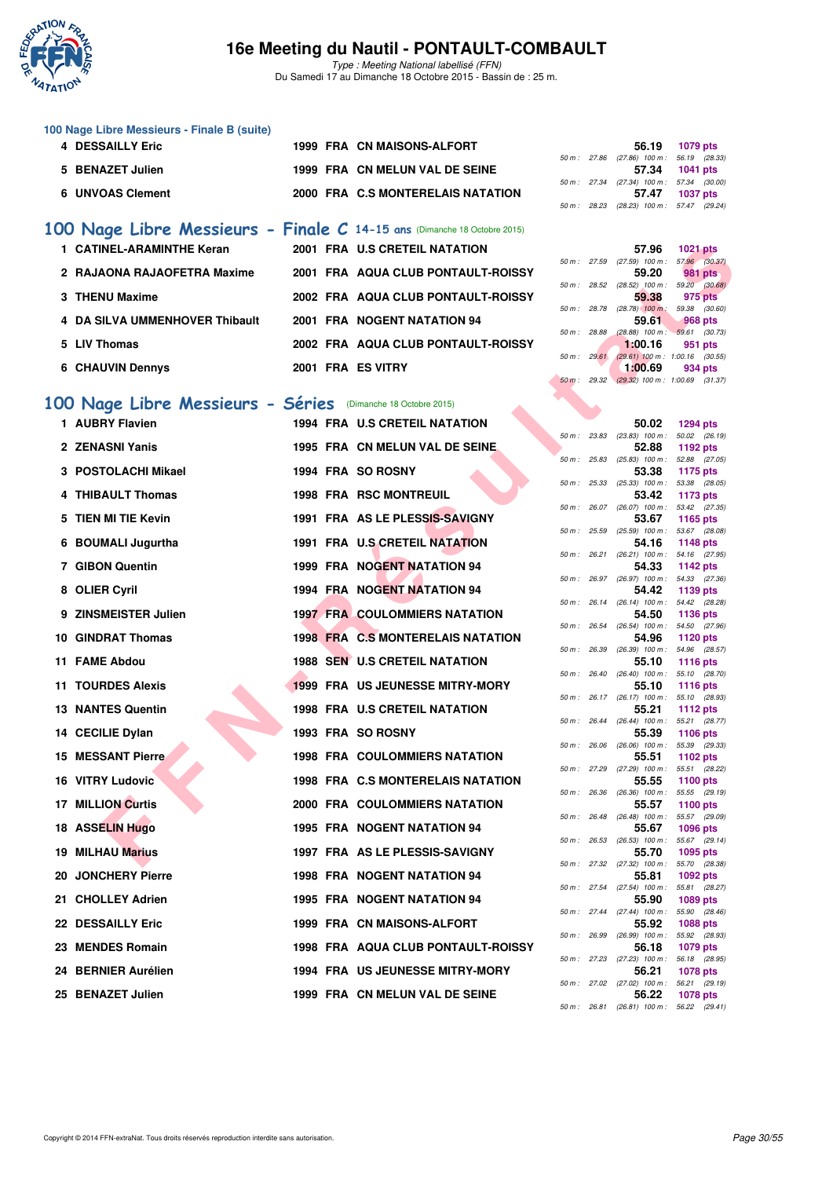

Type : Meeting National labellisé (FFN) Du Samedi 17 au Dimanche 18 Octobre 2015 - Bassin de : 25 m.

|  |  | 100 Nage Libre Messieurs - Finale B (suite) |  |  |
|--|--|---------------------------------------------|--|--|
|--|--|---------------------------------------------|--|--|

| 1079 pts                              |
|---------------------------------------|
| 50 m: 27.86 (27.86) 100 m: 56.19 (28. |
| 1041 pts                              |
| 50 m: 27.34 (27.34) 100 m: 57.34 (30. |
| <b>1037 pts</b>                       |
|                                       |

| 100 Nage Libre Messieurs - Finale C 14-15 ans (Dimanche 18 Octobre 2015) |                   |                                    |                        |       |                                              |                       |
|--------------------------------------------------------------------------|-------------------|------------------------------------|------------------------|-------|----------------------------------------------|-----------------------|
| 1 CATINEL-ARAMINTHE Keran                                                |                   | 2001 FRA U.S CRETEIL NATATION      |                        |       | 57.96                                        | 1021 pts              |
| 2 RAJAONA RAJAOFETRA Maxime                                              |                   | 2001 FRA AQUA CLUB PONTAULT-ROISSY | $50 \text{ m}$ : 27.59 |       | $(27.59)$ 100 m :<br>59.20                   | 57.96 (30.<br>981 pts |
| 3 THENU Maxime                                                           |                   | 2002 FRA AQUA CLUB PONTAULT-ROISSY | 50 m :                 | 28.52 | $(28.52)$ 100 m :<br>59.38                   | 59.20 (30.<br>975 pts |
| 4 DA SILVA UMMENHOVER Thibault                                           |                   | 2001 FRA NOGENT NATATION 94        | 50 m :                 | 28.78 | $(28.78)$ 100 m :<br>59.61                   | 59.38 (30.<br>968 pts |
| 5 LIV Thomas                                                             |                   | 2002 FRA AQUA CLUB PONTAULT-ROISSY | 50 m :                 | 28.88 | $(28.88)$ 100 m : 59.61 (30.<br>1:00.16      | 951 pts               |
| <b>6 CHAUVIN Dennys</b>                                                  | 2001 FRA ES VITRY |                                    | $50 m$ :               | 29.61 | $(29.61)$ 100 m : 1.00.16 (30.<br>1:00.69    | 934 pts               |
|                                                                          |                   |                                    |                        |       | <u>and annother contract the contract of</u> |                       |

## **[100 Nage Libre Messieurs - Séries](http://www.ffnatation.fr/webffn/resultats.php?idact=nat&go=epr&idcpt=33325&idepr=52)** (Dimanche 18 Octobre 2015)

| 1 CATINEL-ARAMINTHE Keran                                   |  | 2001 FRA U.S CRETEIL NATATION             |              |                | 57.96                                             | <b>1021 pts</b>                  |  |
|-------------------------------------------------------------|--|-------------------------------------------|--------------|----------------|---------------------------------------------------|----------------------------------|--|
| 2 RAJAONA RAJAOFETRA Maxime                                 |  | 2001 FRA AQUA CLUB PONTAULT-ROISSY        |              |                | 50 m: 27.59 (27.59) 100 m: 57.96 (30.37)<br>59.20 | $981$ pts                        |  |
| 3 THENU Maxime                                              |  | 2002 FRA AQUA CLUB PONTAULT-ROISSY        | 50 m: 28.52  |                | $(28.52)$ 100 m : 59.20 $(30.68)$<br>59.38        | 975 pts                          |  |
| 4 DA SILVA UMMENHOVER Thibault                              |  | 2001 FRA NOGENT NATATION 94               | 50 m : 28.78 |                | $(28.78)$ 100 m :<br>59.61                        | 59.38 (30.60)<br><b>968 pts</b>  |  |
| 5 LIV Thomas                                                |  | 2002 FRA AQUA CLUB PONTAULT-ROISSY        | 50 m : 28.88 |                | $(28.88)$ 100 m : 59.61 $(30.73)$<br>1:00.16      | 951 pts                          |  |
| 6 CHAUVIN Dennys                                            |  | 2001 FRA ES VITRY                         |              | 50 m: 29.61    | $(29.61)$ 100 m : 1:00.16 $(30.55)$<br>1:00.69    | 934 pts                          |  |
|                                                             |  |                                           |              | 50 m: 29.32    | $(29.32)$ 100 m : 1:00.69 $(31.37)$               |                                  |  |
| 00 Nage Libre Messieurs - Séries (Dimanche 18 Octobre 2015) |  |                                           |              |                |                                                   |                                  |  |
| 1 AUBRY Flavien                                             |  | 1994 FRA U.S CRETEIL NATATION             |              |                | 50.02                                             | <b>1294 pts</b>                  |  |
| 2 ZENASNI Yanis                                             |  | 1995 FRA CN MELUN VAL DE SEINE.           |              |                | 50 m : 23.83 (23.83) 100 m :<br>52.88             | 50.02 (26.19)<br>1192 pts        |  |
| 3 POSTOLACHI Mikael                                         |  | 1994 FRA SO ROSNY                         | 50 m: 25.83  |                | $(25.83)$ 100 m :<br>53.38                        | 52.88 (27.05)<br>1175 pts        |  |
|                                                             |  |                                           |              |                | 50 m: 25.33 (25.33) 100 m: 53.38 (28.05)          |                                  |  |
| 4 THIBAULT Thomas                                           |  | <b>1998 FRA RSC MONTREUIL</b>             |              |                | 53.42<br>50 m: 26.07 (26.07) 100 m: 53.42 (27.35) | 1173 pts                         |  |
| 5 TIEN MI TIE Kevin                                         |  | 1991 FRA AS LE PLESSIS-SAVIGNY            | 50 m: 25.59  |                | 53.67<br>$(25.59)$ 100 m : 53.67 $(28.08)$        | 1165 pts                         |  |
| 6 BOUMALI Jugurtha                                          |  | 1991 FRA U.S CRETEIL NATATION             |              |                | 54.16                                             | 1148 pts                         |  |
| 7 GIBON Quentin                                             |  | 1999 FRA NOGENT NATATION 94               |              |                | 50 m: 26.21 (26.21) 100 m: 54.16 (27.95)<br>54.33 | 1142 pts                         |  |
| 8 OLIER Cyril                                               |  | 1994 FRA NOGENT NATATION 94               |              |                | 50 m : 26.97 (26.97) 100 m :<br>54.42             | 54.33 (27.36)<br>1139 pts        |  |
|                                                             |  |                                           |              |                | 50 m: 26.14 (26.14) 100 m: 54.42 (28.28)          |                                  |  |
| 9 ZINSMEISTER Julien                                        |  | <b>1997 FRA COULOMMIERS NATATION</b>      |              |                | 54.50<br>50 m: 26.54 (26.54) 100 m: 54.50 (27.96) | 1136 pts                         |  |
| 10 GINDRAT Thomas                                           |  | 1998 FRA C.S MONTERELAIS NATATION         |              |                | 54.96                                             | 1120 pts                         |  |
| 11 FAME Abdou                                               |  | <b>1988 SEN U.S CRETEIL NATATION</b>      | 50 m: 26.39  |                | (26.39) 100 m : 54.96 (28.57)<br>55.10            | <b>1116 pts</b>                  |  |
| <b>11 TOURDES Alexis</b>                                    |  | 1999 FRA US JEUNESSE MITRY-MORY           |              |                | 50 m: 26.40 (26.40) 100 m: 55.10 (28.70)<br>55.10 | <b>1116 pts</b>                  |  |
|                                                             |  |                                           |              |                | 50 m: 26.17 (26.17) 100 m: 55.10 (28.93)          |                                  |  |
| <b>13 NANTES Quentin</b>                                    |  | 1998 FRA U.S CRETEIL NATATION             |              |                | 55.21<br>50 m: 26.44 (26.44) 100 m: 55.21 (28.77) | <b>1112 pts</b>                  |  |
| 14 CECILIE Dylan                                            |  | 1993 FRA SO ROSNY                         |              |                | 55.39                                             | 1106 pts                         |  |
| <b>15 MESSANT Pierre</b>                                    |  | <b>1998 FRA COULOMMIERS NATATION</b>      | 50 m: 26.06  |                | $(26.06)$ 100 m :<br>55.51                        | 55.39 (29.33)<br>1102 pts        |  |
| 16 VITRY Ludovic                                            |  | 1998 FRA C.S MONTERELAIS NATATION         |              |                | 50 m: 27.29 (27.29) 100 m: 55.51 (28.22)<br>55.55 | 1100 pts                         |  |
|                                                             |  |                                           |              |                | 50 m : 26.36 (26.36) 100 m : 55.55 (29.19)        |                                  |  |
| <b>17 MILLION Curtis</b>                                    |  | 2000 FRA COULOMMIERS NATATION             |              | $50 m$ : 26.48 | 55.57<br>$(26.48)$ 100 m : 55.57 $(29.09)$        | 1100 pts                         |  |
| 18 ASSELIN Hugo                                             |  | <b>1995 FRA NOGENT NATATION 94</b>        |              |                | 55.67<br>50 m: 26.53 (26.53) 100 m: 55.67 (29.14) | 1096 pts                         |  |
| 19 MILHAU Marius                                            |  | 1997 FRA AS LE PLESSIS-SAVIGNY            |              |                | 55.70                                             | 1095 pts                         |  |
| 20 JONCHERY Pierre                                          |  | 1998 FRA NOGENT NATATION 94               |              |                | 50 m: 27.32 (27.32) 100 m: 55.70 (28.38)<br>55.81 | 1092 pts                         |  |
| 21 CHOLLEY Adrien                                           |  | 1995 FRA NOGENT NATATION 94               |              |                | 50 m : 27.54 (27.54) 100 m :<br>55.90             | 55.81 (28.27)<br>1089 pts        |  |
|                                                             |  |                                           |              |                | 50 m: 27.44 (27.44) 100 m: 55.90 (28.46)          |                                  |  |
| <b>22 DESSAILLY Eric</b>                                    |  | 1999 FRA CN MAISONS-ALFORT                |              |                | 55.92<br>50 m : 26.99 (26.99) 100 m :             | <b>1088 pts</b><br>55.92 (28.93) |  |
| 23 MENDES Romain                                            |  | <b>1998 FRA AQUA CLUB PONTAULT-ROISSY</b> |              |                | 56.18                                             | 1079 pts                         |  |
| 24 BERNIER Aurélien                                         |  | <b>1994 FRA US JEUNESSE MITRY-MORY</b>    |              |                | 50 m: 27.23 (27.23) 100 m: 56.18 (28.95)<br>56.21 | 1078 pts                         |  |
| 25 BENAZET Julien                                           |  | 1999 FRA CN MELUN VAL DE SEINE            |              |                | 50 m: 27.02 (27.02) 100 m: 56.21 (29.19)<br>56.22 | <b>1078 pts</b>                  |  |
|                                                             |  |                                           |              |                |                                                   |                                  |  |

|  | 56.19 (28.33)                                                                                                                                                              |
|--|----------------------------------------------------------------------------------------------------------------------------------------------------------------------------|
|  |                                                                                                                                                                            |
|  |                                                                                                                                                                            |
|  |                                                                                                                                                                            |
|  |                                                                                                                                                                            |
|  | 56.19 1079 pts<br>50 m : 27.86 (27.86) 100 m :<br>57.34 1041 pts<br>50 m: 27.34 (27.34) 100 m: 57.34 (30.00)<br>57.47 1037 pts<br>50 m: 28.23 (28.23) 100 m: 57.47 (29.24) |

|  | 57.96                                        | <b>1021 pts</b>   |
|--|----------------------------------------------|-------------------|
|  | 50 m: 27.59 (27.59) 100 m:                   | 57.96 (30.37)     |
|  | 59.20                                        | <b>981 pts</b>    |
|  | 50 m: 28.52 (28.52) 100 m:                   | 59.20 (30.68)     |
|  | 59.38                                        | 975 pts           |
|  | 50 m : 28.78 (28.78) 100 m :                 | 59.38 (30.60)     |
|  |                                              | 59.61 968 pts     |
|  | 50 m : 28.88 (28.88) 100 m : 59.61 (30.73)   |                   |
|  | 1:00.16                                      | 951 pts           |
|  | 50 m : 29.61 (29.61) 100 m : 1:00.16 (30.55) |                   |
|  |                                              | $1:00.69$ 934 pts |
|  | 50 m : 29.32 (29.32) 100 m : 1:00.69 (31.37) |                   |
|  |                                              |                   |
|  |                                              |                   |
|  |                                              |                   |

|          |       | 50.02                      | 1294 pts                     |
|----------|-------|----------------------------|------------------------------|
| 50 m :   | 23.83 | $(23.83)$ 100 m :          | 50.02<br>(26.19)             |
|          |       | 52.88                      | 1192 pts                     |
| $50 m$ : | 25.83 | $100 m$ :<br>(25.83)       | 52.88<br>(27.05)             |
|          |       | 53.38                      | 1175 pts                     |
| $50 m$ : | 25.33 | $(25.33)$ 100 m :          | 53.38<br>(28.05)             |
|          |       | 53.42                      | 1173 pts                     |
| $50 m$ : | 26.07 | $(26.07)$ 100 m :          | 53.42<br>(27.35)             |
|          |       | 53.67                      | 1165 pts                     |
| $50 m$ : | 25.59 | $(25.59)$ 100 m :          | 53.67<br>(28.08)             |
|          |       | 54.16                      | 1148 pts                     |
| $50 m$ : | 26.21 | $(26.21)$ 100 m :          | 54.16<br>(27.95)             |
|          |       | 54.33                      | <b>1142 pts</b>              |
| $50 m$ : | 26.97 | $(26.97)$ 100 m :          | 54.33<br>(27.36)             |
|          |       | 54.42                      | 1139 pts                     |
| $50 m$ : | 26.14 | $(26.14)$ 100 m :          | 54.42<br>(28.28)             |
|          |       | 54.50                      | 1136 pts                     |
| $50 m$ : | 26.54 | $(26.54)$ 100 m :          | 54.50<br>(27.96)             |
|          |       | 54.96                      | 1120 pts                     |
| $50 m$ : | 26.39 | $(26.39)$ 100 m :          | 54.96<br>(28.57)             |
|          |       | 55.10                      | 1116 pts                     |
| $50 m$ : | 26.40 | $(26.40)$ 100 m :          | 55.10<br>(28.70)             |
|          |       | 55.10                      | 1116 pts                     |
| $50 m$ : | 26.17 | $(26.17)$ 100 m :          | 55.10<br>(28.93)             |
| $50 m$ : | 26.44 | 55.21<br>$(26.44)$ 100 m : | 1112 pts<br>55.21<br>(28.77) |
|          |       | 55.39                      | 1106 pts                     |
| $50 m$ : | 26.06 | $(26.06)$ 100 m :          | (29.33)<br>55.39             |
|          |       | 55.51                      | 1102 pts                     |
| $50 m$ : | 27.29 | $(27.29)$ 100 m :          | 55.51<br>(28.22)             |
|          |       | 55.55                      | 1100 pts                     |
| $50 m$ : | 26.36 | $(26.36)$ 100 m :          | 55.55<br>(29.19)             |
|          |       | 55.57                      | 1100 pts                     |
| $50 m$ : | 26.48 | $(26.48)$ 100 m :          | 55.57<br>(29.09)             |
|          |       | 55.67                      | 1096 pts                     |
| $50 m$ : | 26.53 | $(26.53)$ 100 m :          | 55.67<br>(29.14)             |
|          |       | 55.70                      | 1095 pts                     |
| $50 m$ : | 27.32 | $(27.32)$ 100 m :          | 55.70<br>(28.38)             |
|          |       | 55.81                      | 1092 pts                     |
| $50 m$ : | 27.54 | $(27.54)$ 100 m :          | 55.81<br>(28.27)             |
|          |       | 55.90                      | 1089 pts                     |
| $50 m$ : | 27.44 | $(27.44)$ 100 m :          | 55.90<br>(28.46)             |
|          |       | 55.92                      | 1088 pts                     |
| $50 m$ : | 26.99 | $(26.99)$ 100 m :          | 55.92<br>(28.93)             |
|          |       | 56.18                      | 1079 pts                     |
| $50 m$ : | 27.23 | $(27.23)$ 100 m :          | 56.18<br>(28.95)             |
|          |       | 56.21                      | 1078 pts                     |
| $50 m$ : | 27.02 | $(27.02)$ 100 m :          | 56.21<br>(29.19)             |
|          |       | 56.22                      | 1078 pts                     |
| $50 m$ : | 26.81 | $(26.81)$ 100 m :          | 56.22<br>(29.41)             |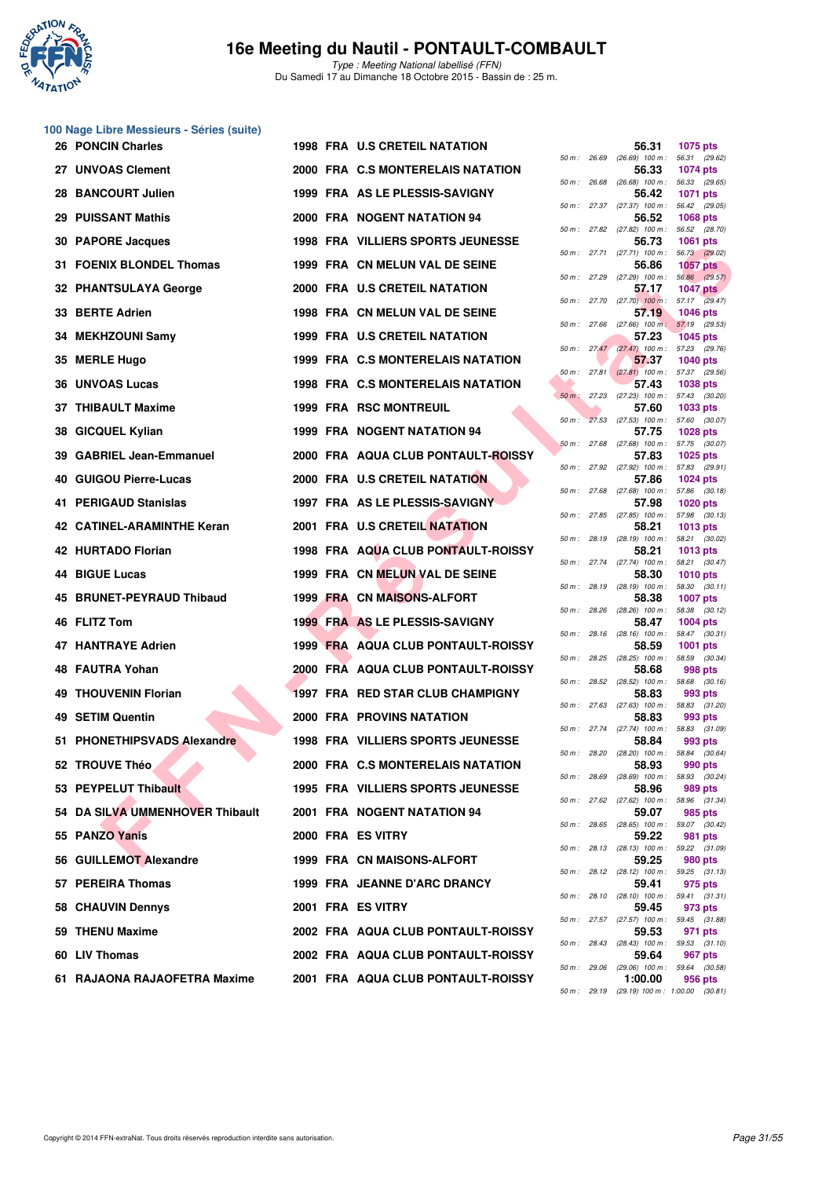

Type : Meeting National labellisé (FFN) Du Samedi 17 au Dimanche 18 Octobre 2015 - Bassin de : 25 m.

# **100 Nage Libre Messieurs - Séries (suite)**

|     | <b>26 PONCIN Charles</b>        |  | <b>1998 FRA U.S CRETEIL NATATION</b>     |        |             | 56.31                                               | 1075 pts                         |  |
|-----|---------------------------------|--|------------------------------------------|--------|-------------|-----------------------------------------------------|----------------------------------|--|
|     | 27 UNVOAS Clement               |  | 2000 FRA C.S MONTERELAIS NATATION        |        | 50 m: 26.69 | (26.69) 100 m : 56.31 (29.62)<br>56.33              | <b>1074 pts</b>                  |  |
|     | 28 BANCOURT Julien              |  | 1999 FRA AS LE PLESSIS-SAVIGNY           |        |             | 50 m : 26.68 (26.68) 100 m : 56.33 (29.65)<br>56.42 | <b>1071 pts</b>                  |  |
|     | <b>29 PUISSANT Mathis</b>       |  | 2000 FRA NOGENT NATATION 94              |        |             | 50 m : 27.37 (27.37) 100 m :<br>56.52               | 56.42 (29.05)<br>1068 pts        |  |
|     | 30 PAPORE Jacques               |  | <b>1998 FRA VILLIERS SPORTS JEUNESSE</b> |        |             | 50 m: 27.82 (27.82) 100 m: 56.52 (28.70)<br>56.73   | 1061 pts                         |  |
|     | 31 FOENIX BLONDEL Thomas        |  | 1999 FRA CN MELUN VAL DE SEINE           |        |             | $50 m$ : 27.71 (27.71) 100 m :<br>56.86             | 56.73 (29.02)<br><b>1057 pts</b> |  |
|     | 32 PHANTSULAYA George           |  | 2000 FRA U.S CRETEIL NATATION            |        |             | 50 m : 27.29 (27.29) 100 m : 56.86 (29.57)<br>57.17 | <b>1047 pts</b>                  |  |
|     | 33 BERTE Adrien                 |  | 1998 FRA CN MELUN VAL DE SEINE           |        |             | 50 m : 27.70 (27.70) 100 m : 57.17 (29.47)<br>57.19 | <b>1046 pts</b>                  |  |
|     | 34 MEKHZOUNI Samy               |  | 1999 FRA U.S CRETEIL NATATION            |        |             | 50 m: 27.66 (27.66) 100 m: 57.19 (29.53)<br>57.23   | <b>1045 pts</b>                  |  |
|     | 35 MERLE Hugo                   |  | 1999 FRA C.S MONTERELAIS NATATION        |        |             | 50 m: 27.47 (27.47) 100 m: 57.23 (29.76)<br>57.37   | <b>1040 pts</b>                  |  |
|     | <b>36 UNVOAS Lucas</b>          |  | 1998 FRA C.S MONTERELAIS NATATION        |        |             | $50 m$ : 27.81 (27.81) 100 m :<br>57.43             | 57.37 (29.56)<br><b>1038 pts</b> |  |
|     | 37 THIBAULT Maxime              |  | 1999 FRA RSC MONTREUIL                   |        |             | 50 m : 27.23 (27.23) 100 m : 57.43 (30.20)<br>57.60 | 1033 pts                         |  |
| 38. | <b>GICQUEL Kylian</b>           |  | 1999 FRA NOGENT NATATION 94              | 50 m : |             | 27.53 (27.53) 100 m: 57.60 (30.07)<br>57.75         | 1028 pts                         |  |
| 39  | <b>GABRIEL Jean-Emmanuel</b>    |  | 2000 FRA AQUA CLUB PONTAULT-ROISSY       |        |             | 50 m: 27.68 (27.68) 100 m: 57.75 (30.07)<br>57.83   | 1025 pts                         |  |
|     | 40 GUIGOU Pierre-Lucas          |  | 2000 FRA U.S CRETEIL NATATION            |        |             | 50 m: 27.92 (27.92) 100 m: 57.83 (29.91)<br>57.86   | 1024 pts                         |  |
|     | <b>41 PERIGAUD Stanislas</b>    |  | 1997 FRA AS LE PLESSIS-SAVIGNY           |        |             | 50 m: 27.68 (27.68) 100 m: 57.86 (30.18)<br>57.98   | <b>1020 pts</b>                  |  |
|     | 42 CATINEL-ARAMINTHE Keran      |  | 2001 FRA U.S CRETEIL NATATION            |        |             | 50 m: 27.85 (27.85) 100 m: 57.98 (30.13)<br>58.21   | <b>1013 pts</b>                  |  |
|     | 42 HURTADO Florian              |  | 1998 FRA AQUA CLUB PONTAULT-ROISSY       |        |             | 50 m : 28.19 (28.19) 100 m :                        | 58.21 (30.02)                    |  |
|     |                                 |  |                                          |        |             | 58.21<br>50 m: 27.74 (27.74) 100 m: 58.21 (30.47)   | <b>1013 pts</b>                  |  |
|     | <b>44 BIGUE Lucas</b>           |  | 1999 FRA CN MELUN VAL DE SEINE           |        |             | 58.30<br>50 m: 28.19 (28.19) 100 m:                 | <b>1010 pts</b><br>58.30 (30.11) |  |
| 45. | <b>BRUNET-PEYRAUD Thibaud</b>   |  | <b>1999 FRA CN MAISONS-ALFORT</b>        |        | 50 m: 28.26 | 58.38<br>$(28.26)$ 100 m :                          | <b>1007 pts</b><br>58.38 (30.12) |  |
|     | 46 FLITZ Tom                    |  | 1999 FRA AS LE PLESSIS-SAVIGNY           |        |             | 58.47<br>50 m : 28.16 (28.16) 100 m :               | <b>1004 pts</b><br>58.47 (30.31) |  |
|     | 47 HANTRAYE Adrien              |  | 1999 FRA AQUA CLUB PONTAULT-ROISSY       |        |             | 58.59<br>50 m : 28.25 (28.25) 100 m :               | 1001 pts<br>58.59 (30.34)        |  |
|     | 48 FAUTRA Yohan                 |  | 2000 FRĀ AQUA CLUB PONTAULT-ROISSY       |        |             | 58.68<br>50 m : 28.52 (28.52) 100 m : 58.68 (30.16) | 998 pts                          |  |
|     | <b>49 THOUVENIN Florian</b>     |  | 1997 FRA RED STAR CLUB CHAMPIGNY         |        |             | 58.83<br>50 m: 27.63 (27.63) 100 m: 58.83 (31.20)   | 993 pts                          |  |
|     | 49 SETIM Quentin                |  | <b>2000 FRA PROVINS NATATION</b>         |        |             | 58.83<br>50 m: 27.74 (27.74) 100 m: 58.83 (31.09)   | 993 pts                          |  |
|     | 51 PHONETHIPSVADS Alexandre     |  | <b>1998 FRA VILLIERS SPORTS JEUNESSE</b> |        |             | 58.84<br>50 m : 28.20 (28.20) 100 m : 58.84 (30.64) | 993 pts                          |  |
|     | 52 TROUVE Théo                  |  | 2000 FRA C.S MONTERELAIS NATATION        |        |             | 58.93<br>50 m: 28.69 (28.69) 100 m: 58.93 (30.24)   | 990 pts                          |  |
|     | 53 PEYPELUT Thibault            |  | <b>1995 FRA VILLIERS SPORTS JEUNESSE</b> |        |             | 58.96<br>50 m: 27.62 (27.62) 100 m: 58.96 (31.34)   | 989 pts                          |  |
|     | 54 DA SILVA UMMENHOVER Thibault |  | 2001 FRA NOGENT NATATION 94              |        |             | 59.07<br>50 m: 28.65 (28.65) 100 m: 59.07 (30.42)   | 985 pts                          |  |
|     | 55 PANZO Yanis                  |  | 2000 FRA ES VITRY                        |        |             | 59.22<br>50 m: 28.13 (28.13) 100 m: 59.22 (31.09)   | 981 pts                          |  |
|     | 56 GUILLEMOT Alexandre          |  | 1999 FRA CN MAISONS-ALFORT               |        |             | 59.25<br>50 m: 28.12 (28.12) 100 m: 59.25 (31.13)   | 980 pts                          |  |
|     | 57 PEREIRA Thomas               |  | 1999 FRA JEANNE D'ARC DRANCY             |        |             | 59.41<br>50 m: 28.10 (28.10) 100 m: 59.41 (31.31)   | 975 pts                          |  |
|     | 58 CHAUVIN Dennys               |  | 2001 FRA ES VITRY                        |        |             | 59.45<br>50 m: 27.57 (27.57) 100 m: 59.45 (31.88)   | 973 pts                          |  |
|     | 59 THENU Maxime                 |  | 2002 FRA AQUA CLUB PONTAULT-ROISSY       |        |             | 59.53<br>50 m: 28.43 (28.43) 100 m: 59.53 (31.10)   | 971 pts                          |  |
|     | 60 LIV Thomas                   |  | 2002 FRA AQUA CLUB PONTAULT-ROISSY       |        |             | 59.64                                               | 967 pts                          |  |
|     | 61 RAJAONA RAJAOFETRA Maxime    |  | 2001 FRA AQUA CLUB PONTAULT-ROISSY       |        |             | 50 m: 29.06 (29.06) 100 m: 59.64 (30.58)<br>1:00.00 | 956 pts                          |  |

| $50 m$ : | 26.69 | 56.31<br>$(26.69)$ 100 m : | 1075 pts                            |
|----------|-------|----------------------------|-------------------------------------|
|          |       | 56.33                      | 56.31 (29.62)<br>1074 pts           |
| 50 m :   | 26.68 | $(26.68)$ 100 m :          | 56.33 (29.65)                       |
| $50 m$ : | 27.37 | 56.42                      | 1071 pts                            |
|          |       | $(27.37)$ 100 m :<br>56.52 | (29.05)<br>56.42<br>1068 pts        |
| $50 m$ : | 27.82 | $(27.82)$ 100 m :          | 56.52<br>(28.70)                    |
|          | 27.71 | 56.73                      | 1061 pts                            |
| $50 m$ : |       | $(27.71)$ 100 m :<br>56.86 | 56.73 (29.02)<br><b>1057 pts</b>    |
| 50 m :   | 27.29 | $(27.29)$ 100 m :          | 56.86 (29.57)                       |
| $50 m$ : | 27.70 | 57.17<br>$(27.70)$ 100 m : | <b>1047 pts</b><br>57.17<br>(29.47) |
|          |       | 57.19                      | 1046 pts                            |
| $50 m$ : | 27.66 | $(27.66)$ 100 m;           | 57.19<br>(29.53)                    |
| 50 m :   | 27.47 | 57.23<br>$(27.47)$ 100 m : | <b>1045 pts</b><br>57.23<br>(29.76) |
|          |       | 57.37                      | 1040 pts                            |
| 50 m :   | 27.81 | $(27.81)$ 100 m :          | 57.37<br>(29.56)                    |
| $50 m$ : | 27.23 | 57.43<br>$(27.23)$ 100 m : | 1038 pts<br>57.43<br>(30.20)        |
|          |       | 57.60                      | 1033 pts                            |
| 50 m :   | 27.53 | $(27.53)$ 100 m :          | 57.60 (30.07)                       |
|          | 27.68 | 57.75<br>$(27.68)$ 100 m : | 1028 pts                            |
| 50 m :   |       | 57.83                      | 57.75<br>(30.07)<br>1025 pts        |
| $50 m$ : | 27.92 | $(27.92)$ 100 m :          | 57.83 (29.91)                       |
| 50 m :   | 27.68 | 57.86<br>$(27.68)$ 100 m : | 1024 pts<br>57.86 (30.18)           |
|          |       | 57.98                      | 1020 pts                            |
| $50 m$ : | 27.85 | $(27.85)$ 100 m :          | 57.98<br>(30.13)                    |
| 50 m :   | 28.19 | 58.21<br>$(28.19)$ 100 m : | 1013 pts<br>(30.02)<br>58.21        |
|          |       | 58.21                      | 1013 pts                            |
| 50 m :   | 27.74 | $(27.74)$ 100 m :          | 58.21<br>(30.47)                    |
| $50 m$ : | 28.19 | 58.30<br>$(28.19)$ 100 m : | 1010 pts<br>(30.11)<br>58.30        |
|          |       | 58.38                      | <b>1007 pts</b>                     |
| $50 m$ : | 28.26 | $(28.26)$ 100 m :          | 58.38<br>(30.12)                    |
| $50 m$ : | 28.16 | 58.47<br>$(28.16)$ 100 m : | 1004 pts<br>58.47 (30.31)           |
|          |       | 58.59                      | 1001 pts                            |
| $50 m$ : | 28.25 | $(28.25)$ 100 m :          | 58.59<br>(30.34)                    |
| 50 m :   | 28.52 | 58.68<br>$(28.52)$ 100 m : | 998 pts<br>58.68 (30.16)            |
|          |       | 58.83                      | 993 pts                             |
| $50 m$ : | 27.63 | $(27.63)$ 100 m :          | 58.83<br>(31.20)                    |
| $50 m$ : | 27.74 | 58.83<br>$(27.74)$ 100 m : | 993 pts<br>58.83<br>(31.09)         |
|          |       | 58.84                      | 993 pts                             |
| $50 m$ : | 28.20 | $(28.20)$ 100 m :          | 58.84<br>(30.64)                    |
| 50 m :   | 28.69 | 58.93<br>$(28.69)$ 100 m : | 990 pts<br>58.93<br>(30.24)         |
|          |       | 58.96                      | 989 pts                             |
| $50 m$ : | 27.62 | $(27.62)$ 100 m :<br>59.07 | (31.34)<br>58.96                    |
| 50 m :   | 28.65 | $(28.65)$ 100 m :          | 985 pts<br>59.07<br>(30.42)         |
|          |       | 59.22                      | 981 pts                             |
| $50 m$ : | 28.13 | $(28.13)$ 100 m :<br>59.25 | 59.22<br>(31.09)<br>980 pts         |
| $50 m$ : | 28.12 | $(28.12)$ 100 m :          | 59.25<br>(31.13)                    |
|          |       | 59.41                      | 975 pts                             |
| $50 m$ : | 28.10 | $(28.10)$ 100 m :<br>59.45 | 59.41<br>(31.31)<br>973 pts         |
| $50 m$ : | 27.57 | $(27.57)$ 100 m :          | 59.45<br>(31.88)                    |
|          |       | 59.53                      | 971 pts                             |
| $50 m$ : | 28.43 | $(28.43)$ 100 m :<br>59.64 | 59.53<br>(31.10)<br>967 pts         |
| $50 m$ : | 29.06 | $(29.06)$ 100 m :          | 59.64<br>(30.58)                    |
|          |       | 1:00.00                    | 956 pts                             |
| $50 m$ : | 29.19 | $(29.19) 100 m$ :          | 1:00.00<br>(30.81)                  |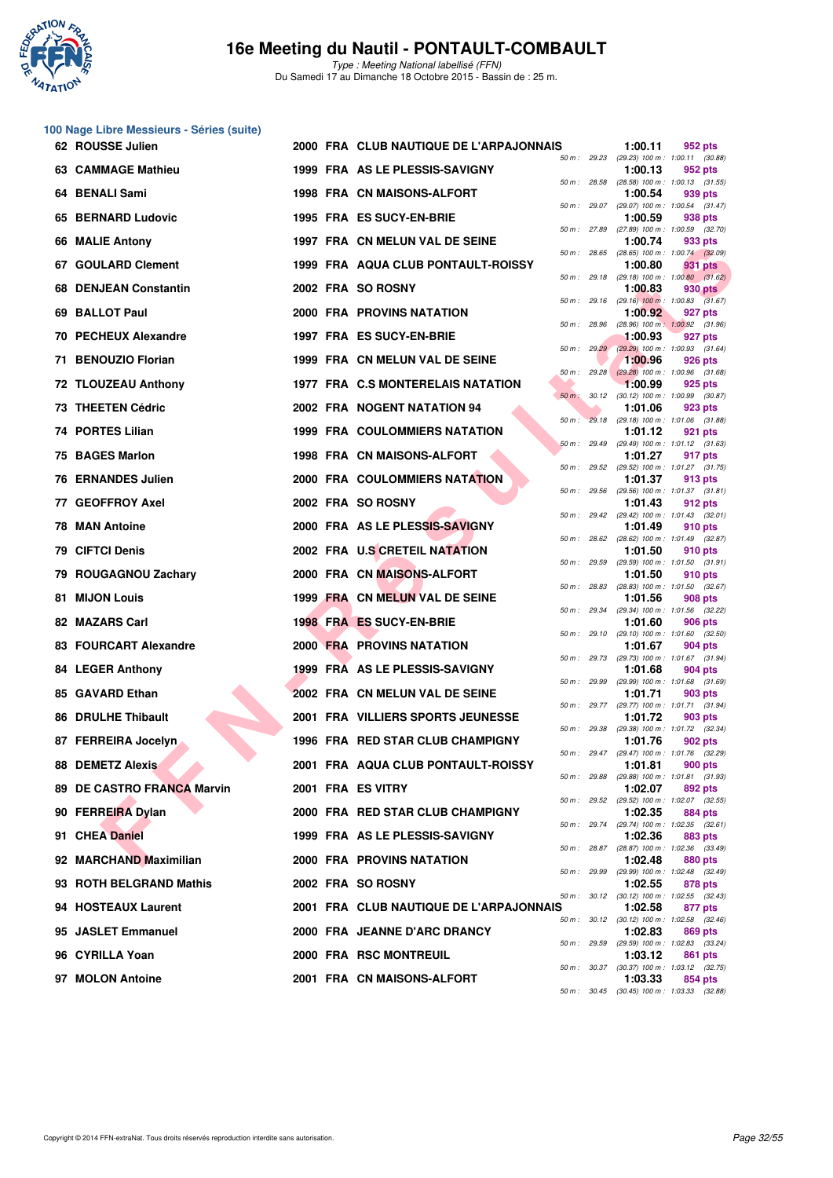

**100 Nage Libre Messieurs - Séries (suite)**

## **16e Meeting du Nautil - PONTAULT-COMBAULT**

Type : Meeting National labellisé (FFN) Du Samedi 17 au Dimanche 18 Octobre 2015 - Bassin de : 25 m.

| 62 ROUSSE Julien                 |  | 2000 FRA CLUB NAUTIQUE DE L'ARPAJONNAIS |              |              | 1:00.11                                                 | 952 pts |  |
|----------------------------------|--|-----------------------------------------|--------------|--------------|---------------------------------------------------------|---------|--|
| 63 CAMMAGE Mathieu               |  | 1999 FRA AS LE PLESSIS-SAVIGNY          | 50 m : 29.23 |              | (29.23) 100 m: 1:00.11 (30.88)<br>1:00.13               | 952 pts |  |
| 64 BENALI Sami                   |  | <b>1998 FRA CN MAISONS-ALFORT</b>       |              |              | 50 m: 28.58 (28.58) 100 m: 1:00.13 (31.55)<br>1:00.54   | 939 pts |  |
| 65 BERNARD Ludovic               |  | 1995 FRA ES SUCY-EN-BRIE                |              | 50 m : 29.07 | (29.07) 100 m: 1:00.54 (31.47)<br>1:00.59               | 938 pts |  |
| 66 MALIE Antony                  |  | 1997 FRA CN MELUN VAL DE SEINE          | 50 m : 27.89 |              | (27.89) 100 m : 1:00.59 (32.70)<br>1:00.74              | 933 pts |  |
| 67 GOULARD Clement               |  | 1999 FRA AQUA CLUB PONTAULT-ROISSY      |              | 50 m : 28.65 | $(28.65)$ 100 m : 1:00.74 $(32.09)$<br>1:00.80          | 931 pts |  |
| <b>DENJEAN Constantin</b><br>68. |  | 2002 FRA SO ROSNY                       |              | 50 m : 29.18 | $(29.18)$ 100 m : 1:00.80 $(31.62)$<br>1:00.83          | 930 pts |  |
| 69 BALLOT Paul                   |  | 2000 FRA PROVINS NATATION               |              |              | 50 m : 29.16 (29.16) 100 m : 1:00.83 (31.67)<br>1:00.92 | 927 pts |  |
| 70 PECHEUX Alexandre             |  | 1997 FRA ES SUCY-EN-BRIE                | 50 m : 28.96 |              | (28.96) 100 m: 1:00.92 (31.96)<br>1:00.93               | 927 pts |  |
| 71 BENOUZIO Florian              |  | 1999 FRA CN MELUN VAL DE SEINE          |              | 50 m: 29.29  | $(29.29)$ 100 m : 1:00.93 (31.64)<br>1:00.96            | 926 pts |  |
| 72 TLOUZEAU Anthony              |  | 1977 FRA C.S MONTERELAIS NATATION       |              | 50 m: 29.28  | $(29.28)$ 100 m : 1:00.96 $(31.68)$<br>1:00.99          | 925 pts |  |
| 73 THEETEN Cédric                |  | 2002 FRA NOGENT NATATION 94             | 50 m: 30.12  |              | (30.12) 100 m: 1:00.99 (30.87)<br>1:01.06               | 923 pts |  |
| 74 PORTES Lilian                 |  | <b>1999 FRA COULOMMIERS NATATION</b>    |              |              | 50 m : 29.18 (29.18) 100 m : 1:01.06 (31.88)<br>1:01.12 | 921 pts |  |
| 75 BAGES Marlon                  |  | <b>1998 FRA CN MAISONS-ALFORT</b>       | 50 m : 29.49 |              | $(29.49)$ 100 m : 1:01.12 $(31.63)$<br>1:01.27          | 917 pts |  |
| 76 ERNANDES Julien               |  | <b>2000 FRA COULOMMIERS NATATION</b>    |              |              | 50 m: 29.52 (29.52) 100 m: 1:01.27 (31.75)<br>1:01.37   | 913 pts |  |
| 77 GEOFFROY Axel                 |  | 2002 FRA SO ROSNY                       |              | 50 m : 29.56 | $(29.56)$ 100 m : 1:01.37 $(31.81)$<br>1:01.43          | 912 pts |  |
| 78 MAN Antoine                   |  | 2000 FRA AS LE PLESSIS-SAVIGNY          |              | 50 m : 29.42 | $(29.42)$ 100 m : 1:01.43 $(32.01)$<br>1:01.49          | 910 pts |  |
| 79 CIFTCI Denis                  |  | 2002 FRA U.S CRETEIL NATATION           |              |              | 50 m: 28.62 (28.62) 100 m: 1:01.49 (32.87)<br>1:01.50   | 910 pts |  |
| 79 ROUGAGNOU Zachary             |  | 2000 FRA CN MAISONS-ALFORT              |              | 50 m : 29.59 | $(29.59)$ 100 m : 1:01.50 $(31.91)$<br>1:01.50          | 910 pts |  |
| 81 MIJON Louis                   |  | 1999 FRA CN MELUN VAL DE SEINE          |              |              | 50 m: 28.83 (28.83) 100 m: 1:01.50 (32.67)<br>1:01.56   | 908 pts |  |
| 82 MAZARS Carl                   |  | 1998 FRA ES SUCY-EN-BRIE                | 50 m: 29.34  |              | (29.34) 100 m: 1:01.56 (32.22)<br>1:01.60               | 906 pts |  |
| 83 FOURCART Alexandre            |  | <b>2000 FRA PROVINS NATATION</b>        |              | 50 m: 29.10  | $(29.10)$ 100 m : 1:01.60 $(32.50)$<br>1:01.67          | 904 pts |  |
| 84 LEGER Anthony                 |  | 1999 FRA AS LE PLESSIS-SAVIGNY          | 50 m : 29.73 |              | (29.73) 100 m: 1:01.67 (31.94)<br>1:01.68               | 904 pts |  |
| 85 GAVARD Ethan                  |  | 2002 FRA CN MELUN VAL DE SEINE          | 50 m : 29.99 |              | (29.99) 100 m: 1:01.68 (31.69)<br>1:01.71               | 903 pts |  |
| <b>86 DRULHE Thibault</b>        |  | 2001 FRA VILLIERS SPORTS JEUNESSE       |              |              | 50 m: 29.77 (29.77) 100 m: 1:01.71 (31.94)<br>1:01.72   | 903 pts |  |
| 87 FERREIRA Jocelyn              |  | 1996 FRA RED STAR CLUB CHAMPIGNY        | 50 m : 29.38 |              | (29.38) 100 m: 1:01.72 (32.34)<br>1:01.76               | 902 pts |  |
| <b>88 DEMETZ Alexis</b>          |  | 2001 FRA AQUA CLUB PONTAULT-ROISSY      |              | 50 m : 29.47 | (29.47) 100 m: 1:01.76 (32.29)<br>1:01.81               | 900 pts |  |
| 89 DE CASTRO FRANCA Marvin       |  | 2001 FRA ES VITRY                       |              |              | 50 m: 29.88 (29.88) 100 m: 1:01.81 (31.93)<br>1:02.07   | 892 pts |  |
| 90 FERREIRA Dylan                |  | 2000 FRA RED STAR CLUB CHAMPIGNY        |              |              | 50 m: 29.52 (29.52) 100 m: 1:02.07 (32.55)<br>1:02.35   | 884 pts |  |
| 91 CHEA Daniel                   |  | 1999 FRA AS LE PLESSIS-SAVIGNY          |              |              | 50 m: 29.74 (29.74) 100 m: 1:02.35 (32.61)<br>1:02.36   | 883 pts |  |
| 92 MARCHAND Maximilian           |  | 2000 FRA PROVINS NATATION               |              |              | 50 m : 28.87 (28.87) 100 m : 1:02.36 (33.49)<br>1:02.48 | 880 pts |  |
| 93 ROTH BELGRAND Mathis          |  | 2002 FRA SO ROSNY                       |              | 50 m : 29.99 | (29.99) 100 m : 1:02.48 (32.49)<br>1:02.55              | 878 pts |  |
| 94 HOSTEAUX Laurent              |  | 2001 FRA CLUB NAUTIQUE DE L'ARPAJONNAIS |              |              | 50 m: 30.12 (30.12) 100 m: 1:02.55 (32.43)<br>1:02.58   | 877 pts |  |
| 95 JASLET Emmanuel               |  | 2000 FRA JEANNE D'ARC DRANCY            |              |              | 50 m: 30.12 (30.12) 100 m: 1:02.58 (32.46)<br>1:02.83   | 869 pts |  |
| 96 CYRILLA Yoan                  |  | 2000 FRA RSC MONTREUIL                  |              |              | 50 m: 29.59 (29.59) 100 m: 1:02.83 (33.24)<br>1:03.12   | 861 pts |  |
| 97 MOLON Antoine                 |  | 2001 FRA CN MAISONS-ALFORT              |              |              | 50 m: 30.37 (30.37) 100 m: 1:03.12 (32.75)<br>1:03.33   | 854 pts |  |
|                                  |  |                                         |              |              | 50 m: 30.45 (30.45) 100 m: 1:03.33 (32.88)              |         |  |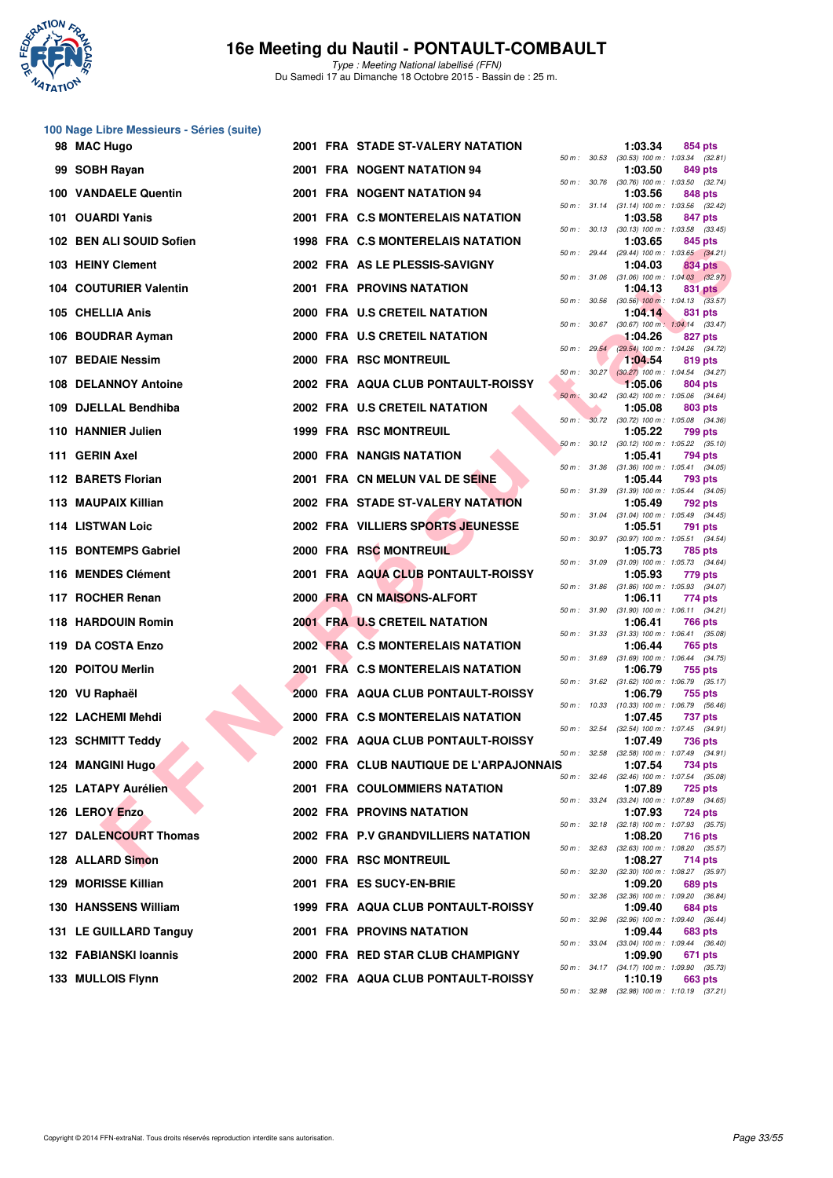

Type : Meeting National labellisé (FFN) Du Samedi 17 au Dimanche 18 Octobre 2015 - Bassin de : 25 m.

#### **100 Nage Libre Messieurs - Séries (suite)**

| 98 MAC Hugo                  |  | 2001 FRA STADE ST-VALERY NATATION       |              |              | 1:03.34                                                 | 854 pts        |  |
|------------------------------|--|-----------------------------------------|--------------|--------------|---------------------------------------------------------|----------------|--|
| 99 SOBH Rayan                |  | 2001 FRA NOGENT NATATION 94             |              | 50 m : 30.53 | $(30.53)$ 100 m : 1:03.34 $(32.81)$<br>1:03.50          | 849 pts        |  |
| 100 VANDAELE Quentin         |  | 2001 FRA NOGENT NATATION 94             | 50 m : 30.76 |              | $(30.76)$ 100 m : 1:03.50 $(32.74)$<br>1:03.56          | 848 pts        |  |
| 101 OUARDI Yanis             |  | 2001 FRA C.S MONTERELAIS NATATION       |              |              | 50 m: 31.14 (31.14) 100 m: 1:03.56 (32.42)<br>1:03.58   | 847 pts        |  |
| 102 BEN ALI SOUID Sofien     |  | 1998 FRA C.S MONTERELAIS NATATION       |              |              | 50 m: 30.13 (30.13) 100 m: 1:03.58 (33.45)<br>1:03.65   | 845 pts        |  |
| 103 HEINY Clement            |  | 2002 FRA AS LE PLESSIS-SAVIGNY          |              |              | 50 m: 29.44 (29.44) 100 m: 1:03.65 (34.21)<br>1:04.03   | 834 pts        |  |
| 104 COUTURIER Valentin       |  | 2001 FRA PROVINS NATATION               |              |              | 50 m: 31.06 (31.06) 100 m: 1:04.03 (32.97)<br>1:04.13   | 831 pts        |  |
| 105 CHELLIA Anis             |  | 2000 FRA U.S CRETEIL NATATION           |              |              | 50 m: 30.56 (30.56) 100 m: 1:04.13 (33.57)<br>1:04.14   | 831 pts        |  |
| 106 BOUDRAR Ayman            |  | 2000 FRA U.S CRETEIL NATATION           |              | 50 m : 30.67 | $(30.67)$ 100 m : 1:04.14 $(33.47)$<br>1:04.26          | 827 pts        |  |
| 107 BEDAIE Nessim            |  | 2000 FRA RSC MONTREUIL                  |              | 50 m: 29.54  | (29.54) 100 m : 1:04.26 (34.72)<br>1:04.54              | 819 pts        |  |
| 108 DELANNOY Antoine         |  | 2002 FRA AQUA CLUB PONTAULT-ROISSY      |              |              | 50 m: 30.27 (30.27) 100 m: 1:04.54 (34.27)<br>1:05.06   | 804 pts        |  |
| 109 DJELLAL Bendhiba         |  | 2002 FRA U.S CRETEIL NATATION           | $50 m$ :     | 30.42        | $(30.42)$ 100 m : 1:05.06 $(34.64)$<br>1:05.08          | 803 pts        |  |
| 110 HANNIER Julien           |  | <b>1999 FRA RSC MONTREUIL</b>           |              |              | 50 m: 30.72 (30.72) 100 m: 1:05.08 (34.36)<br>1:05.22   |                |  |
|                              |  |                                         |              |              | 50 m: 30.12 (30.12) 100 m: 1:05.22 (35.10)              | <b>799 pts</b> |  |
| 111 GERIN Axel               |  | 2000 FRA NANGIS NATATION                |              | 50 m : 31.36 | 1:05.41<br>$(31.36)$ 100 m : 1:05.41 $(34.05)$          | 794 pts        |  |
| 112 BARETS Florian           |  | 2001 FRA CN MELUN VAL DE SEINE          |              |              | 1:05.44<br>50 m: 31.39 (31.39) 100 m: 1:05.44 (34.05)   | 793 pts        |  |
| 113 MAUPAIX Killian          |  | 2002 FRA STADE ST-VALERY NATATION       |              |              | 1:05.49<br>50 m: 31.04 (31.04) 100 m: 1:05.49 (34.45)   | 792 pts        |  |
| 114 LISTWAN Loic             |  | 2002 FRA VILLIERS SPORTS JEUNESSE       |              |              | 1:05.51<br>50 m: 30.97 (30.97) 100 m: 1:05.51 (34.54)   | 791 pts        |  |
| 115 BONTEMPS Gabriel         |  | 2000 FRA RSC MONTREUIL                  |              |              | 1:05.73<br>50 m: 31.09 (31.09) 100 m: 1:05.73 (34.64)   | 785 pts        |  |
| 116 MENDES Clément           |  | 2001 FRA AQUA CLUB PONTAULT-ROISSY      |              |              | 1:05.93<br>50 m: 31.86 (31.86) 100 m: 1:05.93 (34.07)   | 779 pts        |  |
| 117 ROCHER Renan             |  | 2000 FRA CN MAISONS-ALFORT              |              | 50 m : 31.90 | 1:06.11<br>$(31.90)$ 100 m : 1:06.11 $(34.21)$          | 774 pts        |  |
| 118 HARDOUIN Romin           |  | 2001 FRA U.S CRETEIL NATATION           |              |              | 1:06.41<br>50 m: 31.33 (31.33) 100 m: 1:06.41 (35.08)   | 766 pts        |  |
| 119 DA COSTA Enzo            |  | 2002 FRA C.S MONTERELAIS NATATION       |              |              | 1:06.44<br>50 m: 31.69 (31.69) 100 m: 1:06.44 (34.75)   | 765 pts        |  |
| 120 POITOU Merlin            |  | 2001 FRA C.S MONTERELAIS NATATION       |              |              | 1:06.79<br>50 m: 31.62 (31.62) 100 m: 1:06.79 (35.17)   | 755 pts        |  |
| 120 VU Raphaël               |  | 2000 FRA AQUA CLUB PONTAULT-ROISSY      |              |              | 1:06.79                                                 | 755 pts        |  |
| 122 LACHEMI Mehdi            |  | 2000 FRA C.S MONTERELAIS NATATION       |              |              | 50 m: 10.33 (10.33) 100 m: 1:06.79 (56.46)<br>1:07.45   | <b>737 pts</b> |  |
| 123 SCHMITT Teddy            |  | 2002 FRA AQUA CLUB PONTAULT-ROISSY      |              | 50 m : 32.54 | $(32.54)$ 100 m : 1:07.45 $(34.91)$<br>1:07.49          | <b>736 pts</b> |  |
| 124 MANGINI Hugo             |  | 2000 FRA CLUB NAUTIQUE DE L'ARPAJONNAIS | 50 m: 32.58  |              | $(32.58)$ 100 m : 1:07.49 $(34.91)$<br>1:07.54          | 734 pts        |  |
| 125 LATAPY Aurélien          |  | <b>2001 FRA COULOMMIERS NATATION</b>    |              |              | 50 m : 32.46 (32.46) 100 m : 1:07.54 (35.08)<br>1:07.89 | 725 pts        |  |
| 126 LEROY Enzo               |  | <b>2002 FRA PROVINS NATATION</b>        |              | 50 m : 33.24 | $(33.24)$ 100 m : 1:07.89 $(34.65)$<br>1:07.93          | 724 pts        |  |
| <b>127 DALENCOURT Thomas</b> |  | 2002 FRA P.V GRANDVILLIERS NATATION     |              |              | 50 m: 32.18 (32.18) 100 m: 1:07.93 (35.75)<br>1:08.20   | 716 pts        |  |
| 128 ALLARD Simon             |  | 2000 FRA RSC MONTREUIL                  |              |              | 50 m: 32.63 (32.63) 100 m: 1:08.20 (35.57)<br>1:08.27   | 714 pts        |  |
| 129 MORISSE Killian          |  | 2001 FRA ES SUCY-EN-BRIE                | 50 m : 32.30 |              | $(32.30)$ 100 m : 1:08.27 $(35.97)$<br>1:09.20          | 689 pts        |  |
| <b>130 HANSSENS William</b>  |  | 1999 FRA AQUA CLUB PONTAULT-ROISSY      |              | 50 m : 32.36 | (32.36) 100 m: 1:09.20 (36.84)<br>1:09.40               | 684 pts        |  |
| 131 LE GUILLARD Tanguy       |  | <b>2001 FRA PROVINS NATATION</b>        |              | 50 m : 32.96 | $(32.96)$ 100 m : 1:09.40 $(36.44)$<br>1:09.44          | 683 pts        |  |
| 132 FABIANSKI Ioannis        |  | 2000 FRA RED STAR CLUB CHAMPIGNY        |              |              | 50 m: 33.04 (33.04) 100 m: 1:09.44 (36.40)<br>1:09.90   | 671 pts        |  |
| 133 MULLOIS Flynn            |  | 2002 FRA AQUA CLUB PONTAULT-ROISSY      |              |              | 50 m : 34.17 (34.17) 100 m : 1:09.90 (35.73)<br>1:10.19 | 663 pts        |  |
|                              |  |                                         |              |              |                                                         |                |  |

| $50 m$ :    | 30.53 | 1:03.34<br>$(30.53)$ 100 m : | 854 pts<br>1:03.34 (32.81)           |
|-------------|-------|------------------------------|--------------------------------------|
| $50 m$ :    | 30.76 | 1:03.50                      | 849 pts                              |
|             |       | $(30.76)$ 100 m :<br>1:03.56 | 1:03.50 (32.74)<br>848 pts           |
| $50 m$ :    | 31.14 | $(31.14) 100 m$ :<br>1:03.58 | (32.42)<br>1:03.56<br>847 pts        |
| $50 m$ :    | 30.13 | $(30.13) 100 m$ :            | 1:03.58<br>(33.45)                   |
| $50 m$ :    | 29.44 | 1:03.65<br>(29.44) 100 m :   | 845 pts<br>1:03.65 (34.21)           |
|             |       | 1:04.03                      | <b>834 pts</b>                       |
| $50 m$ :    | 31.06 | $(31.06) 100 m$ :<br>1:04.13 | 1:04.03 (32.97)<br>831 pts           |
| $50 m$ :    | 30.56 | $(30.56)$ 100 m :            | 1:04.13 (33.57)                      |
| $50 m$ :    | 30.67 | 1:04.14<br>$(30.67)$ 100 m : | 831 pts<br>$1:04.14$ $(33.47)$       |
|             | 29.54 | 1:04.26                      | 827 pts                              |
| $50 m$ :    |       | $(29.54) 100 m$ :<br>1:04.54 | 1:04.26 (34.72)<br>819 pts           |
| $50 m$ :    | 30.27 | $(30.27)$ 100 m :<br>1:05.06 | 1:04.54<br>(34.27)<br>804 pts        |
| $50 m$ :    | 30.42 | $(30.42)$ 100 m :            | 1:05.06<br>(34.64)                   |
| 50 m :      | 30.72 | 1:05.08<br>$(30.72)$ 100 m : | 803 pts<br>1:05.08<br>(34.36)        |
|             |       | 1:05.22                      | 799 pts                              |
| $50 m$ :    | 30.12 | $(30.12)$ 100 m :<br>1:05.41 | 1:05.22<br>(35.10)<br><b>794 pts</b> |
| $50 m$ :    | 31.36 | $(31.36) 100 m$ :            | 1:05.41<br>(34.05)                   |
| $50 m$ :    | 31.39 | 1:05.44<br>$(31.39) 100 m$ : | 793 pts<br>(34.05)<br>1:05.44        |
|             |       | 1:05.49                      | 792 pts                              |
| $50 m$ :    | 31.04 | $(31.04) 100 m$ :<br>1:05.51 | 1:05.49<br>(34.45)<br>791 pts        |
| $50 m$ :    | 30.97 | $(30.97)$ 100 m :            | 1:05.51<br>(34.54)                   |
| 50 m :      | 31.09 | 1:05.73<br>$(31.09) 100 m$ : | <b>785 pts</b><br>1:05.73<br>(34.64) |
|             |       | 1:05.93                      | 779 pts                              |
| $50 m$ :    | 31.86 | $(31.86) 100 m$ :<br>1:06.11 | 1:05.93<br>(34.07)<br>774 pts        |
| $50 m$ :    | 31.90 | $(31.90) 100 m$ :            | 1:06.11<br>(34.21)                   |
| $50 m$ :    | 31.33 | 1:06.41<br>$(31.33) 100 m$ : | <b>766 pts</b><br>1:06.41<br>(35.08) |
| $50 m$ :    | 31.69 | 1:06.44<br>$(31.69) 100 m$ : | 765 pts<br>1:06.44<br>(34.75)        |
|             |       | 1:06.79                      | 755 pts                              |
| $50 m$ :    | 31.62 | $(31.62) 100 m$ :<br>1:06.79 | 1:06.79<br>(35.17)<br>755 pts        |
| $50 m$ :    | 10.33 | $(10.33) 100 m$ :            | 1:06.79<br>(56.46)                   |
| $50 m$ :    | 32.54 | 1:07.45<br>$(32.54) 100 m$ : | <b>737 pts</b><br>1:07.45<br>(34.91) |
|             |       | 1:07.49                      | <b>736 pts</b>                       |
| 50 m :<br>s | 32.58 | $(32.58) 100 m$ :<br>1:07.54 | 1:07.49<br>(34.91)<br><b>734 pts</b> |
| $50 m$ :    | 32.46 | $(32.46)$ 100 m :<br>1:07.89 | 1:07.54<br>(35.08)<br>725 pts        |
| $50 m$ :    | 33.24 | $(33.24) 100 m$ :            | 1:07.89<br>(34.65)                   |
| $50 m$ :    | 32.18 | 1:07.93<br>$(32.18) 100 m$ : | 724 pts<br>1:07.93<br>(35.75)        |
|             |       | 1:08.20                      | 716 pts                              |
| $50 m$ :    | 32.63 | $(32.63)$ 100 m :<br>1:08.27 | 1:08.20<br>(35.57)<br>714 pts        |
| $50 m$ :    | 32.30 | $(32.30)$ 100 m :            | 1:08.27<br>(35.97)                   |
| $50 m$ :    | 32.36 | 1:09.20<br>$(32.36) 100 m$ : | 689 pts<br>1:09.20<br>(36.84)        |
|             |       | 1:09.40                      | <b>684 pts</b>                       |
| $50 m$ :    | 32.96 | $(32.96) 100 m$ :<br>1:09.44 | 1:09.40<br>(36.44)<br>683 pts        |
| $50 m$ :    | 33.04 | $(33.04) 100 m$ :<br>1:09.90 | 1:09.44<br>(36.40)<br>671            |
| $50 m$ :    | 34.17 | $(34.17) 100 m$ :            | pts<br>1:09.90<br>(35.73)            |
| $50 m$ :    | 32.98 | 1:10.19<br>$(32.98)$ 100 m : | <b>663 pts</b><br>1:10.19<br>(37.21) |
|             |       |                              |                                      |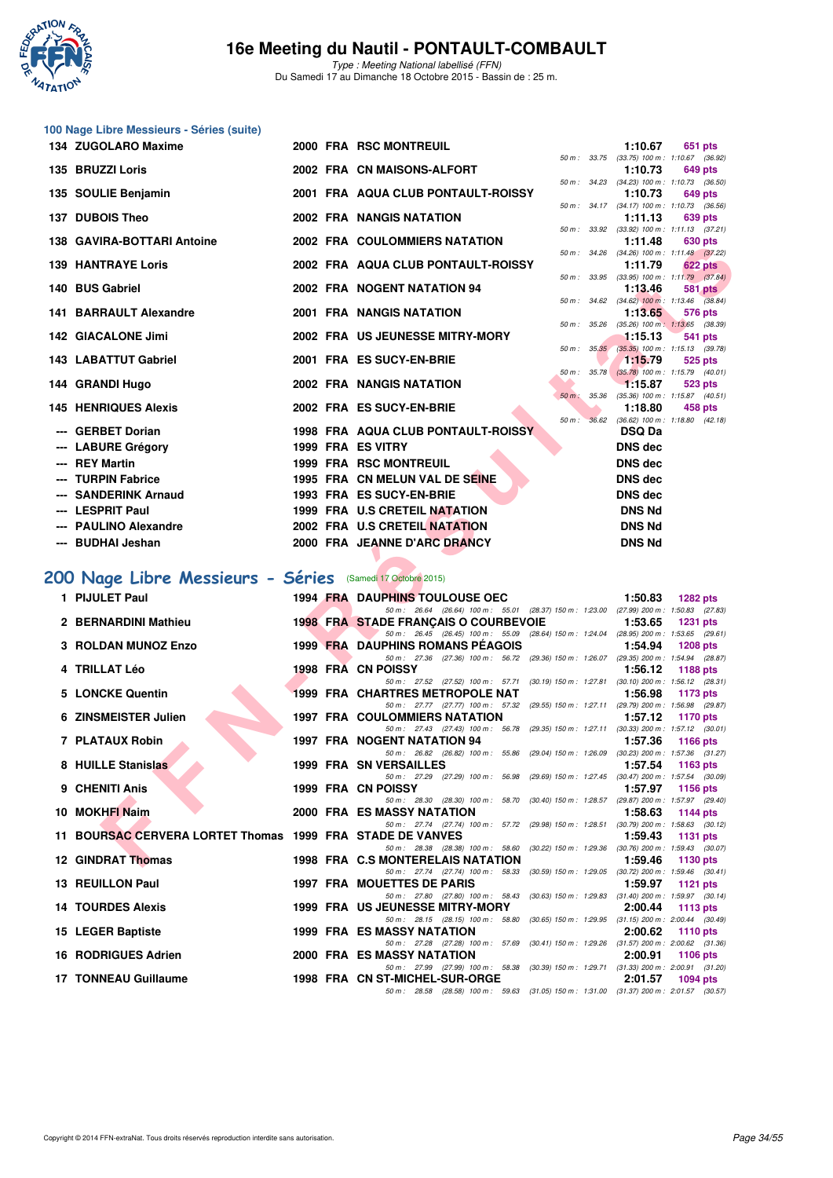

Type : Meeting National labellisé (FFN) Du Samedi 17 au Dimanche 18 Octobre 2015 - Bassin de : 25 m.

| 100 Nage Libre Messieurs - Séries (suite)                                      |  |                                                                                                                                       |                                                                         |
|--------------------------------------------------------------------------------|--|---------------------------------------------------------------------------------------------------------------------------------------|-------------------------------------------------------------------------|
| 134 ZUGOLARO Maxime                                                            |  | 2000 FRA RSC MONTREUIL                                                                                                                | 1:10.67<br>651 pts                                                      |
| 135 BRUZZI Loris                                                               |  | 2002 FRA CN MAISONS-ALFORT                                                                                                            | 50 m: 33.75 (33.75) 100 m: 1:10.67 (36.92)<br>1:10.73<br>649 pts        |
| 135 SOULIE Benjamin                                                            |  | 2001 FRA AQUA CLUB PONTAULT-ROISSY                                                                                                    | 50 m: 34.23 (34.23) 100 m: 1:10.73 (36.50)<br>1:10.73<br>649 pts        |
| 137 DUBOIS Theo                                                                |  | 2002 FRA NANGIS NATATION                                                                                                              | 50 m: 34.17 (34.17) 100 m: 1:10.73 (36.56)<br>1:11.13<br>639 pts        |
| 138 GAVIRA-BOTTARI Antoine                                                     |  | 50 m : 33.92<br>2002 FRA COULOMMIERS NATATION                                                                                         | $(33.92)$ 100 m : 1:11.13 $(37.21)$<br>1:11.48<br>630 pts               |
| <b>139 HANTRAYE Loris</b>                                                      |  | 2002 FRA AQUA CLUB PONTAULT-ROISSY                                                                                                    | 50 m: 34.26 (34.26) 100 m: 1:11.48 (37.22)<br>1:11.79<br><b>622 pts</b> |
| 140 BUS Gabriel                                                                |  | 2002 FRA NOGENT NATATION 94                                                                                                           | 50 m: 33.95 (33.95) 100 m: 1:11.79 (37.84)<br>1:13.46<br><b>581 pts</b> |
| 141 BARRAULT Alexandre                                                         |  | 2001 FRA NANGIS NATATION                                                                                                              | 50 m : 34.62 (34.62) 100 m : 1:13.46 (38.84)<br>1:13.65<br>576 pts      |
|                                                                                |  | 50 m : 35.26                                                                                                                          | $(35.26)$ 100 m : 1:13.65 $(38.39)$                                     |
| 142 GIACALONE Jimi                                                             |  | 2002 FRA US JEUNESSE MITRY-MORY<br>50 m: 35.35                                                                                        | 1:15.13<br>541 pts<br>(35.35) 100 m : 1:15.13 (39.78)                   |
| <b>143 LABATTUT Gabriel</b>                                                    |  | 2001 FRA ES SUCY-EN-BRIE<br>50 m :                                                                                                    | 1:15.79<br>525 pts<br>35.78<br>$(35.78)$ 100 m : 1:15.79 $(40.01)$      |
| 144 GRANDI Hugo                                                                |  | 2002 FRA NANGIS NATATION<br>$50 m$ :                                                                                                  | 1:15.87<br>523 pts<br>$(35.36)$ 100 m : 1:15.87 $(40.51)$<br>35.36      |
| <b>145 HENRIQUES Alexis</b>                                                    |  | 2002 FRA ES SUCY-EN-BRIE<br>50 m:                                                                                                     | 1:18.80<br>458 pts<br>36.62 (36.62) 100 m : 1:18.80 (42.18)             |
| --- GERBET Dorian                                                              |  | 1998 FRA AQUA CLUB PONTAULT-ROISSY                                                                                                    | <b>DSQ Da</b>                                                           |
| <b>LABURE Grégory</b>                                                          |  | 1999 FRA ES VITRY                                                                                                                     | <b>DNS dec</b>                                                          |
| --- REY Martin                                                                 |  | <b>1999 FRA RSC MONTREUIL</b>                                                                                                         | <b>DNS dec</b>                                                          |
| <b>TURPIN Fabrice</b>                                                          |  | 1995 FRA CN MELUN VAL DE SEINE                                                                                                        | DNS dec                                                                 |
| <b>SANDERINK Arnaud</b>                                                        |  | 1993 FRA ES SUCY-EN-BRIE                                                                                                              | <b>DNS dec</b>                                                          |
| --- LESPRIT Paul                                                               |  | 1999 FRA U.S CRETEIL NATATION                                                                                                         | <b>DNS Nd</b>                                                           |
| --- PAULINO Alexandre                                                          |  | 2002 FRA U.S CRETEIL NATATION                                                                                                         | <b>DNS Nd</b>                                                           |
| <b>BUDHAI Jeshan</b>                                                           |  | 2000 FRA JEANNE D'ARC DRANCY                                                                                                          | <b>DNS Nd</b>                                                           |
| 200 Nage Libre Messieurs - Séries (Samedi 17 Octobre 2015)                     |  |                                                                                                                                       |                                                                         |
| 1 PIJULET Paul                                                                 |  | <b>1994 FRA DAUPHINS TOULOUSE OEC</b>                                                                                                 | 1:50.83<br><b>1282 pts</b>                                              |
| 2 BERNARDINI Mathieu                                                           |  | 50 m: 26.64 (26.64) 100 m: 55.01 (28.37) 150 m: 1:23.00 (27.99) 200 m: 1:50.83 (27.83)<br><b>1998 FRA STADE FRANÇAIS O COURBEVOIE</b> | 1:53.65<br><b>1231 pts</b>                                              |
| <b>3 ROLDAN MUNOZ Enzo</b>                                                     |  | 50 m: 26.45 (26.45) 100 m: 55.09 (28.64) 150 m: 1:24.04 (28.95) 200 m: 1:53.65 (29.61)<br><b>1999 FRA DAUPHINS ROMANS PEAGOIS</b>     | 1:54.94<br><b>1208 pts</b>                                              |
| 4 TRILLAT Léo                                                                  |  | 50 m: 27.36 (27.36) 100 m: 56.72 (29.36) 150 m: 1:26.07<br>1998 FRA CN POISSY                                                         | (29.35) 200 m: 1:54.94 (28.87)<br>1:56.12<br><b>1188 pts</b>            |
| <b>5 LONCKE Quentin</b>                                                        |  | 50 m: 27.52 (27.52) 100 m: 57.71 (30.19) 150 m: 1:27.81 (30.10) 200 m: 1:56.12 (28.31)<br>1999 FRA CHARTRES METROPOLE NAT             | 1:56.98<br>1173 pts                                                     |
| 6 ZINSMEISTER Julien                                                           |  | 50 m: 27.77 (27.77) 100 m: 57.32 (29.55) 150 m: 1:27.11 (29.79) 200 m: 1:56.98 (29.87)<br><b>1997 FRA COULOMMIERS NATATION</b>        | 1:57.12<br><b>1170 pts</b>                                              |
| 7 PLATAUX Robin                                                                |  | 50 m: 27.43 (27.43) 100 m: 56.78 (29.35) 150 m: 1:27.11 (30.33) 200 m: 1:57.12 (30.01)<br><b>1997 FRA NOGENT NATATION 94</b>          | 1:57.36<br><b>1166 pts</b>                                              |
| 8 HUILLE Stanislas                                                             |  | 50 m : 26.82 (26.82) 100 m : 55.86 (29.04) 150 m : 1:26.09<br>1999 FRA SN VERSAILLES                                                  | $(30.23)$ 200 m : 1:57.36 $(31.27)$<br>1:57.54<br>1163 pts              |
| 9 CHENITI Anis                                                                 |  | 50 m: 27.29 (27.29) 100 m: 56.98 (29.69) 150 m: 1:27.45 (30.47) 200 m: 1:57.54 (30.09)<br>1999 FRA CN POISSY                          | 1:57.97<br>1156 pts                                                     |
| 10 MOKHFI Naim                                                                 |  | 50 m: 28.30 (28.30) 100 m: 58.70 (30.40) 150 m: 1:28.57<br>2000 FRA ES MASSY NATATION                                                 | (29.87) 200 m: 1:57.97 (29.40)<br>1:58.63<br>1144 pts                   |
|                                                                                |  | 50 m: 27.74 (27.74) 100 m: 57.72 (29.98) 150 m: 1:28.51                                                                               | (30.79) 200 m: 1:58.63 (30.12)                                          |
|                                                                                |  |                                                                                                                                       |                                                                         |
| 11 BOURSAC CERVERA LORTET Thomas 1999 FRA STADE DE VANVES<br>12 GINDRAT Thomas |  | 50 m: 28.38 (28.38) 100 m: 58.60 (30.22) 150 m: 1:29.36 (30.76) 200 m: 1:59.43 (30.07)<br>1998 FRA C.S MONTERELAIS NATATION           | 1:59.43<br><b>1131 pts</b><br>1:59.46<br>1130 pts                       |

## **[200 Nage Libre Messieurs - Séries](http://www.ffnatation.fr/webffn/resultats.php?idact=nat&go=epr&idcpt=33325&idepr=53)** (Samedi 17 Octobre 2015)

| 1 PIJULET Paul                                            |  | 1994 FRA DAUPHINS TOULOUSE OEC 1:50.83                                                                                      |                       | 1282 pts   |
|-----------------------------------------------------------|--|-----------------------------------------------------------------------------------------------------------------------------|-----------------------|------------|
|                                                           |  | 50 m: 26.64 (26.64) 100 m: 55.01 (28.37) 150 m: 1:23.00 (27.99) 200 m: 1:50.83 (27.83)                                      |                       |            |
| 2 BERNARDINI Mathieu                                      |  | 1998 FRA STADE FRANÇAIS O COURBEVOIE 1:53.65 1231 pts                                                                       |                       |            |
|                                                           |  | 50 m: 26.45 (26.45) 100 m: 55.09 (28.64) 150 m: 1:24.04 (28.95) 200 m: 1:53.65 (29.61)                                      |                       |            |
| <b>3 ROLDAN MUNOZ Enzo</b>                                |  | 1999 FRA DAUPHINS ROMANS PÉAGOIS 1:54.94                                                                                    | <b>1208 pts</b>       |            |
|                                                           |  | 50 m: 27.36 (27.36) 100 m: 56.72 (29.36) 150 m: 1:26.07 (29.35) 200 m: 1:54.94 (28.87)                                      |                       |            |
| 4 TRILLAT Léo                                             |  | <b>1998 FRA CN POISSY</b>                                                                                                   | 1:56.12<br>1188 pts   |            |
|                                                           |  | 50 m: 27.52 (27.52) 100 m: 57.71 (30.19) 150 m: 1:27.81 (30.10) 200 m: 1:56.12 (28.31)                                      |                       |            |
| 5 LONCKE Quentin                                          |  | 1999 FRA CHARTRES METROPOLE NAT 1:56.98 1173 pts                                                                            |                       |            |
|                                                           |  | 50 m: 27.77 (27.77) 100 m: 57.32 (29.55) 150 m: 1:27.11 (29.79) 200 m: 1:56.98 (29.87)                                      |                       |            |
| 6 ZINSMEISTER Julien                                      |  | 1997 FRA COULOMMIERS NATATION                                                                                               | 1:57.12 1170 pts      |            |
|                                                           |  | 50 m: 27.43 (27.43) 100 m: 56.78 (29.35) 150 m: 1:27.11 (30.33) 200 m: 1:57.12 (30.01)                                      |                       |            |
| 7 PLATAUX Robin                                           |  | 1997 FRA NOGENT NATATION 94                                                                                                 | 1:57.36               | 1166 pts   |
|                                                           |  | 50 m: 26.82 (26.82) 100 m: 55.86 (29.04) 150 m: 1.26.09 (30.23) 200 m: 1.57.36 (31.27)                                      |                       |            |
| 8 HUILLE Stanislas                                        |  | <b>1999 FRA SN VERSAILLES</b>                                                                                               | 1:57.54<br>$1163$ pts |            |
|                                                           |  | 50 m: 27.29 (27.29) 100 m: 56.98 (29.69) 150 m: 1:27.45 (30.47) 200 m: 1:57.54 (30.09)                                      |                       |            |
| 9 CHENITI Anis                                            |  | 1999 FRA CN POISSY                                                                                                          | 1:57.97<br>1156 pts   |            |
|                                                           |  | 50 m: 28.30 (28.30) 100 m: 58.70 (30.40) 150 m: 1:28.57 (29.87) 200 m: 1:57.97 (29.40)                                      |                       |            |
| 10 MOKHFI Naim                                            |  | <b>2000 FRA ES MASSY NATATION</b>                                                                                           | 1:58.63<br>1144 pts   |            |
|                                                           |  | 50 m: 27.74 (27.74) 100 m: 57.72 (29.98) 150 m: 1.28.51 (30.79) 200 m: 1.58.63 (30.12)                                      |                       |            |
| 11 BOURSAC CERVERA LORTET Thomas 1999 FRA STADE DE VANVES |  |                                                                                                                             | 1:59.43<br>1131 pts   |            |
|                                                           |  | 50 m: 28.38 (28.38) 100 m: 58.60 (30.22) 150 m: 1:29.36 (30.76) 200 m: 1:59.43 (30.07)                                      |                       |            |
| 12 GINDRAT Thomas                                         |  | 1998 FRA C.S MONTERELAIS NATATION 1:59.46 1130 pts                                                                          |                       |            |
|                                                           |  | 50 m: 27.74 (27.74) 100 m: 58.33 (30.59) 150 m: 1:29.05 (30.72) 200 m: 1:59.46 (30.41)                                      |                       |            |
| 13 REUILLON Paul                                          |  | 1997 FRA MOUETTES DE PARIS                                                                                                  | 1:59.97               | 1121 $pts$ |
|                                                           |  | 50 m: 27.80 (27.80) 100 m: 58.43 (30.63) 150 m: 1:29.83 (31.40) 200 m: 1:59.97 (30.14)                                      |                       |            |
| <b>14 TOURDES Alexis</b>                                  |  | 1999 FRA US JEUNESSE MITRY-MORY                                                                                             | 2:00.44<br>1113 $pts$ |            |
|                                                           |  | 50 m: 28.15 (28.15) 100 m: 58.80 (30.65) 150 m: 1:29.95 (31.15) 200 m: 2:00.44 (30.49)                                      |                       |            |
| 15 LEGER Baptiste                                         |  | <b>1999 FRA ES MASSY NATATION</b>                                                                                           | 2:00.62<br>1110 pts   |            |
|                                                           |  | 50 m: 27.28 (27.28) 100 m: 57.69 (30.41) 150 m: 1:29.26 (31.57) 200 m: 2:00.62 (31.36)<br><b>2000 FRA ES MASSY NATATION</b> |                       |            |
| 16 RODRIGUES Adrien                                       |  | 50 m: 27.99 (27.99) 100 m: 58.38 (30.39) 150 m: 1:29.71 (31.33) 200 m: 2:00.91 (31.20)                                      | 2:00.91<br>1106 pts   |            |
| <b>17 TONNEAU Guillaume</b>                               |  | 1998 FRA CN ST-MICHEL-SUR-ORGE                                                                                              |                       |            |
|                                                           |  |                                                                                                                             | 2:01.57 1094 pts      |            |
|                                                           |  | 50 m: 28.58 (28.58) 100 m: 59.63 (31.05) 150 m: 1:31.00 (31.37) 200 m: 2:01.57 (30.57)                                      |                       |            |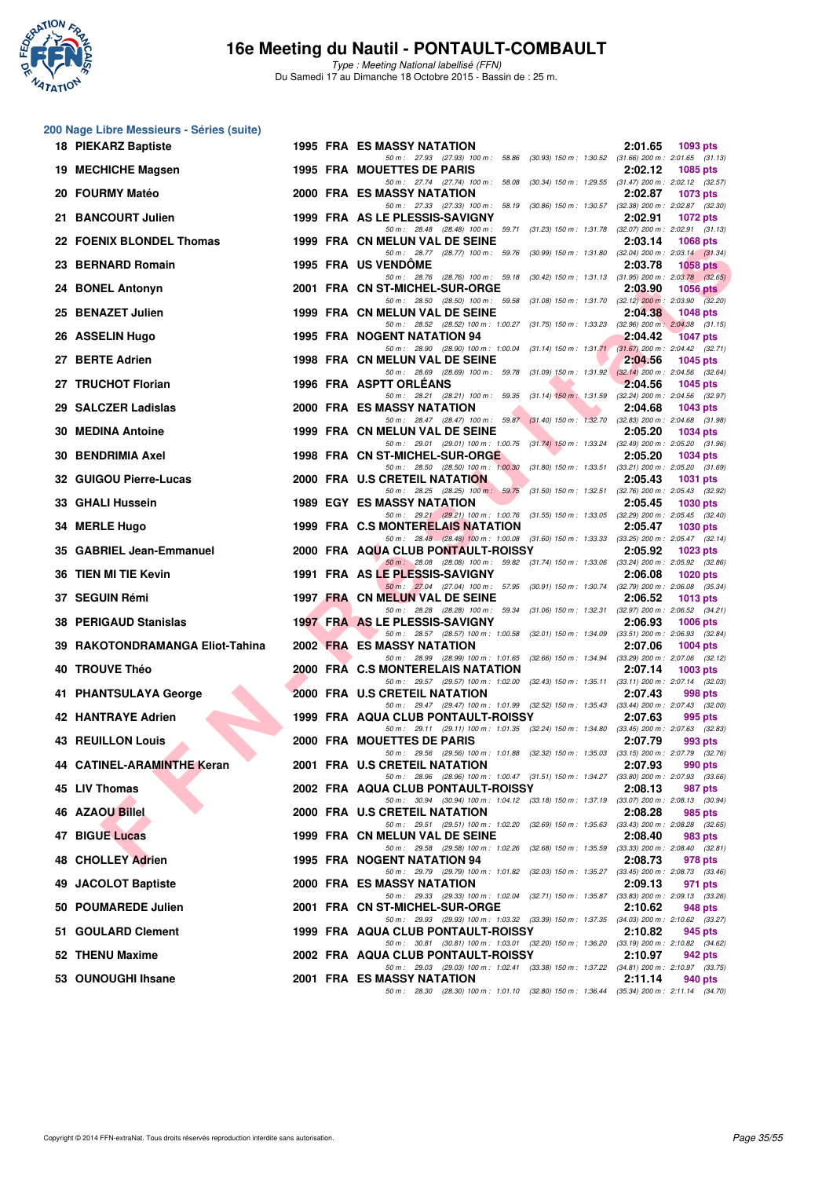

**200 Nage Libre Messieurs - Séries (suite)**

## **16e Meeting du Nautil - PONTAULT-COMBAULT**

Type : Meeting National labellisé (FFN) Du Samedi 17 au Dimanche 18 Octobre 2015 - Bassin de : 25 m.

#### **FIND THE SET OF THE AIR CREATED MATHEM AND CREATED AN ABOVE THE SET OF THE AIR CREATED AND THE SUBARU THE SUBARU THE SUBARU THE SUBARU THE SUBARU THE SUBARU THE SUBARU THE SUBARU THE SUBARU THE SUBARU THE SUBARU THE SUBA 18 PIEKARZ Baptiste** 1995 FRA ES MASSY NATATION 2:01.65 **2:01.65 2:01.65 2:01.65 2:01.65 2:01.65 2:01.65 2:01.65 2:01.65 2:01.65 2:01.65 2:01.65 2:01.65 2:01.65 2:01.65 2:01.65 2:01.65 2:01**  $(31.66)$  200 m : 2:01.65  $(31.13)$ **19 MECHICHE Magsen 1995 FRA MOUETTES DE PARIS 2:02.12 1085 pts** 50 m : 27.74 (27.74) 100 m : 58.08 (30.34) 150 m : 1:29.55 (31.47) 200 m : 2:02.12 (32.57)<br>**ASSY NATATION** 2:02.87 1073 pts **2000 FRA ES MASSY NATATION** 2:02.87 **202.87 2000 FRA 2000 FRA ES MASSY NATATION 2:02.87 2:02.87 1073 2000 2000 2000 2000 2000 2000 2000 2000 2000 2000 2000 2000 2000 2000 2000 200** 50 m : 27.33 (27.33) 100 m : 58.19 (30.86) 150 m : 1:30.57 (32.38) 200 m : 2:02.87 (32.30) **21 BANCOURT Julien 1999 FRA AS LE PLESSIS-SAVIGNY** 2:02.91 **1072 pts**<br>  $\frac{50 \text{ m}}{2848}$   $\frac{2848}{2848}$   $\frac{2848}{2848}$   $\frac{100 \text{ m}}{2848}$   $\frac{5971}{2842}$   $\frac{3123}{2848}$   $\frac{1731}{288}$   $\frac{32.071}{280 \text{ m}}$   $\frac{232.91}{$ 50 m : 28.48 (28.48) 100 m : 59.71 (31.23) 150 m : 1:31.78 (32.07) 200 m : 2:02.91 (31.1<br>ELUN VAL DE SEINE 2:03.14 1068 pts **22 FOENIX BLONDEL Thomas** 1999 FRA CN MELUN VAL DE SEINE 2:03.14 1068 pts<br>  $\frac{50 \text{ m} \cdot 28.77}{50 \text{ m} \cdot 28.77}$   $\frac{28.77}{(28.77)}$   $\frac{100 \text{ m} \cdot 59.76}{(30.99) \cdot 150 \text{ m} \cdot 1.31.80}$   $\frac{(32.04) \cdot 200 \text{ m} \cdot 2.03.14}{(29.3$ 28.77 (28.77) 100 m : 59.76 **23 BERNARD Romain 1995 FRA US VENDÔME 2:03.78 1058 pts** 50 m : 28.76 (28.76) 100 m : 59.18 (30.42) 150 m : 1:31.13 (31.95) 200 m : 2:03.78 (32.65) **24 BONEL Antonyn** 2001 FRA CN ST-MICHEL-SUR-ORGE 2:03.90 **2:03.90 2:03.90 2:03.90 2:03.90 2:03.90 2:03.90 2:03.90 2:03.90 2:03.90 2:03.90 2:03.90 2:03.90 2:03.90 2:03.90 2:03.90 2:03.90 2:0** 50 m : 28.50 (28.50) 100 m : **25 BENAZET Julien** 1999 FRA CN MELUN VAL DE SEINE 2:04.38 2:04.38 1048 pts 2:04.38 1048 pts (31.75) 150 m : 1:33.23 (32.96) 200 m : 2:04.38 (31.15) **26 ASSELIN Hugo** 1995 FRA NOGENT NATATION 94 2:04.42 1047 pts<br>26.90 200m: 28.90 28.90 100m: 1:00.04 (31.14) 150m: 1:31.71 (31.67) 200m: 2:04.42 (32.74) 50 m : 28.90 (28.90) 100 m : 1:00.04 (31.14) 150 m : 1:31.71 (31.67) 200 m : 2:04.42 (32.71) **27 BERTE Adrien** 1998 FRA CN MELUN VAL DE SEINE 2:04.56 1045 pts<br>
<sup>50 m:</sup> 28.69 (20.69) 100 m: 59.78 (31.09) 150 m: 1:31.92 (32.14) 200 m: 2:04.56 (32.64) 50 m : 28.69 (28.69) 100 m : 59.78 **27 TRUCHOT Florian** 1996 FRA ASPTT ORLÉANS 2:04.56 1045 pts<br>
<sup>50 m:</sup> 28.21 (28.21) 100 m: 59.35 (31.14) 150 m: 1.31.59 (32.24) 200 m: 2.04.56 (32.97) 28.21 (28.21) 100 m : 59.35 **29 SALCZER Ladislas** 2000 FRA ES MASSY NATATION 2:04.68 1043 pts<br>
<sup>200</sup> <sup>59 m:</sup> 28.47 (28.47) 100 m: 59.87 (31.40) 150 m: 1:32.70 (32.83) 200 m: 2:04.68 (31.98) 59.87 (31.40) 150 m : 1:32.70 **30 MEDINA Antoine** 1999 FRA CN MELUN VAL DE SEINE 2:05.20 1034 pts<br>
<sup>50 m:</sup> 2901 (2901) 100 m: 1:00.75 (31.74) 150 m: 1:33.24 (32.49) 200 m: 2:05.20 (31.96) 50 m : 29.01 (29.01) 100 m : 1:00.75 **30 BENDRIMIA Axel 1998 FRA CN ST-MICHEL-SUR-ORGE 2:05.20 1034 pts**<br>
<sup>50 50</sup> 2:05.20 *205.20* **2:05.20 2:05.20 2:05.20 2:05.20 2:05.20 2:05.20 2:05.20 2:05.20 2:05.20 2:05.20 2:05.20 2:05.20 2:05.20** 50 m : 28.50 (28.50) 100 m : 1:00.30 **32 GUIGOU Pierre-Lucas** 2000 FRA U.S CRETEIL NATATION 2:05.43 1031 pts<br>
<sup>50 m:</sup> 28.25 (28.25) 100 m: 59.75 (31.50) 150 m: 1:32.51 (32.76) 200 m: 2:05.43 (32.92) 50 m : 28.25 (28.25) 100 m : 59.75 (31.50) 150 m : 1:32.51 (32.76) 200 m : <br>**ASSY NATATION** 2:05.45 **33 GHALI Hussein** 1989 EGY ES MASSY NATATION 2:05.45 1030 pts<br>50 m: 29.21 (29.21) 100 m: 1:00.76 (31.55) 150 m: 1:33.05 (32.29) 200 m: 2:05.45 (32.49) 200 m: 2:05.45 (32.49)  $(31.55) 150 m : 1:33.05$   $(32.29) 200 m : 2:05.45$   $(32.40)$ <br>**2:05.47 1030 pts 34 MERLE Hugo 1999 FRA C.S MONTERELAIS NATATION** 2:05.47 1030 pts<br>
<sup>50 50</sup> 28.48 (28.48) 100 m; 1:00.08 (31.60) 150 m; 1:33.33 (33.25) 200 m; 2:05.47 (32.14)  $50 m$  : 28.48 (28.48) 100 m : 1:00.08 **35 GABRIEL Jean-Emmanuel 2000 FRA AQUA CLUB PONTAULT-ROISSY 2:05.92 1023 pts** 50 m : 28.08 (28.08) 100 m : 59.82 (31.74) 150 m : 1:33.06 (33.24) 200 m : 2:05.92 (32.86) **36 TIEN MI TIE Kevin 1991 FRA AS LE PLESSIS-SAVIGNY 2:06.08 2:06.08 1991 PRA AS LE PLESSIS-SAVIGNY 190m:** 57.95 (30.91) 150m: 1:30.74 (32.79) 200m: 50 m : 27.04 (27.04) 100 m : 57.95 (30.91) 150 m : 1:30.74 (32.79) 200 m : 2:06.08 (35.34) **37 SEGUIN Rémi** 1997 FRA CN MELUN VAL DE SEINE 2:06.52 **1013 pts**<br> **38.28 2:06.52 2:06.52 2:06.52 2:06.52 2:06.52 2:04.21** 50 m : 28.28 (28.28) 100 m : 59.34 (31.06) 150 m : 1:32.31 (32.97) 200 m : 2:06.52 (34.2<br>**E PLESSIS-SAVIGNY** 2:06.93 1006 pts **38 PERIGAUD Stanislas 1997 FRA AS LE PLESSIS-SAVIGNY 1997 PTS** 2:06.93 50 m : 28.57 (28.57) 100 m : 1:00.58 (32.01) 150 m : 1:34.09 (33.51) 200 m : 2:06.93 (32.84) **39 RAKOTONDRAMANGA Eliot-Tahina** 2002 FRA ES MASSY NATATION 2:07.06 2:07.06 1004 pts 50 m : 28.99 (28.99) 100 m : 1:01.65 (32.66) 150 m : 1:34.94 (33.29) 200 m : 2:07.06 (32.12) **40 TROUVE Théo** 2000 FRA C.S MONTERELAIS NATATION 2:07.14 1003 pts<br>
<sup>50 50</sup> 29.57 (29.57) 100 m; 1:02.00 (32.43) 150 m; 1:05.11 (33.11) 200 m; 2:07.14 (32.03)  $50 m : 29.57 (29.57) 100 m : 1:02.00$ **41 PHANTSULAYA George** 2000 FRA U.S CRETEIL NATATION 2:07.43 998 pts<br>  $\frac{50 \text{ m} \cdot 2947}{50 \text{ m} \cdot 2947}$   $\frac{994 \text{ N}}{2947}$   $\frac{101.99}{100 \text{ m} \cdot 1.01.99}$   $\frac{(32.52) 150 \text{ m} \cdot 1.35.43}{50.8141,200 \text{ m} \cdot 2.0743}$   $\frac{(3$ 50 m : 29.47 (29.47) 100 m : 1:01.99 (32.52) 150 m : 1:35.43 (33.44) 200 m : **42 HANTRAYE Adrien 1999 FRA AQUA CLUB PONTAULT-ROISSY** 2:07.63 995 pts 2:07.63 995 pts 5 pts 5 pts 5 pts 5 pts 5 pts 5 pts 5 pts 5 pts 5 pts 5 pts 5 pts 5 pts 5 pts 5 pts 5 pts 5 pts 5 pts 5 pts 5 pts 5 pts 5 pts 5 pts 5 50 m : 29.11 (29.11) 100 m : 1:01.35 (32.24) 150 m : 1:34.80 **43 REUILLON Louis 2000 FRA MOUETTES DE PARIS** 2:07.79 993 pts 2:07.79 993 pts 50 m : 20.56 (29.56) 100 m : 1:01.88 (32.32) 150 m : 1:35.03 (33.15) 200 m : 2:07.79 (32.76) 50 m : 29.56 (29.56) 100 m : 1:01.88 (32.32) 150 m : 1:35.03 (33.15) 200 m : 2:07.79 (32.76) **44 CATINEL-ARAMINTHE Keran 2001 FRA U.S CRETEIL NATATION 2:07.93 990 pts** 50 m : 28.96 (28.96) 100 m : 1:00.47 (31.51) 150 m : 1:34.27 (33.80) 200 m : 2:07.93 (33.66) **45 LIV Thomas 2002 FRA AQUA CLUB PONTAULT-ROISSY 2:08.13 2:08.13 987 pts 50 m**: 30.94 **100 m**: 30.94 **100 m**: 1:04.12 **(33.18)** 150 m: 1:37.19 **(33.07)** 200 m: 2:08.13 **(30.94)** 50 m : 30.94 (30.94) 100 m : 1:04.12 (33.18) 150 m : 1:37.19 (33.07) 200 m : 2:08.13 (30.94) **46 AZAOU Billel 2000 FRA U.S CRETEIL NATATION** 2:08.28 985 pts<br>
<sup>50 m:</sup> 29.51 (29.51) 100 m: 1:02.20 (32.69) 150 m: 1:35.63 (33.43) 200 m: 2:08.28 (32.65) 50 m : 29.51 (29.51) 100 m : 1:02.20 (32.69) 150 m : 1:35.63 (33.43) 200 m : <br>ELUN VAL DE SEINE 2:08.40 **47 BIGUE Lucas 1999 FRA CN MELUN VAL DE SEINE** 2:08.40 983 pts<br>  $\frac{50 \text{ m} \cdot 29.58 \quad (29.58) \cdot 100 \text{ m} \cdot 1.02.26 \quad (32.68) \cdot 150 \text{ m} \cdot 1.35.59 \quad (33.33) \cdot 200 \text{ m} \cdot 2.08.40 \quad (32.81) \cdot (32.81) \cdot (32.81) \cdot (32.82) \cdot (32.82) \$ 50 m : 29.58 (29.58) 100 m : 1:02.26 (32.68) 150 m : 1:35.59 (33.33) 200 m : 2:08.40 (32.81) **48 CHOLLEY Adrien** 1995 FRA NOGENT NATATION 94 2:08.73 978 pts 2:08.73 978 pts 2:08.73 978 pts 50 m; 2.08.73 978 pts (29.79) 100 m : 1:01.82 (32.03) 150 m : 1:35.27 (33.45) 200 m : 2:08.73 (33.46)<br>**ATION** 2:09.13 971 pts **49 JACOLOT Baptiste** 2000 FRA ES MASSY NATATION 2:09.13 971 pts 2:09.13 971 pts 3000 5 2:09.13 971 pts 30.260 2000 5 2:09.13 971 pts 30.260 2000 5 2:09.13 971 pts 30.260 30.260 50 mi 2:02.04 9 2:05.13 0 2:05.13 0 32.260 5 50 m : 29.33 (29.33) 100 m : 1:02.04 (32.71) 150 m : 1:35.87 (33.83) 200 m : 2:09.13 (33.26)<br>**T-MICHEL-SUR-ORGE** 2:**10.62** 948 pts **50 POUMAREDE Julien 2001 FRA CN ST-MICHEL-SUR-ORGE 2:10.62**<br> **50 POUMAREDE Julien** 2001 **PRA CN ST-MICHEL-SUR-ORGE** 2003 200 pts **1.03.32** (33.39) 150 pc 1.37.35 (34.03) 200 pts 50 m : 29.93 (29.93) 100 m : 1:03.32 (33.39) 150 m : 1:37.35 (34.03) 200 m : 2:10.62 (33.27)<br>**4 CLUB PONTAULT-ROISSY** 2:10.82 945 pts **51 GOULARD Clement 1999 FRA AQUA CLUB PONTAULT-ROISSY 2:10.82 945 pts** 50 m : 30.81 (30.81) 100 m : 1:03.01 (32.20) 150 m : 1:36.20 (33.19) 200 m : 2:10.82 (34.62) **52 THENU Maxime 2002 FRA AQUA CLUB PONTAULT-ROISSY 2:10.97 942 pts** 50 m : 29.03 (29.03) 100 m : 1:02.41 (33.38) 150 m : 1:37.22 (34.81) 200 m : 2:10.97 (33.75) **53 OUNOUGHI Ihsane 2001 FRA ES MASSY NATATION 2:11.14 940 pts** 50 m : 28.30 (28.30) 100 m : 1:01.10 (32.80) 150 m : 1:36.44 (35.34) 200 m : 2:11.14 (34.70)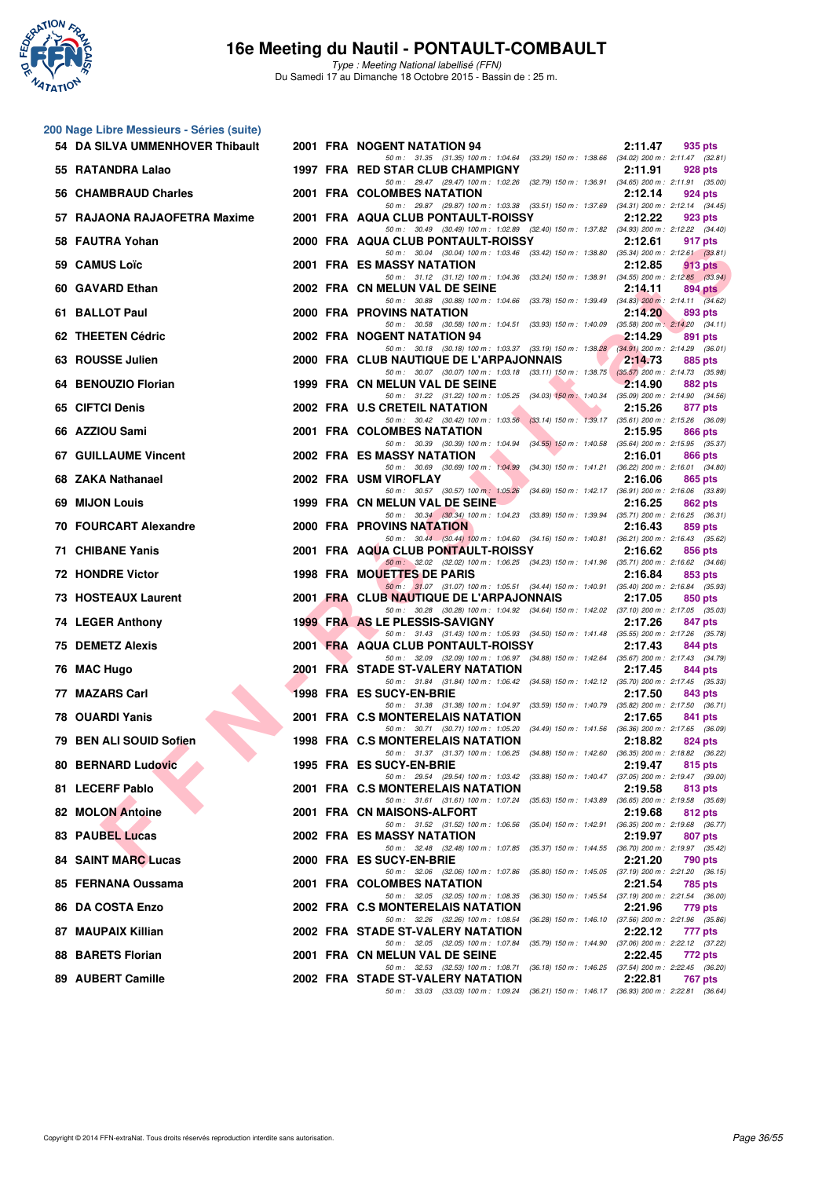

**200 Nage Libre Messieurs - Séries (suite)**

## **16e Meeting du Nautil - PONTAULT-COMBAULT**

Type : Meeting National labellisé (FFN) Du Samedi 17 au Dimanche 18 Octobre 2015 - Bassin de : 25 m.

| 54 DA SILVA UMMENHOVER Thibault | 2001 FRA NOGENT NATATION 94                                                                                                         | 2:11.47<br>935 pts                                                            |
|---------------------------------|-------------------------------------------------------------------------------------------------------------------------------------|-------------------------------------------------------------------------------|
| 55 RATANDRA Lalao               | 50 m: 31.35 (31.35) 100 m: 1:04.64 (33.29) 150 m: 1:38.66 (34.02) 200 m: 2:11.47 (32.81)<br>1997 FRA RED STAR CLUB CHAMPIGNY        | 2:11.91<br>928 pts                                                            |
| 56 CHAMBRAUD Charles            | 50 m: 29.47 (29.47) 100 m: 1:02.26 (32.79) 150 m: 1:36.91 (34.65) 200 m: 2:11.91 (35.00)<br>2001 FRA COLOMBES NATATION              | 2:12.14<br>924 pts                                                            |
| 57 RAJAONA RAJAOFETRA Maxime    | 50 m: 29.87 (29.87) 100 m: 1:03.38 (33.51) 150 m: 1:37.69 (34.31) 200 m: 2:12.14 (34.45)<br>2001 FRA AQUA CLUB PONTAULT-ROISSY      | 2:12.22<br>923 pts                                                            |
| <b>FAUTRA Yohan</b><br>58       | 50 m: 30.49 (30.49) 100 m: 1:02.89 (32.40) 150 m: 1:37.82 (34.93) 200 m: 2:12.22 (34.40)<br>2000 FRA AQUA CLUB PONTAULT-ROISSY      | 2:12.61<br>917 pts                                                            |
| 59 CAMUS Loïc                   | 50 m: 30.04 (30.04) 100 m: 1:03.46 (33.42) 150 m: 1:38.80 (35.34) 200 m: 2:12.61 (33.81)<br>2001 FRA ES MASSY NATATION              | 2:12.85<br>913 pts                                                            |
| 60 GAVARD Ethan                 | 50 m: 31.12 (31.12) 100 m: 1:04.36 (33.24) 150 m: 1:38.91 (34.55) 200 m: 2:12.85 (33.94)<br>2002 FRA CN MELUN VAL DE SEINE          | 2:14.11<br>$894$ pts                                                          |
| 61 BALLOT Paul                  | 50 m: 30.88 (30.88) 100 m: 1:04.66 (33.78) 150 m: 1:39.49 (34.83) 200 m: 2:14.11 (34.62)<br>2000 FRA PROVINS NATATION               | 2:14.20<br>893 pts                                                            |
| 62 THEETEN Cédric               | 50 m: 30.58 (30.58) 100 m: 1:04.51 (33.93) 150 m: 1:40.09 (35.58) 200 m: 2:14.20 (34.11)<br>2002 FRA NOGENT NATATION 94             | 2:14.29<br>891 pts                                                            |
| 63 ROUSSE Julien                | 50 m: 30.18 (30.18) 100 m: 1:03.37 (33.19) 150 m: 1:38.28 (34.91) 200 m: 2:14.29 (36.01)<br>2000 FRA CLUB NAUTIQUE DE L'ARPAJONNAIS | 2:14.73<br>885 pts                                                            |
| 64 BENOUZIO Florian             | 50 m: 30.07 (30.07) 100 m: 1:03.18 (33.11) 150 m: 1:38.75 (35.57) 200 m: 2:14.73 (35.98)<br>1999 FRA CN MELUN VAL DE SEINE          | 2:14.90<br>882 pts                                                            |
| <b>CIFTCI Denis</b><br>65       | 50 m: 31.22 (31.22) 100 m: 1:05.25 (34.03) 150 m: 1:40.34 (35.09) 200 m: 2:14.90 (34.56)<br>2002 FRA U.S CRETEIL NATATION           | 2:15.26<br>877 pts                                                            |
| 66 AZZIOU Sami                  | 50 m: 30.42 (30.42) 100 m: 1:03.56 (33.14) 150 m: 1:39.17 (35.61) 200 m: 2:15.26 (36.09)<br>2001 FRA COLOMBES NATATION              | 2:15.95<br>866 pts                                                            |
| 67 GUILLAUME Vincent            | 50 m: 30.39 (30.39) 100 m: 1:04.94 (34.55) 150 m: 1:40.58 (35.64) 200 m: 2:15.95 (35.37)<br><b>2002 FRA ES MASSY NATATION</b>       | 2:16.01<br>866 pts                                                            |
| 68 ZAKA Nathanael               | 50 m: 30.69 (30.69) 100 m: 1:04.99 (34.30) 150 m: 1:41.21 (36.22) 200 m: 2:16.01 (34.80)<br>2002 FRA USM VIROFLAY                   | 2:16.06<br>865 pts                                                            |
| 69 MIJON Louis                  | 50 m: 30.57 (30.57) 100 m: 1:05.26 (34.69) 150 m: 1:42.17 (36.91) 200 m: 2:16.06 (33.89)<br>1999 FRA CN MELUN VAL DE SEINE          | 2:16.25<br>862 pts                                                            |
| 70 FOURCART Alexandre           | 50 m: 30.34 (30.34) 100 m: 1:04.23 (33.89) 150 m: 1:39.94 (35.71) 200 m: 2:16.25 (36.31)<br><b>2000 FRA PROVINS NATATION</b>        | 2:16.43<br>859 pts                                                            |
| 71 CHIBANE Yanis                | 50 m: 30.44 (30.44) 100 m: 1:04.60 (34.16) 150 m: 1:40.81 (36.21) 200 m: 2:16.43 (35.62)<br>2001 FRA AQUA CLUB PONTAULT-ROISSY      | 2:16.62<br>856 pts                                                            |
| 72 HONDRE Victor                | 50 m: 32.02 (32.02) 100 m: 1:06.25 (34.23) 150 m: 1:41.96 (35.71) 200 m: 2:16.62 (34.66)<br><b>1998 FRA MOUETTES DE PARIS</b>       | 2:16.84<br>853 pts                                                            |
| 73 HOSTEAUX Laurent             | 50 m: 31.07 (31.07) 100 m: 1:05.51 (34.44) 150 m: 1:40.91 (35.40) 200 m: 2:16.84 (35.93)<br>2001 FRA CLUB NAUTIQUE DE L'ARPAJONNAIS | 2:17.05<br>850 pts                                                            |
| 74 LEGER Anthony                | 50 m: 30.28 (30.28) 100 m: 1:04.92 (34.64) 150 m: 1:42.02 (37.10) 200 m: 2:17.05 (35.03)<br>1999 FRA AS LE PLESSIS-SAVIGNY          | 2:17.26<br>847 pts                                                            |
| 75 DEMETZ Alexis                | 50 m: 31.43 (31.43) 100 m: 1:05.93 (34.50) 150 m: 1:41.48 (35.55) 200 m: 2:17.26 (35.78)<br>2001 FRA AQUA CLUB PONTAULT-ROISSY      | 2:17.43<br>844 pts                                                            |
| 76 MAC Hugo                     | 50 m: 32.09 (32.09) 100 m: 1:06.97 (34.88) 150 m: 1:42.64 (35.67) 200 m: 2:17.43 (34.79)<br>2001 FRA STADE ST-VALERY NATATION       | 2:17.45<br>844 pts                                                            |
| 77 MAZARS Carl                  | 50 m: 31.84 (31.84) 100 m: 1:06.42 (34.58) 150 m: 1:42.12 (35.70) 200 m: 2:17.45 (35.33)<br>1998 FRA ES SUCY-EN-BRIE                | 2:17.50<br>843 pts                                                            |
| 78 OUARDI Yanis                 | 50 m: 31.38 (31.38) 100 m: 1:04.97 (33.59) 150 m: 1:40.79 (35.82) 200 m: 2:17.50 (36.71)<br>2001 FRA C.S MONTERELAIS NATATION       | 2:17.65<br>841 pts                                                            |
| 79 BEN ALI SOUID Sofien         | 50 m: 30.71 (30.71) 100 m: 1:05.20 (34.49) 150 m: 1:41.56 (36.36) 200 m: 2:17.65 (36.09)<br>1998 FRA C.S MONTERELAIS NATATION       | 2:18.82<br>824 pts                                                            |
| 80 BERNARD Ludovic              | 50 m: 31.37 (31.37) 100 m: 1:06.25 (34.88) 150 m: 1:42.60 (36.35) 200 m: 2:18.82 (36.22)<br>1995 FRA ES SUCY-EN-BRIE                | 2:19.47<br>815 pts                                                            |
| 81 LECERF Pablo                 | 50 m: 29.54 (29.54) 100 m: 1:03.42 (33.88) 150 m: 1:40.47 (37.05) 200 m: 2:19.47 (39.00)<br>2001 FRA C.S MONTERELAIS NATATION       | 2:19.58<br>813 pts                                                            |
| 82 MOLON Antoine                | 50 m: 31.61 (31.61) 100 m: 1:07.24 (35.63) 150 m: 1:43.89 (36.65) 200 m: 2:19.58 (35.69)<br>2001 FRA CN MAISONS-ALFORT              | 2:19.68<br>812 pts                                                            |
| 83 PAUBEL Lucas                 | 50 m : 31.52 (31.52) 100 m : 1:06.56 (35.04) 150 m : 1:42.91 (36.35) 200 m : 2:19.68 (36.77)<br>2002 FRA ES MASSY NATATION          | 2:19.97<br>807 pts                                                            |
| 84 SAINT MARC Lucas             | 50 m: 32.48 (32.48) 100 m: 1:07.85 (35.37) 150 m: 1:44.55 (36.70) 200 m: 2:19.97 (35.42)<br>2000 FRA ES SUCY-EN-BRIE                | 2:21.20<br>790 pts                                                            |
| 85 FERNANA Oussama              | 50 m: 32.06 (32.06) 100 m: 1:07.86 (35.80) 150 m: 1:45.05 (37.19) 200 m: 2:21.20 (36.15)<br>2001 FRA COLOMBES NATATION              | 2:21.54<br>785 pts                                                            |
| 86 DA COSTA Enzo                | 50 m : 32.05 (32.05) 100 m : 1:08.35 (36.30) 150 m : 1:45.54 (37.19) 200 m : 2:21.54 (36.00)<br>2002 FRA C.S MONTERELAIS NATATION   | 2:21.96<br>779 pts                                                            |
| 87 MAUPAIX Killian              | 50 m : 32.26 (32.26) 100 m : 1:08.54<br>2002 FRA STADE ST-VALERY NATATION                                                           | (36.28) 150 m: 1:46.10 (37.56) 200 m: 2:21.96 (35.86)<br>2:22.12<br>777 pts   |
| 88 BARETS Florian               | 50 m : 32.05 (32.05) 100 m : 1:07.84<br>2001 FRA CN MELUN VAL DE SEINE                                                              | (35.79) 150 m : 1:44.90 (37.06) 200 m : 2:22.12 (37.22)<br>2:22.45<br>772 pts |
| 89 AUBERT Camille               | 50 m : 32.53 (32.53) 100 m : 1:08.71<br>2002 FRA STADE ST-VALERY NATATION                                                           | (36.18) 150 m : 1:46.25 (37.54) 200 m : 2:22.45 (36.20)<br>2:22.81<br>767 pts |
|                                 | 50 m: 33.03 (33.03) 100 m: 1:09.24 (36.21) 150 m: 1:46.17 (36.93) 200 m: 2:22.81 (36.64)                                            |                                                                               |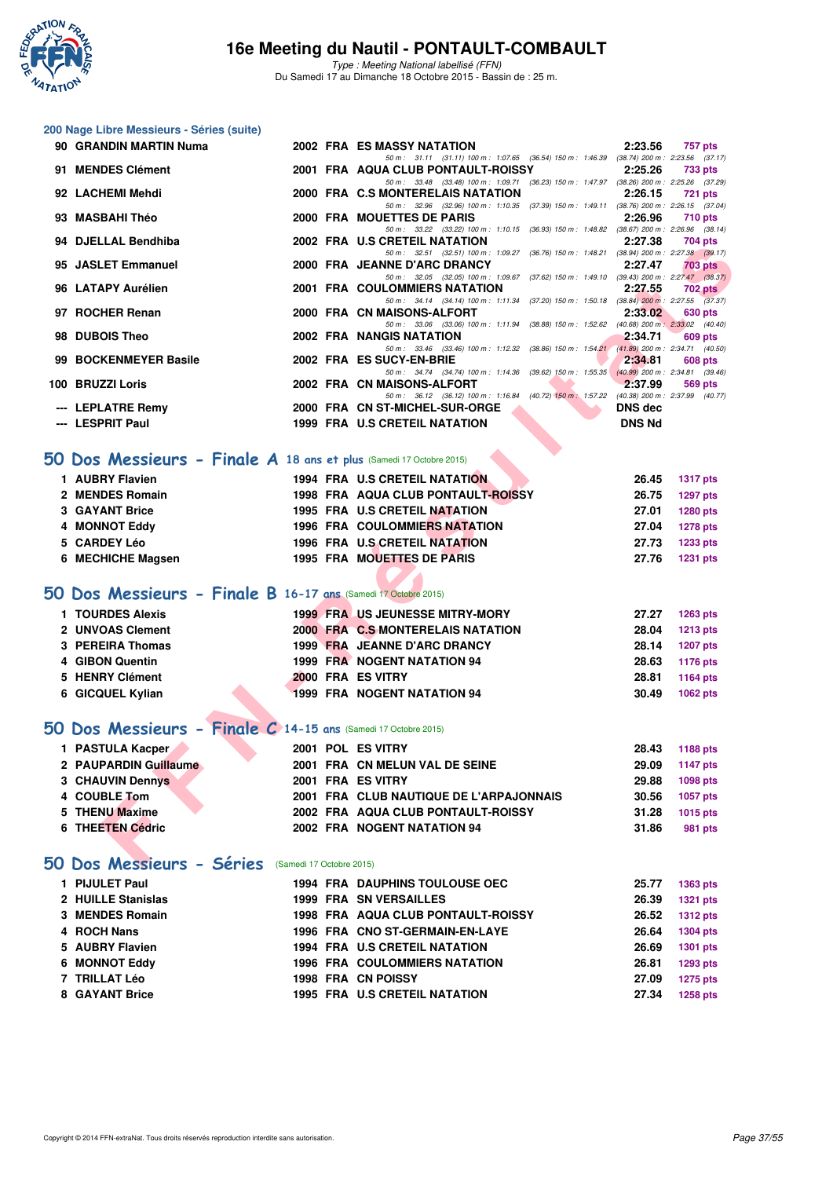

Type : Meeting National labellisé (FFN) Du Samedi 17 au Dimanche 18 Octobre 2015 - Bassin de : 25 m.

#### **200 Nage Libre Messieurs - Séries (suite)**

| 90 GRANDIN MARTIN Numa                                              |  | <b>2002 FRA ES MASSY NATATION</b>                                                                                                | 2:23.56        | <b>757 pts</b>  |
|---------------------------------------------------------------------|--|----------------------------------------------------------------------------------------------------------------------------------|----------------|-----------------|
| 91 MENDES Clément                                                   |  | 50 m: 31.11 (31.11) 100 m: 1:07.65 (36.54) 150 m: 1:46.39 (38.74) 200 m: 2:23.56 (37.17)<br>2001 FRA AQUA CLUB PONTAULT-ROISSY   | 2:25.26        | 733 pts         |
|                                                                     |  | 50 m: 33.48 (33.48) 100 m: 1:09.71 (36.23) 150 m: 1:47.97 (38.26) 200 m: 2:25.26 (37.29)                                         |                |                 |
| 92 LACHEMI Mehdi                                                    |  | 2000 FRA C.S MONTERELAIS NATATION<br>50 m: 32.96 (32.96) 100 m: 1:10.35 (37.39) 150 m: 1:49.11 (38.76) 200 m: 2:26.15 (37.04)    | 2:26.15        | 721 pts         |
| 93 MASBAHI Théo                                                     |  | 2000 FRA MOUETTES DE PARIS                                                                                                       | 2:26.96        | <b>710 pts</b>  |
| 94 DJELLAL Bendhiba                                                 |  | 50 m: 33.22 (33.22) 100 m: 1:10.15 (36.93) 150 m: 1:48.82 (38.67) 200 m: 2:26.96 (38.14)<br>2002 FRA U.S CRETEIL NATATION        | 2:27.38        | 704 pts         |
|                                                                     |  | 50 m: 32.51 (32.51) 100 m: 1:09.27 (36.76) 150 m: 1:48.21 (38.94) 200 m: 2:27.38 (39.17)                                         |                |                 |
| 95 JASLET Emmanuel                                                  |  | 2000 FRA JEANNE D'ARC DRANCY                                                                                                     | 2:27.47        | 703 pts         |
| 96 LATAPY Aurélien                                                  |  | 50 m: 32.05 (32.05) 100 m: 1:09.67 (37.62) 150 m: 1:49.10 (39.43) 200 m: 2:27.47 (38.37)<br><b>2001 FRA COULOMMIERS NATATION</b> | 2:27.55        | <b>702 pts</b>  |
|                                                                     |  | 50 m: 34.14 (34.14) 100 m: 1:11.34 (37.20) 150 m: 1:50.18 (38.84) 200 m: 2:27.55 (37.37)                                         |                |                 |
| 97 ROCHER Renan                                                     |  | 2000 FRA CN MAISONS-ALFORT<br>50 m: 33.06 (33.06) 100 m: 1:11.94 (38.88) 150 m: 1:52.62 (40.68) 200 m: 2:33.02 (40.40)           | 2:33.02        | 630 pts         |
| 98 DUBOIS Theo                                                      |  | 2002 FRA NANGIS NATATION                                                                                                         | 2:34.71        | 609 pts         |
| 99 BOCKENMEYER Basile                                               |  | 50 m: 33.46 (33.46) 100 m: 1:12.32 (38.86) 150 m: 1:54.21 (41.89) 200 m: 2:34.71 (40.50)<br>2002 FRA ES SUCY-EN-BRIE             | 2:34.81        | 608 pts         |
|                                                                     |  | 50 m: 34.74 (34.74) 100 m: 1:14.36 (39.62) 150 m: 1:55.35 (40.99) 200 m: 2:34.81 (39.46)                                         |                |                 |
| 100 BRUZZI Loris                                                    |  | 2002 FRA CN MAISONS-ALFORT                                                                                                       | 2:37.99        | <b>569 pts</b>  |
| --- LEPLATRE Remy                                                   |  | 50 m: 36.12 (36.12) 100 m: 1:16.84 (40.72) 150 m: 1:57.22 (40.38) 200 m: 2:37.99 (40.77)<br>2000 FRA CN ST-MICHEL-SUR-ORGE       | <b>DNS dec</b> |                 |
| --- LESPRIT Paul                                                    |  | <b>1999 FRA U.S CRETEIL NATATION</b>                                                                                             | <b>DNS Nd</b>  |                 |
|                                                                     |  |                                                                                                                                  |                |                 |
| 50 Dos Messieurs - Finale A 18 ans et plus (Samedi 17 Octobre 2015) |  |                                                                                                                                  |                |                 |
| 1 AUBRY Flavien                                                     |  | <b>1994 FRA U.S CRETEIL NATATION</b>                                                                                             | 26.45          | <b>1317 pts</b> |
| 2 MENDES Romain                                                     |  | <b>1998 FRA AQUA CLUB PONTAULT-ROISSY</b>                                                                                        | 26.75          | 1297 pts        |
| <b>3 GAYANT Brice</b>                                               |  | 1995 FRA U.S CRETEIL NATATION                                                                                                    | 27.01          | 1280 pts        |
| 4 MONNOT Eddy                                                       |  | <b>1996 FRA COULOMMIERS NATATION</b>                                                                                             | 27.04          | <b>1278 pts</b> |
| 5 CARDEY Léo                                                        |  | 1996 FRA U.S CRETEIL NATATION                                                                                                    | 27.73          | 1233 pts        |
| 6 MECHICHE Magsen                                                   |  | 1995 FRA MOUETTES DE PARIS                                                                                                       | 27.76          | 1231 pts        |
|                                                                     |  |                                                                                                                                  |                |                 |
| 50 Dos Messieurs - Finale B 16-17 ans (Samedi 17 Octobre 2015)      |  |                                                                                                                                  |                |                 |
| 1 TOURDES Alexis                                                    |  | <b>1999 FRA US JEUNESSE MITRY-MORY</b>                                                                                           | 27.27          | <b>1263 pts</b> |
| 2 UNVOAS Clement                                                    |  | 2000 FRA C.S MONTERELAIS NATATION                                                                                                | 28.04          | <b>1213 pts</b> |
| 3 PEREIRA Thomas                                                    |  | 1999 FRA JEANNE D'ARC DRANCY                                                                                                     | 28.14          | 1207 pts        |
| 4 GIBON Quentin                                                     |  | 1999 FRA NOGENT NATATION 94                                                                                                      | 28.63          | 1176 pts        |
| 5 HENRY Clément                                                     |  | 2000 FRA ES VITRY                                                                                                                | 28.81          | <b>1164 pts</b> |
| 6 GICQUEL Kylian                                                    |  | <b>1999 FRA NOGENT NATATION 94</b>                                                                                               | 30.49          | 1062 pts        |
|                                                                     |  |                                                                                                                                  |                |                 |
| 50 Dos Messieurs - Finale C 14-15 ans (Samedi 17 Octobre 2015)      |  |                                                                                                                                  |                |                 |
| 1 PASTULA Kacper                                                    |  | 2001 POL ES VITRY                                                                                                                | 28.43          | 1188 pts        |
| 2 PAUPARDIN Guillaume                                               |  | 2001 FRA CN MELUN VAL DE SEINE                                                                                                   | 29.09          | 1147 pts        |
| <b>3 CHAUVIN Dennys</b>                                             |  | 2001 FRA ES VITRY                                                                                                                | 29.88          | <b>1098 pts</b> |
| 4 COUBLE Tom                                                        |  | 2001 FRA CLUB NAUTIQUE DE L'ARPAJONNAIS                                                                                          | 30.56          | <b>1057 pts</b> |
| 5 THENU Maxime                                                      |  | 2002 FRA AQUA CLUB PONTAULT-ROISSY                                                                                               | 31.28          | 1015 pts        |
| 6 THEETEN Cédric                                                    |  | 2002 FRA NOGENT NATATION 94                                                                                                      | 31.86          | <b>981 pts</b>  |
|                                                                     |  |                                                                                                                                  |                |                 |
| $50$ Dos Messieurs - Séries (Samedi 17 Octobre 2015)                |  |                                                                                                                                  |                |                 |

#### **[50 Dos Messieurs - Finale A](http://www.ffnatation.fr/webffn/resultats.php?idact=nat&go=epr&idcpt=33325&idepr=61) 18 ans et plus** (Samedi 17 Octobre 2015)

| 1 AUBRY Flavien   | <b>1994 FRA U.S CRETEIL NATATION</b>      | 26.45 1317 pts    |
|-------------------|-------------------------------------------|-------------------|
| 2 MENDES Romain   | <b>1998 FRA AQUA CLUB PONTAULT-ROISSY</b> | 1297 pts<br>26.75 |
| 3 GAYANT Brice    | 1995 FRA U.S CRETEIL NATATION             | 1280 pts<br>27.01 |
| 4 MONNOT Eddy     | <b>1996 FRA COULOMMIERS NATATION</b>      | 1278 pts<br>27.04 |
| 5 CARDEY Léo      | 1996 FRA U.S. CRETEIL NATATION            | 1233 pts<br>27.73 |
| 6 MECHICHE Magsen | <b>1995 FRA MOUETTES DE PARIS</b>         | 1231 pts<br>27.76 |

## **[50 Dos Messieurs - Finale B](http://www.ffnatation.fr/webffn/resultats.php?idact=nat&go=epr&idcpt=33325&idepr=61) 16-17 ans** (Samedi 17 Octobre 2015)

| 1 TOURDES Alexis |  | <b>1999 FRA US JEUNESSE MITRY-MORY</b> | 27.27 | $1263$ pts      |
|------------------|--|----------------------------------------|-------|-----------------|
| 2 UNVOAS Clement |  | 2000 FRA C.S MONTERELAIS NATATION      | 28.04 | 1213 pts        |
| 3 PEREIRA Thomas |  | 1999 FRA JEANNE D'ARC DRANCY           | 28.14 | 1207 pts        |
| 4 GIBON Quentin  |  | <b>1999 FRA NOGENT NATATION 94</b>     | 28.63 | 1176 pts        |
| 5 HENRY Clément  |  | 2000 FRA ES VITRY                      | 28.81 | 1164 pts        |
| 6 GICQUEL Kylian |  | <b>1999 FRA NOGENT NATATION 94</b>     | 30.49 | <b>1062 pts</b> |
|                  |  |                                        |       |                 |

#### **[50 Dos Messieurs - Finale C](http://www.ffnatation.fr/webffn/resultats.php?idact=nat&go=epr&idcpt=33325&idepr=61) 14-15 ans** (Samedi 17 Octobre 2015)

| 2001 POL ES VITRY                                       | 28.43 | 1188 pts |
|---------------------------------------------------------|-------|----------|
| 2 PAUPARDIN Guillaume<br>2001 FRA CN MELUN VAL DE SEINE | 29.09 | 1147 pts |
| 2001 FRA ES VITRY                                       | 29.88 | 1098 pts |
| 2001 FRA CLUB NAUTIQUE DE L'ARPAJONNAIS                 | 30.56 | 1057 pts |
| 2002 FRA AQUA CLUB PONTAULT-ROISSY                      | 31.28 | 1015 pts |
| 2002 FRA NOGENT NATATION 94                             | 31.86 | 981 pts  |
|                                                         |       |          |

#### **[50 Dos Messieurs - Séries](http://www.ffnatation.fr/webffn/resultats.php?idact=nat&go=epr&idcpt=33325&idepr=61)** (Samedi 17 Octobre 2015)

| 1 PIJULET Paul     |  | <b>1994 FRA DAUPHINS TOULOUSE OEC</b>     | 25.77 | 1363 pts        |
|--------------------|--|-------------------------------------------|-------|-----------------|
| 2 HUILLE Stanislas |  | <b>1999 FRA SN VERSAILLES</b>             | 26.39 | 1321 pts        |
| 3 MENDES Romain    |  | <b>1998 FRA AQUA CLUB PONTAULT-ROISSY</b> | 26.52 | <b>1312 pts</b> |
| 4 ROCH Nans        |  | 1996 FRA CNO ST-GERMAIN-EN-LAYE           | 26.64 | 1304 pts        |
| 5 AUBRY Flavien    |  | 1994 FRA U.S CRETEIL NATATION             | 26.69 | 1301 pts        |
| 6 MONNOT Eddy      |  | <b>1996 FRA COULOMMIERS NATATION</b>      | 26.81 | 1293 pts        |
| 7 TRILLAT Léo      |  | <b>1998 FRA CN POISSY</b>                 | 27.09 | <b>1275 pts</b> |
| 8 GAYANT Brice     |  | <b>1995 FRA U.S CRETEIL NATATION</b>      | 27.34 | <b>1258 pts</b> |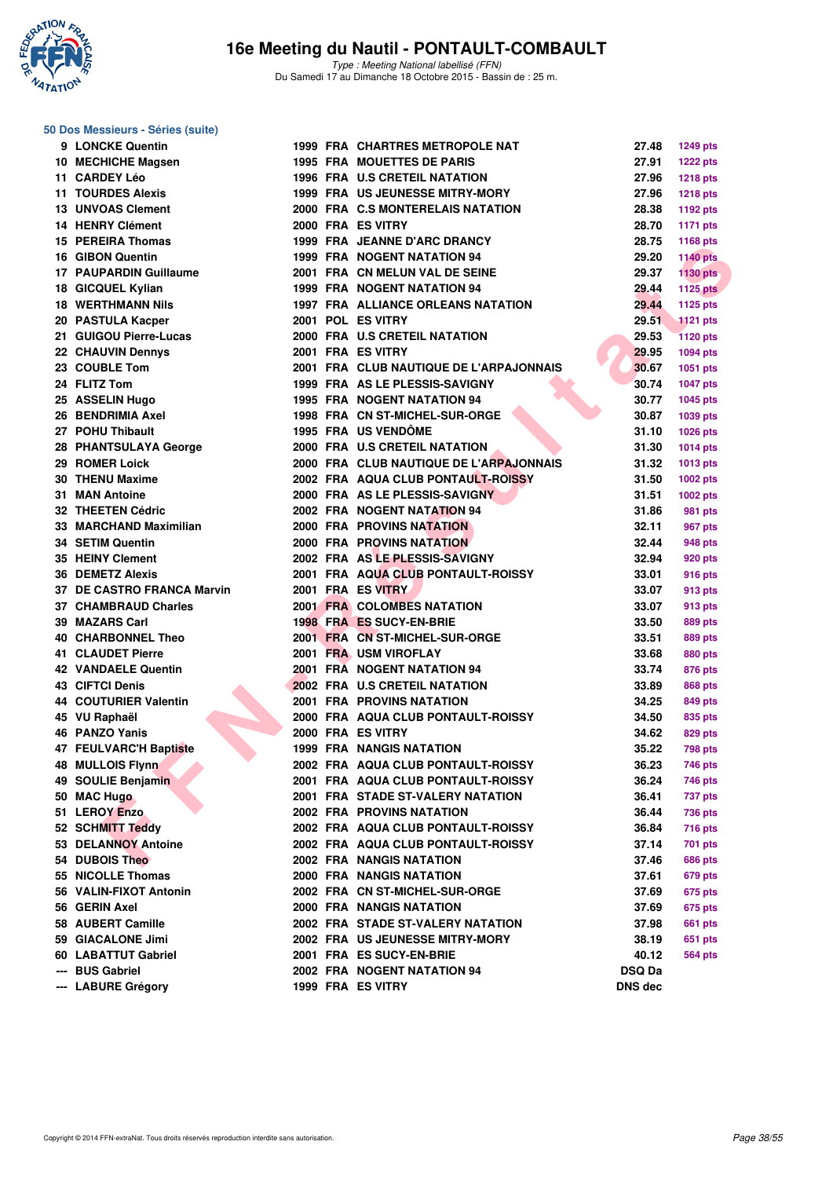

#### **50 Dos Messieurs - Séries (suite)**

| 9 LONCKE Quentin              |  | <b>1999 FRA CHARTRES METROPOLE NAT</b>    | 27.48         | <b>1249 pts</b> |
|-------------------------------|--|-------------------------------------------|---------------|-----------------|
| 10 MECHICHE Magsen            |  | <b>1995 FRA MOUETTES DE PARIS</b>         | 27.91         | <b>1222 pts</b> |
| 11 CARDEY Léo                 |  | <b>1996 FRA U.S CRETEIL NATATION</b>      | 27.96         | 1218 pts        |
| <b>11 TOURDES Alexis</b>      |  | <b>1999 FRA US JEUNESSE MITRY-MORY</b>    | 27.96         | <b>1218 pts</b> |
| <b>13 UNVOAS Clement</b>      |  | 2000 FRA C.S MONTERELAIS NATATION         | 28.38         | 1192 pts        |
| <b>14 HENRY Clément</b>       |  | 2000 FRA ES VITRY                         | 28.70         | 1171 pts        |
| 15 PEREIRA Thomas             |  | 1999 FRA JEANNE D'ARC DRANCY              | 28.75         | 1168 pts        |
| 16 GIBON Quentin              |  | 1999 FRA NOGENT NATATION 94               | 29.20         | <b>1140 pts</b> |
| 17 PAUPARDIN Guillaume        |  | 2001 FRA CN MELUN VAL DE SEINE            | 29.37         | <b>1130 pts</b> |
| 18 GICQUEL Kylian             |  | 1999 FRA NOGENT NATATION 94               | 29.44         | <b>1125 pts</b> |
| <b>18 WERTHMANN Nils</b>      |  | <b>1997 FRA ALLIANCE ORLEANS NATATION</b> | 29.44         | 1125 pts        |
| 20 PASTULA Kacper             |  | 2001 POL ES VITRY                         | 29.51         | <b>1121 pts</b> |
| 21 GUIGOU Pierre-Lucas        |  | 2000 FRA U.S CRETEIL NATATION             | 29.53         | <b>1120 pts</b> |
| 22 CHAUVIN Dennys             |  | 2001 FRA ES VITRY                         | 29.95         | <b>1094 pts</b> |
| 23 COUBLE Tom                 |  | 2001 FRA CLUB NAUTIQUE DE L'ARPAJONNAIS   | 30.67         | 1051 pts        |
| 24 FLITZ Tom                  |  | 1999 FRA AS LE PLESSIS-SAVIGNY            | 30.74         | <b>1047 pts</b> |
| 25 ASSELIN Hugo               |  | <b>1995 FRA NOGENT NATATION 94</b>        | 30.77         | <b>1045 pts</b> |
| 26 BENDRIMIA Axel             |  | 1998 FRA CN ST-MICHEL-SUR-ORGE            | 30.87         | 1039 pts        |
| 27 POHU Thibault              |  | 1995 FRA US VENDÔME                       | 31.10         | <b>1026 pts</b> |
| 28 PHANTSULAYA George         |  | 2000 FRA U.S CRETEIL NATATION             | 31.30         | 1014 pts        |
| 29 ROMER Loick                |  | 2000 FRA CLUB NAUTIQUE DE L'ARPAJONNAIS   | 31.32         | 1013 pts        |
| <b>30 THENU Maxime</b>        |  | 2002 FRA AQUA CLUB PONTAULT-ROISSY        | 31.50         | <b>1002 pts</b> |
| 31 MAN Antoine                |  | 2000 FRA AS LE PLESSIS-SAVIGNY            | 31.51         | 1002 pts        |
| 32 THEETEN Cédric             |  | 2002 FRA NOGENT NATATION 94               | 31.86         | 981 pts         |
| 33 MARCHAND Maximilian        |  | <b>2000 FRA PROVINS NATATION</b>          | 32.11         | 967 pts         |
| 34 SETIM Quentin              |  | <b>2000 FRA PROVINS NATATION</b>          | 32.44         | 948 pts         |
| 35 HEINY Clement              |  | 2002 FRA AS LE PLESSIS-SAVIGNY            | 32.94         |                 |
| <b>36 DEMETZ Alexis</b>       |  | 2001 FRA AQUA CLUB PONTAULT-ROISSY        | 33.01         | 920 pts         |
| 37 DE CASTRO FRANCA Marvin    |  | 2001 FRA ES VITRY                         | 33.07         | <b>916 pts</b>  |
| 37 CHAMBRAUD Charles          |  | 2001 FRA COLOMBES NATATION                |               | 913 pts         |
| 39 MAZARS Carl                |  | 1998 FRA ES SUCY-EN-BRIE                  | 33.07         | 913 pts         |
| <b>40 CHARBONNEL Theo</b>     |  | 2001 FRA CN ST-MICHEL-SUR-ORGE            | 33.50         | 889 pts         |
| <b>41 CLAUDET Pierre</b>      |  |                                           | 33.51         | 889 pts         |
|                               |  | 2001 FRA USM VIROFLAY                     | 33.68         | 880 pts         |
| <b>42 VANDAELE Quentin</b>    |  | 2001 FRA NOGENT NATATION 94               | 33.74         | 876 pts         |
| <b>43 CIFTCI Denis</b>        |  | 2002 FRA U.S CRETEIL NATATION             | 33.89         | 868 pts         |
| <b>44 COUTURIER Valentin</b>  |  | <b>2001 FRA PROVINS NATATION</b>          | 34.25         | 849 pts         |
| 45 VU Raphaël                 |  | 2000 FRA AQUA CLUB PONTAULT-ROISSY        | 34.50         | 835 pts         |
| 46 PANZO Yanis                |  | 2000 FRA ES VITRY                         | 34.62         | 829 pts         |
| <b>47 FEULVARC'H Baptiste</b> |  | <b>1999 FRA NANGIS NATATION</b>           | 35.22         | <b>798 pts</b>  |
| 48 MULLOIS Flynn              |  | 2002 FRA AQUA CLUB PONTAULT-ROISSY        | 36.23         | <b>746 pts</b>  |
| 49 SOULIE Benjamin            |  | 2001 FRA AQUA CLUB PONTAULT-ROISSY        | 36.24         | 746 pts         |
| 50 MAC Hugo                   |  | 2001 FRA STADE ST-VALERY NATATION         | 36.41         | 737 pts         |
| 51 LEROY Enzo                 |  | <b>2002 FRA PROVINS NATATION</b>          | 36.44         | <b>736 pts</b>  |
| 52 SCHMITT Teddy              |  | 2002 FRA AQUA CLUB PONTAULT-ROISSY        | 36.84         | 716 pts         |
| 53 DELANNOY Antoine           |  | 2002 FRA AQUA CLUB PONTAULT-ROISSY        | 37.14         | 701 pts         |
| 54 DUBOIS Theo                |  | <b>2002 FRA NANGIS NATATION</b>           | 37.46         | 686 pts         |
| 55 NICOLLE Thomas             |  | 2000 FRA NANGIS NATATION                  | 37.61         | 679 pts         |
| 56 VALIN-FIXOT Antonin        |  | 2002 FRA CN ST-MICHEL-SUR-ORGE            | 37.69         | 675 pts         |
| 56 GERIN Axel                 |  | <b>2000 FRA NANGIS NATATION</b>           | 37.69         | 675 pts         |
| 58 AUBERT Camille             |  | 2002 FRA STADE ST-VALERY NATATION         | 37.98         | <b>661 pts</b>  |
| 59 GIACALONE Jimi             |  | 2002 FRA US JEUNESSE MITRY-MORY           | 38.19         | 651 pts         |
| 60 LABATTUT Gabriel           |  | 2001 FRA ES SUCY-EN-BRIE                  | 40.12         | <b>564 pts</b>  |
| --- BUS Gabriel               |  | 2002 FRA NOGENT NATATION 94               | <b>DSQ Da</b> |                 |
| --- LABURE Grégory            |  | 1999 FRA ES VITRY                         | DNS dec       |                 |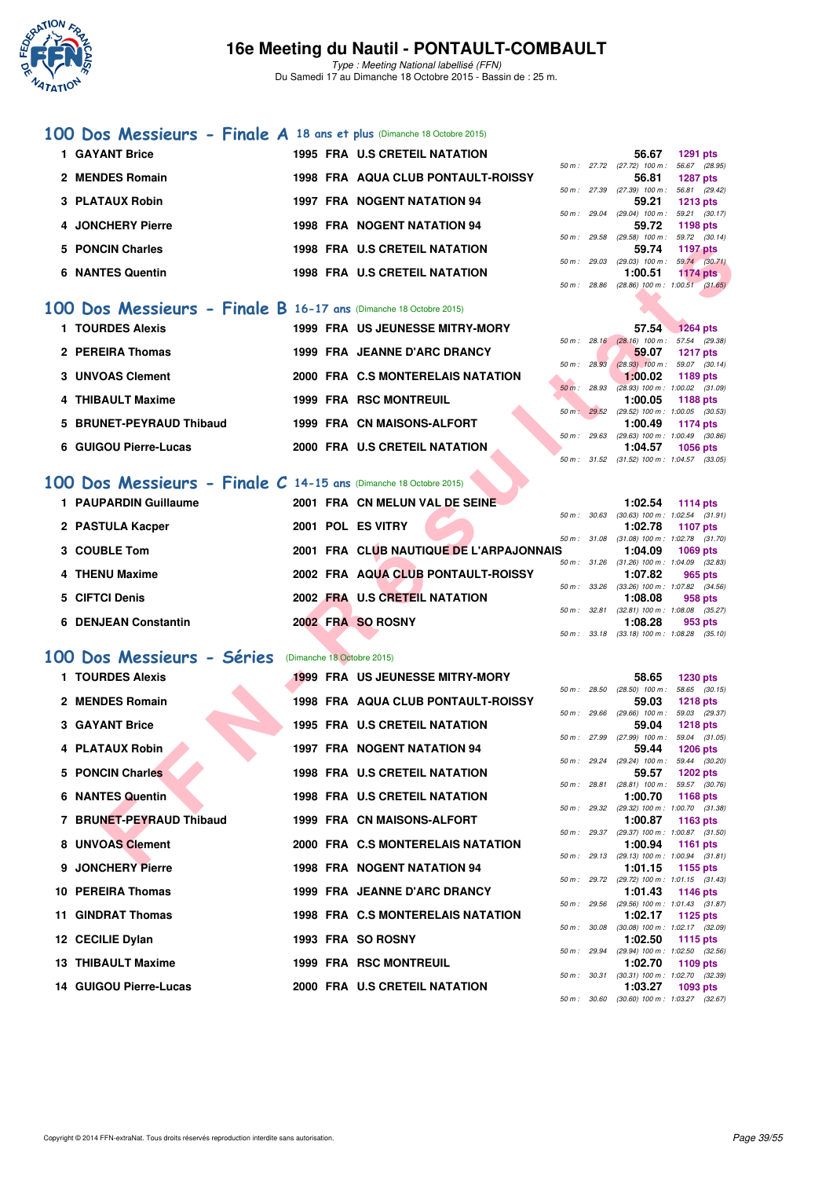

Type : Meeting National labellisé (FFN) Du Samedi 17 au Dimanche 18 Octobre 2015 - Bassin de : 25 m.

#### **[100 Dos Messieurs - Finale A](http://www.ffnatation.fr/webffn/resultats.php?idact=nat&go=epr&idcpt=33325&idepr=62) 18 ans et plus** (Dimanche 18 Octobre 2015)

| 1 GAYANT Brice          | <b>1995 FRA U.S CRETEIL NATATION</b>      |        |              | 56.67                        | 1291 pts        |  |
|-------------------------|-------------------------------------------|--------|--------------|------------------------------|-----------------|--|
|                         |                                           |        | 50 m : 27.72 | $(27.72)$ 100 m : 56.67 (28. |                 |  |
| 2 MENDES Romain         | <b>1998 FRA AQUA CLUB PONTAULT-ROISSY</b> |        |              | 56.81                        | 1287 pts        |  |
|                         |                                           | 50 m : | 27.39        | (27.39) 100 m : 56.81 (29.   |                 |  |
| 3 PLATAUX Robin         | <b>1997 FRA NOGENT NATATION 94</b>        |        |              | 59.21                        | 1213 pts        |  |
|                         |                                           | 50 m : | 29.04        | $(29.04)$ 100 m : 59.21 (30. |                 |  |
| 4 JONCHERY Pierre       | <b>1998 FRA NOGENT NATATION 94</b>        |        |              | 59.72                        | 1198 pts        |  |
|                         |                                           | 50 m : | 29.58        | (29.58) 100 m : 59.72 (30.   |                 |  |
| 5 PONCIN Charles        | <b>1998 FRA U.S CRETEIL NATATION</b>      |        |              | 59.74                        | <b>1197 pts</b> |  |
|                         |                                           | 50 m : | 29.03        | $(29.03)$ 100 m : 59.74 (30. |                 |  |
| <b>6 NANTES Quentin</b> | <b>1998 FRA U.S CRETEIL NATATION</b>      |        |              | 1:00.51                      | <b>1174 pts</b> |  |
|                         |                                           |        |              |                              |                 |  |

#### **[100 Dos Messieurs - Finale B](http://www.ffnatation.fr/webffn/resultats.php?idact=nat&go=epr&idcpt=33325&idepr=62) 16-17 ans** (Dimanche 18 Octobre 2015)

| 1 TOURDES Alexis         |  | <b>1999 FRA US JEUNESSE MITRY-MORY</b> |          |                        | 57.54                                          | 1264 pts |  |
|--------------------------|--|----------------------------------------|----------|------------------------|------------------------------------------------|----------|--|
| 2 PEREIRA Thomas         |  | 1999 FRA JEANNE D'ARC DRANCY           |          |                        | 50 m: 28.16 (28.16) 100 m: 57.54 (29.<br>59.07 |          |  |
|                          |  |                                        |          | $50 \text{ m}$ : 28.93 | $(28.93)$ 100 m : 59.07 (30.                   | 1217 pts |  |
| 3 UNVOAS Clement         |  | 2000 FRA C.S MONTERELAIS NATATION      |          |                        | 1:00.02                                        | 1189 pts |  |
| 4 THIBAULT Maxime        |  | <b>1999 FRA RSC MONTREUIL</b>          | $50 m$ : | 28.93                  | $(28.93)$ 100 m : 1:00.02 (31.<br>1:00.05      | 1188 pts |  |
|                          |  |                                        | $50 m$ : | 29.52                  | $(29.52)$ 100 m : 1:00.05 (30.                 |          |  |
| 5 BRUNET-PEYRAUD Thibaud |  | 1999 FRA CN MAISONS-ALFORT             |          |                        | 1:00.49                                        | 1174 pts |  |
| 6 GUIGOU Pierre-Lucas    |  | 2000 FRA U.S CRETEIL NATATION          |          | 50 m: 29.63            | $(29.63)$ 100 m : 1.00.49 (30.<br>1:04.57      | 1056 pts |  |

#### **[100 Dos Messieurs - Finale C](http://www.ffnatation.fr/webffn/resultats.php?idact=nat&go=epr&idcpt=33325&idepr=62) 14-15 ans** (Dimanche 18 Octobre 2015)

| 1 PAUPARDIN Guillaume |  | 2001 FRA CN MELUN VAL DE SEINE          |              |       | 1:02.54                                 | 1114 pts |  |
|-----------------------|--|-----------------------------------------|--------------|-------|-----------------------------------------|----------|--|
|                       |  |                                         | 50 m : 30.63 |       | $(30.63)$ 100 m : 1:02.54 $(31)$        |          |  |
| 2 PASTULA Kacper      |  | 2001 POL ES VITRY                       |              |       | 1:02.78                                 | 1107 pts |  |
|                       |  |                                         |              |       | 50 m: 31.08 (31.08) 100 m: 1:02.78 (31. |          |  |
| 3 COUBLE Tom          |  | 2001 FRA CLUB NAUTIQUE DE L'ARPAJONNAIS |              |       | 1:04.09                                 | 1069 pts |  |
|                       |  |                                         |              |       | 50 m: 31.26 (31.26) 100 m: 1:04.09 (32. |          |  |
| 4 THENU Maxime        |  | 2002 FRA AQUA CLUB PONTAULT-ROISSY      |              |       | 1:07.82                                 | 965 pts  |  |
|                       |  |                                         | $50 m$ :     |       | 33.26 (33.26) 100 m : 1:07.82 (34.      |          |  |
| 5 CIFTCI Denis        |  | 2002 FRA U.S CRETEIL NATATION           |              |       | 1:08.08                                 | 958 pts  |  |
|                       |  |                                         | 50 m :       | 32.81 | $(32.81)$ 100 m : 1:08.08 (35.          |          |  |
| 6 DENJEAN Constantin  |  | 2002 FRA SO ROSNY                       |              |       | 1:08.28                                 | 953 pts  |  |
|                       |  |                                         |              |       |                                         |          |  |

## **[100 Dos Messieurs - Séries](http://www.ffnatation.fr/webffn/resultats.php?idact=nat&go=epr&idcpt=33325&idepr=62)** (Dimanche 18 Octobre 2015)

| 5 PONCIN Charles                                                   |  | <b>1998 FRA U.S CRETEIL NATATION</b>    |              |              | 59.74                                 | <b>1197 pts</b>                                                 |
|--------------------------------------------------------------------|--|-----------------------------------------|--------------|--------------|---------------------------------------|-----------------------------------------------------------------|
| <b>6 NANTES Quentin</b>                                            |  | <b>1998 FRA U.S CRETEIL NATATION</b>    |              |              | 1:00.51                               | 50 m: 29.03 (29.03) 100 m: 59.74 (30.71)<br>1174 $pts$          |
|                                                                    |  |                                         |              |              |                                       | 50 m: 28.86 (28.86) 100 m: 1:00.51 (31.65)                      |
| 00 Dos Messieurs - Finale B 16-17 ans (Dimanche 18 Octobre 2015)   |  |                                         |              |              |                                       |                                                                 |
| 1 TOURDES Alexis                                                   |  | 1999 FRA US JEUNESSE MITRY-MORY         |              |              | 57.54                                 | <b>1264 pts</b>                                                 |
|                                                                    |  |                                         |              |              |                                       | 50 m : 28.16 (28.16) 100 m : 57.54 (29.38)                      |
| 2 PEREIRA Thomas                                                   |  | 1999 FRA JEANNE D'ARC DRANCY            | 50 m : 28.93 |              | 59.07                                 | <b>1217 pts</b><br>$(28.93)$ 100 m : 59.07 (30.14)              |
| 3 UNVOAS Clement                                                   |  | 2000 FRA C.S MONTERELAIS NATATION       |              |              | 1:00.02                               | 1189 pts                                                        |
| 4 THIBAULT Maxime                                                  |  | <b>1999 FRA RSC MONTREUIL</b>           |              | 50 m: 28.93  | 1:00.05                               | $(28.93)$ 100 m : 1:00.02 $(31.09)$<br>1188 pts                 |
|                                                                    |  |                                         |              |              |                                       | 50 m : 29.52 (29.52) 100 m : 1:00.05 (30.53)                    |
| 5 BRUNET-PEYRAUD Thibaud                                           |  | 1999 FRA CN MAISONS-ALFORT              |              |              | 1:00.49                               | <b>1174 pts</b><br>50 m : 29.63 (29.63) 100 m : 1:00.49 (30.86) |
| 6 GUIGOU Pierre-Lucas                                              |  | 2000 FRA U.S CRETEIL NATATION           |              |              | 1:04.57                               | <b>1056 pts</b>                                                 |
|                                                                    |  |                                         |              |              |                                       | 50 m: 31.52 (31.52) 100 m: 1:04.57 (33.05)                      |
| 00 Dos Messieurs - Finale $C$ 14-15 ans (Dimanche 18 Octobre 2015) |  |                                         |              |              |                                       |                                                                 |
| 1 PAUPARDIN Guillaume                                              |  | 2001 FRA CN MELUN VAL DE SEINE          |              |              | 1:02.54                               | 1114 pts                                                        |
| 2 PASTULA Kacper                                                   |  | 2001 POL ES VITRY                       |              |              | 1:02.78                               | 50 m: 30.63 (30.63) 100 m: 1:02.54 (31.91)<br><b>1107 pts</b>   |
|                                                                    |  |                                         |              |              |                                       | 50 m: 31.08 (31.08) 100 m: 1:02.78 (31.70)                      |
| 3 COUBLE Tom                                                       |  | 2001 FRA CLUB NAUTIQUE DE L'ARPAJONNAIS |              |              | 1:04.09                               | <b>1069 pts</b><br>50 m: 31.26 (31.26) 100 m: 1:04.09 (32.83)   |
| 4 THENU Maxime                                                     |  | 2002 FRA AQUA CLUB PONTAULT-ROISSY      |              |              | 1:07.82                               | 965 pts                                                         |
| 5 CIFTCI Denis                                                     |  | 2002 FRA U.S CRETEIL NATATION           |              |              | 1:08.08                               | 50 m: 33.26 (33.26) 100 m: 1:07.82 (34.56)<br>958 pts           |
|                                                                    |  |                                         |              | 50 m : 32.81 |                                       | $(32.81)$ 100 m : 1:08.08 $(35.27)$                             |
| <b>6 DENJEAN Constantin</b>                                        |  | 2002 FRA SO ROSNY                       |              |              | 1:08.28                               | 953 pts<br>50 m: 33.18 (33.18) 100 m: 1:08.28 (35.10)           |
|                                                                    |  |                                         |              |              |                                       |                                                                 |
| 00 Dos Messieurs - Séries                                          |  | (Dimanche 18 Octobre 2015)              |              |              |                                       |                                                                 |
| 1 TOURDES Alexis                                                   |  | <b>1999 FRA US JEUNESSE MITRY-MORY</b>  |              |              | 58.65                                 | <b>1230 pts</b>                                                 |
| 2 MENDES Romain                                                    |  | 1998 FRA AQUA CLUB PONTAULT-ROISSY      |              |              | 50 m : 28.50 (28.50) 100 m :<br>59.03 | 58.65 (30.15)<br><b>1218 pts</b>                                |
|                                                                    |  |                                         | 50 m: 29.66  |              | $(29.66)$ 100 m :                     | 59.03 (29.37)                                                   |
| 3 GAYANT Brice                                                     |  | <b>1995 FRA U.S CRETEIL NATATION</b>    |              |              | 59.04<br>50 m : 27.99 (27.99) 100 m : | <b>1218 pts</b><br>59.04 (31.05)                                |
| 4 PLATAUX Robin                                                    |  | <b>1997 FRA NOGENT NATATION 94</b>      |              |              | 59.44                                 | <b>1206 pts</b>                                                 |
| 5 PONCIN Charles                                                   |  | 1998 FRA U.S CRETEIL NATATION           |              |              | 50 m : 29.24 (29.24) 100 m :<br>59.57 | 59.44 (30.20)<br><b>1202 pts</b>                                |
|                                                                    |  |                                         |              |              |                                       | 50 m: 28.81 (28.81) 100 m: 59.57 (30.76)                        |
| 6 NANTES Quentin                                                   |  | 1998 FRA U.S CRETEIL NATATION           |              |              | 1:00.70                               | <b>1168 pts</b>                                                 |
| 7 BRUNET-PEYRAUD Thibaud                                           |  | 1999 FRA CN MAISONS-ALFORT              |              |              | 1:00.87                               | 50 m: 29.32 (29.32) 100 m: 1:00.70 (31.38)<br>1163 pts          |
|                                                                    |  |                                         |              |              |                                       | 50 m: 29.37 (29.37) 100 m: 1:00.87 (31.50)                      |
| 8 UNVOAS Clement                                                   |  | 2000 FRA C.S MONTERELAIS NATATION       |              |              | 1:00.94                               | <b>1161 pts</b><br>50 m: 29.13 (29.13) 100 m: 1:00.94 (31.81)   |
| 9 JONCHERY Pierre                                                  |  | <b>1998 FRA NOGENT NATATION 94</b>      |              |              | 1:01.15                               | 1155 pts                                                        |
| 10 PEREIRA Thomas                                                  |  | 1999 FRA JEANNE D'ARC DRANCY            |              |              | 1:01.43                               | 50 m: 29.72 (29.72) 100 m: 1:01.15 (31.43)<br>1146 pts          |
|                                                                    |  |                                         |              |              |                                       | 50 m: 29.56 (29.56) 100 m: 1:01.43 (31.87)                      |
| 11 GINDRAT Thomas                                                  |  | 1998 FRA C.S MONTERELAIS NATATION       |              |              | 1:02.17                               | 1125 pts<br>50 m : 30.08 (30.08) 100 m : 1:02.17 (32.09)        |
| 12 CECILIE Dylan                                                   |  | 1993 FRA SO ROSNY                       |              |              | 1:02.50                               | 1115 pts                                                        |
| 13 THIBAULT Maxime                                                 |  | <b>1999 FRA RSC MONTREUIL</b>           |              |              | 1:02.70                               | 50 m: 29.94 (29.94) 100 m: 1:02.50 (32.56)<br>1109 pts          |
|                                                                    |  |                                         |              |              |                                       | 50 m: 30.31 (30.31) 100 m: 1:02.70 (32.39)                      |
| 14 GUIGOU Pierre-Lucas                                             |  | 2000 FRA U.S CRETEIL NATATION           |              |              | 1:03.27                               | 1093 pts                                                        |

|                |              | 56.67                      | 1291 pts                                   |
|----------------|--------------|----------------------------|--------------------------------------------|
|                |              | 50 m: 27.72 (27.72) 100 m: | 56.67 (28.95)                              |
|                |              |                            | 56.81 1287 pts                             |
|                | 50 m : 27.39 | $(27.39)$ 100 m :          | 56.81 (29.42)                              |
|                |              |                            | 59.21 1213 pts                             |
|                | 50 m : 29.04 | $(29.04)$ 100 m :          | 59.21 (30.17)                              |
|                |              |                            | 59.72 1198 pts                             |
| $50 m$ : 29.58 |              | $(29.58)$ 100 m :          | 59.72 (30.14)                              |
|                |              |                            | 59.74 1197 pts                             |
|                | 50 m : 29.03 | $(29.03)$ 100 m :          | 59.74 (30.71)                              |
|                |              |                            | $1:00.51$ 1174 pts                         |
|                |              |                            | 50 m: 28.86 (28.86) 100 m: 1:00.51 (31.65) |
|                |              |                            |                                            |

|                        | 57.54                                      | <b>1264 pts</b>     |  |
|------------------------|--------------------------------------------|---------------------|--|
|                        | 50 m : 28.16 (28.16) 100 m :               | 57.54 (29.38)       |  |
|                        | 59.07 1217 pts                             |                     |  |
| $50 m$ : 28.93         | $(28.93)$ 100 m :                          | 59.07 (30.14)       |  |
|                        | $1:00.02$ 1189 pts                         |                     |  |
| $50 \text{ m}$ : 28.93 | $(28.93)$ 100 m :                          | $1:00.02$ $(31.09)$ |  |
|                        | $1:00.05$ 1188 pts                         |                     |  |
|                        | 50 m: 29.52 (29.52) 100 m:                 | $1:00.05$ (30.53)   |  |
|                        | 1:00.49 1174 pts                           |                     |  |
|                        | $50 m$ : 29.63 (29.63) 100 m :             | 1:00.49 (30.86)     |  |
|                        | $1:04.57$ 1056 pts                         |                     |  |
|                        | 50 m: 31.52 (31.52) 100 m: 1:04.57 (33.05) |                     |  |

|     |                                            | 1:02.54 1114 pts   |  |
|-----|--------------------------------------------|--------------------|--|
|     | 50 m: 30.63 (30.63) 100 m: 1:02.54 (31.91) |                    |  |
|     |                                            | 1:02.78 1107 pts   |  |
|     | 50 m: 31.08 (31.08) 100 m: 1:02.78 (31.70) |                    |  |
| s i |                                            | $1:04.09$ 1069 pts |  |
|     | 50 m: 31.26 (31.26) 100 m: 1:04.09 (32.83) |                    |  |
|     |                                            | 1:07.82 965 pts    |  |
|     |                                            |                    |  |
|     | 50 m: 33.26 (33.26) 100 m: 1:07.82 (34.56) |                    |  |
|     |                                            | 1:08.08 958 pts    |  |
|     | 50 m: 32.81 (32.81) 100 m: 1:08.08 (35.27) |                    |  |
|     |                                            | $1:08.28$ 953 pts  |  |
|     | 50 m: 33.18 (33.18) 100 m: 1:08.28 (35.10) |                    |  |

|                |                | 58.65                                      | <b>1230 pts</b>     |  |
|----------------|----------------|--------------------------------------------|---------------------|--|
| 50 m: 28.50    |                | $(28.50)$ 100 m :                          | 58.65 (30.15)       |  |
|                |                | 59.03                                      | 1218 pts            |  |
| 50 m: 29.66    |                | $(29.66)$ 100 m :                          | 59.03 (29.37)       |  |
|                |                | 59.04                                      | 1218 pts            |  |
| 50 m: 27.99    |                | $(27.99)$ 100 m : 59.04 $(31.05)$          |                     |  |
|                |                | 59.44                                      | 1206 pts            |  |
| $50 m$ : 29.24 |                | $(29.24)$ 100 m :                          | 59.44 (30.20)       |  |
|                |                | 59.57                                      | 1202 pts            |  |
| 50 m: 28.81    |                | $(28.81)$ 100 m : 59.57 $(30.76)$          |                     |  |
|                |                | 1:00.70                                    | 1168 pts            |  |
| $50 m$ : 29.32 |                | $(29.32)$ 100 m :                          | 1:00.70 (31.38)     |  |
|                |                | 1:00.87                                    | 1163 pts            |  |
| $50 m$ : 29.37 |                | $(29.37)$ 100 m :                          | $1:00.87$ $(31.50)$ |  |
|                |                | 1:00.94                                    | 1161 pts            |  |
|                | $50 m$ : 29.13 | $(29.13)$ 100 m :                          | $1:00.94$ $(31.81)$ |  |
|                |                | 1:01.15                                    | 1155 pts            |  |
| $50 m$ : 29.72 |                | $(29.72)$ 100 m :                          | $1:01.15$ $(31.43)$ |  |
|                |                | 1:01.43                                    | 1146 pts            |  |
| $50 m$ : 29.56 |                | $(29.56)$ 100 m :                          | $1:01.43$ $(31.87)$ |  |
|                |                | 1:02.17                                    | 1125 pts            |  |
| 50 m: 30.08    |                | $(30.08) 100 m$ :                          | 1:02.17 (32.09)     |  |
|                |                | 1:02.50                                    | 1115 pts            |  |
| $50 m$ : 29.94 |                | (29.94) 100 m: 1:02.50 (32.56)             |                     |  |
|                |                | 1:02.70 1109 pts                           |                     |  |
|                |                | 50 m: 30.31 (30.31) 100 m: 1:02.70 (32.39) |                     |  |
|                |                | 1:03.27 1093 pts                           |                     |  |
|                |                | $50 m$ : $30.60$ $(30.60) 100 m$ :         | 1:03.27 (32.67)     |  |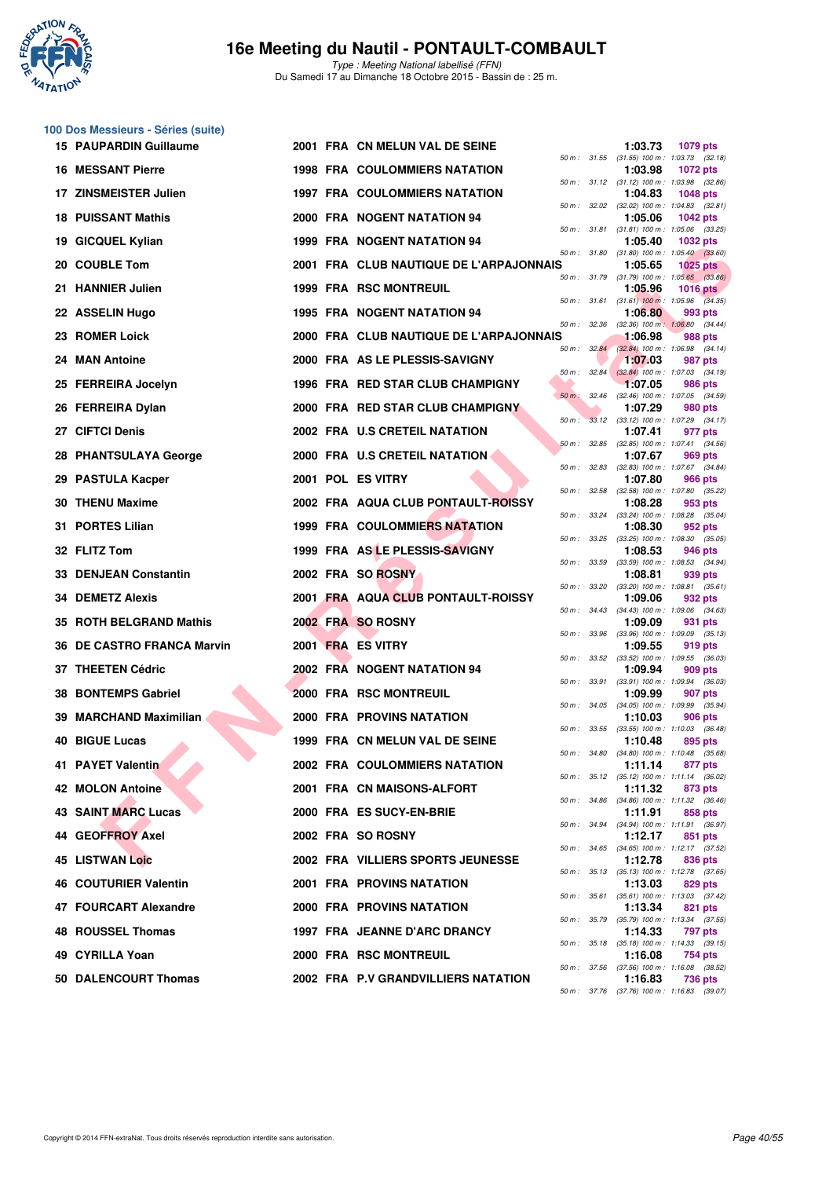

Type : Meeting National labellisé (FFN) Du Samedi 17 au Dimanche 18 Octobre 2015 - Bassin de : 25 m.

|     | 100 Dos Messieurs - Séries (suite) |  |                                         |          |              |         |                                                               |
|-----|------------------------------------|--|-----------------------------------------|----------|--------------|---------|---------------------------------------------------------------|
|     | <b>15 PAUPARDIN Guillaume</b>      |  | 2001 FRA CN MELUN VAL DE SEINE          |          |              | 1:03.73 | 1079 pts<br>50 m: 31.55 (31.55) 100 m: 1:03.73 (32.18)        |
|     | <b>16 MESSANT Pierre</b>           |  | <b>1998 FRA COULOMMIERS NATATION</b>    |          |              | 1:03.98 | <b>1072 pts</b><br>50 m: 31.12 (31.12) 100 m: 1:03.98 (32.86) |
|     | 17 ZINSMEISTER Julien              |  | <b>1997 FRA COULOMMIERS NATATION</b>    |          |              | 1:04.83 | <b>1048 pts</b>                                               |
|     | <b>18 PUISSANT Mathis</b>          |  | 2000 FRA NOGENT NATATION 94             |          |              | 1:05.06 | 50 m: 32.02 (32.02) 100 m: 1:04.83 (32.81)<br><b>1042 pts</b> |
| 19  | <b>GICQUEL Kylian</b>              |  | <b>1999 FRA NOGENT NATATION 94</b>      |          | 50 m : 31.81 | 1:05.40 | $(31.81)$ 100 m : 1:05.06 $(33.25)$<br><b>1032 pts</b>        |
|     | 20 COUBLE Tom                      |  | 2001 FRA CLUB NAUTIQUE DE L'ARPAJONNAIS |          |              | 1:05.65 | 50 m: 31.80 (31.80) 100 m: 1:05.40 (33.60)<br><b>1025 pts</b> |
|     | 21 HANNIER Julien                  |  | <b>1999 FRA RSC MONTREUIL</b>           |          |              | 1:05.96 | 50 m: 31.79 (31.79) 100 m: 1:05.65 (33.86)<br><b>1016 pts</b> |
|     | 22 ASSELIN Hugo                    |  | 1995 FRA NOGENT NATATION 94             |          |              | 1:06.80 | 50 m: 31.61 (31.61) 100 m: 1:05.96 (34.35)<br>993 pts         |
|     | 23 ROMER Loick                     |  | 2000 FRA CLUB NAUTIQUE DE L'ARPAJONNAIS |          | 50 m: 32.36  | 1:06.98 | $(32.36)$ 100 m : 1:06.80 $(34.44)$<br>988 pts                |
| 24. | <b>MAN Antoine</b>                 |  | 2000 FRA AS LE PLESSIS-SAVIGNY          |          | 50 m: 32.84  | 1:07.03 | (32.84) 100 m: 1:06.98 (34.14)<br>987 pts                     |
|     | 25 FERREIRA Jocelyn                |  | 1996 FRA RED STAR CLUB CHAMPIGNY        | 50 m :   | 32.84        | 1:07.05 | $(32.84)$ 100 m : 1:07.03 $(34.19)$<br>986 pts                |
|     | 26 FERREIRA Dylan                  |  | 2000 FRA RED STAR CLUB CHAMPIGNY        | $50 m$ : | 32.46        | 1:07.29 | (32.46) 100 m: 1:07.05 (34.59)<br>980 pts                     |
|     | 27 CIFTCI Denis                    |  | 2002 FRA U.S CRETEIL NATATION           | $50 m$ : |              | 1:07.41 | 33.12 (33.12) 100 m: 1:07.29 (34.17)<br>977 pts               |
|     | 28 PHANTSULAYA George              |  | 2000 FRA U.S CRETEIL NATATION           | 50 m :   | 32.85        | 1:07.67 | $(32.85)$ 100 m : 1:07.41 $(34.56)$<br>969 pts                |
| 29  | <b>PASTULA Kacper</b>              |  | 2001 POL ES VITRY                       |          |              | 1:07.80 | 50 m: 32.83 (32.83) 100 m: 1:07.67 (34.84)<br>966 pts         |
|     | <b>30 THENU Maxime</b>             |  | 2002 FRA AQUA CLUB PONTAULT-ROISSY      |          | 50 m: 32.58  | 1:08.28 | (32.58) 100 m: 1:07.80 (35.22)<br>953 pts                     |
|     | 31 PORTES Lilian                   |  | <b>1999 FRA COULOMMIERS NATATION</b>    |          | 50 m : 33.24 | 1:08.30 | $(33.24)$ 100 m : 1:08.28 $(35.04)$<br>952 pts                |
|     | 32 FLITZ Tom                       |  | 1999 FRA AS LE PLESSIS-SAVIGNY          |          | 50 m : 33.25 | 1:08.53 | $(33.25)$ 100 m : 1:08.30 $(35.05)$<br>946 pts                |
| 33  | <b>DENJEAN Constantin</b>          |  | 2002 FRA SO ROSNY                       |          | 50 m : 33.59 | 1:08.81 | $(33.59)$ 100 m : 1:08.53 $(34.94)$<br>939 pts                |
|     | 34 DEMETZ Alexis                   |  | 2001 FRA AQUA CLUB PONTAULT-ROISSY      |          |              | 1:09.06 | 50 m: 33.20 (33.20) 100 m: 1:08.81 (35.61)<br>932 pts         |
|     | 35 ROTH BELGRAND Mathis            |  | 2002 FRA SO ROSNY                       |          | 50 m : 34.43 | 1:09.09 | $(34.43)$ 100 m : 1:09.06 $(34.63)$<br>931 pts                |
| 36  | <b>DE CASTRO FRANCA Marvin</b>     |  | 2001 FRA ES VITRY                       |          |              | 1:09.55 | 50 m : 33.96 (33.96) 100 m : 1:09.09 (35.13)<br>919 pts       |
|     | 37 THEETEN Cédric                  |  | 2002 FRA NOGENT NATATION 94             | 50 m :   | 33.52        | 1:09.94 | (33.52) 100 m: 1:09.55 (36.03)<br>909 pts                     |
| 38  | <b>BONTEMPS Gabriel</b>            |  | 2000 FRA RSC MONTREUIL                  |          | 50 m : 33.91 | 1:09.99 | $(33.91)$ 100 m : 1:09.94 $(36.03)$<br>907 pts                |
| 39  | <b>MARCHAND Maximilian</b>         |  | 2000 FRA PROVINS NATATION               |          |              | 1:10.03 | 50 m: 34.05 (34.05) 100 m: 1:09.99 (35.94)<br>906 pts         |
|     | <b>40 BIGUE Lucas</b>              |  | 1999 FRA CN MELUN VAL DE SEINE          |          |              | 1:10.48 | 50 m: 33.55 (33.55) 100 m: 1:10.03 (36.48)<br>895 pts         |
|     | 41 PAYET Valentin                  |  | <b>2002 FRA COULOMMIERS NATATION</b>    |          |              | 1:11.14 | 50 m : 34.80 (34.80) 100 m : 1:10.48 (35.68)<br>877 pts       |
|     | <b>42 MOLON Antoine</b>            |  | 2001 FRA CN MAISONS-ALFORT              |          |              | 1:11.32 | 50 m: 35.12 (35.12) 100 m: 1:11.14 (36.02)<br>873 pts         |
|     | <b>43 SAINT MARC Lucas</b>         |  | 2000 FRA ES SUCY-EN-BRIE                |          | 50 m : 34.86 | 1:11.91 | (34.86) 100 m: 1:11.32 (36.46)<br>858 pts                     |
|     | 44 GEOFFROY Axel                   |  | 2002 FRA SO ROSNY                       |          |              | 1:12.17 | 50 m: 34.94 (34.94) 100 m: 1:11.91 (36.97)<br>851 pts         |
|     | <b>45 LISTWAN Loic</b>             |  | 2002 FRA VILLIERS SPORTS JEUNESSE       |          |              | 1:12.78 | 50 m: 34.65 (34.65) 100 m: 1:12.17 (37.52)<br>836 pts         |
|     | 46 COUTURIER Valentin              |  | 2001 FRA PROVINS NATATION               |          |              | 1:13.03 | 50 m: 35.13 (35.13) 100 m: 1:12.78 (37.65)<br>829 pts         |
|     | 47 FOURCART Alexandre              |  | 2000 FRA PROVINS NATATION               |          |              | 1:13.34 | 50 m: 35.61 (35.61) 100 m: 1:13.03 (37.42)<br>821 pts         |
|     | 48 ROUSSEL Thomas                  |  | 1997 FRA JEANNE D'ARC DRANCY            |          |              | 1:14.33 | 50 m: 35.79 (35.79) 100 m: 1:13.34 (37.55)<br>797 pts         |
|     | 49 CYRILLA Yoan                    |  | 2000 FRA RSC MONTREUIL                  |          | 50 m : 35.18 | 1:16.08 | $(35.18)$ 100 m : 1:14.33 $(39.15)$<br>754 pts                |
|     | 50 DALENCOURT Thomas               |  | 2002 FRA P.V GRANDVILLIERS NATATION     |          |              | 1:16.83 | 50 m: 37.56 (37.56) 100 m: 1:16.08 (38.52)<br>736 pts         |
|     |                                    |  |                                         |          |              |         | 50 m: 37.76 (37.76) 100 m: 1:16.83 (39.07)                    |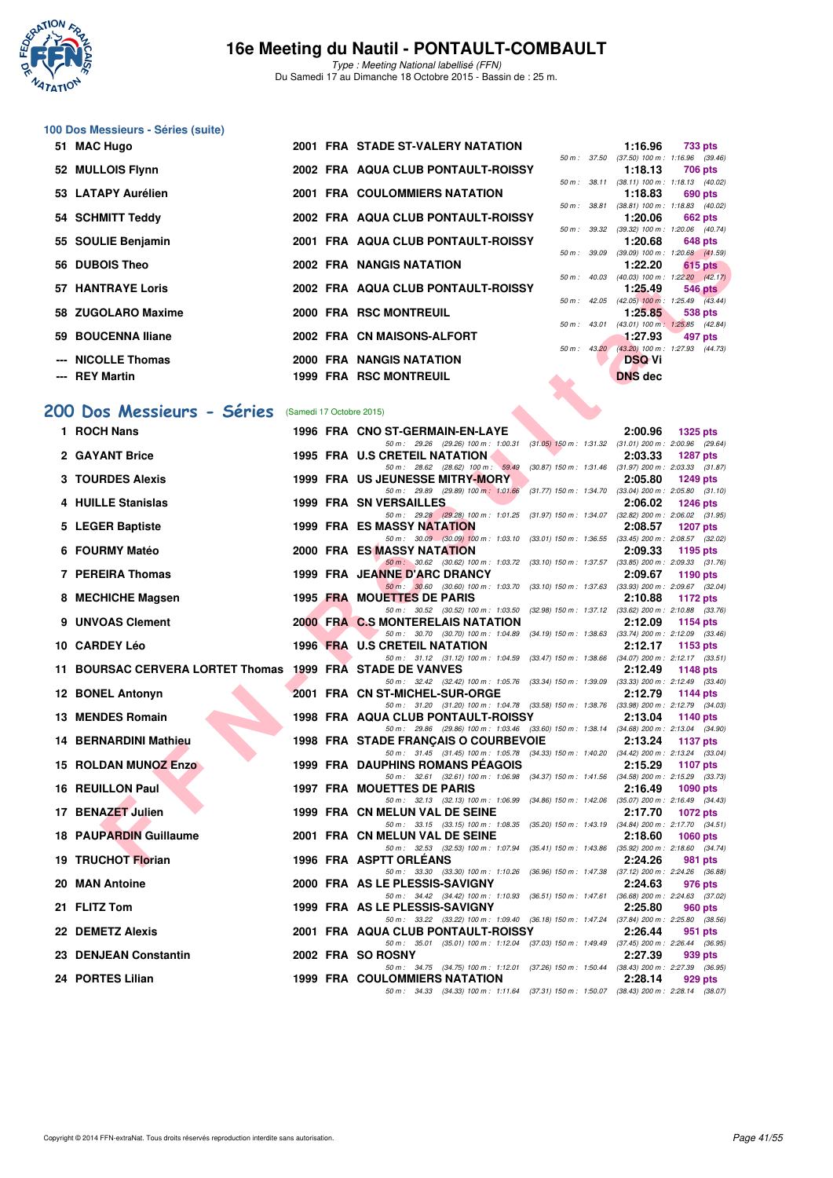

Type : Meeting National labellisé (FFN) Du Samedi 17 au Dimanche 18 Octobre 2015 - Bassin de : 25 m.

# **100 Dos Messieurs - Séries (suite)**

| 51 MAC Hugo              |  | 2001 FRA STADE ST-VALERY NATATION    |                   |              | 1:16.96                                     | 733 pts   |
|--------------------------|--|--------------------------------------|-------------------|--------------|---------------------------------------------|-----------|
|                          |  |                                      |                   | 50 m : 37.50 | $(37.50)$ 100 m : 1:16.96 $(39.46)$         |           |
| 52 MULLOIS Flynn         |  | 2002 FRA AQUA CLUB PONTAULT-ROISSY   |                   |              | 1:18.13                                     | 706 pts   |
|                          |  |                                      |                   | 50 m : 38.11 | $(38.11)$ 100 m : 1:18.13 $(40.02)$         |           |
| 53 LATAPY Aurélien       |  | <b>2001 FRA COULOMMIERS NATATION</b> |                   |              | 1:18.83                                     | 690 pts   |
|                          |  |                                      |                   | 50 m : 38.81 | (38.81) 100 m: 1:18.83 (40.02               |           |
| 54 SCHMITT Teddy         |  | 2002 FRA AQUA CLUB PONTAULT-ROISSY   |                   |              | 1:20.06                                     | 662 pts   |
|                          |  |                                      |                   |              | 50 m: 39.32 (39.32) 100 m: 1:20.06 (40.74   |           |
| 55 SOULIE Benjamin       |  | 2001 FRA AQUA CLUB PONTAULT-ROISSY   |                   |              | 1:20.68                                     | 648 pts   |
|                          |  |                                      |                   | 50 m : 39.09 | $(39.09)$ 100 m : 1:20.68 $(41.59)$         |           |
| 56 DUBOIS Theo           |  | 2002 FRA NANGIS NATATION             |                   |              | 1:22.20                                     | $615$ pts |
|                          |  |                                      |                   | 50 m: 40.03  | (40.03) 100 m : 1:22.20 (42.17)             |           |
| <b>57 HANTRAYE Loris</b> |  | 2002 FRA AQUA CLUB PONTAULT-ROISSY   |                   |              | 1:25.49                                     | 546 pts   |
|                          |  |                                      |                   | 50 m: 42.05  | (42.05) 100 m : 1:25.49 (43.44)             |           |
| 58 ZUGOLARO Maxime       |  | 2000 FRA RSC MONTREUIL               |                   |              | 1:25.85                                     | 538 pts   |
|                          |  |                                      |                   | 50 m: 43.01  | (43.01) 100 m: 1:25.85 (42.84)              |           |
| 59 BOUCENNA Iliane       |  | 2002 FRA CN MAISONS-ALFORT           |                   |              | 1:27.93                                     | 497 pts   |
|                          |  |                                      |                   |              | 50 m : 43.20 (43.20) 100 m : 1:27.93 (44.73 |           |
| --- NICOLLE Thomas       |  | 2000 FRA NANGIS NATATION             |                   |              | <b>DSQVi</b>                                |           |
|                          |  |                                      |                   |              |                                             |           |
| --- REY Martin           |  | <b>1999 FRA RSC MONTREUIL</b>        | <b>STATISTICS</b> |              | <b>DNS</b> dec                              |           |

# 50 m : 37.50 (37.50) 100 m : 1:16.96 (39.46) **52 MULLOIS Flynn 2002 FRA AQUA CLUB PONTAULT-ROISSY 1:18.13 706 pts** 50 m : 38.11 (38.11) 100 m : 1:18.13 (40.02) **53 LATAPY Aurélien 2001 FRA COULOMMIERS NATATION 1:18.83 690 pts** 50 m : 38.81 (38.81) 100 m : 1:18.83 (40.02) **55 SOULIE Benjamin 2001 FRA AQUA CLUB PONTAULT-ROISSY 1:20.68 648 pts** 50 m : 39.09 (39.09) 100 m : 1:20.68 (41.59) **f f 1:22.20 615 pts** 50 m : 42.05 (42.05) 100 m : 1:25.49 (43.44) 50 m : 43.20 (43.20) 100 m : 1:27.93 (44.73)

#### [200 Dos Messieurs - Séries](http://www.ffnatation.fr/webffn/resultats.php?idact=nat&go=epr&idcpt=33325&idepr=63) (Samedi 17 Octobre 2015)

| วว   วบบLiL Denjamin                                      |                          | <b>FRA AWOA CLUB FONTAUL PROISS I</b>                                                                                                |  | 1.20.00                         | una pia                                                                     |
|-----------------------------------------------------------|--------------------------|--------------------------------------------------------------------------------------------------------------------------------------|--|---------------------------------|-----------------------------------------------------------------------------|
| 56 DUBOIS Theo                                            |                          | 2002 FRA NANGIS NATATION                                                                                                             |  | 1:22.20                         | 50 m : 39.09 (39.09) 100 m : 1:20.68 (41.59)<br>615 pts                     |
| <b>57 HANTRAYE Loris</b>                                  |                          | 2002 FRA AQUA CLUB PONTAULT-ROISSY                                                                                                   |  | 1:25.49                         | 50 m: 40.03 (40.03) 100 m: 1:22.20 (42.17)<br>$546$ pts                     |
| 58 ZUGOLARO Maxime                                        |                          | 2000 FRA RSC MONTREUIL                                                                                                               |  | 1:25.85                         | 50 m : 42.05 (42.05) 100 m : 1:25.49 (43.44)<br>538 pts                     |
| 59 BOUCENNA Iliane                                        |                          | 2002 FRA CN MAISONS-ALFORT                                                                                                           |  | 1:27.93                         | 50 m: 43.01 (43.01) 100 m: 1:25.85 (42.84)<br>497 pts                       |
|                                                           |                          |                                                                                                                                      |  |                                 | 50 m: 43.20 (43.20) 100 m: 1:27.93 (44.73)                                  |
| --- NICOLLE Thomas<br>--- REY Martin                      |                          | 2000 FRA NANGIS NATATION<br><b>1999 FRA RSC MONTREUIL</b>                                                                            |  | <b>DSQ Vi</b><br><b>DNS</b> dec |                                                                             |
|                                                           |                          |                                                                                                                                      |  |                                 |                                                                             |
| 00 Dos Messieurs - Séries                                 | (Samedi 17 Octobre 2015) |                                                                                                                                      |  |                                 |                                                                             |
| 1 ROCH Nans                                               |                          | 1996 FRA CNO ST-GERMAIN-EN-LAYE                                                                                                      |  | 2:00.96                         | <b>1325 pts</b>                                                             |
| 2 GAYANT Brice                                            |                          | 50 m: 29.26 (29.26) 100 m: 1:00.31 (31.05) 150 m: 1:31.32 (31.01) 200 m: 2:00.96 (29.64)<br>1995 FRA U.S CRETEIL NATATION            |  | 2:03.33                         | <b>1287 pts</b>                                                             |
| 3 TOURDES Alexis                                          |                          | 50 m: 28.62 (28.62) 100 m: 59.49 (30.87) 150 m: 1.31.46 (31.97) 200 m: 2.03.33 (31.87)<br>1999 FRA US JEUNESSE MITRY-MORY            |  | 2:05.80                         | 1249 pts                                                                    |
|                                                           |                          | 50 m: 29.89 (29.89) 100 m: 1:01.66                                                                                                   |  |                                 | (31.77) 150 m : 1:34.70 (33.04) 200 m : 2:05.80 (31.10)                     |
| 4 HUILLE Stanislas                                        |                          | <b>1999 FRA SN VERSAILLES</b><br>50 m: 29.28 (29.28) 100 m: 1.01.25 (31.97) 150 m: 1.34.07 (32.82) 200 m: 2:06.02 (31.95)            |  | 2:06.02                         | <b>1246 pts</b>                                                             |
| 5 LEGER Baptiste                                          |                          | <b>1999 FRA ES MASSY NATATION</b><br>50 m: 30.09 (30.09) 100 m: 1:03.10 (33.01) 150 m: 1:36.55 (33.45) 200 m: 2:08.57 (32.02)        |  | 2:08.57                         | <b>1207 pts</b>                                                             |
| 6 FOURMY Matéo                                            |                          | 2000 FRA ES MASSY NATATION                                                                                                           |  | 2:09.33                         | 1195 pts                                                                    |
| 7 PEREIRA Thomas                                          |                          | 50 m: 30.62 (30.62) 100 m: 1:03.72 (33.10) 150 m: 1:37.57 (33.85) 200 m: 2:09.33 (31.76)<br>1999 FRA JEANNE D'ARC DRANCY             |  | 2:09.67                         | 1190 pts                                                                    |
| 8 MECHICHE Magsen                                         |                          | 50 m : 30.60 (30.60) 100 m : 1:03.70<br>1995 FRA MOUETTES DE PARIS                                                                   |  | 2:10.88                         | $(33.10)$ 150 m : 1:37.63 $(33.93)$ 200 m : 2:09.67 $(32.04)$<br>1172 $pts$ |
|                                                           |                          | 50 m: 30.52 (30.52) 100 m: 1.03.50 (32.98) 150 m: 1.37.12 (33.62) 200 m: 2.10.88 (33.76)                                             |  |                                 |                                                                             |
| 9 UNVOAS Clement                                          |                          | <b>2000 FRA C.S MONTERELAIS NATATION</b><br>50 m: 30.70 (30.70) 100 m: 1:04.89 (34.19) 150 m: 1:38.63 (33.74) 200 m: 2:12.09 (33.46) |  | 2:12.09                         | 1154 $pts$                                                                  |
| 10 CARDEY Léo                                             |                          | <b>1996 FRA U.S CRETEIL NATATION</b><br>50 m: 31.12 (31.12) 100 m: 1:04.59 (33.47) 150 m: 1:38.66 (34.07) 200 m: 2:12.17 (33.51)     |  | 2:12.17                         | 1153 pts                                                                    |
| 11 BOURSAC CERVERA LORTET Thomas 1999 FRA STADE DE VANVES |                          |                                                                                                                                      |  | 2:12.49                         | 1148 pts                                                                    |
| 12 BONEL Antonyn                                          |                          | 50 m: 32.42 (32.42) 100 m: 1:05.76 (33.34) 150 m: 1:39.09 (33.33) 200 m: 2:12.49 (33.40)<br>2001 FRA CN ST-MICHEL-SUR-ORGE           |  | 2:12.79                         | 1144 pts                                                                    |
| 13 MENDES Romain                                          |                          | 50 m: 31.20 (31.20) 100 m: 1:04.78 (33.58) 150 m: 1:38.76 (33.98) 200 m: 2:12.79 (34.03)<br>1998 FRA AQUA CLUB PONTAULT-ROISSY       |  | 2:13.04                         | 1140 pts                                                                    |
|                                                           |                          | 50 m: 29.86 (29.86) 100 m: 1:03.46 (33.60) 150 m: 1:38.14 (34.68) 200 m: 2:13.04 (34.90)                                             |  |                                 |                                                                             |
| 14 BERNARDINI Mathieu                                     |                          | 1998 FRA STADE FRANÇAIS O COURBEVOIE<br>50 m: 31.45 (31.45) 100 m: 1:05.78 (34.33) 150 m: 1:40.20 (34.42) 200 m: 2:13.24 (33.04)     |  | 2:13.24                         | <b>1137 pts</b>                                                             |
| 15 ROLDAN MUNOZ Enzo                                      |                          | <b>1999 FRA DAUPHINS ROMANS PEAGOIS</b><br>50 m: 32.61 (32.61) 100 m: 1:06.98 (34.37) 150 m: 1:41.56 (34.58) 200 m: 2:15.29 (33.73)  |  | 2:15.29                         | <b>1107 pts</b>                                                             |
| 16 REUILLON Paul                                          |                          | 1997 FRA MOUETTES DE PARIS                                                                                                           |  | 2:16.49                         | 1090 pts                                                                    |
| 17 BENAZET Julien                                         |                          | 50 m: 32.13 (32.13) 100 m: 1.06.99 (34.86) 150 m: 1.42.06 (35.07) 200 m: 2.16.49 (34.43)<br>1999 FRA CN MELUN VAL DE SEINE           |  | 2:17.70                         | 1072 pts                                                                    |
| 18 PAUPARDIN Guillaume                                    |                          | 50 m: 33.15 (33.15) 100 m: 1:08.35 (35.20) 150 m: 1:43.19 (34.84) 200 m: 2:17.70 (34.51)<br>2001 FRA CN MELUN VAL DE SEINE           |  | 2:18.60                         | <b>1060 pts</b>                                                             |
|                                                           |                          | 50 m: 32.53 (32.53) 100 m: 1:07.94 (35.41) 150 m: 1:43.86 (35.92) 200 m: 2:18.60 (34.74)                                             |  |                                 |                                                                             |
| 19 TRUCHOT Florian                                        |                          | 1996 FRA ASPTT ORLEANS<br>50 m : 33.30 (33.30) 100 m : 1:10.26 (36.96) 150 m : 1:47.38 (37.12) 200 m : 2:24.26 (36.88)               |  | 2:24.26                         | 981 pts                                                                     |
| 20 MAN Antoine                                            |                          | 2000 FRA AS LE PLESSIS-SAVIGNY                                                                                                       |  | 2:24.63                         | 976 pts                                                                     |
| 21 FLITZ Tom                                              |                          | 50 m: 34.42 (34.42) 100 m: 1:10.93 (36.51) 150 m: 1:47.61 (36.68) 200 m: 2:24.63 (37.02)<br>1999 FRA AS LE PLESSIS-SAVIGNY           |  | 2:25.80                         | 960 pts                                                                     |
| 22 DEMETZ Alexis                                          |                          | 50 m: 33.22 (33.22) 100 m: 1:09.40 (36.18) 150 m: 1:47.24 (37.84) 200 m: 2:25.80 (38.56)<br>2001 FRA AQUA CLUB PONTAULT-ROISSY       |  | 2:26.44                         | 951 pts                                                                     |
| 23 DENJEAN Constantin                                     |                          | 50 m: 35.01 (35.01) 100 m: 1:12.04 (37.03) 150 m: 1:49.49 (37.45) 200 m: 2:26.44 (36.95)<br>2002 FRA SO ROSNY                        |  | 2:27.39                         | 939 pts                                                                     |
|                                                           |                          | 50 m: 34.75 (34.75) 100 m: 1:12.01 (37.26) 150 m: 1:50.44 (38.43) 200 m: 2:27.39 (36.95)                                             |  |                                 |                                                                             |
| 24 PORTES Lilian                                          |                          | <b>1999 FRA COULOMMIERS NATATION</b><br>50 m: 34.33 (34.33) 100 m: 1:11.64 (37.31) 150 m: 1:50.07 (38.43) 200 m: 2:28.14 (38.07)     |  | 2:28.14                         | 929 pts                                                                     |
|                                                           |                          |                                                                                                                                      |  |                                 |                                                                             |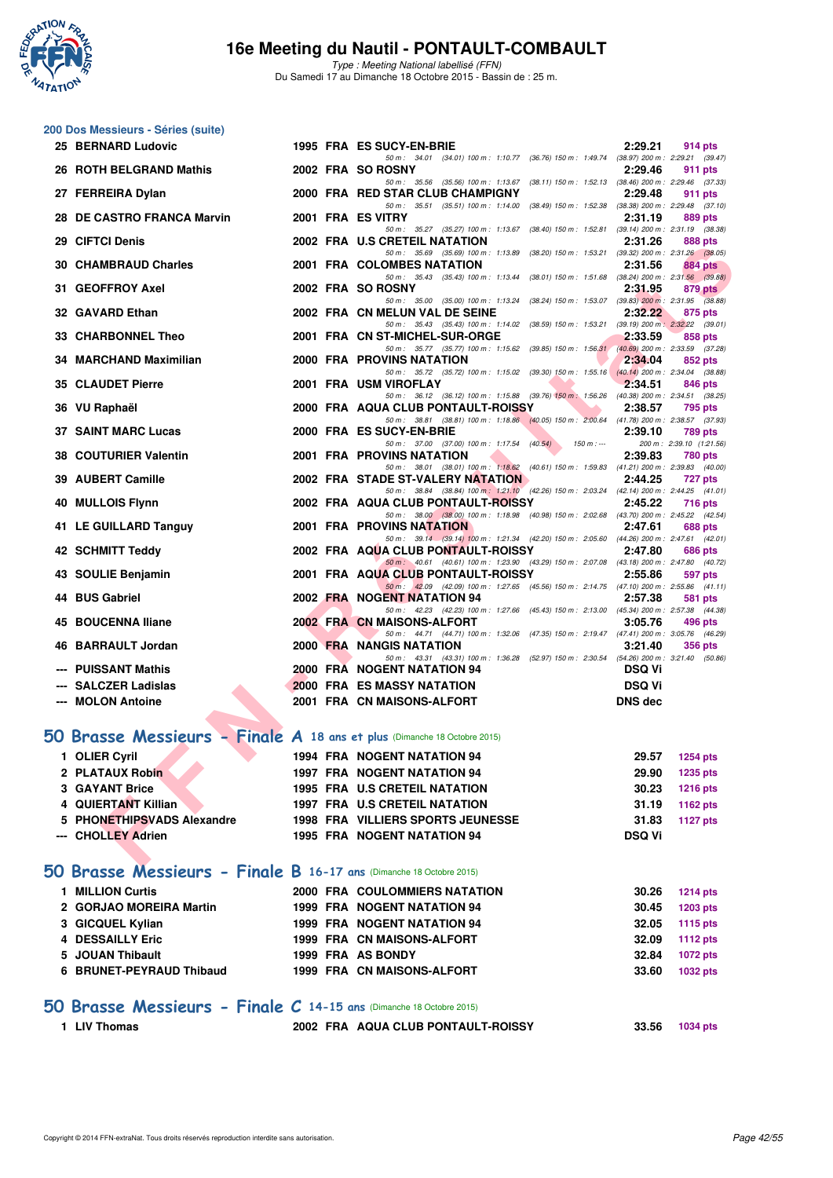

Type : Meeting National labellisé (FFN) Du Samedi 17 au Dimanche 18 Octobre 2015 - Bassin de : 25 m.

# **200 Dos Messieurs - Séries (suite)**

|   | 25 BERNARD Ludovic                                                       |  | 1995 FRA ES SUCY-EN-BRIE                                                                                                              | 2:29.21        | 914 pts                                        |
|---|--------------------------------------------------------------------------|--|---------------------------------------------------------------------------------------------------------------------------------------|----------------|------------------------------------------------|
|   | 26 ROTH BELGRAND Mathis                                                  |  | 50 m: 34.01 (34.01) 100 m: 1:10.77 (36.76) 150 m: 1:49.74 (38.97) 200 m: 2:29.21 (39.47)<br>2002 FRA SO ROSNY                         | 2:29.46        | 911 pts                                        |
|   |                                                                          |  | 50 m: 35.56 (35.56) 100 m: 1:13.67<br>(38.11) 150 m: 1:52.13 (38.46) 200 m: 2:29.46 (37.33)                                           |                |                                                |
|   | 27 FERREIRA Dylan                                                        |  | 2000 FRA RED STAR CLUB CHAMPIGNY<br>50 m: 35.51 (35.51) 100 m: 1:14.00 (38.49) 150 m: 1:52.38 (38.38) 200 m: 2:29.48 (37.10)          | 2:29.48        | 911 pts                                        |
|   | 28 DE CASTRO FRANCA Marvin                                               |  | 2001 FRA ES VITRY                                                                                                                     | 2:31.19        | 889 pts                                        |
|   | 29 CIFTCI Denis                                                          |  | (38.40) 150 m: 1:52.81 (39.14) 200 m: 2:31.19 (38.38)<br>50 m: 35.27 (35.27) 100 m: 1:13.67<br>2002 FRA U.S CRETEIL NATATION          | 2:31.26        | 888 pts                                        |
|   |                                                                          |  | 50 m: 35.69 (35.69) 100 m: 1:13.89<br>(38.20) 150 m : 1:53.21                                                                         |                | $(39.32)$ 200 m : 2:31.26 $(38.05)$            |
|   | <b>30 CHAMBRAUD Charles</b>                                              |  | 2001 FRA COLOMBES NATATION<br>50 m: 35.43 (35.43) 100 m: 1:13.44 (38.01) 150 m: 1:51.68 (38.24) 200 m: 2:31.56 (39.88)                | 2:31.56        | 884 pts                                        |
|   | 31 GEOFFROY Axel                                                         |  | 2002 FRA SO ROSNY                                                                                                                     | 2:31.95        | 879 pts                                        |
|   | 32 GAVARD Ethan                                                          |  | 50 m: 35.00 (35.00) 100 m: 1:13.24<br>$(38.24)$ 150 m : 1:53.07 $(39.83)$ 200 m : 2:31.95 $(38.88)$<br>2002 FRA CN MELUN VAL DE SEINE | 2:32.22        | 875 pts                                        |
|   |                                                                          |  | 50 m: 35.43 (35.43) 100 m: 1:14.02 (38.59) 150 m: 1:53.21 (39.19) 200 m: 2:32.22 (39.01)                                              |                |                                                |
|   | 33 CHARBONNEL Theo                                                       |  | 2001 FRA CN ST-MICHEL-SUR-ORGE<br>50 m: 35.77 (35.77) 100 m: 1:15.62 (39.85) 150 m: 1:56.31                                           | 2:33.59        | 858 pts<br>$(40.69)$ 200 m : 2:33.59 $(37.28)$ |
|   | 34 MARCHAND Maximilian                                                   |  | 2000 FRA PROVINS NATATION                                                                                                             | 2:34.04        | 852 pts                                        |
|   | <b>35 CLAUDET Pierre</b>                                                 |  | 50 m: 35.72 (35.72) 100 m: 1:15.02 (39.30) 150 m: 1:55.16 (40.14) 200 m: 2:34.04 (38.88)<br>2001 FRA USM VIROFLAY                     | 2:34.51        | 846 pts                                        |
|   |                                                                          |  | 50 m: 36.12 (36.12) 100 m: 1:15.88 (39.76) 150 m: 1:56.26 (40.38) 200 m: 2:34.51 (38.25)                                              |                |                                                |
|   | 36 VU Raphaël                                                            |  | 2000 FRA AQUA CLUB PONTAULT-ROISSY                                                                                                    | 2:38.57        | 795 pts                                        |
|   | <b>37 SAINT MARC Lucas</b>                                               |  | 50 m: 38.81 (38.81) 100 m: 1:18.86 (40.05) 150 m: 2:00.64 (41.78) 200 m: 2:38.57 (37.93)<br>2000 FRA ES SUCY-EN-BRIE                  | 2:39.10        | <b>789 pts</b>                                 |
|   |                                                                          |  | 50 m: 37.00 (37.00) 100 m: 1:17.54 (40.54)<br>$150 m : -$                                                                             |                | 200 m: 2:39.10 (1:21.56)                       |
|   | 38 COUTURIER Valentin                                                    |  | 2001 FRA PROVINS NATATION<br>50 m: 38.01 (38.01) 100 m: 1:18.62 (40.61) 150 m: 1:59.83 (41.21) 200 m: 2:39.83 (40.00)                 | 2:39.83        | <b>780 pts</b>                                 |
|   | 39 AUBERT Camille                                                        |  | 2002 FRA STADE ST-VALERY NATATION                                                                                                     | 2:44.25        | 727 pts                                        |
|   | 40 MULLOIS Flynn                                                         |  | 50 m: 38.84 (38.84) 100 m: 1:21.10 (42.26) 150 m: 2:03.24 (42.14) 200 m: 2:44.25 (41.01)<br>2002 FRA AQUA CLUB PONTAULT-ROISSY        | 2:45.22        | 716 pts                                        |
|   |                                                                          |  | 50 m: 38.00 (38.00) 100 m: 1:18.98 (40.98) 150 m: 2:02.68 (43.70) 200 m: 2:45.22 (42.54)                                              |                |                                                |
|   | 41 LE GUILLARD Tanguy                                                    |  | <b>2001 FRA PROVINS NATATION</b><br>50 m: 39.14 (39.14) 100 m: 1:21.34 (42.20) 150 m: 2:05.60 (44.26) 200 m: 2:47.61 (42.01)          | 2:47.61        | <b>688 pts</b>                                 |
|   | 42 SCHMITT Teddy                                                         |  | 2002 FRA AQUA CLUB PONTAULT-ROISSY                                                                                                    | 2:47.80        | <b>686 pts</b>                                 |
|   | 43 SOULIE Benjamin                                                       |  | 50 m: 40.61 (40.61) 100 m: 1:23.90 (43.29) 150 m: 2:07.08 (43.18) 200 m: 2:47.80 (40.72)<br>2001 FRA AQUA CLUB PONTAULT-ROISSY        | 2:55.86        | 597 pts                                        |
|   |                                                                          |  | 50 m: 42.09 (42.09) 100 m: 1:27.65 (45.56) 150 m: 2:14.75 (47.10) 200 m: 2:55.86 (41.11)                                              |                |                                                |
|   | 44 BUS Gabriel                                                           |  | 2002 FRA NOGENT NATATION 94                                                                                                           | 2:57.38        | 581 pts                                        |
|   | 45 BOUCENNA Iliane                                                       |  | 50 m: 42.23 (42.23) 100 m: 1:27.66 (45.43) 150 m: 2:13.00 (45.34) 200 m: 2:57.38 (44.38)<br>2002 FRA CN MAISONS-ALFORT                | 3:05.76        | 496 pts                                        |
|   |                                                                          |  | 50 m: 44.71 (44.71) 100 m: 1:32.06 (47.35) 150 m: 2:19.47 (47.41) 200 m: 3:05.76 (46.29)                                              |                |                                                |
|   | 46 BARRAULT Jordan                                                       |  | <b>2000 FRA NANGIS NATATION</b><br>50 m: 43.31 (43.31) 100 m: 1:36.28 (52.97) 150 m: 2:30.54 (54.26) 200 m: 3:21.40 (50.86)           | 3:21.40        | 356 pts                                        |
|   | <b>PUISSANT Mathis</b>                                                   |  | 2000 FRA NOGENT NATATION 94                                                                                                           | <b>DSQ Vi</b>  |                                                |
|   | <b>SALCZER Ladislas</b>                                                  |  | 2000 FRA ES MASSY NATATION                                                                                                            | <b>DSQ Vi</b>  |                                                |
|   | <b>MOLON Antoine</b>                                                     |  | 2001 FRA CN MAISONS-ALFORT                                                                                                            | <b>DNS</b> dec |                                                |
|   |                                                                          |  |                                                                                                                                       |                |                                                |
|   | iO Brasse Messieurs - Finale A 18 ans et plus (Dimanche 18 Octobre 2015) |  |                                                                                                                                       |                |                                                |
|   | 1 OLIER Cyril                                                            |  | 1994 FRA NOGENT NATATION 94                                                                                                           | 29.57          | 1254 pts                                       |
|   | 2 PLATAUX Robin                                                          |  | <b>1997 FRA NOGENT NATATION 94</b>                                                                                                    | 29.90          | <b>1235 pts</b>                                |
|   | <b>3 GAYANT Brice</b>                                                    |  | 1995 FRA U.S CRETEIL NATATION                                                                                                         | 30.23          | <b>1216 pts</b>                                |
|   | 4 QUIERTANT Killian                                                      |  | 1997 FRA U.S CRETEIL NATATION                                                                                                         | 31.19          | 1162 pts                                       |
| 5 | <b>PHONETHIPSVADS Alexandre</b>                                          |  | 1998 FRA VILLIERS SPORTS JEUNESSE                                                                                                     | 31.83          | <b>1127 pts</b>                                |
|   | --- CHOLLEY Adrien                                                       |  | <b>1995 FRA NOGENT NATATION 94</b>                                                                                                    | <b>DSQ Vi</b>  |                                                |
|   | <b>Contract Contract Contract Contract</b><br>. .                        |  |                                                                                                                                       |                |                                                |

# **[50 Brasse Messieurs - Finale A](http://www.ffnatation.fr/webffn/resultats.php?idact=nat&go=epr&idcpt=33325&idepr=71) 18 ans et plus** (Dimanche 18 Octobre 2015)

| 1 OLIER Cyril              | <b>1994 FRA NOGENT NATATION 94</b>       | 29.57         | 1254 pts        |
|----------------------------|------------------------------------------|---------------|-----------------|
| 2 PLATAUX Robin            | <b>1997 FRA NOGENT NATATION 94</b>       | 29.90         | 1235 pts        |
| 3 GAYANT Brice             | 1995 FRA U.S CRETEIL NATATION            | 30.23         | <b>1216 pts</b> |
| 4 QUIERTANT Killian        | 1997 FRA U.S CRETEIL NATATION            | 31.19         | 1162 pts        |
| 5 PHONETHIPSVADS Alexandre | <b>1998 FRA VILLIERS SPORTS JEUNESSE</b> | 31.83         | 1127 pts        |
| --- CHOLLEY Adrien         | <b>1995 FRA NOGENT NATATION 94</b>       | <b>DSQ Vi</b> |                 |

#### **[50 Brasse Messieurs - Finale B](http://www.ffnatation.fr/webffn/resultats.php?idact=nat&go=epr&idcpt=33325&idepr=71) 16-17 ans** (Dimanche 18 Octobre 2015)

| 1 MILLION Curtis         | 2000 FRA COULOMMIERS NATATION      |       | 30.26 1214 pts  |
|--------------------------|------------------------------------|-------|-----------------|
| 2 GORJAO MOREIRA Martin  | <b>1999 FRA NOGENT NATATION 94</b> | 30.45 | 1203 pts        |
| 3 GICQUEL Kylian         | <b>1999 FRA NOGENT NATATION 94</b> | 32.05 | 1115 pts        |
| <b>4 DESSAILLY Eric</b>  | 1999 FRA CN MAISONS-ALFORT         | 32.09 | 1112 $pts$      |
| 5 JOUAN Thibault         | 1999 FRA AS BONDY                  | 32.84 | <b>1072 pts</b> |
| 6 BRUNET-PEYRAUD Thibaud | 1999 FRA CN MAISONS-ALFORT         | 33.60 | 1032 pts        |
|                          |                                    |       |                 |

#### **[50 Brasse Messieurs - Finale C](http://www.ffnatation.fr/webffn/resultats.php?idact=nat&go=epr&idcpt=33325&idepr=71) 14-15 ans** (Dimanche 18 Octobre 2015)

**1 LIV Thomas 2002 FRA AQUA CLUB PONTAULT-ROISSY 33.56 1034 pts**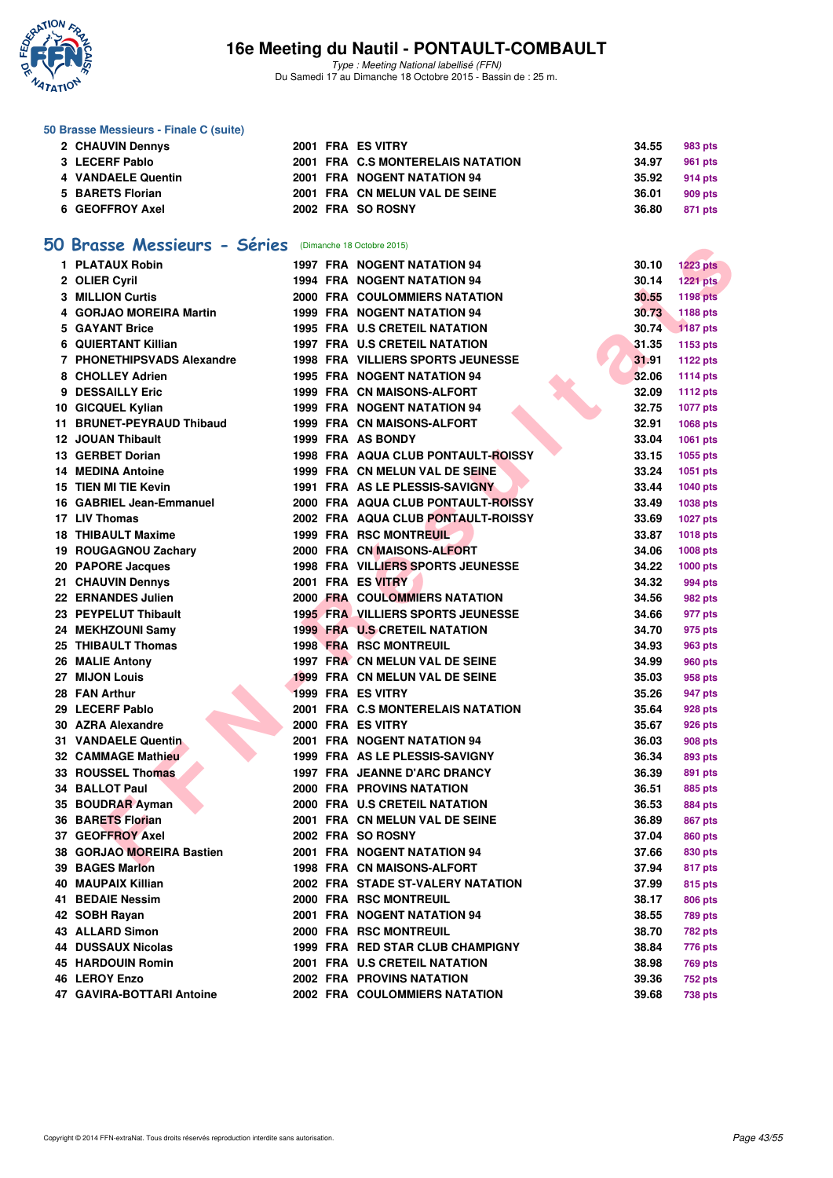

Type : Meeting National labellisé (FFN) Du Samedi 17 au Dimanche 18 Octobre 2015 - Bassin de : 25 m.

#### **50 Brasse Messieurs - Finale C (suite)**

| 2 CHAUVIN Dennys   |  | 2001 FRA ES VITRY                 | 34.55 | 983 pts |
|--------------------|--|-----------------------------------|-------|---------|
| 3 LECERF Pablo     |  | 2001 FRA C.S MONTERELAIS NATATION | 34.97 | 961 pts |
| 4 VANDAELE Quentin |  | 2001 FRA NOGENT NATATION 94       | 35.92 | 914 pts |
| 5 BARETS Florian   |  | 2001 FRA CN MELUN VAL DE SEINE    | 36.01 | 909 pts |
| 6 GEOFFROY Axel    |  | 2002 FRA SO ROSNY                 | 36.80 | 871 pts |

# **[50 Brasse Messieurs - Séries](http://www.ffnatation.fr/webffn/resultats.php?idact=nat&go=epr&idcpt=33325&idepr=71)** (Dimanche 18 Octobre 2015)

|    | Brasse Messieurs - Series     |  | (Dimanche 18 Octobre 2015)                |       |                 |
|----|-------------------------------|--|-------------------------------------------|-------|-----------------|
|    | 1 PLATAUX Robin               |  | <b>1997 FRA NOGENT NATATION 94</b>        | 30.10 | <b>1223 pts</b> |
|    | 2 OLIER Cyril                 |  | <b>1994 FRA NOGENT NATATION 94</b>        | 30.14 | <b>1221 pts</b> |
|    | <b>3 MILLION Curtis</b>       |  | 2000 FRA COULOMMIERS NATATION             | 30.55 | <b>1198 pts</b> |
|    | 4 GORJAO MOREIRA Martin       |  | <b>1999 FRA NOGENT NATATION 94</b>        | 30.73 | 1188 pts        |
|    | 5 GAYANT Brice                |  | 1995 FRA U.S CRETEIL NATATION             | 30.74 | <b>1187 pts</b> |
|    | <b>6 QUIERTANT Killian</b>    |  | 1997 FRA U.S CRETEIL NATATION             | 31.35 | 1153 pts        |
|    | 7 PHONETHIPSVADS Alexandre    |  | <b>1998 FRA VILLIERS SPORTS JEUNESSE</b>  | 31.91 | 1122 pts        |
|    | 8 CHOLLEY Adrien              |  | <b>1995 FRA NOGENT NATATION 94</b>        | 32.06 | <b>1114 pts</b> |
|    | 9 DESSAILLY Eric              |  | 1999 FRA CN MAISONS-ALFORT                | 32.09 | <b>1112 pts</b> |
|    | 10 GICQUEL Kylian             |  | 1999 FRA NOGENT NATATION 94               | 32.75 | <b>1077 pts</b> |
| 11 | <b>BRUNET-PEYRAUD Thibaud</b> |  | 1999 FRA CN MAISONS-ALFORT                | 32.91 | 1068 pts        |
|    | <b>12 JOUAN Thibault</b>      |  | 1999 FRA AS BONDY                         | 33.04 | 1061 pts        |
|    | 13 GERBET Dorian              |  | <b>1998 FRA AQUA CLUB PONTAULT-ROISSY</b> | 33.15 | 1055 pts        |
|    | <b>14 MEDINA Antoine</b>      |  | 1999 FRA CN MELUN VAL DE SEINE            | 33.24 | 1051 pts        |
|    | 15 TIEN MI TIE Kevin          |  | 1991 FRA AS LE PLESSIS-SAVIGNY            | 33.44 | 1040 pts        |
| 16 | <b>GABRIEL Jean-Emmanuel</b>  |  | 2000 FRA AQUA CLUB PONTAULT-ROISSY        | 33.49 | 1038 pts        |
|    | 17 LIV Thomas                 |  | 2002 FRA AQUA CLUB PONTAULT-ROISSY        | 33.69 | <b>1027 pts</b> |
|    | <b>18 THIBAULT Maxime</b>     |  | <b>1999 FRA RSC MONTREUIL</b>             | 33.87 | <b>1018 pts</b> |
|    | 19 ROUGAGNOU Zachary          |  | 2000 FRA CN MAISONS-ALFORT                | 34.06 | <b>1008 pts</b> |
|    | 20 PAPORE Jacques             |  | <b>1998 FRA VILLIERS SPORTS JEUNESSE</b>  | 34.22 | 1000 pts        |
|    | 21 CHAUVIN Dennys             |  | 2001 FRA ES VITRY                         | 34.32 | 994 pts         |
|    | 22 ERNANDES Julien            |  | <b>2000 FRA COULOMMIERS NATATION</b>      | 34.56 | 982 pts         |
|    | 23 PEYPELUT Thibault          |  | <b>1995 FRA VILLIERS SPORTS JEUNESSE</b>  | 34.66 | 977 pts         |
|    | 24 MEKHZOUNI Samy             |  | <b>1999 FRA U.S CRETEIL NATATION</b>      | 34.70 | 975 pts         |
|    | 25 THIBAULT Thomas            |  | <b>1998 FRA RSC MONTREUIL</b>             | 34.93 | 963 pts         |
|    | 26 MALIE Antony               |  | 1997 FRA CN MELUN VAL DE SEINE            | 34.99 | <b>960 pts</b>  |
|    | 27 MIJON Louis                |  | 1999 FRA CN MELUN VAL DE SEINE            | 35.03 | 958 pts         |
|    | 28 FAN Arthur                 |  | 1999 FRA ES VITRY                         | 35.26 | 947 pts         |
|    | 29 LECERF Pablo               |  | 2001 FRA C.S MONTERELAIS NATATION         | 35.64 | 928 pts         |
|    | 30 AZRA Alexandre             |  | 2000 FRA ES VITRY                         | 35.67 | 926 pts         |
|    | <b>31 VANDAELE Quentin</b>    |  | 2001 FRA NOGENT NATATION 94               | 36.03 | <b>908 pts</b>  |
|    | 32 CAMMAGE Mathieu            |  | 1999 FRA AS LE PLESSIS-SAVIGNY            | 36.34 | 893 pts         |
|    | 33 ROUSSEL Thomas             |  | 1997 FRA JEANNE D'ARC DRANCY              | 36.39 | 891 pts         |
|    | 34 BALLOT Paul                |  | <b>2000 FRA PROVINS NATATION</b>          | 36.51 | 885 pts         |
|    | 35 BOUDRAR Ayman              |  | 2000 FRA U.S CRETEIL NATATION             | 36.53 | 884 pts         |
|    | 36 BARETS Florian             |  | 2001 FRA CN MELUN VAL DE SEINE            | 36.89 | 867 pts         |
|    | 37 GEOFFROY Axel              |  | 2002 FRA SO ROSNY                         | 37.04 | 860 pts         |
|    | 38 GORJAO MOREIRA Bastien     |  | 2001 FRA NOGENT NATATION 94               | 37.66 | 830 pts         |
|    | 39 BAGES Marlon               |  | 1998 FRA CN MAISONS-ALFORT                | 37.94 | 817 pts         |
|    | 40 MAUPAIX Killian            |  | 2002 FRA STADE ST-VALERY NATATION         | 37.99 | 815 pts         |
|    | 41 BEDAIE Nessim              |  | 2000 FRA RSC MONTREUIL                    | 38.17 | 806 pts         |
|    | 42 SOBH Rayan                 |  | 2001 FRA NOGENT NATATION 94               | 38.55 | <b>789 pts</b>  |
|    | <b>43 ALLARD Simon</b>        |  | 2000 FRA RSC MONTREUIL                    | 38.70 | 782 pts         |
|    | <b>44 DUSSAUX Nicolas</b>     |  | 1999 FRA RED STAR CLUB CHAMPIGNY          | 38.84 | 776 pts         |
|    | <b>45 HARDOUIN Romin</b>      |  | 2001 FRA U.S CRETEIL NATATION             | 38.98 | <b>769 pts</b>  |
|    | 46 LEROY Enzo                 |  | 2002 FRA PROVINS NATATION                 | 39.36 | 752 pts         |
|    | 47 GAVIRA-BOTTARI Antoine     |  | 2002 FRA COULOMMIERS NATATION             | 39.68 | 738 pts         |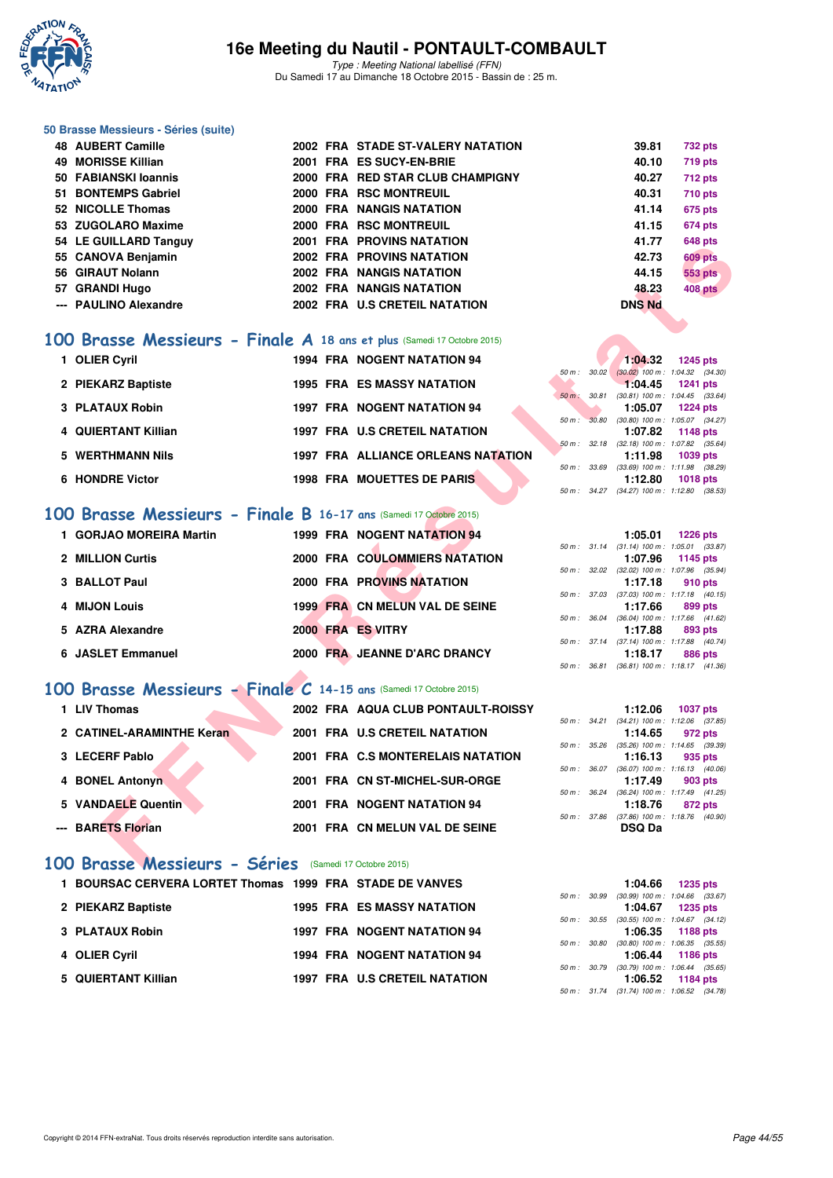

#### **50 Brasse Messieurs - Séries (suite)**

| <b>48 AUBERT Camille</b> |  | 2002 FRA STADE ST-VALERY NATATION | 39.81         | 732 pts        |
|--------------------------|--|-----------------------------------|---------------|----------------|
| 49 MORISSE Killian       |  | 2001 FRA ES SUCY-EN-BRIE          | 40.10         | 719 pts        |
| 50 FABIANSKI Ioannis     |  | 2000 FRA RED STAR CLUB CHAMPIGNY  | 40.27         | <b>712 pts</b> |
| 51 BONTEMPS Gabriel      |  | 2000 FRA RSC MONTREUIL            | 40.31         | <b>710 pts</b> |
| 52 NICOLLE Thomas        |  | 2000 FRA NANGIS NATATION          | 41.14         | <b>675 pts</b> |
| 53 ZUGOLARO Maxime       |  | 2000 FRA RSC MONTREUIL            | 41.15         | <b>674 pts</b> |
| 54 LE GUILLARD Tanguy    |  | <b>2001 FRA PROVINS NATATION</b>  | 41.77         | <b>648 pts</b> |
| 55 CANOVA Benjamin       |  | <b>2002 FRA PROVINS NATATION</b>  | 42.73         | <b>609 pts</b> |
| 56 GIRAUT Nolann         |  | 2002 FRA NANGIS NATATION          | 44.15         | <b>553 pts</b> |
| 57 GRANDI Hugo           |  | 2002 FRA NANGIS NATATION          | 48.23         | 408 pts        |
| --- PAULINO Alexandre    |  | 2002 FRA U.S CRETEIL NATATION     | <b>DNS Nd</b> |                |

#### **[100 Brasse Messieurs - Finale A](http://www.ffnatation.fr/webffn/resultats.php?idact=nat&go=epr&idcpt=33325&idepr=72) 18 ans et plus** (Samedi 17 Octobre 2015)

| 1 OLIER Cyril       | <b>1994 FRA NOGENT NATATION 94</b>        |                   | 1:04.32                                              | 1245 pts |
|---------------------|-------------------------------------------|-------------------|------------------------------------------------------|----------|
| 2 PIEKARZ Baptiste  | <b>1995 FRA ES MASSY NATATION</b>         | 30.02<br>50 m :   | $(30.02)$ 100 m : 1:04.32 (34.<br>1:04.45            | 1241 pts |
| 3 PLATAUX Robin     | <b>1997 FRA NOGENT NATATION 94</b>        | 30.81<br>$50 m$ : | $(30.81)$ 100 m : 1:04.45 (33.<br>1:05.07            | 1224 pts |
| 4 QUIERTANT Killian | 1997 FRA U.S CRETEIL NATATION             | 50 m: 30.80       | $(30.80)$ 100 m : 1:05.07 $(34.$<br>1:07.82          | 1148 pts |
| 5 WERTHMANN Nils    | <b>1997 FRA ALLIANCE ORLEANS NATATION</b> |                   | 50 m : 32.18 (32.18) 100 m : 1:07.82 (35.<br>1:11.98 | 1039 pts |
| 6 HONDRE Victor     | 1998 FRA MOUETTES DE PARIS                | 50 m: 33.69       | $(33.69)$ 100 m : 1:11.98 $(38.$<br>1:12.80          | 1018 pts |
|                     |                                           |                   |                                                      |          |

#### **[100 Brasse Messieurs - Finale B](http://www.ffnatation.fr/webffn/resultats.php?idact=nat&go=epr&idcpt=33325&idepr=72) 16-17 ans** (Samedi 17 Octobre 2015)

| J4 LE QUILLAND TANGUY                                                    |  | ZUVI FRA FRUVINGINAIAIIUN          |              |               | ט+ט טא                                                 |
|--------------------------------------------------------------------------|--|------------------------------------|--------------|---------------|--------------------------------------------------------|
| 55 CANOVA Benjamin                                                       |  | <b>2002 FRA PROVINS NATATION</b>   |              | 42.73         | <b>609 pts</b>                                         |
| 56 GIRAUT Nolann                                                         |  | 2002 FRA NANGIS NATATION           |              | 44.15         | <b>553 pts</b>                                         |
| 57 GRANDI Hugo                                                           |  | 2002 FRA NANGIS NATATION           |              | 48.23         | 408 pts                                                |
| --- PAULINO Alexandre                                                    |  | 2002 FRA U.S CRETEIL NATATION      |              | <b>DNS Nd</b> |                                                        |
|                                                                          |  |                                    |              |               |                                                        |
|                                                                          |  |                                    |              |               |                                                        |
| 00 Brasse Messieurs - Finale A 18 ans et plus (Samedi 17 Octobre 2015)   |  |                                    |              |               |                                                        |
| 1 OLIER Cyril                                                            |  | 1994 FRA NOGENT NATATION 94        |              | 1:04.32       | 1245 pts                                               |
|                                                                          |  |                                    |              |               | 50 m : 30.02 (30.02) 100 m : 1:04.32 (34.30)           |
| 2 PIEKARZ Baptiste                                                       |  | <b>1995 FRA ES MASSY NATATION</b>  | 50 m : 30.81 | 1:04.45       | <b>1241 pts</b><br>$(30.81)$ 100 m : 1:04.45 $(33.64)$ |
| 3 PLATAUX Robin                                                          |  | <b>1997 FRA NOGENT NATATION 94</b> |              | 1:05.07       | <b>1224 pts</b>                                        |
|                                                                          |  |                                    |              |               | 50 m : 30.80 (30.80) 100 m : 1:05.07 (34.27)           |
| 4 QUIERTANT Killian                                                      |  | 1997 FRA U.S CRETEIL NATATION      |              | 1:07.82       | 1148 pts                                               |
| 5 WERTHMANN Nils                                                         |  | 1997 FRA ALLIANCE ORLEANS NATATION |              | 1:11.98       | 50 m: 32.18 (32.18) 100 m: 1:07.82 (35.64)<br>1039 pts |
|                                                                          |  |                                    |              |               | 50 m: 33.69 (33.69) 100 m: 1:11.98 (38.29)             |
| 6 HONDRE Victor                                                          |  | <b>1998 FRA MOUETTES DE PARIS</b>  |              | 1:12.80       | <b>1018 pts</b>                                        |
|                                                                          |  |                                    |              |               | 50 m: 34.27 (34.27) 100 m: 1:12.80 (38.53)             |
|                                                                          |  |                                    |              |               |                                                        |
| 00 Brasse Messieurs - Finale B 16-17 ans (Samedi 17 Octobre 2015)        |  |                                    |              |               |                                                        |
| 1 GORJAO MOREIRA Martin                                                  |  | 1999 FRA NOGENT NATATION 94        |              | 1:05.01       | <b>1226 pts</b>                                        |
|                                                                          |  |                                    |              |               | 50 m: 31.14 (31.14) 100 m: 1:05.01 (33.87)             |
| 2 MILLION Curtis                                                         |  | 2000 FRA COULOMMIERS NATATION      |              | 1:07.96       | 1145 pts<br>50 m: 32.02 (32.02) 100 m: 1:07.96 (35.94) |
| 3 BALLOT Paul                                                            |  | <b>2000 FRA PROVINS NATATION</b>   |              | 1:17.18       | 910 pts                                                |
|                                                                          |  |                                    |              |               | 50 m: 37.03 (37.03) 100 m: 1:17.18 (40.15)             |
| 4 MIJON Louis                                                            |  | 1999 FRA CN MELUN VAL DE SEINE     |              | 1:17.66       | 899 pts                                                |
|                                                                          |  |                                    |              |               | 50 m : 36.04 (36.04) 100 m : 1:17.66 (41.62)           |
| 5 AZRA Alexandre                                                         |  | 2000 FRA ES VITRY                  |              | 1:17.88       | 893 pts<br>50 m: 37.14 (37.14) 100 m: 1:17.88 (40.74)  |
| 6 JASLET Emmanuel                                                        |  | 2000 FRA JEANNE D'ARC DRANCY       |              | 1:18.17       | 886 pts                                                |
|                                                                          |  |                                    |              |               | 50 m: 36.81 (36.81) 100 m: 1:18.17 (41.36)             |
|                                                                          |  |                                    |              |               |                                                        |
| <b>00 Brasse Messieurs - Finale C 14-15 ans (Samedi 17 Octobre 2015)</b> |  |                                    |              |               |                                                        |
| 1 LIV Thomas                                                             |  | 2002 FRA AQUA CLUB PONTAULT-ROISSY |              | 1:12.06       | <b>1037 pts</b>                                        |
|                                                                          |  |                                    |              |               | 50 m: 34.21 (34.21) 100 m: 1:12.06 (37.85)             |
| 2 CATINEL-ARAMINTHE Keran                                                |  | 2001 FRA U.S CRETEIL NATATION      |              | 1:14.65       | 972 pts                                                |
| 3 LECERF Pablo                                                           |  | 2001 FRA C.S MONTERELAIS NATATION  |              | 1:16.13       | 50 m: 35.26 (35.26) 100 m: 1:14.65 (39.39)<br>935 pts  |
|                                                                          |  |                                    |              |               | 50 m: 36.07 (36.07) 100 m: 1:16.13 (40.06)             |
| 4 BONEL Antonyn                                                          |  | 2001 FRA CN ST-MICHEL-SUR-ORGE     |              | 1:17.49       | 903 pts                                                |
|                                                                          |  |                                    | 50 m : 36.24 |               | $(36.24)$ 100 m : 1:17.49 $(41.25)$                    |
| 5 VANDAELE Quentin                                                       |  | 2001 FRA NOGENT NATATION 94        |              | 1:18.76       | 872 pts<br>50 m: 37.86 (37.86) 100 m: 1:18.76 (40.90)  |
| --- BARETS Florian                                                       |  | 2001 FRA CN MELUN VAL DE SEINE     |              | <b>DSQ Da</b> |                                                        |
|                                                                          |  |                                    |              |               |                                                        |
|                                                                          |  |                                    |              |               |                                                        |
| 00 Brasse Messieurs - Séries (Samedi 17 Octobre 2015)                    |  |                                    |              |               |                                                        |

# **[100 Brasse Messieurs - Finale C](http://www.ffnatation.fr/webffn/resultats.php?idact=nat&go=epr&idcpt=33325&idepr=72) 14-15 ans** (Samedi 17 Octobre 2015)

| 1 LIV Thomas              | 2002 FRA AQUA CLUB PONTAULT-ROISSY |                  | 1:12.06                                            | 1037 pts |
|---------------------------|------------------------------------|------------------|----------------------------------------------------|----------|
| 2 CATINEL-ARAMINTHE Keran | 2001 FRA U.S CRETEIL NATATION      | 50 m : 34.21     | $(34.21)$ 100 m : 1:12.06 (37.<br>1:14.65          | 972 pts  |
| 3 LECERF Pablo            | 2001 FRA C.S MONTERELAIS NATATION  |                  | 50 m: 35.26 (35.26) 100 m: 1:14.65 (39.<br>1:16.13 | 935 pts  |
| 4 BONEL Antonyn           | 2001 FRA CN ST-MICHEL-SUR-ORGE     | $50 m$ : $36.07$ | $(36.07)$ 100 m : 1:16.13 (40.<br>1:17.49          | 903 pts  |
| 5 VANDAELE Quentin        | 2001 FRA NOGENT NATATION 94        |                  | 50 m: 36.24 (36.24) 100 m: 1:17.49 (41.<br>1:18.76 | 872 pts  |
| --- BARETS Florian        | 2001 FRA CN MELUN VAL DE SEINE     | 50 m: 37.86      | $(37.86)$ 100 m : 1:18.76 (40.<br><b>DSQ Da</b>    |          |

#### **[100 Brasse Messieurs - Séries](http://www.ffnatation.fr/webffn/resultats.php?idact=nat&go=epr&idcpt=33325&idepr=72)** (Samedi 17 Octobre 2015)

| 1 BOURSAC CERVERA LORTET Thomas 1999 FRA STADE DE VANVES |  |                                      |  | 1:04.66                                            | 1235 pts |  |
|----------------------------------------------------------|--|--------------------------------------|--|----------------------------------------------------|----------|--|
|                                                          |  |                                      |  | 50 m : 30.99 (30.99) 100 m : 1:04.66 (33.          |          |  |
| 2 PIEKARZ Baptiste                                       |  | <b>1995 FRA ES MASSY NATATION</b>    |  | 1:04.67                                            | 1235 pts |  |
|                                                          |  |                                      |  | 50 m: 30.55 (30.55) 100 m: 1:04.67 (34.            |          |  |
| 3 PLATAUX Robin                                          |  | <b>1997 FRA NOGENT NATATION 94</b>   |  | 1:06.35 1188 pts                                   |          |  |
|                                                          |  |                                      |  | 50 m : 30.80 (30.80) 100 m : 1:06.35 (35.          |          |  |
| 4 OLIER Cyril                                            |  | 1994 FRA NOGENT NATATION 94          |  | 1:06.44 1186 pts                                   |          |  |
|                                                          |  |                                      |  | 50 m : 30.79 (30.79) 100 m : 1:06.44 (35.          |          |  |
| 5 QUIERTANT Killian                                      |  | <b>1997 FRA U.S CRETEIL NATATION</b> |  | 1:06.52                                            | 1184 pts |  |
|                                                          |  |                                      |  | $50 m \cdot 3174$ (31.74) $100 m \cdot 10652$ (34) |          |  |

|  |  | $1:04.32$ 1245 pts<br>50 m: 30.02 (30.02) 100 m: 1:04.32 (34.30)<br>$1:04.45$ 1241 pts<br>50 m : 30.81 (30.81) 100 m : 1:04.45 (33.64)<br>$1:05.07$ 1224 pts<br>50 m: 30.80 (30.80) 100 m: 1:05.07 (34.27)<br>1:07.82 1148 pts<br>50 m: 32.18 (32.18) 100 m: 1:07.82 (35.64)<br>1:11.98 1039 pts<br>50 m: 33.69 (33.69) 100 m: 1:11.98 (38.29)<br>$1:12.80$ 1018 pts<br>50 m: 34.27 (34.27) 100 m: 1:12.80 (38.53) |
|--|--|--------------------------------------------------------------------------------------------------------------------------------------------------------------------------------------------------------------------------------------------------------------------------------------------------------------------------------------------------------------------------------------------------------------------|

|          | 1:05.01 1226 pts                           |  |
|----------|--------------------------------------------|--|
|          | 50 m: 31.14 (31.14) 100 m: 1:05.01 (33.87) |  |
|          | 1:07.96 1145 pts                           |  |
|          | 50 m: 32.02 (32.02) 100 m: 1:07.96 (35.94) |  |
|          | $1:17.18$ 910 pts                          |  |
|          | 50 m: 37.03 (37.03) 100 m: 1:17.18 (40.15) |  |
|          | $1:17.66$ 899 pts                          |  |
|          | 50 m: 36.04 (36.04) 100 m: 1:17.66 (41.62) |  |
|          | $1:17.88$ 893 pts                          |  |
|          | 50 m: 37.14 (37.14) 100 m: 1:17.88 (40.74) |  |
|          | $1:18.17$ 886 pts                          |  |
| $50 m$ : | 36.81 (36.81) 100 m : 1:18.17 (41.36)      |  |
|          |                                            |  |

|  | $1:12.06$ 1037 pts                         |         |  |
|--|--------------------------------------------|---------|--|
|  | 50 m: 34.21 (34.21) 100 m: 1:12.06 (37.85) |         |  |
|  | 1:14.65                                    | 972 pts |  |
|  | 50 m: 35.26 (35.26) 100 m: 1:14.65 (39.39) |         |  |
|  | $1:16.13$ 935 pts                          |         |  |
|  | 50 m: 36.07 (36.07) 100 m: 1:16.13 (40.06) |         |  |
|  | $1:17.49$ 903 pts                          |         |  |
|  | 50 m: 36.24 (36.24) 100 m: 1:17.49 (41.25) |         |  |
|  | $1:18.76$ 872 pts                          |         |  |
|  | 50 m: 37.86 (37.86) 100 m: 1:18.76 (40.90) |         |  |
|  | <b>DSQ Da</b>                              |         |  |

|  | $1:04.66$ 1235 pts                         |
|--|--------------------------------------------|
|  | 50 m: 30.99 (30.99) 100 m: 1:04.66 (33.67) |
|  | $1:04.67$ 1235 pts                         |
|  | 50 m: 30.55 (30.55) 100 m: 1:04.67 (34.12) |
|  | $1:06.35$ 1188 pts                         |
|  | 50 m: 30.80 (30.80) 100 m: 1:06.35 (35.55) |
|  | $1:06.44$ 1186 pts                         |
|  | 50 m: 30.79 (30.79) 100 m: 1:06.44 (35.65) |
|  | $1:06.52$ 1184 pts                         |
|  | 50 m: 31.74 (31.74) 100 m: 1:06.52 (34.78) |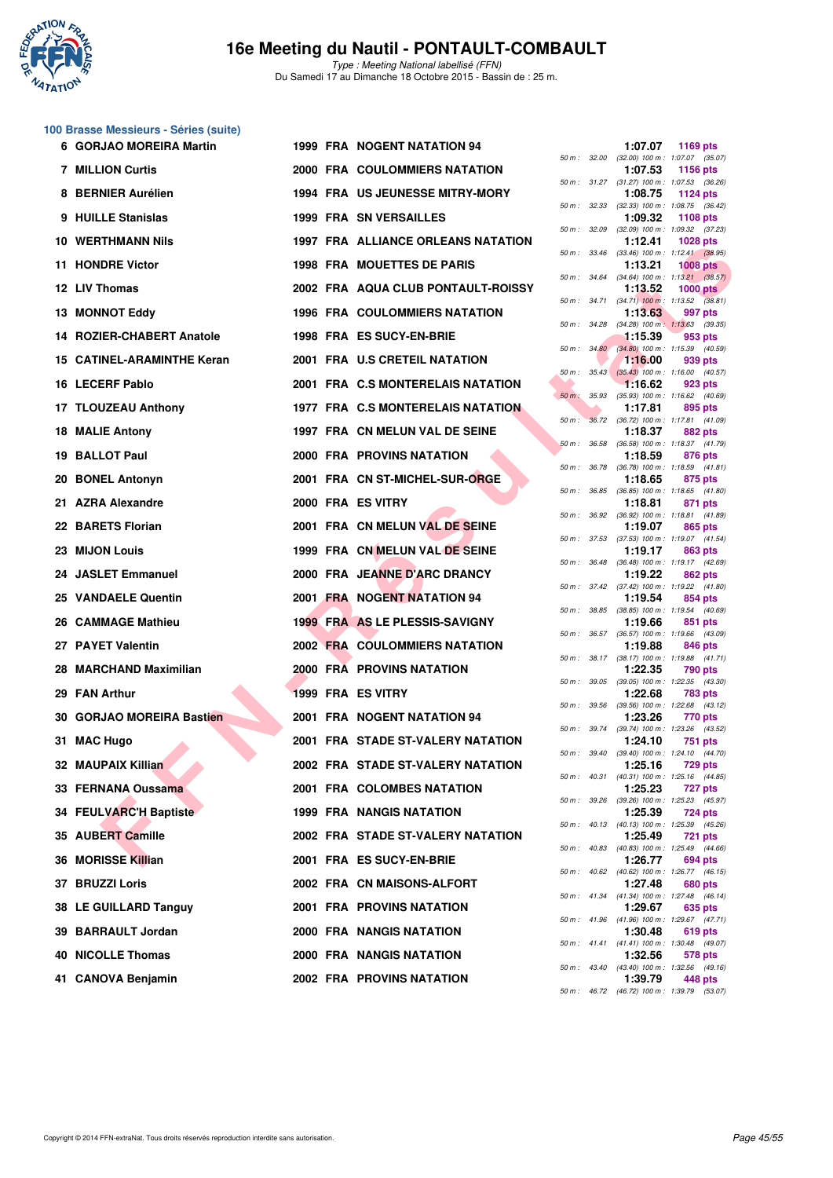

**100 Brasse Messieurs - Séries (suite)**

## **16e Meeting du Nautil - PONTAULT-COMBAULT**

Type : Meeting National labellisé (FFN) Du Samedi 17 au Dimanche 18 Octobre 2015 - Bassin de : 25 m.

| 6   | <b>GORJAO MOREIRA Martin</b>   |  | 1999 FRA NOGENT NATATION 94               |              |              | 1:07.07 | 1169 pts                                                      |  |
|-----|--------------------------------|--|-------------------------------------------|--------------|--------------|---------|---------------------------------------------------------------|--|
|     | <b>7 MILLION Curtis</b>        |  | <b>2000 FRA COULOMMIERS NATATION</b>      |              | 50 m : 32.00 | 1:07.53 | $(32.00)$ 100 m : 1:07.07 $(35.07)$<br>1156 pts               |  |
|     | <b>BERNIER Aurélien</b>        |  | 1994 FRA US JEUNESSE MITRY-MORY           |              | 50 m : 31.27 | 1:08.75 | $(31.27)$ 100 m : 1:07.53 $(36.26)$<br>1124 pts               |  |
| 9.  | <b>HUILLE Stanislas</b>        |  | <b>1999 FRA SN VERSAILLES</b>             |              |              | 1:09.32 | 50 m: 32.33 (32.33) 100 m: 1:08.75 (36.42)<br><b>1108 pts</b> |  |
| 10. | <b>WERTHMANN Nils</b>          |  | <b>1997 FRA ALLIANCE ORLEANS NATATION</b> |              | 50 m : 32.09 | 1:12.41 | $(32.09)$ 100 m : 1:09.32 $(37.23)$<br><b>1028 pts</b>        |  |
|     | 11 HONDRE Victor               |  | 1998 FRA MOUETTES DE PARIS                |              |              | 1:13.21 | 50 m: 33.46 (33.46) 100 m: 1:12.41 (38.95)<br>$1008$ pts      |  |
|     | 12 LIV Thomas                  |  | 2002 FRA AQUA CLUB PONTAULT-ROISSY        |              | 50 m : 34.64 | 1:13.52 | $(34.64)$ 100 m : 1:13.21 $(38.57)$<br>$1000$ pts             |  |
|     | <b>13 MONNOT Eddy</b>          |  | 1996 FRA COULOMMIERS NATATION             |              |              | 1:13.63 | 50 m: 34.71 (34.71) 100 m: 1:13.52 (38.81)<br>997 pts         |  |
|     | 14 ROZIER-CHABERT Anatole      |  |                                           | 50 m : 34.28 |              |         | $(34.28)$ 100 m : 1:13.63 $(39.35)$                           |  |
|     |                                |  | 1998 FRA ES SUCY-EN-BRIE                  |              | 50 m: 34.80  | 1:15.39 | 953 pts<br>$(34.80)$ 100 m : 1:15.39 $(40.59)$                |  |
| 15  | <b>CATINEL-ARAMINTHE Keran</b> |  | 2001 FRA U.S CRETEIL NATATION             |              | 50 m: 35.43  | 1:16.00 | 939 pts<br>$(35.43)$ 100 m : 1:16.00 $(40.57)$                |  |
|     | 16 LECERF Pablo                |  | 2001 FRA C.S MONTERELAIS NATATION         | $50 m$ :     | 35.93        | 1:16.62 | 923 pts<br>$(35.93)$ 100 m : 1:16.62 $(40.69)$                |  |
|     | 17 TLOUZEAU Anthony            |  | 1977 FRA C.S MONTERELAIS NATATION         | $50 m$ :     |              | 1:17.81 | 895 pts<br>36.72 (36.72) 100 m : 1:17.81 (41.09)              |  |
| 18  | <b>MALIE Antony</b>            |  | 1997 FRA CN MELUN VAL DE SEINE            | 50 m: 36.58  |              | 1:18.37 | 882 pts<br>(36.58) 100 m: 1:18.37 (41.79)                     |  |
| 19. | <b>BALLOT Paul</b>             |  | <b>2000 FRA PROVINS NATATION</b>          | 50 m : 36.78 |              | 1:18.59 | 876 pts<br>(36.78) 100 m: 1:18.59 (41.81)                     |  |
| 20  | <b>BONEL Antonyn</b>           |  | 2001 FRA CN ST-MICHEL-SUR-ORGE            | 50 m: 36.85  |              | 1:18.65 | 875 pts<br>$(36.85)$ 100 m : 1:18.65 $(41.80)$                |  |
|     | 21 AZRA Alexandre              |  | 2000 FRA ES VITRY                         |              |              | 1:18.81 | 871 pts                                                       |  |
|     | 22 BARETS Florian              |  | 2001 FRA CN MELUN VAL DE SEINE            |              |              | 1:19.07 | 50 m: 36.92 (36.92) 100 m: 1:18.81 (41.89)<br>865 pts         |  |
|     | 23 MIJON Louis                 |  | 1999 FRA CN MELUN VAL DE SEINE            |              |              | 1:19.17 | 50 m: 37.53 (37.53) 100 m: 1:19.07 (41.54)<br>863 pts         |  |
|     | 24 JASLET Emmanuel             |  | 2000 FRA JEANNE D'ARC DRANCY              | 50 m: 36.48  |              | 1:19.22 | $(36.48)$ 100 m : 1:19.17 $(42.69)$<br>862 pts                |  |
|     | 25 VANDAELE Quentin            |  | 2001 FRA NOGENT NATATION 94               |              |              | 1:19.54 | 50 m: 37.42 (37.42) 100 m: 1:19.22 (41.80)<br>854 pts         |  |
|     | 26 CAMMAGE Mathieu             |  | 1999 FRA AS LE PLESSIS-SAVIGNY            | 50 m : 38.85 |              | 1:19.66 | (38.85) 100 m: 1:19.54 (40.69)<br>851 pts                     |  |
|     | 27 PAYET Valentin              |  | <b>2002 FRA COULOMMIERS NATATION</b>      |              | 50 m : 36.57 | 1:19.88 | (36.57) 100 m: 1:19.66 (43.09)<br>846 pts                     |  |
|     | 28 MARCHAND Maximilian         |  | 2000 FRA PROVINS NATATION                 |              |              | 1:22.35 | 50 m: 38.17 (38.17) 100 m: 1:19.88 (41.71)<br>790 pts         |  |
|     | 29 FAN Arthur                  |  | 1999 FRA ES VITRY                         | 50 m: 39.05  |              | 1:22.68 | $(39.05)$ 100 m : 1:22.35 $(43.30)$<br>783 pts                |  |
|     | 30 GORJAO MOREIRA Bastien      |  | 2001 FRA NOGENT NATATION 94               |              |              | 1:23.26 | 50 m: 39.56 (39.56) 100 m: 1:22.68 (43.12)<br>770 pts         |  |
|     |                                |  |                                           |              | 50 m : 39.74 |         | (39.74) 100 m: 1:23.26 (43.52)                                |  |
|     | 31 MAC Hugo                    |  | 2001 FRA STADE ST-VALERY NATATION         | 50 m: 39.40  |              | 1:24.10 | <b>751 pts</b><br>$(39.40)$ 100 m : 1:24.10 $(44.70)$         |  |
|     | 32 MAUPAIX Killian             |  | 2002 FRA STADE ST-VALERY NATATION         |              | 50 m : 40.31 | 1:25.16 | <b>729 pts</b><br>$(40.31)$ 100 m : 1:25.16 $(44.85)$         |  |
|     | 33 FERNANA Oussama             |  | 2001 FRA COLOMBES NATATION                |              | 50 m : 39.26 | 1:25.23 | 727 pts<br>(39.26) 100 m : 1:25.23 (45.97)                    |  |
|     | 34 FEULVARC'H Baptiste         |  | 1999 FRA NANGIS NATATION                  |              |              | 1:25.39 | 724 pts<br>50 m: 40.13 (40.13) 100 m: 1:25.39 (45.26)         |  |
|     | 35 AUBERT Camille              |  | 2002 FRA STADE ST-VALERY NATATION         |              |              | 1:25.49 | 721 pts<br>50 m : 40.83 (40.83) 100 m : 1:25.49 (44.66)       |  |
| 36  | <b>MORISSE Killian</b>         |  | 2001 FRA ES SUCY-EN-BRIE                  |              |              | 1:26.77 | 694 pts<br>50 m: 40.62 (40.62) 100 m: 1:26.77 (46.15)         |  |
| 37. | <b>BRUZZI Loris</b>            |  | 2002 FRA CN MAISONS-ALFORT                |              |              | 1:27.48 | 680 pts                                                       |  |
| 38  | <b>LE GUILLARD Tanguy</b>      |  | 2001 FRA PROVINS NATATION                 |              |              | 1:29.67 | 50 m: 41.34 (41.34) 100 m: 1:27.48 (46.14)<br>635 pts         |  |
| 39  | <b>BARRAULT Jordan</b>         |  | 2000 FRA NANGIS NATATION                  |              |              | 1:30.48 | 50 m : 41.96 (41.96) 100 m : 1:29.67 (47.71)<br>619 pts       |  |
| 40  | <b>NICOLLE Thomas</b>          |  | 2000 FRA NANGIS NATATION                  |              |              | 1:32.56 | 50 m: 41.41 (41.41) 100 m: 1:30.48 (49.07)<br>578 pts         |  |
|     | 41 CANOVA Benjamin             |  | 2002 FRA PROVINS NATATION                 |              |              | 1:39.79 | 50 m : 43.40 (43.40) 100 m : 1:32.56 (49.16)<br>448 pts       |  |

| $50 m$ : | 32.00 | 1:07.07<br>$(32.00)$ 100 m : | 1169 pts<br>1:07.07 (35.07)           |
|----------|-------|------------------------------|---------------------------------------|
|          |       | 1:07.53                      | 1156 pts                              |
| $50 m$ : | 31.27 | $(31.27) 100 m$ :            | 1:07.53<br>(36.26)                    |
| $50 m$ : | 32.33 | 1:08.75<br>$(32.33)$ 100 m : | <b>1124 pts</b><br>1:08.75<br>(36.42) |
|          |       | 1:09.32                      | <b>1108 pts</b>                       |
| 50 m :   | 32.09 | $(32.09)$ 100 m :            | 1:09.32 (37.23)                       |
| $50 m$ : | 33.46 | 1:12.41<br>$(33.46) 100 m$ : | 1028 pts<br>1:12.41<br>(38.95)        |
|          |       | 1:13.21                      | <b>1008 pts</b>                       |
| $50 m$ : | 34.64 | $(34.64) 100 m$ :            | 1:13.21<br>(38.57)                    |
| $50 m$ : | 34.71 | 1:13.52<br>$(34.71)$ 100 m : | <b>1000 pts</b><br>1:13.52<br>(38.81) |
|          |       | 1:13.63                      | 997 pts                               |
| $50 m$ : | 34.28 | $(34.28) 100 m$ :            | 1:13.63<br>(39.35)                    |
| $50 m$ : | 34.80 | 1:15.39<br>$(34.80)$ 100 m : | 953 pts<br>1:15.39<br>(40.59)         |
|          |       | 1:16.00                      | 939 pts                               |
| $50 m$ : | 35.43 | $(35.43) 100 m$ :            | (40.57)<br>1:16.00                    |
| $50 m$ : | 35.93 | 1:16.62<br>(35.93) 100 m :   | 923 pts<br>1:16.62<br>(40.69)         |
|          |       | 1:17.81                      | 895 pts                               |
| $50 m$ : | 36.72 | (36.72) 100 m :              | 1:17.81<br>(41.09)                    |
|          | 36.58 | 1:18.37<br>$(36.58) 100 m$ : | <b>882 pts</b>                        |
| 50 m :   |       | 1:18.59                      | 1:18.37<br>(41.79)<br>876 pts         |
| $50 m$ : | 36.78 | (36.78) 100 m :              | 1:18.59<br>(41.81)                    |
|          |       | 1:18.65                      | 875 pts                               |
| $50 m$ : | 36.85 | $(36.85)$ 100 m :<br>1:18.81 | (41.80)<br>1:18.65<br>871 pts         |
| $50 m$ : | 36.92 | $(36.92)$ 100 m :            | 1:18.81<br>(41.89)                    |
| $50 m$ : | 37.53 | 1:19.07                      | 865 pts<br>(41.54)                    |
|          |       | (37.53) 100 m :<br>1:19.17   | 1:19.07<br>863 pts                    |
| $50 m$ : | 36.48 | $(36.48) 100 m$ :            | 1:19.17 (42.69)                       |
| 50 m :   | 37.42 | 1:19.22                      | 862 pts                               |
|          |       | $(37.42)$ 100 m :<br>1:19.54 | 1:19.22<br>(41.80)<br>854 pts         |
| $50 m$ : | 38.85 | $(38.85) 100 m$ :            | 1:19.54<br>(40.69)                    |
| $50 m$ : | 36.57 | 1:19.66<br>$(36.57) 100 m$ : | 851 pts<br>1:19.66<br>(43.09)         |
|          |       | 1:19.88                      | 846 pts                               |
| 50 m :   | 38.17 | (38.17) 100 m :              | 1:19.88<br>(41.71)                    |
| $50 m$ : | 39.05 | 1:22.35<br>$(39.05)$ 100 m : | <b>790 pts</b><br>1:22.35<br>(43.30)  |
|          |       | 1:22.68                      | <b>783 pts</b>                        |
| $50 m$ : | 39.56 | (39.56) 100 m :              | 1:22.68<br>(43.12)                    |
| $50 m$ : | 39.74 | 1:23.26<br>(39.74) 100 m :   | <b>770 pts</b><br>1:23.26<br>(43.52)  |
|          |       | 1:24.10                      | 751 pts                               |
| 50 m :   | 39.40 | $(39.40)$ 100 m :            | 1:24.10 (44.70)                       |
| 50 m :   | 40.31 | 1:25.16<br>$(40.31) 100 m$ : | <b>729 pts</b><br>1:25.16<br>(44.85)  |
|          |       | 1:25.23                      | 727 pts                               |
| $50 m$ : | 39.26 | $(39.26)$ 100 m :            | 1:25.23<br>(45.97)                    |
| $50 m$ : | 40.13 | 1:25.39<br>$(40.13) 100 m$ : | <b>724 pts</b><br>1:25.39<br>(45.26)  |
|          |       | 1:25.49                      | 721<br>pts                            |
| $50 m$ : | 40.83 | $(40.83) 100 m$ :            | 1:25.49<br>(44.66)                    |
| $50 m$ : | 40.62 | 1:26.77<br>$(40.62)$ 100 m : | 694 pts<br>1:26.77<br>(46.15)         |
|          |       | 1:27.48                      | <b>680 pts</b>                        |
| $50 m$ : | 41.34 | $(41.34) 100 m$ :            | 1:27.48<br>(46.14)                    |
| $50 m$ : | 41.96 | 1:29.67<br>$(41.96) 100 m$ : | 635 pts<br>1:29.67<br>(47.71)         |
|          |       | 1:30.48                      | 619 pts                               |
| $50 m$ : | 41.41 | $(41.41) 100 m$ :            | 1:30.48<br>(49.07)                    |
| $50 m$ : | 43.40 | 1:32.56<br>$(43.40)$ 100 m : | 578 pts<br>1:32.56<br>(49.16)         |
|          |       | 1:39.79                      | 448 pts                               |
| $50 m$ : | 46.72 | (46.72) 100 m :              | 1:39.79<br>(53.07)                    |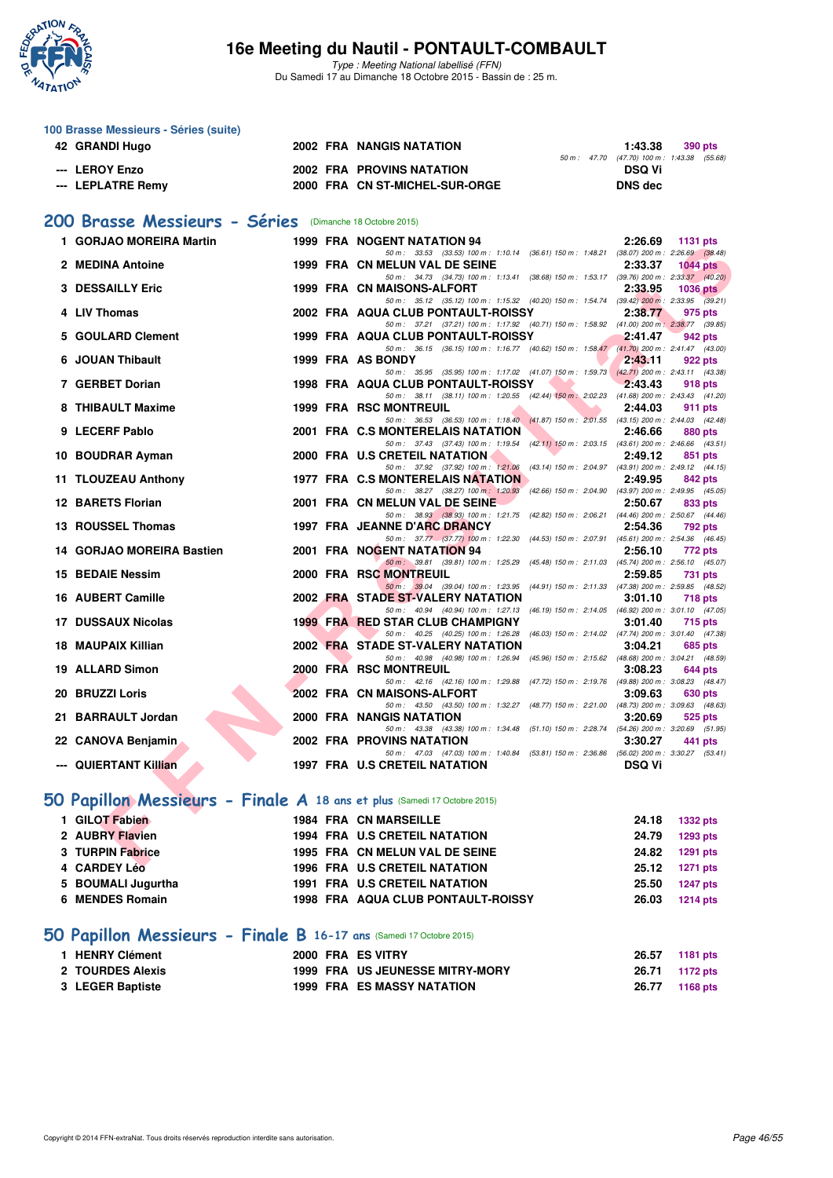

Type : Meeting National labellisé (FFN) Du Samedi 17 au Dimanche 18 Octobre 2015 - Bassin de : 25 m.

|     | 100 Brasse Messieurs - Séries (suite)                                    |  |                                                                                                                                |                |                                                       |
|-----|--------------------------------------------------------------------------|--|--------------------------------------------------------------------------------------------------------------------------------|----------------|-------------------------------------------------------|
|     | 42 GRANDI Hugo                                                           |  | 2002 FRA NANGIS NATATION                                                                                                       | 1:43.38        | 390 pts<br>50 m: 47.70 (47.70) 100 m: 1:43.38 (55.68) |
|     | --- LEROY Enzo                                                           |  | <b>2002 FRA PROVINS NATATION</b>                                                                                               | <b>DSQ Vi</b>  |                                                       |
|     | --- LEPLATRE Remy                                                        |  | 2000 FRA CN ST-MICHEL-SUR-ORGE                                                                                                 | <b>DNS</b> dec |                                                       |
|     |                                                                          |  |                                                                                                                                |                |                                                       |
|     | 200 Brasse Messieurs - Séries (Dimanche 18 Octobre 2015)                 |  |                                                                                                                                |                |                                                       |
|     | 1 GORJAO MOREIRA Martin                                                  |  | 1999 FRA NOGENT NATATION 94                                                                                                    | 2:26.69        | 1131 pts                                              |
|     | 2 MEDINA Antoine                                                         |  | 50 m: 33.53 (33.53) 100 m: 1:10.14 (36.61) 150 m: 1:48.21 (38.07) 200 m: 2:26.69 (38.48)<br>1999 FRA CN MELUN VAL DE SEINE     | 2:33.37        | $1044$ pts                                            |
|     | <b>3 DESSAILLY Eric</b>                                                  |  | 50 m: 34.73 (34.73) 100 m: 1:13.41 (38.68) 150 m: 1:53.17 (39.76) 200 m: 2:33.37 (40.20)<br>1999 FRA CN MAISONS-ALFORT         | 2:33.95        | <b>1036 pts</b>                                       |
|     |                                                                          |  | 50 m: 35.12 (35.12) 100 m: 1:15.32 (40.20) 150 m: 1:54.74 (39.42) 200 m: 2:33.95 (39.21)                                       |                |                                                       |
|     | 4 LIV Thomas                                                             |  | 2002 FRA AQUA CLUB PONTAULT-ROISSY<br>50 m: 37.21 (37.21) 100 m: 1:17.92 (40.71) 150 m: 1:58.92 (41.00) 200 m: 2:38.77 (39.85) | 2:38.77        | 975 pts                                               |
| 5.  | <b>GOULARD Clement</b>                                                   |  | 1999 FRA AQUA CLUB PONTAULT-ROISSY                                                                                             | 2:41.47        | 942 pts                                               |
| 6   | <b>JOUAN Thibault</b>                                                    |  | 50 m: 36.15 (36.15) 100 m: 1:16.77 (40.62) 150 m: 1:58.47 (41.70) 200 m: 2:41.47 (43.00)<br>1999 FRA AS BONDY                  | 2:43.11        | 922 pts                                               |
|     | 7 GERBET Dorian                                                          |  | 50 m: 35.95 (35.95) 100 m: 1:17.02 (41.07) 150 m: 1:59.73 (42.71) 200 m: 2:43.11 (43.38)<br>1998 FRA AQUA CLUB PONTAULT-ROISSY | 2:43.43        | 918 pts                                               |
|     |                                                                          |  | 50 m: 38.11 (38.11) 100 m: 1:20.55 (42.44) 150 m: 2:02.23 (41.68) 200 m: 2:43.43 (41.20)                                       |                |                                                       |
|     | 8 THIBAULT Maxime                                                        |  | <b>1999 FRA RSC MONTREUIL</b><br>50 m: 36.53 (36.53) 100 m: 1:18.40 (41.87) 150 m: 2:01.55 (43.15) 200 m: 2:44.03 (42.48)      | 2:44.03        | 911 pts                                               |
|     | 9 LECERF Pablo                                                           |  | 2001 FRA C.S MONTERELAIS NATATION                                                                                              | 2:46.66        | 880 pts                                               |
|     | 10 BOUDRAR Ayman                                                         |  | 50 m: 37.43 (37.43) 100 m: 1:19.54 (42.11) 150 m: 2:03.15 (43.61) 200 m: 2:46.66 (43.51)<br>2000 FRA U.S CRETEIL NATATION      | 2:49.12        | 851 pts                                               |
|     | 11 TLOUZEAU Anthony                                                      |  | 50 m: 37.92 (37.92) 100 m: 1:21.06 (43.14) 150 m: 2:04.97 (43.91) 200 m: 2:49.12 (44.15)<br>1977 FRA C.S MONTERELAIS NATATION  | 2:49.95        | 842 pts                                               |
|     |                                                                          |  | (42.66) 150 m : 2:04.90 (43.97) 200 m : 2:49.95 (45.05)<br>50 m: 38.27 (38.27) 100 m: 1:20.93                                  |                |                                                       |
|     | <b>12 BARETS Florian</b>                                                 |  | 2001 FRA CN MELUN VAL DE SEINE<br>50 m: 38.93 (38.93) 100 m: 1:21.75 (42.82) 150 m: 2:06.21 (44.46) 200 m: 2:50.67 (44.46)     | 2:50.67        | 833 pts                                               |
|     | 13 ROUSSEL Thomas                                                        |  | 1997 FRA JEANNE D'ARC DRANCY                                                                                                   | 2:54.36        | 792 pts                                               |
|     | 14 GORJAO MOREIRA Bastien                                                |  | 50 m: 37.77 (37.77) 100 m: 1:22.30 (44.53) 150 m: 2:07.91 (45.61) 200 m: 2:54.36 (46.45)<br>2001 FRA NOGENT NATATION 94        | 2:56.10        | 772 pts                                               |
| 15  | <b>BEDAIE Nessim</b>                                                     |  | 50 m : 39.81 (39.81) 100 m : 1:25.29 (45.48) 150 m : 2:11.03 (45.74) 200 m : 2:56.10 (45.07)<br>2000 FRA RSC MONTREUIL         | 2:59.85        | 731 pts                                               |
|     |                                                                          |  | 50 m: 39.04 (39.04) 100 m: 1:23.95 (44.91) 150 m: 2:11.33 (47.38) 200 m: 2:59.85 (48.52)                                       |                |                                                       |
|     | 16 AUBERT Camille                                                        |  | 2002 FRA STADE ST-VALERY NATATION<br>50 m: 40.94 (40.94) 100 m: 1:27.13 (46.19) 150 m: 2:14.05 (46.92) 200 m: 3:01.10 (47.05)  | 3:01.10        | 718 pts                                               |
| 17. | <b>DUSSAUX Nicolas</b>                                                   |  | 1999 FRA RED STAR CLUB CHAMPIGNY                                                                                               | 3:01.40        | <b>715 pts</b>                                        |
|     | <b>18 MAUPAIX Killian</b>                                                |  | 50 m: 40.25 (40.25) 100 m: 1:26.28 (46.03) 150 m: 2:14.02 (47.74) 200 m: 3:01.40 (47.38)<br>2002 FRA STADE ST-VALERY NATATION  | 3:04.21        | 685 pts                                               |
|     | 19 ALLARD Simon                                                          |  | 50 m: 40.98 (40.98) 100 m: 1:26.94 (45.96) 150 m: 2:15.62 (48.68) 200 m: 3:04.21 (48.59)<br>2000 FRA RSC MONTREUIL             | 3:08.23        | 644 pts                                               |
|     |                                                                          |  | 50 m: 42.16 (42.16) 100 m: 1:29.88 (47.72) 150 m: 2:19.76 (49.88) 200 m: 3:08.23 (48.47)                                       |                |                                                       |
|     | 20 BRUZZI Loris                                                          |  | 2002 FRA CN MAISONS-ALFORT<br>50 m: 43.50 (43.50) 100 m: 1.32.27 (48.77) 150 m: 2.21.00 (48.73) 200 m: 3.09.63 (48.63)         | 3:09.63        | 630 pts                                               |
|     | 21 BARRAULT Jordan                                                       |  | 2000 FRA NANGIS NATATION<br>50 m: 43.38 (43.38) 100 m: 1:34.48 (51.10) 150 m: 2:28.74 (54.26) 200 m: 3:20.69 (51.95)           | 3:20.69        | 525 pts                                               |
|     | 22 CANOVA Benjamin                                                       |  | <b>2002 FRA PROVINS NATATION</b>                                                                                               | 3:30.27        | 441 pts                                               |
|     | --- QUIERTANT Killian                                                    |  | 50 m: 47.03 (47.03) 100 m: 1:40.84 (53.81) 150 m: 2:36.86 (56.02) 200 m: 3:30.27 (53.41)<br>1997 FRA U.S CRETEIL NATATION      | <b>DSQ Vi</b>  |                                                       |
|     |                                                                          |  |                                                                                                                                |                |                                                       |
|     | 50 Papillon Messieurs - Finale A 18 ans et plus (Samedi 17 Octobre 2015) |  |                                                                                                                                |                |                                                       |
|     | 1 GILOT Fabien                                                           |  | <b>1984 FRA CN MARSEILLE</b>                                                                                                   | 24.18          | <b>1332 pts</b>                                       |
|     | 2 AUBRY Flavien                                                          |  | <b>1994 FRA U.S CRETEIL NATATION</b>                                                                                           | 24.79          | 1293 pts                                              |
|     | 3 TURPIN Fabrice                                                         |  | 1995 FRA CN MELUN VAL DE SEINE                                                                                                 | 24.82          | 1291 pts                                              |
|     | 4 CARDEY Léo                                                             |  | 1996 FRA U.S CRETEIL NATATION                                                                                                  | 25.12          | <b>1271 pts</b>                                       |
|     | 5 BOUMALI Jugurtha<br>6 MENDES Romain                                    |  | 1991 FRA U.S CRETEIL NATATION<br>1998 FRA AQUA CLUB PONTAULT-ROISSY                                                            | 25.50<br>26.03 | <b>1247 pts</b><br><b>1214 pts</b>                    |
|     |                                                                          |  |                                                                                                                                |                |                                                       |

# **[50 Papillon Messieurs - Finale B](http://www.ffnatation.fr/webffn/resultats.php?idact=nat&go=epr&idcpt=33325&idepr=81) 16-17 ans** (Samedi 17 Octobre 2015)

| 1 HENRY Clément         |  | 2000 FRA ES VITRY                      | 26.57 1181 pts |  |
|-------------------------|--|----------------------------------------|----------------|--|
| <b>2 TOURDES Alexis</b> |  | <b>1999 FRA US JEUNESSE MITRY-MORY</b> | 26.71 1172 pts |  |
| 3 LEGER Baptiste        |  | <b>1999 FRA ES MASSY NATATION</b>      | 26.77 1168 pts |  |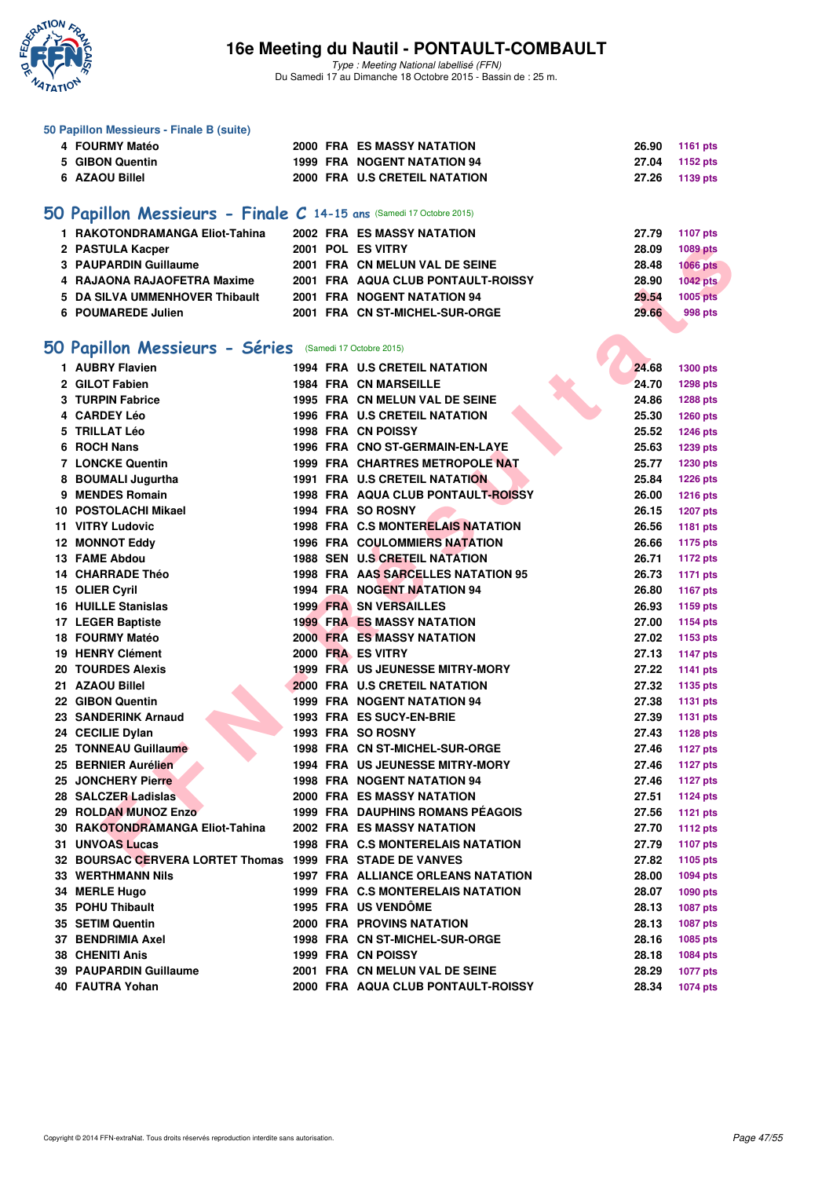

Type : Meeting National labellisé (FFN) Du Samedi 17 au Dimanche 18 Octobre 2015 - Bassin de : 25 m.

| 50 Papillon Messieurs - Finale B (suite)                            |  |                                           |       |                 |
|---------------------------------------------------------------------|--|-------------------------------------------|-------|-----------------|
| 4 FOURMY Matéo                                                      |  | <b>2000 FRA ES MASSY NATATION</b>         | 26.90 | 1161 pts        |
| 5 GIBON Quentin                                                     |  | 1999 FRA NOGENT NATATION 94               | 27.04 | 1152 pts        |
| 6 AZAOU Billel                                                      |  | 2000 FRA U.S CRETEIL NATATION             | 27.26 | 1139 pts        |
| 50 Papillon Messieurs - Finale C 14-15 ans (Samedi 17 Octobre 2015) |  |                                           |       |                 |
| 1 RAKOTONDRAMANGA Eliot-Tahina                                      |  | 2002 FRA ES MASSY NATATION                | 27.79 | <b>1107 pts</b> |
| 2 PASTULA Kacper                                                    |  | 2001 POL ES VITRY                         | 28.09 | 1089 pts        |
| 3 PAUPARDIN Guillaume                                               |  | 2001 FRA CN MELUN VAL DE SEINE            | 28.48 | <b>1066 pts</b> |
| 4 RAJAONA RAJAOFETRA Maxime                                         |  | 2001 FRA AQUA CLUB PONTAULT-ROISSY        | 28.90 | <b>1042 pts</b> |
| 5 DA SILVA UMMENHOVER Thibault                                      |  | 2001 FRA NOGENT NATATION 94               | 29.54 | <b>1005 pts</b> |
| 6 POUMAREDE Julien                                                  |  | 2001 FRA CN ST-MICHEL-SUR-ORGE            | 29.66 |                 |
|                                                                     |  |                                           |       | 998 pts         |
| 50 Papillon Messieurs - Séries (Samedi 17 Octobre 2015)             |  |                                           |       |                 |
| 1 AUBRY Flavien                                                     |  | <b>1994 FRA U.S CRETEIL NATATION</b>      | 24.68 | 1300 pts        |
| 2 GILOT Fabien                                                      |  | <b>1984 FRA CN MARSEILLE</b>              | 24.70 | 1298 pts        |
| 3 TURPIN Fabrice                                                    |  | 1995 FRA CN MELUN VAL DE SEINE            | 24.86 | 1288 pts        |
| 4 CARDEY Léo                                                        |  | 1996 FRA U.S CRETEIL NATATION             | 25.30 | 1260 pts        |
| 5 TRILLAT Léo                                                       |  | 1998 FRA CN POISSY                        | 25.52 | <b>1246 pts</b> |
| 6 ROCH Nans                                                         |  | 1996 FRA CNO ST-GERMAIN-EN-LAYE           | 25.63 | 1239 pts        |
| 7 LONCKE Quentin                                                    |  | 1999 FRA CHARTRES METROPOLE NAT           | 25.77 | 1230 pts        |
| 8 BOUMALI Jugurtha                                                  |  | 1991 FRA U.S CRETEIL NATATION             | 25.84 | <b>1226 pts</b> |
| 9 MENDES Romain                                                     |  | 1998 FRA AQUA CLUB PONTAULT-ROISSY        | 26.00 | <b>1216 pts</b> |
| 10 POSTOLACHI Mikael                                                |  | 1994 FRA SO ROSNY                         | 26.15 | <b>1207 pts</b> |
| 11 VITRY Ludovic                                                    |  | 1998 FRA C.S MONTERELAIS NATATION         | 26.56 | <b>1181 pts</b> |
| <b>12 MONNOT Eddy</b>                                               |  | <b>1996 FRA COULOMMIERS NATATION</b>      | 26.66 | <b>1175 pts</b> |
| <b>13 FAME Abdou</b>                                                |  | 1988 SEN U.S CRETEIL NATATION             | 26.71 | <b>1172 pts</b> |
| 14 CHARRADE Théo                                                    |  | 1998 FRA AAS SARCELLES NATATION 95        | 26.73 | <b>1171 pts</b> |
| 15 OLIER Cyril                                                      |  | 1994 FRA NOGENT NATATION 94               | 26.80 | <b>1167 pts</b> |
| <b>16 HUILLE Stanislas</b>                                          |  | <b>1999 FRA SN VERSAILLES</b>             | 26.93 | 1159 pts        |
| 17 LEGER Baptiste                                                   |  | <b>1999 FRA ES MASSY NATATION</b>         | 27.00 | <b>1154 pts</b> |
| 18 FOURMY Matéo                                                     |  | 2000 FRA ES MASSY NATATION                | 27.02 | 1153 pts        |
| <b>19 HENRY Clément</b>                                             |  | 2000 FRA ES VITRY                         | 27.13 | <b>1147 pts</b> |
| <b>20 TOURDES Alexis</b>                                            |  | <b>1999 FRA US JEUNESSE MITRY-MORY</b>    | 27.22 | <b>1141 pts</b> |
| 21 AZAOU Billel                                                     |  | 2000 FRA U.S CRETEIL NATATION             | 27.32 | 1135 pts        |
| 22 GIBON Quentin                                                    |  | 1999 FRA NOGENT NATATION 94               | 27.38 | <b>1131 pts</b> |
| 23 SANDERINK Arnaud                                                 |  | 1993 FRA ES SUCY-EN-BRIE                  | 27.39 | <b>1131 pts</b> |
| 24 CECILIE Dylan                                                    |  | 1993 FRA SO ROSNY                         | 27.43 | <b>1128 pts</b> |
| 25 TONNEAU Guillaume                                                |  | 1998 FRA CN ST-MICHEL-SUR-ORGE            | 27.46 | 1127 pts        |
| 25 BERNIER Aurélien                                                 |  | <b>1994 FRA US JEUNESSE MITRY-MORY</b>    | 27.46 | <b>1127 pts</b> |
| 25 JONCHERY Pierre                                                  |  | <b>1998 FRA NOGENT NATATION 94</b>        | 27.46 | <b>1127 pts</b> |
| 28 SALCZER Ladislas                                                 |  | <b>2000 FRA ES MASSY NATATION</b>         | 27.51 | <b>1124 pts</b> |
| 29 ROLDAN MUNOZ Enzo                                                |  | 1999 FRA DAUPHINS ROMANS PÉAGOIS          | 27.56 | <b>1121 pts</b> |
| 30 RAKOTONDRAMANGA Eliot-Tahina                                     |  | 2002 FRA ES MASSY NATATION                | 27.70 | <b>1112 pts</b> |
| <b>31 UNVOAS Lucas</b>                                              |  | 1998 FRA C.S MONTERELAIS NATATION         | 27.79 | <b>1107 pts</b> |
| 32 BOURSAC CERVERA LORTET Thomas 1999 FRA STADE DE VANVES           |  |                                           | 27.82 | 1105 pts        |
| <b>33 WERTHMANN Nils</b>                                            |  | <b>1997 FRA ALLIANCE ORLEANS NATATION</b> | 28.00 | <b>1094 pts</b> |
| 34 MERLE Hugo                                                       |  | 1999 FRA C.S MONTERELAIS NATATION         | 28.07 | 1090 pts        |
| 35 POHU Thibault                                                    |  | 1995 FRA US VENDÔME                       | 28.13 | 1087 pts        |
| 35 SETIM Quentin                                                    |  | <b>2000 FRA PROVINS NATATION</b>          | 28.13 | 1087 pts        |
| 37 BENDRIMIA Axel                                                   |  | 1998 FRA CN ST-MICHEL-SUR-ORGE            | 28.16 | 1085 pts        |
| <b>38 CHENITI Anis</b>                                              |  | 1999 FRA CN POISSY                        | 28.18 | 1084 pts        |
| 39 PAUPARDIN Guillaume                                              |  | 2001 FRA CN MELUN VAL DE SEINE            | 28.29 | <b>1077 pts</b> |
| 40 FAUTRA Yohan                                                     |  | 2000 FRA AQUA CLUB PONTAULT-ROISSY        | 28.34 | 1074 pts        |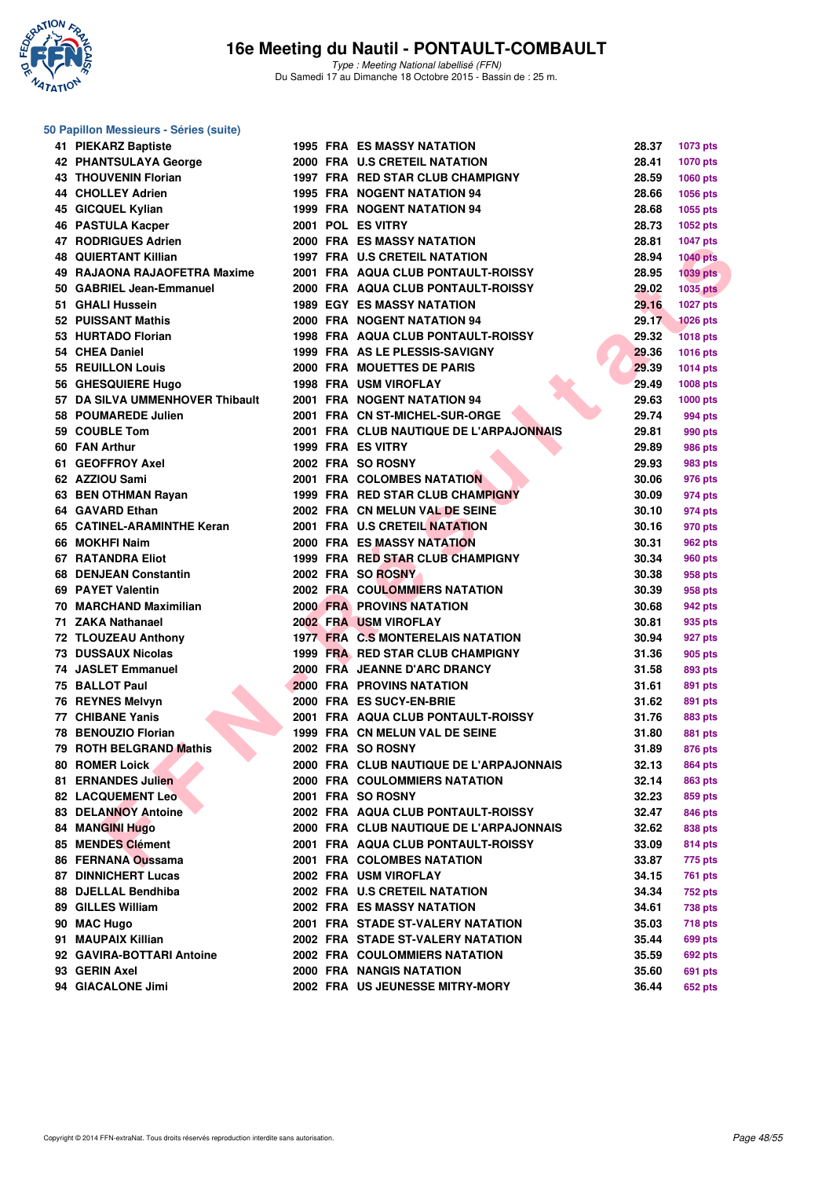

# **50 Papillon Messieurs - Séries (suite)**

| 41 PIEKARZ Baptiste             |  | <b>1995 FRA ES MASSY NATATION</b>       | 28.37 | <b>1073 pts</b>    |
|---------------------------------|--|-----------------------------------------|-------|--------------------|
| <b>42 PHANTSULAYA George</b>    |  | 2000 FRA U.S CRETEIL NATATION           | 28.41 |                    |
|                                 |  | 1997 FRA RED STAR CLUB CHAMPIGNY        | 28.59 | <b>1070 pts</b>    |
| <b>43 THOUVENIN Florian</b>     |  |                                         |       | <b>1060 pts</b>    |
| 44 CHOLLEY Adrien               |  | 1995 FRA NOGENT NATATION 94             | 28.66 | <b>1056 pts</b>    |
| 45 GICQUEL Kylian               |  | <b>1999 FRA NOGENT NATATION 94</b>      | 28.68 | 1055 pts           |
| <b>46 PASTULA Kacper</b>        |  | 2001 POL ES VITRY                       | 28.73 | 1052 pts           |
| 47 RODRIGUES Adrien             |  | 2000 FRA ES MASSY NATATION              | 28.81 | <b>1047 pts</b>    |
| <b>48 QUIERTANT Killian</b>     |  | <b>1997 FRA U.S CRETEIL NATATION</b>    | 28.94 | <b>1040 pts</b>    |
| 49 RAJAONA RAJAOFETRA Maxime    |  | 2001 FRA AQUA CLUB PONTAULT-ROISSY      | 28.95 | 1039 pts           |
| 50 GABRIEL Jean-Emmanuel        |  | 2000 FRA AQUA CLUB PONTAULT-ROISSY      | 29.02 | <b>1035 pts</b>    |
| 51 GHALI Hussein                |  | <b>1989 EGY ES MASSY NATATION</b>       | 29.16 | <b>1027 pts</b>    |
| 52 PUISSANT Mathis              |  | 2000 FRA NOGENT NATATION 94             | 29.17 | <b>1026 pts</b>    |
| 53 HURTADO Florian              |  | 1998 FRA AQUA CLUB PONTAULT-ROISSY      | 29.32 | <b>1018 pts</b>    |
| 54 CHEA Daniel                  |  | 1999 FRA AS LE PLESSIS-SAVIGNY          | 29.36 | <b>1016 pts</b>    |
| 55 REUILLON Louis               |  | 2000 FRA MOUETTES DE PARIS              | 29.39 | <b>1014 pts</b>    |
| 56 GHESQUIERE Hugo              |  | 1998 FRA USM VIROFLAY                   | 29.49 | 1008 pts           |
| 57 DA SILVA UMMENHOVER Thibault |  | 2001 FRA NOGENT NATATION 94             | 29.63 | 1000 pts           |
| 58 POUMAREDE Julien             |  | 2001 FRA CN ST-MICHEL-SUR-ORGE          | 29.74 | 994 pts            |
| 59 COUBLE Tom                   |  | 2001 FRA CLUB NAUTIQUE DE L'ARPAJONNAIS | 29.81 | 990 pts            |
| 60 FAN Arthur                   |  | 1999 FRA ES VITRY                       | 29.89 | 986 pts            |
| 61 GEOFFROY Axel                |  | 2002 FRA SO ROSNY                       | 29.93 | 983 pts            |
| 62 AZZIOU Sami                  |  | <b>2001 FRA COLOMBES NATATION</b>       | 30.06 | 976 pts            |
| 63 BEN OTHMAN Rayan             |  | 1999 FRA RED STAR CLUB CHAMPIGNY        | 30.09 | 974 pts            |
| 64 GAVARD Ethan                 |  | 2002 FRA CN MELUN VAL DE SEINE          | 30.10 | 974 pts            |
| 65 CATINEL-ARAMINTHE Keran      |  | 2001 FRA U.S CRETEIL NATATION           | 30.16 | 970 pts            |
| 66 MOKHFI Naim                  |  | <b>2000 FRA ES MASSY NATATION</b>       | 30.31 | 962 pts            |
| 67 RATANDRA Eliot               |  | 1999 FRA RED STAR CLUB CHAMPIGNY        | 30.34 | 960 pts            |
| 68 DENJEAN Constantin           |  | 2002 FRA SO ROSNY                       | 30.38 | 958 pts            |
| 69 PAYET Valentin               |  | <b>2002 FRA COULOMMIERS NATATION</b>    | 30.39 | 958 pts            |
| 70 MARCHAND Maximilian          |  | <b>2000 FRA PROVINS NATATION</b>        | 30.68 | 942 pts            |
| 71 ZAKA Nathanael               |  | 2002 FRA USM VIROFLAY                   | 30.81 | 935 pts            |
| 72 TLOUZEAU Anthony             |  | 1977 FRA C.S MONTERELAIS NATATION       | 30.94 | 927 pts            |
| 73 DUSSAUX Nicolas              |  | 1999 FRA RED STAR CLUB CHAMPIGNY        | 31.36 | 905 pts            |
| 74 JASLET Emmanuel              |  | 2000 FRA JEANNE D'ARC DRANCY            | 31.58 | 893 pts            |
| 75 BALLOT Paul                  |  | <b>2000 FRA PROVINS NATATION</b>        | 31.61 | 891 pts            |
| 76 REYNES Melvyn                |  | 2000 FRA ES SUCY-EN-BRIE                | 31.62 | 891 pts            |
| 77 CHIBANE Yanis                |  | 2001 FRA AQUA CLUB PONTAULT-ROISSY      | 31.76 | 883 pts            |
| 78 BENOUZIO Florian             |  | 1999 FRA CN MELUN VAL DE SEINE          | 31.80 | 881 pts            |
| 79 ROTH BELGRAND Mathis         |  | 2002 FRA SO ROSNY                       | 31.89 | 876 pts            |
| <b>80 ROMER Loick</b>           |  | 2000 FRA CLUB NAUTIQUE DE L'ARPAJONNAIS | 32.13 | <b>864 pts</b>     |
| 81 ERNANDES Julien              |  | <b>2000 FRA COULOMMIERS NATATION</b>    | 32.14 | 863 pts            |
| <b>82 LACQUEMENT Leo</b>        |  | 2001 FRA SO ROSNY                       | 32.23 | 859 pts            |
| 83 DELANNOY Antoine             |  | 2002 FRA AQUA CLUB PONTAULT-ROISSY      | 32.47 | 846 pts            |
| <b>84 MANGINI Hugo</b>          |  | 2000 FRA CLUB NAUTIQUE DE L'ARPAJONNAIS | 32.62 | 838 pts            |
| 85 MENDES Clément               |  | 2001 FRA AQUA CLUB PONTAULT-ROISSY      | 33.09 | 814 pts            |
| 86 FERNANA Oussama              |  | 2001 FRA COLOMBES NATATION              | 33.87 | 775 pts            |
| <b>87 DINNICHERT Lucas</b>      |  | 2002 FRA USM VIROFLAY                   | 34.15 | <b>761 pts</b>     |
| 88 DJELLAL Bendhiba             |  | 2002 FRA U.S CRETEIL NATATION           | 34.34 | 752 pts            |
| 89 GILLES William               |  | 2002 FRA ES MASSY NATATION              | 34.61 | 738 pts            |
| 90 MAC Hugo                     |  | 2001 FRA STADE ST-VALERY NATATION       | 35.03 | 718 pts            |
| 91 MAUPAIX Killian              |  | 2002 FRA STADE ST-VALERY NATATION       | 35.44 |                    |
| 92 GAVIRA-BOTTARI Antoine       |  | <b>2002 FRA COULOMMIERS NATATION</b>    | 35.59 | 699 pts<br>692 pts |
| 93 GERIN Axel                   |  | 2000 FRA NANGIS NATATION                | 35.60 |                    |
| 94 GIACALONE Jimi               |  | 2002 FRA US JEUNESSE MITRY-MORY         | 36.44 | 691 pts            |
|                                 |  |                                         |       | 652 pts            |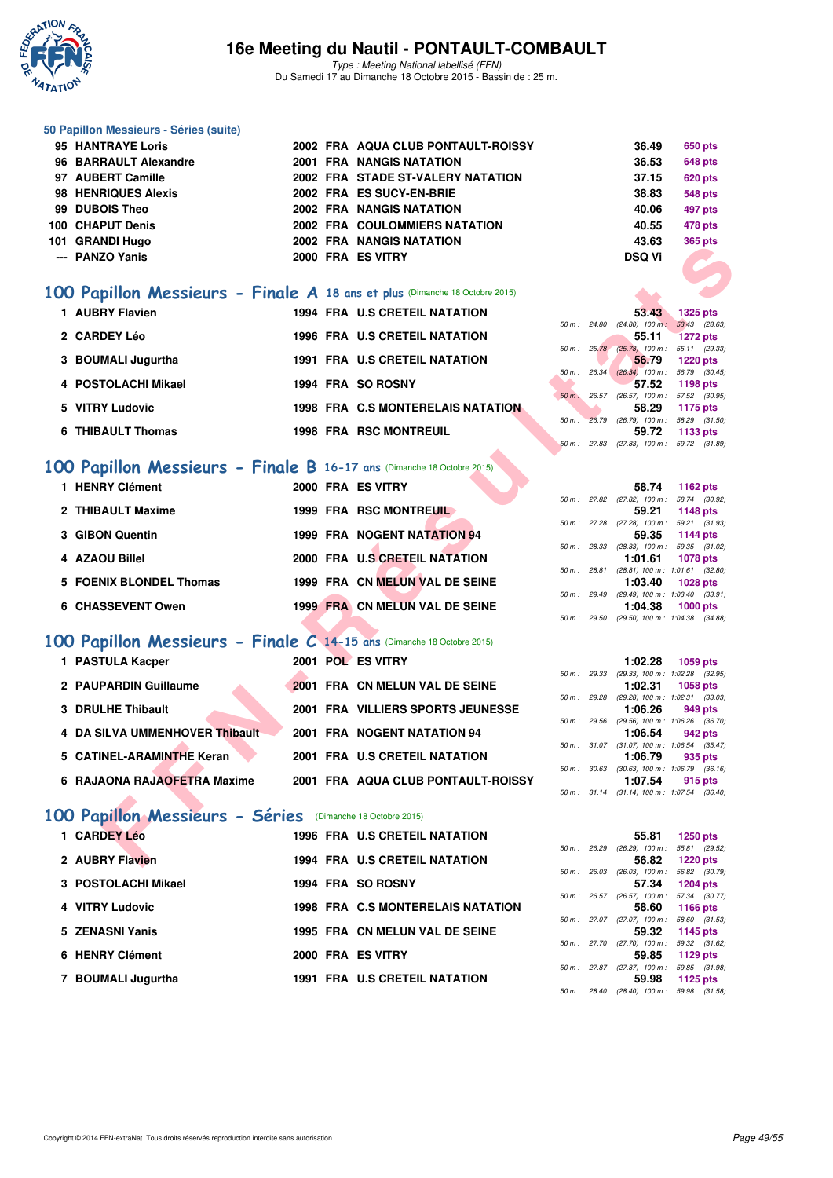

Type : Meeting National labellisé (FFN) Du Samedi 17 au Dimanche 18 Octobre 2015 - Bassin de : 25 m.

#### **50 Papillon Messieurs - Séries (suite)**

| 95 HANTRAYE Loris     |  | 2002 FRA AQUA CLUB PONTAULT-ROISSY   | 36.49         | 650 pts        |
|-----------------------|--|--------------------------------------|---------------|----------------|
| 96 BARRAULT Alexandre |  | <b>2001 FRA NANGIS NATATION</b>      | 36.53         | <b>648 pts</b> |
| 97 AUBERT Camille     |  | 2002 FRA STADE ST-VALERY NATATION    | 37.15         | <b>620 pts</b> |
| 98 HENRIQUES Alexis   |  | 2002 FRA ES SUCY-EN-BRIE             | 38.83         | <b>548 pts</b> |
| 99 DUBOIS Theo        |  | <b>2002 FRA NANGIS NATATION</b>      | 40.06         | 497 pts        |
| 100 CHAPUT Denis      |  | <b>2002 FRA COULOMMIERS NATATION</b> | 40.55         | 478 pts        |
| 101 GRANDI Hugo       |  | <b>2002 FRA NANGIS NATATION</b>      | 43.63         | <b>365 pts</b> |
| --- PANZO Yanis       |  | 2000 FRA ES VITRY                    | <b>DSQ Vi</b> |                |
|                       |  |                                      |               |                |

#### **[100 Papillon Messieurs - Finale A](http://www.ffnatation.fr/webffn/resultats.php?idact=nat&go=epr&idcpt=33325&idepr=82) 18 ans et plus** (Dimanche 18 Octobre 2015)

| ananul Tiuyu                                                               |  | ZUUZ FRA NANGIS NATATION             |  | უა.სა                                                   |                                  | ວບວ µເວ |
|----------------------------------------------------------------------------|--|--------------------------------------|--|---------------------------------------------------------|----------------------------------|---------|
| --- PANZO Yanis                                                            |  | 2000 FRA ES VITRY                    |  | <b>DSQ Vi</b>                                           |                                  |         |
| 00 Papillon Messieurs - Finale A 18 ans et plus (Dimanche 18 Octobre 2015) |  |                                      |  |                                                         |                                  |         |
|                                                                            |  |                                      |  |                                                         |                                  |         |
| 1 AUBRY Flavien                                                            |  | <b>1994 FRA U.S CRETEIL NATATION</b> |  | 53.43                                                   | <b>1325 pts</b>                  |         |
| 2 CARDEY Léo                                                               |  |                                      |  | $50 m$ : 24.80 (24.80) 100 m:                           | 53.43 (28.63)                    |         |
|                                                                            |  | 1996 FRA U.S CRETEIL NATATION        |  | 55.11<br>50 m : 25.78 (25.78) 100 m : 55.11 (29.33)     | <b>1272 pts</b>                  |         |
| 3 BOUMALI Jugurtha                                                         |  | 1991 FRA U.S CRETEIL NATATION        |  | 56.79                                                   | <b>1220 pts</b>                  |         |
|                                                                            |  |                                      |  | 50 m : 26.34 (26.34) 100 m : 56.79 (30.45)              |                                  |         |
| 4 POSTOLACHI Mikael                                                        |  | 1994 FRA SO ROSNY                    |  | 57.52                                                   | 1198 pts                         |         |
|                                                                            |  |                                      |  | 50 m: 26.57 (26.57) 100 m: 57.52 (30.95)                |                                  |         |
| 5 VITRY Ludovic                                                            |  | 1998 FRA C.S MONTERELAIS NATATION    |  | 58.29<br>50 m : 26.79 (26.79) 100 m : 58.29 (31.50)     | 1175 pts                         |         |
| <b>6 THIBAULT Thomas</b>                                                   |  | <b>1998 FRA RSC MONTREUIL</b>        |  | 59.72                                                   | 1133 pts                         |         |
|                                                                            |  |                                      |  | 50 m: 27.83 (27.83) 100 m: 59.72 (31.89)                |                                  |         |
|                                                                            |  |                                      |  |                                                         |                                  |         |
| 00 Papillon Messieurs - Finale B 16-17 ans (Dimanche 18 Octobre 2015)      |  |                                      |  |                                                         |                                  |         |
| 1 HENRY Clément                                                            |  | 2000 FRA ES VITRY                    |  | 58.74                                                   | 1162 pts                         |         |
|                                                                            |  |                                      |  | 50 m: 27.82 (27.82) 100 m: 58.74 (30.92)                |                                  |         |
| 2 THIBAULT Maxime                                                          |  | 1999 FRA RSC MONTREUIL               |  | 59.21                                                   | 1148 pts                         |         |
|                                                                            |  |                                      |  | 50 m: 27.28 (27.28) 100 m: 59.21 (31.93)                |                                  |         |
| 3 GIBON Quentin                                                            |  | <b>1999 FRA NOGENT NATATION 94</b>   |  | 59.35                                                   | 1144 pts                         |         |
| 4 AZAOU Billel                                                             |  | 2000 FRA U.S CRETEIL NATATION        |  | 50 m: 28.33 (28.33) 100 m: 59.35 (31.02)                |                                  |         |
|                                                                            |  |                                      |  | 1:01.61<br>50 m: 28.81 (28.81) 100 m: 1:01.61 (32.80)   | 1078 pts                         |         |
| <b>5 FOENIX BLONDEL Thomas</b>                                             |  | 1999 FRA CN MELUN VAL DE SEINE       |  | 1:03.40                                                 | 1028 pts                         |         |
|                                                                            |  |                                      |  | 50 m: 29.49 (29.49) 100 m: 1:03.40 (33.91)              |                                  |         |
| <b>6 CHASSEVENT Owen</b>                                                   |  | 1999 FRA CN MELUN VAL DE SEINE       |  | 1:04.38                                                 | <b>1000 pts</b>                  |         |
|                                                                            |  |                                      |  | 50 m: 29.50 (29.50) 100 m: 1:04.38 (34.88)              |                                  |         |
|                                                                            |  |                                      |  |                                                         |                                  |         |
| 00 Papillon Messieurs - Finale C 14-15 ans (Dimanche 18 Octobre 2015)      |  |                                      |  |                                                         |                                  |         |
| 1 PASTULA Kacper                                                           |  | 2001 POL ES VITRY                    |  | 1:02.28                                                 | 1059 pts                         |         |
|                                                                            |  |                                      |  | 50 m: 29.33 (29.33) 100 m: 1:02.28 (32.95)              |                                  |         |
| 2 PAUPARDIN Guillaume                                                      |  | 2001 FRA CN MELUN VAL DE SEINE       |  | 1:02.31                                                 | <b>1058 pts</b>                  |         |
| 3 DRULHE Thibault                                                          |  | 2001 FRA VILLIERS SPORTS JEUNESSE    |  | 50 m : 29.28 (29.28) 100 m : 1:02.31 (33.03)<br>1:06.26 | 949 pts                          |         |
|                                                                            |  |                                      |  | 50 m : 29.56 (29.56) 100 m : 1:06.26 (36.70)            |                                  |         |
| 4 DA SILVA UMMENHOVER Thibault                                             |  | 2001 FRA NOGENT NATATION 94          |  | 1:06.54                                                 | 942 pts                          |         |
|                                                                            |  |                                      |  | 50 m: 31.07 (31.07) 100 m: 1:06.54 (35.47)              |                                  |         |
| 5 CATINEL-ARAMINTHE Keran                                                  |  | 2001 FRA U.S CRETEIL NATATION        |  | 1:06.79                                                 | 935 pts                          |         |
|                                                                            |  |                                      |  | 50 m: 30.63 (30.63) 100 m: 1:06.79 (36.16)              |                                  |         |
| 6 RAJAONA RAJAOFETRA Maxime                                                |  | 2001 FRA AQUA CLUB PONTAULT-ROISSY   |  | 1:07.54<br>50 m: 31.14 (31.14) 100 m: 1:07.54 (36.40)   | 915 pts                          |         |
|                                                                            |  |                                      |  |                                                         |                                  |         |
| 00 Papillon Messieurs - Séries (Dimanche 18 Octobre 2015)                  |  |                                      |  |                                                         |                                  |         |
| 1 CARDEY Léo                                                               |  | <b>1996 FRA U.S CRETEIL NATATION</b> |  | 55.81                                                   |                                  |         |
|                                                                            |  |                                      |  | 50 m : 26.29 (26.29) 100 m :                            | <b>1250 pts</b><br>55.81 (29.52) |         |
| 2 AUBRY Flavien                                                            |  | 1994 FRA U.S CRETEIL NATATION        |  | 56.82                                                   | <b>1220 pts</b>                  |         |
|                                                                            |  |                                      |  |                                                         |                                  |         |

# **[100 Papillon Messieurs - Finale B](http://www.ffnatation.fr/webffn/resultats.php?idact=nat&go=epr&idcpt=33325&idepr=82) 16-17 ans (Dimanche 18 Octobre 2015)**<br>**1 HENRY Clément** 2000 FRA ES VITRY

| 1 HENRY Clément         |  | 2000 FRA ES VITRY              |             | 58.74                                                 | 1162 $pts$                |
|-------------------------|--|--------------------------------|-------------|-------------------------------------------------------|---------------------------|
| 2 THIBAULT Maxime       |  | 1999 FRA RSC MONTREUIL         |             | 50 m: 27.82 (27.82) 100 m: 58.74 (30.92)<br>59.21     | 1148 pts                  |
|                         |  |                                |             | 50 m: 27.28 (27.28) 100 m: 59.21 (31.93)              |                           |
| 3 GIBON Quentin         |  | 1999 FRA NOGENT NATATION 94    | 50 m: 28.33 | 59.35<br>$(28.33)$ 100 m :                            | 1144 pts<br>59.35 (31.02) |
| 4 AZAOU Billel          |  | 2000 FRA U.S CRETEIL NATATION  |             | 1:01.61<br>50 m: 28.81 (28.81) 100 m: 1:01.61 (32.80) | 1078 pts                  |
| 5 FOENIX BLONDEL Thomas |  | 1999 FRA CN MELUN VAL DE SEINE |             | 1:03.40                                               | $1028$ pts                |
| 6 CHASSEVENT Owen       |  | 1999 FRA CN MELUN VAL DE SEINE | 50 m: 29.49 | $(29.49)$ 100 m : 1:03.40 $(33.91)$<br>1:04.38        | $1000$ pts                |
|                         |  |                                |             |                                                       |                           |

#### **[100 Papillon Messieurs - Finale C](http://www.ffnatation.fr/webffn/resultats.php?idact=nat&go=epr&idcpt=33325&idepr=82) 14-15 ans** (Dimanche 18 Octobre 2015)

| 1 PASTULA Kacper               |  | 2001 POL ES VITRY                  |                          |             | 1:02.28                                 | 1059 pts |  |
|--------------------------------|--|------------------------------------|--------------------------|-------------|-----------------------------------------|----------|--|
|                                |  |                                    |                          |             | 50 m: 29.33 (29.33) 100 m: 1:02.28 (32. |          |  |
| 2 PAUPARDIN Guillaume          |  | 2001 FRA CN MELUN VAL DE SEINE     |                          |             | 1:02.31                                 | 1058 pts |  |
|                                |  |                                    |                          | 50 m: 29.28 | (29.28) 100 m : 1:02.31 (33.            |          |  |
| 3 DRULHE Thibault              |  | 2001 FRA VILLIERS SPORTS JEUNESSE  |                          |             | 1:06.26                                 | 949 pts  |  |
|                                |  |                                    | 50 m :                   | 29.56       | (29.56) 100 m : 1:06.26 (36.            |          |  |
| 4 DA SILVA UMMENHOVER Thibault |  | 2001 FRA NOGENT NATATION 94        |                          |             | 1:06.54                                 | 942 pts  |  |
|                                |  |                                    |                          |             | 50 m: 31.07 (31.07) 100 m: 1:06.54 (35. |          |  |
| 5 CATINEL-ARAMINTHE Keran      |  | 2001 FRA U.S CRETEIL NATATION      |                          |             | 1:06.79                                 | 935 pts  |  |
|                                |  |                                    | $50 \text{ m}$ : $30.63$ |             | $(30.63)$ 100 m : 1:06.79 $(36.$        |          |  |
| 6 RAJAONA RAJAOFETRA Maxime    |  | 2001 FRA AQUA CLUB PONTAULT-ROISSY |                          |             | 1:07.54                                 | 915 pts  |  |
|                                |  |                                    |                          |             |                                         |          |  |

# 50 m : 27.82 (27.82) 100 m : 58.74 (30.9)<br>59.21 1148 pts 50 m : 27.28 (27.28) 100 m : 59.21 (31.93) 50 m : 28.33 (28.33) 100 m : 59.35 (31.02)<br>**1:01.61** 1078 pts 50 m : 28.81 (28.81) 100 m : 1:01.61 (32.80)<br>**1:03.40** 1028 pts 50 m : 29.49 (29.49) 100 m : 1:03.40 (33.91)<br>**1:04.38** 1000 pts 50 m : 29.50 (29.50) 100 m : 1:04.38 (34.88) **1:02.28 1059 pts**

|  | 50 m: 29.33 (29.33) 100 m: 1:02.28 (32.95) |
|--|--------------------------------------------|
|  |                                            |
|  | $1:02.31$ 1058 pts                         |
|  | 50 m: 29.28 (29.28) 100 m: 1:02.31 (33.03) |
|  | $1:06.26$ 949 pts                          |
|  | 50 m: 29.56 (29.56) 100 m: 1:06.26 (36.70) |
|  | $1:06.54$ 942 pts                          |
|  | 50 m: 31.07 (31.07) 100 m: 1:06.54 (35.47) |
|  | $1:06.79$ 935 pts                          |
|  | 50 m: 30.63 (30.63) 100 m: 1:06.79 (36.16) |
|  | $1:07.54$ 915 pts                          |
|  | 50 m: 31.14 (31.14) 100 m: 1:07.54 (36.40) |

#### **[100 Papillon Messieurs - Séries](http://www.ffnatation.fr/webffn/resultats.php?idact=nat&go=epr&idcpt=33325&idepr=82)** (Dimanche 18 Octobre 2015)

|                                                                                                                                       |  |                                                                                                                                                                                                                                              | 55.81                            |                                                          |                                                                                                                                                                                                                                                                                                           |
|---------------------------------------------------------------------------------------------------------------------------------------|--|----------------------------------------------------------------------------------------------------------------------------------------------------------------------------------------------------------------------------------------------|----------------------------------|----------------------------------------------------------|-----------------------------------------------------------------------------------------------------------------------------------------------------------------------------------------------------------------------------------------------------------------------------------------------------------|
|                                                                                                                                       |  |                                                                                                                                                                                                                                              |                                  |                                                          |                                                                                                                                                                                                                                                                                                           |
|                                                                                                                                       |  |                                                                                                                                                                                                                                              |                                  |                                                          |                                                                                                                                                                                                                                                                                                           |
|                                                                                                                                       |  |                                                                                                                                                                                                                                              |                                  |                                                          |                                                                                                                                                                                                                                                                                                           |
|                                                                                                                                       |  |                                                                                                                                                                                                                                              |                                  |                                                          |                                                                                                                                                                                                                                                                                                           |
|                                                                                                                                       |  |                                                                                                                                                                                                                                              |                                  |                                                          |                                                                                                                                                                                                                                                                                                           |
|                                                                                                                                       |  |                                                                                                                                                                                                                                              |                                  |                                                          |                                                                                                                                                                                                                                                                                                           |
|                                                                                                                                       |  |                                                                                                                                                                                                                                              |                                  |                                                          |                                                                                                                                                                                                                                                                                                           |
|                                                                                                                                       |  |                                                                                                                                                                                                                                              | 59.32                            |                                                          |                                                                                                                                                                                                                                                                                                           |
|                                                                                                                                       |  |                                                                                                                                                                                                                                              |                                  |                                                          |                                                                                                                                                                                                                                                                                                           |
|                                                                                                                                       |  |                                                                                                                                                                                                                                              | 59.85                            |                                                          |                                                                                                                                                                                                                                                                                                           |
|                                                                                                                                       |  |                                                                                                                                                                                                                                              |                                  |                                                          |                                                                                                                                                                                                                                                                                                           |
|                                                                                                                                       |  |                                                                                                                                                                                                                                              | 59.98                            |                                                          |                                                                                                                                                                                                                                                                                                           |
| 1 CARDEY Léo<br>2 AUBRY Flavien<br>3 POSTOLACHI Mikael<br>4 VITRY Ludovic<br>5 ZENASNI Yanis<br>6 HENRY Clément<br>7 BOUMALI Jugurtha |  | <b>1996 FRA U.S CRETEIL NATATION</b><br><b>1994 FRA U.S CRETEIL NATATION</b><br>1994 FRA SO ROSNY<br><b>1998 FRA C.S MONTERELAIS NATATION</b><br>1995 FRA CN MELUN VAL DE SEINE<br>2000 FRA ES VITRY<br><b>1991 FRA U.S CRETEIL NATATION</b> | 50 m :<br>50 m : 26.03<br>50 m : | 26.29<br>56.82<br>57.34<br>26.57<br>58.60<br>50 m: 27.70 | 1250 pts<br>$(26.29)$ 100 m :<br>55.81 (29.<br>1220 pts<br>$(26.03)$ 100 m : 56.82 (30.<br>1204 pts<br>(26.57) 100 m : 57.34 (30.<br>1166 pts<br>50 m: 27.07 (27.07) 100 m: 58.60 (31.<br>1145 pts<br>59.32 (31.<br>(27.70) 100 m :<br>1129 pts<br>50 m : 27.87 (27.87) 100 m :<br>59.85 (31.<br>1125 pts |

|              | 55.81                        | $1250$ pts      |
|--------------|------------------------------|-----------------|
| 50 m : 26.29 | $(26.29)$ 100 m :            | 55.81 (29.52)   |
|              | 56.82                        | <b>1220 pts</b> |
| 50 m : 26.03 | $(26.03)$ 100 m :            | 56.82 (30.79)   |
|              | 57.34                        | <b>1204 pts</b> |
|              | 50 m: 26.57 (26.57) 100 m:   | 57.34 (30.77)   |
|              | 58.60                        | 1166 $pts$      |
|              | 50 m: 27.07 (27.07) 100 m:   | 58.60 (31.53)   |
|              | 59.32                        | 1145 pts        |
|              | 50 m: 27.70 (27.70) 100 m:   | 59.32 (31.62)   |
|              | 59.85                        | $1129$ pts      |
|              | 50 m: 27.87 (27.87) 100 m:   | 59.85 (31.98)   |
|              |                              | 59.98 1125 pts  |
|              | 50 m : 28.40 (28.40) 100 m : | 59.98 (31.58)   |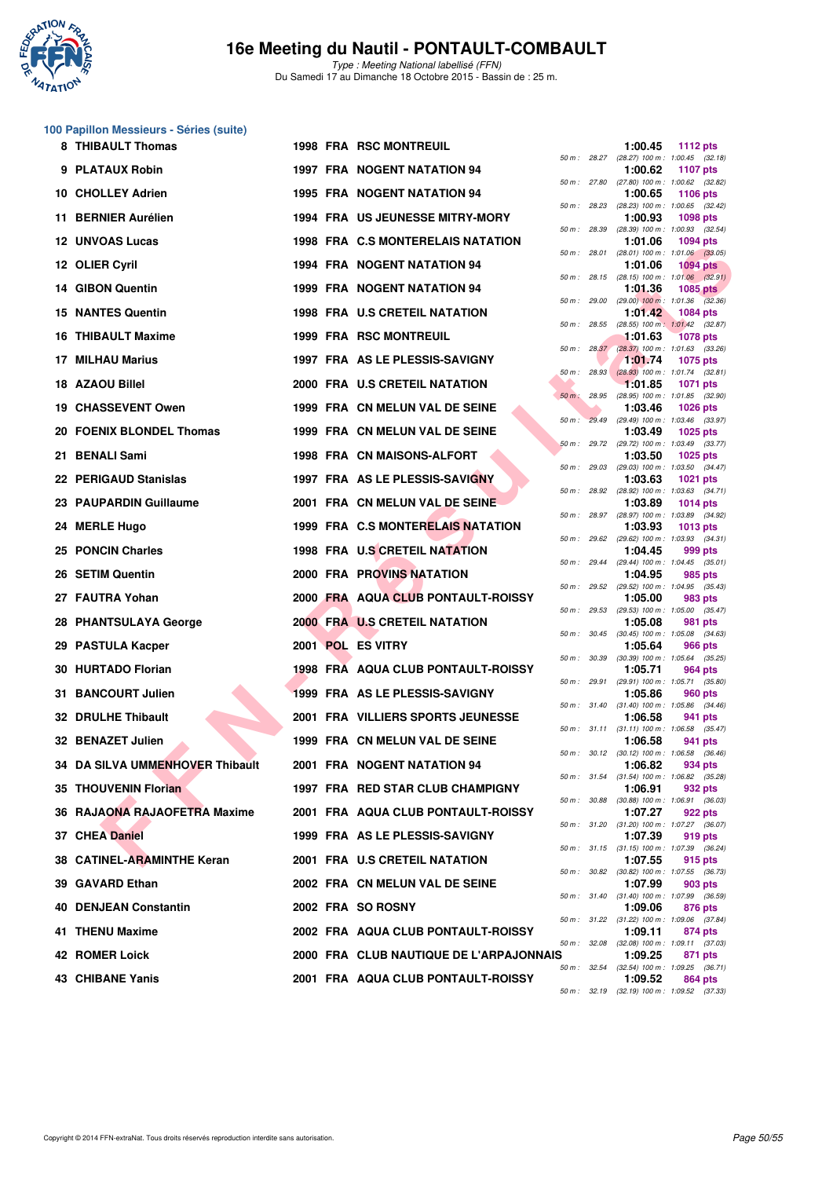

Type : Meeting National labellisé (FFN) Du Samedi 17 au Dimanche 18 Octobre 2015 - Bassin de : 25 m.

#### **100 Papillon Messieurs - Séries (suite)**

|     | 8 THIBAULT Thomas               |  | <b>1998 FRA RSC MONTREUIL</b>           |              |              | 1:00.45                                                 | <b>1112 pts</b> |  |
|-----|---------------------------------|--|-----------------------------------------|--------------|--------------|---------------------------------------------------------|-----------------|--|
|     | 9 PLATAUX Robin                 |  | <b>1997 FRA NOGENT NATATION 94</b>      |              |              | 50 m: 28.27 (28.27) 100 m: 1:00.45 (32.18)<br>1:00.62   | <b>1107 pts</b> |  |
|     | 10 CHOLLEY Adrien               |  | 1995 FRA NOGENT NATATION 94             | 50 m : 27.80 |              | (27.80) 100 m : 1:00.62 (32.82)<br>1:00.65              | <b>1106 pts</b> |  |
|     | 11 BERNIER Aurélien             |  | <b>1994 FRA US JEUNESSE MITRY-MORY</b>  |              |              | 50 m : 28.23 (28.23) 100 m : 1:00.65 (32.42)<br>1:00.93 | <b>1098 pts</b> |  |
|     | <b>12 UNVOAS Lucas</b>          |  | 1998 FRA C.S MONTERELAIS NATATION       | 50 m : 28.39 |              | (28.39) 100 m: 1:00.93 (32.54)<br>1:01.06               | <b>1094 pts</b> |  |
|     | 12 OLIER Cyril                  |  | 1994 FRA NOGENT NATATION 94             |              | 50 m : 28.01 | $(28.01)$ 100 m : 1:01.06 $(33.05)$<br>1:01.06          | $1094$ pts      |  |
|     | 14 GIBON Quentin                |  | 1999 FRA NOGENT NATATION 94             |              |              | 50 m : 28.15 (28.15) 100 m : 1:01.06 (32.91)<br>1:01.36 | <b>1085 pts</b> |  |
|     | <b>15 NANTES Quentin</b>        |  | <b>1998 FRA U.S CRETEIL NATATION</b>    |              |              | 50 m : 29.00 (29.00) 100 m : 1:01.36 (32.36)<br>1:01.42 | <b>1084 pts</b> |  |
|     | 16 THIBAULT Maxime              |  | 1999 FRA RSC MONTREUIL                  | 50 m: 28.55  |              | $(28.55)$ 100 m : 1:01.42 $(32.87)$<br>1:01.63          | <b>1078 pts</b> |  |
| 17. | <b>MILHAU Marius</b>            |  | 1997 FRA AS LE PLESSIS-SAVIGNY          |              | 50 m: 28.37  | $(28.37)$ 100 m : 1:01.63 (33.26)<br>1:01.74            | 1075 pts        |  |
|     | 18 AZAOU Billel                 |  | 2000 FRA U.S CRETEIL NATATION           |              |              | 50 m : 28.93 (28.93) 100 m : 1:01.74 (32.81)<br>1:01.85 | <b>1071 pts</b> |  |
|     | <b>19 CHASSEVENT Owen</b>       |  | 1999 FRA CN MELUN VAL DE SEINE          | $50 m$ :     | 28.95        | (28.95) 100 m: 1:01.85 (32.90)<br>1:03.46               | <b>1026 pts</b> |  |
|     | 20 FOENIX BLONDEL Thomas        |  | 1999 FRA CN MELUN VAL DE SEINE          |              |              | 50 m : 29.49 (29.49) 100 m : 1:03.46 (33.97)<br>1:03.49 | 1025 pts        |  |
|     |                                 |  | 1998 FRA CN MAISONS-ALFORT              |              |              | 50 m: 29.72 (29.72) 100 m: 1:03.49 (33.77)              |                 |  |
|     | 21 BENALI Sami                  |  |                                         |              | 50 m: 29.03  | 1:03.50<br>$(29.03)$ 100 m : 1:03.50 $(34.47)$          | 1025 pts        |  |
|     | 22 PERIGAUD Stanislas           |  | 1997 FRA AS LE PLESSIS-SAVIGNY          | 50 m : 28.92 |              | 1:03.63<br>$(28.92)$ 100 m : 1:03.63 $(34.71)$          | 1021 pts        |  |
|     | 23 PAUPARDIN Guillaume          |  | 2001 FRA CN MELUN VAL DE SEINE          |              |              | 1:03.89<br>50 m: 28.97 (28.97) 100 m: 1:03.89 (34.92)   | <b>1014 pts</b> |  |
|     | 24 MERLE Hugo                   |  | 1999 FRA C.S MONTERELAIS NATATION       |              |              | 1:03.93<br>50 m: 29.62 (29.62) 100 m: 1:03.93 (34.31)   | $1013$ pts      |  |
|     | 25 PONCIN Charles               |  | 1998 FRA U.S CRETEIL NATATION           |              | 50 m : 29.44 | 1:04.45<br>$(29.44)$ 100 m : 1:04.45 $(35.01)$          | 999 pts         |  |
|     | 26 SETIM Quentin                |  | <b>2000 FRA PROVINS NATATION</b>        |              |              | 1:04.95<br>50 m : 29.52 (29.52) 100 m : 1:04.95 (35.43) | 985 pts         |  |
|     | 27 FAUTRA Yohan                 |  | 2000 FRA AQUA CLUB PONTAULT-ROISSY      | 50 m : 29.53 |              | 1:05.00<br>(29.53) 100 m: 1:05.00 (35.47)               | 983 pts         |  |
|     | 28 PHANTSULAYA George           |  | 2000 FRA U.S CRETEIL NATATION           |              |              | 1:05.08<br>50 m : 30.45 (30.45) 100 m : 1:05.08 (34.63) | 981 pts         |  |
| 29  | <b>PASTULA Kacper</b>           |  | 2001 POL ES VITRY                       |              |              | 1:05.64<br>50 m: 30.39 (30.39) 100 m: 1:05.64 (35.25)   | 966 pts         |  |
|     | 30 HURTADO Florian              |  | 1998 FRA AQUA CLUB PONTAULT-ROISSY      |              | 50 m : 29.91 | 1:05.71<br>(29.91) 100 m: 1:05.71 (35.80)               | 964 pts         |  |
| 31. | <b>BANCOURT Julien</b>          |  | 1999 FRA AS LE PLESSIS-SAVIGNY          |              |              | 1:05.86                                                 | 960 pts         |  |
|     | <b>32 DRULHE Thibault</b>       |  | 2001 FRA VILLIERS SPORTS JEUNESSE       |              |              | 50 m: 31.40 (31.40) 100 m: 1:05.86 (34.46)<br>1:06.58   | 941 pts         |  |
|     | 32 BENAZET Julien               |  | 1999 FRA CN MELUN VAL DE SEINE          |              |              | 50 m: 31.11 (31.11) 100 m: 1:06.58 (35.47)<br>1:06.58   | 941 pts         |  |
|     | 34 DA SILVA UMMENHOVER Thibault |  | 2001 FRA NOGENT NATATION 94             |              |              | 50 m: 30.12 (30.12) 100 m: 1:06.58 (36.46)<br>1:06.82   | 934 pts         |  |
|     | 35 THOUVENIN Florian            |  | 1997 FRA RED STAR CLUB CHAMPIGNY        |              |              | 50 m: 31.54 (31.54) 100 m: 1:06.82 (35.28)<br>1:06.91   | 932 pts         |  |
|     | 36 RAJAONA RAJAOFETRA Maxime    |  | 2001 FRA AQUA CLUB PONTAULT-ROISSY      |              |              | 50 m: 30.88 (30.88) 100 m: 1:06.91 (36.03)<br>1:07.27   | 922 pts         |  |
|     | 37 CHEA Daniel                  |  | 1999 FRA AS LE PLESSIS-SAVIGNY          |              |              | 50 m: 31.20 (31.20) 100 m: 1:07.27 (36.07)<br>1:07.39   | 919 pts         |  |
|     | 38 CATINEL-ARAMINTHE Keran      |  | 2001 FRA U.S CRETEIL NATATION           |              |              | 50 m: 31.15 (31.15) 100 m: 1:07.39 (36.24)<br>1:07.55   | 915 pts         |  |
|     | 39 GAVARD Ethan                 |  | 2002 FRA CN MELUN VAL DE SEINE          |              |              | 50 m : 30.82 (30.82) 100 m : 1:07.55 (36.73)<br>1:07.99 | 903 pts         |  |
|     | 40 DENJEAN Constantin           |  | 2002 FRA SO ROSNY                       |              |              | 50 m: 31.40 (31.40) 100 m: 1:07.99 (36.59)<br>1:09.06   | 876 pts         |  |
|     | 41 THENU Maxime                 |  | 2002 FRA AQUA CLUB PONTAULT-ROISSY      |              |              | 50 m: 31.22 (31.22) 100 m: 1:09.06 (37.84)<br>1:09.11   | 874 pts         |  |
|     | 42 ROMER Loick                  |  | 2000 FRA CLUB NAUTIQUE DE L'ARPAJONNAIS |              | 50 m : 32.08 | (32.08) 100 m: 1:09.11 (37.03)<br>1:09.25               | 871 pts         |  |
|     | 43 CHIBANE Yanis                |  | 2001 FRA AQUA CLUB PONTAULT-ROISSY      |              |              | 50 m : 32.54 (32.54) 100 m : 1:09.25 (36.71)<br>1:09.52 | 864 pts         |  |
|     |                                 |  |                                         |              |              |                                                         |                 |  |

|              |       | 1:00.45                      | <b>1112 pts</b>                        |
|--------------|-------|------------------------------|----------------------------------------|
| 50 m : 28.27 |       | $(28.27)$ 100 m :<br>1:00.62 | $1:00.45$ $(32.18)$<br><b>1107 pts</b> |
| $50 m$ :     | 27.80 | $(27.80)$ 100 m :            | 1:00.62 (32.82)                        |
| $50 m$ :     | 28.23 | 1:00.65<br>(28.23) 100 m :   | 1106 pts<br>1:00.65<br>(32.42)         |
|              |       | 1:00.93                      | <b>1098 pts</b>                        |
| $50 m$ :     | 28.39 | $(28.39) 100 m$ :            | (32.54)<br>1:00.93                     |
| $50 m$ :     | 28.01 | 1:01.06<br>$(28.01)$ 100 m : | 1094 pts<br>(33.05)<br>1:01.06         |
|              |       | 1:01.06                      | <b>1094 pts</b>                        |
| $50 m$ :     | 28.15 | $(28.15)$ 100 m :<br>1:01.36 | 1:01.06 (32.91)                        |
| $50 m$ :     | 29.00 | $(29.00)$ 100 m :            | <b>1085 pts</b><br>(32.36)<br>1:01.36  |
|              |       | 1:01.42                      | 1084 pts                               |
| $50 m$ :     | 28.55 | $(28.55)$ 100 m :<br>1:01.63 | 1:01.42<br>(32.87)<br><b>1078 pts</b>  |
| $50 m$ :     | 28.37 | $(28.37)$ 100 m :            | 1:01.63<br>(33.26)                     |
| $50 m$ :     | 28.93 | 1:01.74<br>$(28.93)$ 100 m : | 1075 pts<br>1:01.74<br>(32.81)         |
|              |       | 1:01.85                      | 1071 pts                               |
| $50 m$ :     | 28.95 | (28.95) 100 m :              | 1:01.85<br>(32.90)                     |
| $50 m$ :     | 29.49 | 1:03.46<br>$(29.49)$ 100 m : | 1026 pts<br>1:03.46<br>(33.97)         |
|              |       | 1:03.49                      | 1025 pts                               |
| $50 m$ :     | 29.72 | (29.72) 100 m :              | 1:03.49<br>(33.77)                     |
| $50 m$ :     | 29.03 | 1:03.50<br>$(29.03)$ 100 m : | 1025 pts<br>(34.47)<br>1:03.50         |
|              |       | 1:03.63                      | <b>1021 pts</b>                        |
| $50 m$ :     | 28.92 | (28.92) 100 m :<br>1:03.89   | 1:03.63<br>(34.71)<br><b>1014 pts</b>  |
| $50 m$ :     | 28.97 | $(28.97) 100 m$ :            | (34.92)<br>1:03.89                     |
|              |       | 1:03.93                      | <b>1013 pts</b>                        |
| $50 m$ :     | 29.62 | (29.62) 100 m :<br>1:04.45   | 1:03.93<br>(34.31)<br>999 pts          |
| $50 m$ :     | 29.44 | $(29.44) 100 m$ :            | 1:04.45<br>(35.01)                     |
| $50 m$ :     | 29.52 | 1:04.95<br>(29.52) 100 m :   | 985 pts<br>1:04.95<br>(35.43)          |
|              |       | 1:05.00                      | 983 pts                                |
| $50 m$ :     | 29.53 | (29.53) 100 m :              | (35.47)<br>1:05.00                     |
| $50 m$ :     | 30.45 | 1:05.08<br>$(30.45)$ 100 m : | <b>981 pts</b><br>1:05.08<br>(34.63)   |
|              |       | 1:05.64                      | 966 pts                                |
| $50 m$ :     | 30.39 | $(30.39)$ 100 m :<br>1:05.71 | 1:05.64<br>(35.25)<br>964 pts          |
| $50 m$ :     | 29.91 | $(29.91)$ 100 m :            | 1:05.71<br>(35.80)                     |
|              | 31.40 | 1:05.86                      | 960 pts                                |
| $50 m$ :     |       | $(31.40) 100 m$ :<br>1:06.58 | 1:05.86<br>(34.46)<br>941 pts          |
| $50 m$ :     | 31.11 | $(31.11) 100 m$ :            | 1:06.58<br>(35.47)                     |
| $50 m$ :     | 30.12 | 1:06.58<br>$(30.12)$ 100 m : | 941 pts<br>1:06.58<br>(36.46)          |
|              |       | 1:06.82                      | 934 pts                                |
| $50 m$ :     | 31.54 | $(31.54) 100 m$ :<br>1:06.91 | 1:06.82<br>(35.28)                     |
| $50 m$ :     | 30.88 | $(30.88) 100 m$ :            | 932 pts<br>1:06.91<br>(36.03)          |
|              |       | 1:07.27                      | 922 pts                                |
| 50 m :       | 31.20 | $(31.20)$ 100 m :<br>1:07.39 | 1:07.27<br>(36.07)<br>919 pts          |
| $50 m$ :     | 31.15 | $(31.15) 100 m$ :            | 1:07.39<br>(36.24)                     |
|              |       | 1:07.55                      | 915 pts                                |
| $50 m$ :     | 30.82 | $(30.82)$ 100 m :<br>1:07.99 | 1:07.55<br>(36.73)<br>903 pts          |
| $50 m$ :     | 31.40 | $(31.40)$ 100 m :            | 1:07.99<br>(36.59)                     |
| $50 m$ :     | 31.22 | 1:09.06<br>$(31.22)$ 100 m : | 876 pts<br>1:09.06<br>(37.84)          |
|              |       | 1:09.11                      | 874 pts                                |
| $50 m$ :     | 32.08 | (32.08) 100 m :              | 1:09.11<br>(37.03)                     |
| $50 m$ :     | 32.54 | 1:09.25<br>$(32.54)$ 100 m : | 871<br>pts<br>1:09.25<br>(36.71)       |
|              |       | 1:09.52                      | 864 pts                                |
| $50 m$ :     | 32.19 | $(32.19) 100 m$ :            | 1:09.52<br>(37.33)                     |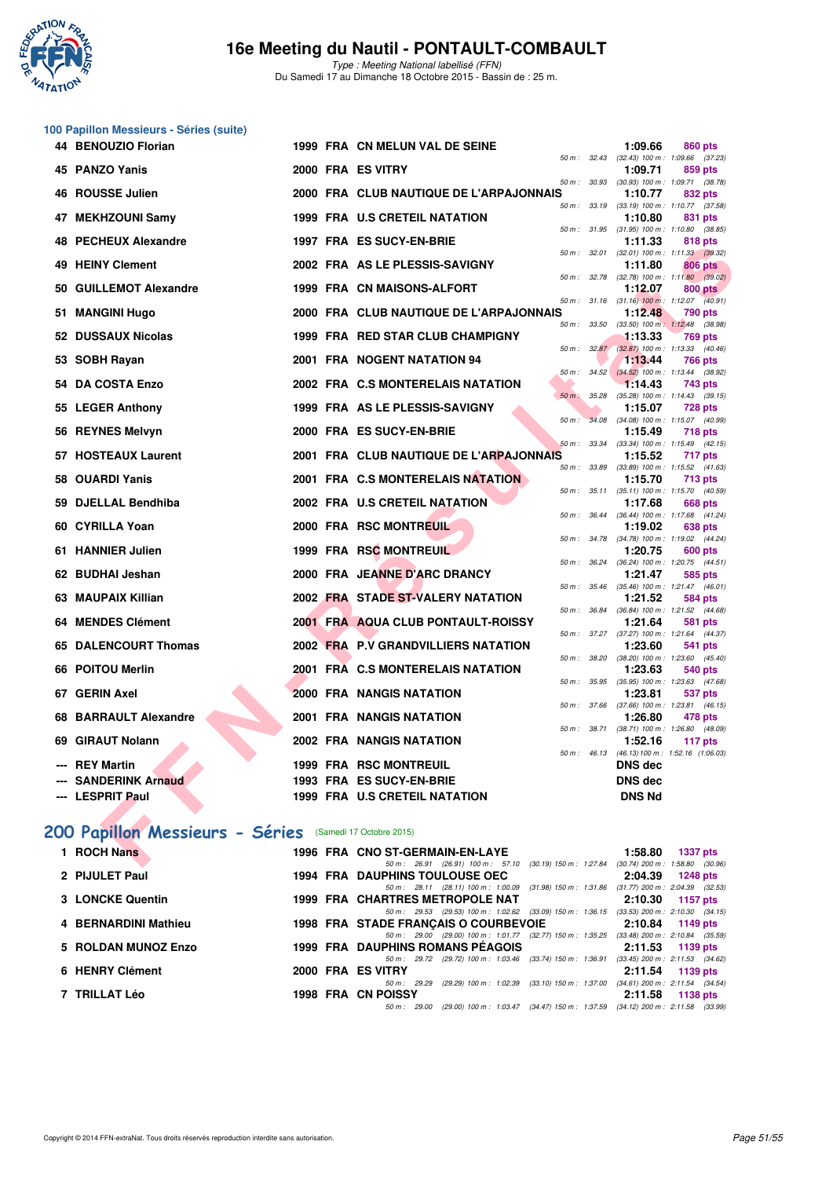

Type : Meeting National labellisé (FFN) Du Samedi 17 au Dimanche 18 Octobre 2015 - Bassin de : 25 m.

|     | 100 Papillon Messieurs - Séries (suite)                  |  |                                                                                                                           |                   |                                 |                                                         |
|-----|----------------------------------------------------------|--|---------------------------------------------------------------------------------------------------------------------------|-------------------|---------------------------------|---------------------------------------------------------|
|     | 44 BENOUZIO Florian                                      |  | 1999 FRA CN MELUN VAL DE SEINE                                                                                            |                   | 1:09.66                         | 860 pts                                                 |
|     | 45 PANZO Yanis                                           |  | 2000 FRA ES VITRY                                                                                                         | 50 m : 32.43      | 1:09.71                         | $(32.43)$ 100 m : 1:09.66 $(37.23)$<br>859 pts          |
| 46  | <b>ROUSSE Julien</b>                                     |  | 2000 FRA CLUB NAUTIQUE DE L'ARPAJONNAIS                                                                                   | 50 m : 30.93      | 1:10.77                         | $(30.93)$ 100 m : 1:09.71 $(38.78)$<br>832 pts          |
|     |                                                          |  |                                                                                                                           | 50 m: 33.19       |                                 | $(33.19)$ 100 m : 1:10.77 $(37.58)$                     |
| 47  | <b>MEKHZOUNI Samy</b>                                    |  | 1999 FRA U.S CRETEIL NATATION                                                                                             | 50 m : 31.95      | 1:10.80                         | 831 pts<br>$(31.95)$ 100 m : 1:10.80 $(38.85)$          |
| 48  | <b>PECHEUX Alexandre</b>                                 |  | 1997 FRA ES SUCY-EN-BRIE                                                                                                  |                   | 1:11.33                         | 818 pts                                                 |
| 49  | <b>HEINY Clement</b>                                     |  | 2002 FRA AS LE PLESSIS-SAVIGNY                                                                                            | 50 m : 32.78      | 1:11.80                         | 50 m: 32.01 (32.01) 100 m: 1:11.33 (39.32)<br>806 pts   |
| 50  | <b>GUILLEMOT Alexandre</b>                               |  | 1999 FRA CN MAISONS-ALFORT                                                                                                |                   | 1:12.07                         | $(32.78)$ 100 m : 1:11.80 $(39.02)$<br><b>800 pts</b>   |
|     |                                                          |  |                                                                                                                           |                   |                                 | 50 m: 31.16 (31.16) 100 m: 1:12.07 (40.91)              |
| 51  | <b>MANGINI Hugo</b>                                      |  | 2000 FRA CLUB NAUTIQUE DE L'ARPAJONNAIS                                                                                   | 50 m : 33.50      | 1:12.48                         | 790 pts<br>$(33.50)$ 100 m : 1:12.48 $(38.98)$          |
|     | 52 DUSSAUX Nicolas                                       |  | 1999 FRA RED STAR CLUB CHAMPIGNY                                                                                          |                   | 1:13.33                         | 769 pts                                                 |
|     | 53 SOBH Rayan                                            |  | 2001 FRA NOGENT NATATION 94                                                                                               | 50 m: 32.87       | 1:13.44                         | $(32.87)$ 100 m : 1:13.33 $(40.46)$<br>766 pts          |
|     |                                                          |  |                                                                                                                           | 50 m :<br>34.52   |                                 | $(34.52)$ 100 m : 1:13.44 $(38.92)$                     |
|     | 54 DA COSTA Enzo                                         |  | 2002 FRA C.S MONTERELAIS NATATION                                                                                         | $50 m$ :<br>35.28 | 1:14.43                         | 743 pts<br>$(35.28)$ 100 m : 1:14.43 $(39.15)$          |
| 55  | <b>LEGER Anthony</b>                                     |  | 1999 FRA AS LE PLESSIS-SAVIGNY                                                                                            |                   | 1:15.07                         | <b>728 pts</b>                                          |
|     |                                                          |  | 2000 FRA ES SUCY-EN-BRIE                                                                                                  | $50 m$ :          |                                 | 34.08 (34.08) 100 m: 1:15.07 (40.99)                    |
|     | 56 REYNES Melvyn                                         |  |                                                                                                                           | 50 m : 33.34      | 1:15.49                         | 718 pts<br>(33.34) 100 m: 1:15.49 (42.15)               |
| 57  | <b>HOSTEAUX Laurent</b>                                  |  | 2001 FRA CLUB NAUTIQUE DE L'ARPAJONNAIS                                                                                   |                   | 1:15.52                         | 717 pts                                                 |
| 58  | <b>OUARDI Yanis</b>                                      |  | 2001 FRA C.S MONTERELAIS NATATION                                                                                         |                   | 1:15.70                         | 50 m: 33.89 (33.89) 100 m: 1:15.52 (41.63)<br>713 pts   |
|     |                                                          |  |                                                                                                                           | 50 m : 35.11      |                                 | $(35.11)$ 100 m : 1:15.70 $(40.59)$                     |
| 59  | <b>DJELLAL Bendhiba</b>                                  |  | 2002 FRA U.S CRETEIL NATATION                                                                                             | 50 m : 36.44      | 1:17.68                         | 668 pts<br>(36.44) 100 m: 1:17.68 (41.24)               |
| 60  | <b>CYRILLA Yoan</b>                                      |  | 2000 FRA RSC MONTREUIL                                                                                                    |                   | 1:19.02                         | 638 pts                                                 |
|     | 61 HANNIER Julien                                        |  | 1999 FRA RSC MONTREUIL                                                                                                    |                   | 1:20.75                         | 50 m: 34.78 (34.78) 100 m: 1:19.02 (44.24)<br>600 pts   |
|     |                                                          |  |                                                                                                                           |                   |                                 | 50 m: 36.24 (36.24) 100 m: 1:20.75 (44.51)              |
|     | 62 BUDHAI Jeshan                                         |  | 2000 FRA JEANNE D'ARC DRANCY                                                                                              |                   | 1:21.47                         | 585 pts<br>50 m: 35.46 (35.46) 100 m: 1:21.47 (46.01)   |
| 63. | <b>MAUPAIX Killian</b>                                   |  | 2002 FRA STADE ST-VALERY NATATION                                                                                         |                   | 1:21.52                         | <b>584 pts</b>                                          |
|     |                                                          |  |                                                                                                                           | 50 m : 36.84      |                                 | (36.84) 100 m: 1:21.52 (44.68)                          |
| 64  | <b>MENDES Clément</b>                                    |  | 2001 FRA AQUA CLUB PONTAULT-ROISSY                                                                                        |                   | 1:21.64                         | 581 pts<br>50 m: 37.27 (37.27) 100 m: 1:21.64 (44.37)   |
| 65  | <b>DALENCOURT Thomas</b>                                 |  | 2002 FRA P.V GRANDVILLIERS NATATION                                                                                       |                   | 1:23.60                         | 541 pts                                                 |
|     | 66 POITOU Merlin                                         |  | 2001 FRA C.S MONTERELAIS NATATION                                                                                         | 50 m : 38.20      | 1:23.63                         | $(38.20)$ 100 m : 1:23.60 $(45.40)$<br>540 pts          |
|     |                                                          |  |                                                                                                                           | 50 m : 35.95      |                                 | $(35.95)$ 100 m : 1:23.63 $(47.68)$                     |
| 67  | <b>GERIN Axel</b>                                        |  | 2000 FRA NANGIS NATATION                                                                                                  |                   | 1:23.81                         | 537 pts<br>50 m: 37.66 (37.66) 100 m: 1:23.81 (46.15)   |
| 68. | <b>BARRAULT Alexandre</b>                                |  | 2001 FRA NANGIS NATATION                                                                                                  |                   | 1:26.80                         | 478 pts                                                 |
|     | 69 GIRAUT Nolann                                         |  | 2002 FRA NANGIS NATATION                                                                                                  |                   | 1:52.16                         | 50 m : 38.71 (38.71) 100 m : 1:26.80 (48.09)<br>117 pts |
|     |                                                          |  |                                                                                                                           |                   |                                 | 50 m : 46.13 (46.13) 100 m : 1:52.16 (1:06.03)          |
|     | --- REY Martin                                           |  | <b>1999 FRA RSC MONTREUIL</b>                                                                                             |                   | <b>DNS</b> dec                  |                                                         |
|     | <b>SANDERINK Arnaud</b>                                  |  | 1993 FRA ES SUCY-EN-BRIE<br><b>1999 FRA U.S CRETEIL NATATION</b>                                                          |                   | <b>DNS dec</b><br><b>DNS Nd</b> |                                                         |
|     | --- LESPRIT Paul                                         |  |                                                                                                                           |                   |                                 |                                                         |
|     |                                                          |  |                                                                                                                           |                   |                                 |                                                         |
|     | 200 Papillon Messieurs - Séries (Samedi 17 Octobre 2015) |  |                                                                                                                           |                   |                                 |                                                         |
|     | 1 ROCH Nans                                              |  | 1996 FRA CNO ST-GERMAIN-EN-LAYE<br>50 m: 26.91 (26.91) 100 m: 57.10 (30.19) 150 m: 1:27.84 (30.74) 200 m: 1:58.80 (30.96) |                   | 1:58.80                         | <b>1337 pts</b>                                         |

# **[200 Papillon Messieurs - Séries](http://www.ffnatation.fr/webffn/resultats.php?idact=nat&go=epr&idcpt=33325&idepr=83)** (Samedi 17 Octobre 2015)

| 1 ROCH Nans          |  | 1996 FRA CNO ST-GERMAIN-EN-LAYE                                                                             | 1:58.80 | 1337 pts                                          |
|----------------------|--|-------------------------------------------------------------------------------------------------------------|---------|---------------------------------------------------|
|                      |  | 50 m: 26.91 (26.91) 100 m: 57.10 (30.19) 150 m: 1:27.84                                                     |         | $(30.74)$ 200 m : 1:58.80 $(30.96)$               |
| 2 PIJULET Paul       |  | <b>1994 FRA DAUPHINS TOULOUSE OEC</b><br>50 m: 28.11 (28.11) 100 m: 1:00.09 (31.98) 150 m: 1:31.86          | 2:04.39 | 1248 pts<br>$(31.77)$ 200 m : 2:04.39 $(32.53)$   |
| 3 LONCKE Quentin     |  | 1999 FRA CHARTRES METROPOLE NAT                                                                             | 2:10.30 | 1157 pts                                          |
|                      |  | 50 m: 29.53 (29.53) 100 m: 1:02.62 (33.09) 150 m: 1:36.15                                                   |         | $(33.53)$ 200 m : 2:10.30 $(34.15)$               |
| 4 BERNARDINI Mathieu |  | <b>1998 FRA STADE FRANCAIS O COURBEVOIE</b>                                                                 | 2:10.84 | 1149 pts                                          |
| 5 ROLDAN MUNOZ Enzo  |  | 50 m: 29.00 (29.00) 100 m: 1:01.77 (32.77) 150 m: 1:35.25<br>1999 FRA DAUPHINS ROMANS PÉAGOIS               | 2:11.53 | $(33.48)$ 200 m : 2:10.84 $(35.59)$<br>1139 pts   |
| 6 HENRY Clément      |  | 50 m: 29.72 (29.72) 100 m: 1:03.46 (33.74) 150 m: 1:36.91<br>2000 FRA ES VITRY                              | 2:11.54 | $(33.45)$ 200 m : 2:11.53 $(34.62)$<br>1139 pts   |
| 7 TRILLAT Léo        |  | $(33.10)$ 150 m : 1:37.00<br>(29.29) 100 m : 1:02.39<br>$50 \text{ m}$ : 29.29<br><b>1998 FRA CN POISSY</b> | 2:11.58 | $(34.61)$ 200 m : 2:11.54 $(34.54)$<br>1138 $pts$ |
|                      |  | 50 m : 29.00 (29.00) 100 m : 1:03.47 (34.47) 150 m : 1:37.59 (34.12) 200 m : 2:11.58 (33.99                 |         |                                                   |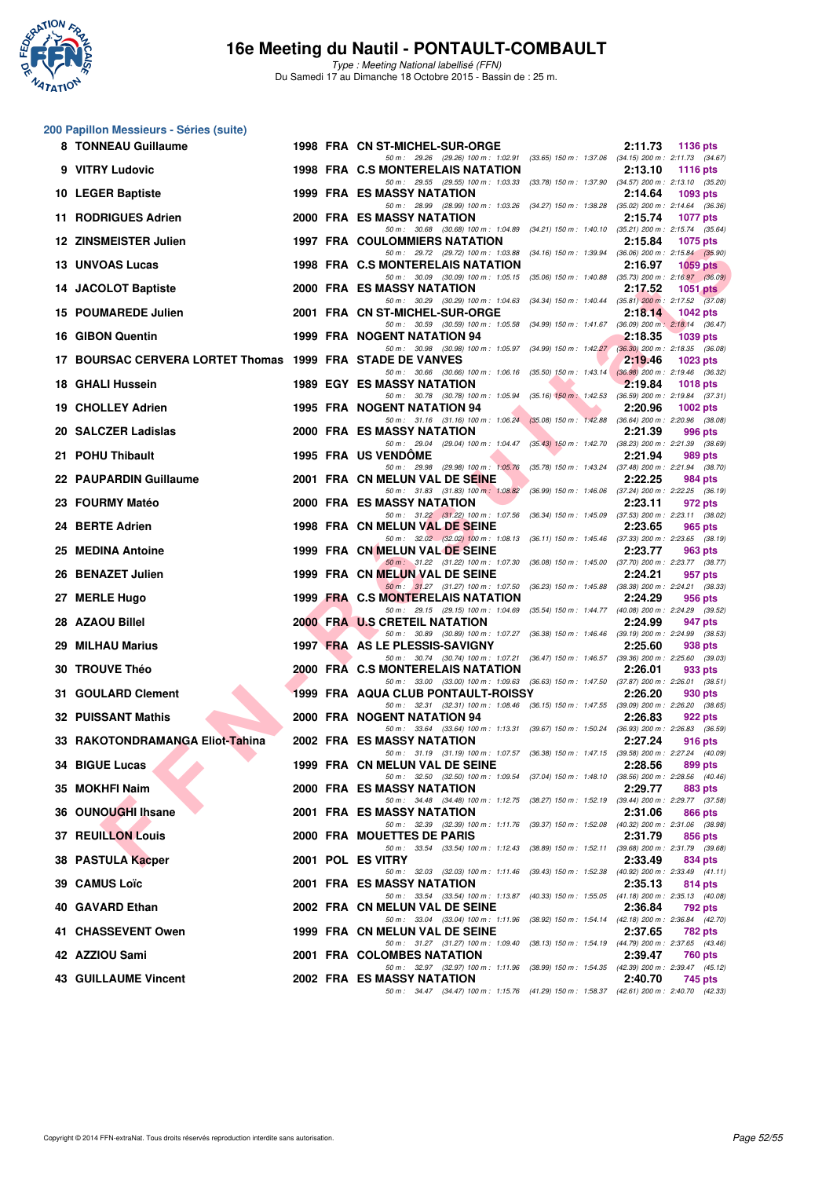

Type : Meeting National labellisé (FFN) Du Samedi 17 au Dimanche 18 Octobre 2015 - Bassin de : 25 m.

#### **200 Papillon Messieurs - Séries (suite)**

| 8  | <b>TONNEAU Guillaume</b>                                  |  | 1998 FRA CN ST-MICHEL-SUR-ORGE<br>2:11.73<br><b>1136 pts</b>                                                                                                |
|----|-----------------------------------------------------------|--|-------------------------------------------------------------------------------------------------------------------------------------------------------------|
|    | 9 VITRY Ludovic                                           |  | 50 m: 29.26 (29.26) 100 m: 1:02.91 (33.65) 150 m: 1:37.06 (34.15) 200 m: 2:11.73 (34.67)<br>1998 FRA C.S MONTERELAIS NATATION<br>2:13.10<br><b>1116 pts</b> |
|    | 10 LEGER Baptiste                                         |  | 50 m: 29.55 (29.55) 100 m: 1:03.33 (33.78) 150 m: 1:37.90 (34.57) 200 m: 2:13.10 (35.20)<br>1999 FRA ES MASSY NATATION<br>2:14.64<br>1093 pts               |
|    | 11 RODRIGUES Adrien                                       |  | 50 m: 28.99 (28.99) 100 m: 1:03.26 (34.27) 150 m: 1:38.28 (35.02) 200 m: 2:14.64 (36.36)<br>2000 FRA ES MASSY NATATION<br>2:15.74<br>1077 pts               |
|    | 12 ZINSMEISTER Julien                                     |  | 50 m: 30.68 (30.68) 100 m: 1:04.89 (34.21) 150 m: 1:40.10 (35.21) 200 m: 2:15.74 (35.64)<br><b>1997 FRA COULOMMIERS NATATION</b><br>2:15.84<br>1075 pts     |
|    | 13 UNVOAS Lucas                                           |  | 50 m: 29.72 (29.72) 100 m: 1:03.88 (34.16) 150 m: 1:39.94 (36.06) 200 m: 2:15.84 (35.90)<br>1998 FRA C.S MONTERELAIS NATATION<br>2:16.97<br>$1059$ pts      |
|    | <b>14 JACOLOT Baptiste</b>                                |  | 50 m: 30.09 (30.09) 100 m: 1:05.15 (35.06) 150 m: 1:40.88 (35.73) 200 m: 2:16.97 (36.09)<br>2000 FRA ES MASSY NATATION<br>2:17.52<br>$1051$ pts             |
|    | 15 POUMAREDE Julien                                       |  | 50 m: 30.29 (30.29) 100 m: 1:04.63 (34.34) 150 m: 1:40.44 (35.81) 200 m: 2:17.52 (37.08)<br>2001 FRA CN ST-MICHEL-SUR-ORGE<br>2:18.14<br><b>1042 pts</b>    |
|    | 16 GIBON Quentin                                          |  | 50 m: 30.59 (30.59) 100 m: 1:05.58 (34.99) 150 m: 1:41.67 (36.09) 200 m: 2:18.14 (36.47)<br>1999 FRA NOGENT NATATION 94<br>2:18.35<br><b>1039 pts</b>       |
|    | 17 BOURSAC CERVERA LORTET Thomas 1999 FRA STADE DE VANVES |  | 50 m: 30.98 (30.98) 100 m: 1:05.97 (34.99) 150 m: 1:42.27 (36.30) 200 m: 2:18.35 (36.08)<br>2:19.46<br><b>1023 pts</b>                                      |
|    | 18 GHALI Hussein                                          |  | 50 m: 30.66 (30.66) 100 m: 1:06.16 (35.50) 150 m: 1:43.14 (36.98) 200 m: 2:19.46 (36.32)<br>1989 EGY ES MASSY NATATION<br>2:19.84<br>1018 pts               |
|    | 19 CHOLLEY Adrien                                         |  | 50 m: 30.78 (30.78) 100 m: 1:05.94 (35.16) 150 m: 1:42.53 (36.59) 200 m: 2:19.84 (37.31)<br><b>1995 FRA NOGENT NATATION 94</b><br>2:20.96<br>$1002$ pts     |
|    | 20 SALCZER Ladislas                                       |  | 50 m: 31.16 (31.16) 100 m: 1:06.24 (35.08) 150 m: 1:42.88 (36.64) 200 m: 2:20.96 (38.08)<br>2000 FRA ES MASSY NATATION<br>2:21.39<br>996 pts                |
|    | 21 POHU Thibault                                          |  | 50 m: 29.04 (29.04) 100 m: 1:04.47 (35.43) 150 m: 1:42.70 (38.23) 200 m: 2:21.39 (38.69)<br><b>1995 FRA US VENDOME</b><br>2:21.94<br>989 pts                |
|    | 22 PAUPARDIN Guillaume                                    |  | 50 m: 29.98 (29.98) 100 m: 1:05.76<br>(35.78) 150 m : 1:43.24 (37.48) 200 m : 2:21.94 (38.70)<br>2001 FRA CN MELUN VAL DE SEINE<br>2:22.25<br>984 pts       |
|    | 23 FOURMY Matéo                                           |  | 50 m: 31.83 (31.83) 100 m: 1:08.82<br>(36.99) 150 m : 1:46.06 (37.24) 200 m : 2:22.25 (36.19)<br>2000 FRA ES MASSY NATATION<br>2:23.11<br>972 pts           |
|    | 24 BERTE Adrien                                           |  | 50 m: 31.22 (31.22) 100 m: 1:07.56<br>(36.34) 150 m : 1:45.09 (37.53) 200 m : 2:23.11 (38.02)<br>1998 FRA CN MELUN VAL DE SEINE<br>2:23.65<br>965 pts       |
|    | 25 MEDINA Antoine                                         |  | 50 m: 32.02 (32.02) 100 m: 1:08.13 (36.11) 150 m: 1:45.46 (37.33) 200 m: 2:23.65 (38.19)<br>1999 FRA CN MELUN VAL DE SEINE<br>2:23.77<br>963 pts            |
|    | 26 BENAZET Julien                                         |  | 50 m: 31.22 (31.22) 100 m: 1:07.30 (36.08) 150 m: 1:45.00 (37.70) 200 m: 2:23.77 (38.77)<br>1999 FRA CN MELUN VAL DE SEINE<br>2:24.21<br>957 pts            |
|    | 27 MERLE Hugo                                             |  | 50 m: 31.27 (31.27) 100 m: 1:07.50 (36.23) 150 m: 1:45.88 (38.38) 200 m: 2:24.21 (38.33)<br>1999 FRA C.S MONTERELAIS NATATION<br>2:24.29<br>956 pts         |
|    | 28 AZAOU Billel                                           |  | 50 m: 29.15 (29.15) 100 m: 1:04.69 (35.54) 150 m: 1:44.77 (40.08) 200 m: 2:24.29 (39.52)<br>2000 FRA U.S CRETEIL NATATION<br>2:24.99<br>947 pts             |
| 29 | <b>MILHAU Marius</b>                                      |  | 50 m: 30.89 (30.89) 100 m: 1:07.27 (36.38) 150 m: 1:46.46 (39.19) 200 m: 2:24.99 (38.53)<br>1997 FRA AS LE PLESSIS-SAVIGNY<br>2:25.60<br>938 pts            |
|    | 30 TROUVE Théo                                            |  | 50 m: 30.74 (30.74) 100 m: 1:07.21 (36.47) 150 m: 1:46.57 (39.36) 200 m: 2:25.60 (39.03)<br>2000 FRA C.S MONTERELAIS NATATION<br>2:26.01<br>933 pts         |
|    | 31 GOULARD Clement                                        |  | 50 m: 33.00 (33.00) 100 m: 1:09.63 (36.63) 150 m: 1:47.50 (37.87) 200 m: 2:26.01 (38.51)<br>1999 FRA AQUA CLUB PONTAULT-ROISSY<br>2:26.20<br>930 pts        |
|    | 32 PUISSANT Mathis                                        |  | 50 m: 32.31 (32.31) 100 m: 1:08.46 (36.15) 150 m: 1:47.55 (39.09) 200 m: 2:26.20 (38.65)<br>2000 FRA NOGENT NATATION 94<br>2:26.83<br>922 pts               |
|    | 33 RAKOTONDRAMANGA Eliot-Tahina                           |  | 50 m: 33.64 (33.64) 100 m: 1:13.31 (39.67) 150 m: 1:50.24 (36.93) 200 m: 2:26.83 (36.59)<br>2002 FRA ES MASSY NATATION<br>2:27.24<br>916 pts                |
|    | 34 BIGUE Lucas                                            |  | 50 m: 31.19 (31.19) 100 m: 1:07.57 (36.38) 150 m: 1:47.15 (39.58) 200 m: 2:27.24 (40.09)<br>1999 FRA CN MELUN VAL DE SEINE<br>2:28.56<br>899 pts            |
|    | 35 MOKHFI Naim                                            |  | 50 m: 32.50 (32.50) 100 m: 1:09.54 (37.04) 150 m: 1:48.10 (38.56) 200 m: 2:28.56 (40.46)<br>2000 FRA ES MASSY NATATION<br>2:29.77<br>883 pts                |
|    | 36 OUNOUGHI Ihsane                                        |  | 50 m: 34.48 (34.48) 100 m: 1:12.75 (38.27) 150 m: 1:52.19 (39.44) 200 m: 2:29.77 (37.58)<br><b>2001 FRA ES MASSY NATATION</b><br>2:31.06<br>866 pts         |
|    | <b>37 REUILLON Louis</b>                                  |  | 50 m: 32.39 (32.39) 100 m: 1:11.76 (39.37) 150 m: 1:52.08 (40.32) 200 m: 2:31.06 (38.98)<br>2000 FRA MOUETTES DE PARIS<br>2:31.79<br>856 pts                |
|    | 38 PASTULA Kacper                                         |  | 50 m: 33.54 (33.54) 100 m: 1:12.43 (38.89) 150 m: 1:52.11 (39.68) 200 m: 2:31.79 (39.68)<br>2001 POL ES VITRY<br>2:33.49                                    |
|    |                                                           |  | 834 pts<br>50 m: 32.03 (32.03) 100 m: 1:11.46<br>(39.43) 150 m : 1:52.38 (40.92) 200 m : 2:33.49 (41.11)                                                    |
|    | 39 CAMUS Loïc                                             |  | <b>2001 FRA ES MASSY NATATION</b><br>2:35.13<br>814 pts<br>50 m: 33.54 (33.54) 100 m: 1:13.87 (40.33) 150 m: 1:55.05 (41.18) 200 m: 2:35.13 (40.08)         |
|    | 40 GAVARD Ethan                                           |  | 2002 FRA CN MELUN VAL DE SEINE<br>2:36.84<br>792 pts<br>50 m: 33.04 (33.04) 100 m: 1:11.96<br>(38.92) 150 m : 1:54.14 (42.18) 200 m : 2:36.84 (42.70)       |
|    | 41 CHASSEVENT Owen                                        |  | 1999 FRA CN MELUN VAL DE SEINE<br>2:37.65<br>782 pts<br>50 m: 31.27 (31.27) 100 m: 1:09.40 (38.13) 150 m: 1:54.19 (44.79) 200 m: 2:37.65 (43.46)            |
|    | 42 AZZIOU Sami                                            |  | 2001 FRA COLOMBES NATATION<br>2:39.47<br>760 pts                                                                                                            |
|    | <b>43 GUILLAUME Vincent</b>                               |  | 50 m: 32.97 (32.97) 100 m: 1:11.96 (38.99) 150 m: 1:54.35 (42.39) 200 m: 2:39.47 (45.12)<br>2002 FRA ES MASSY NATATION<br>2:40.70<br>745 pts                |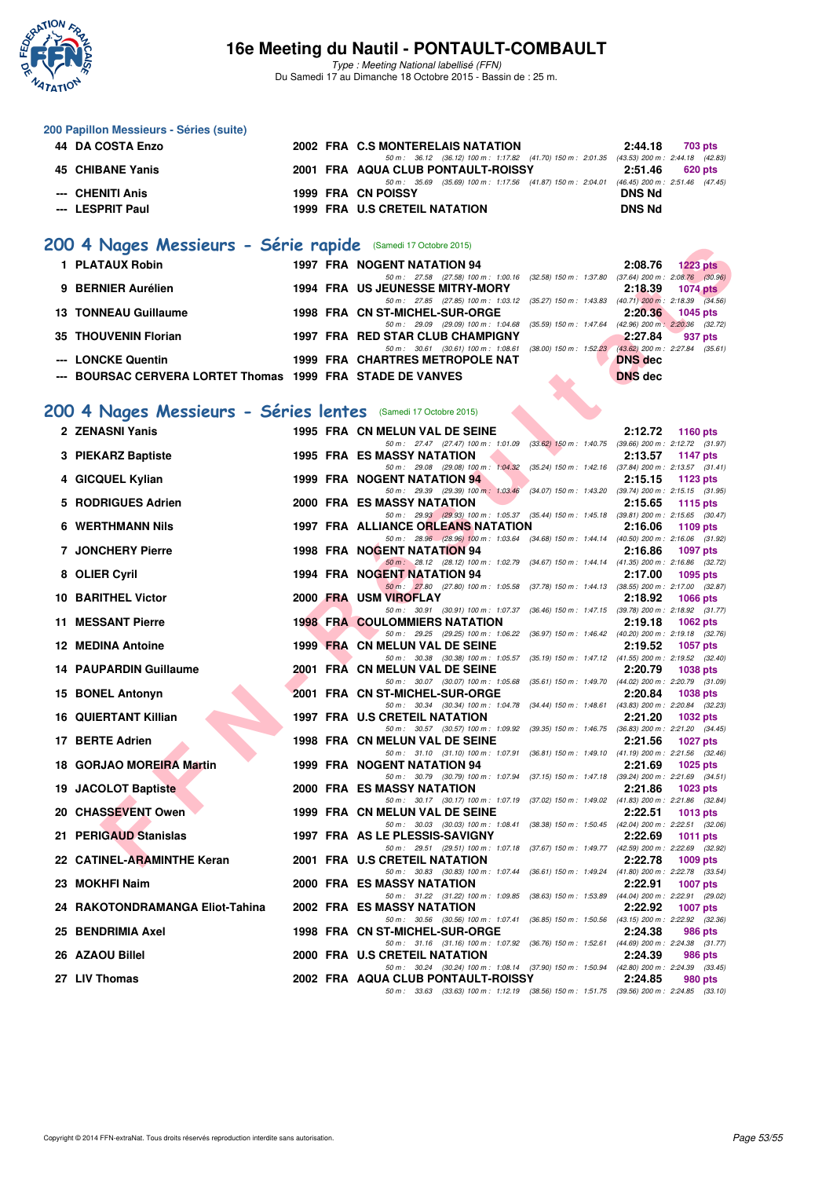

Type : Meeting National labellisé (FFN) Du Samedi 17 au Dimanche 18 Octobre 2015 - Bassin de : 25 m.

| 44 DA COSTA Enzo |  | 2002 FRA C.S MONTERELAIS NATATION                                                       | 2:44.18       | 703 pts                         |
|------------------|--|-----------------------------------------------------------------------------------------|---------------|---------------------------------|
|                  |  | 50 m: 36.12 (36.12) 100 m: 1:17.82 (41.70) 150 m: 2:01.35 (43.53) 200 m: 2:44.18 (42.83 |               |                                 |
| 45 CHIBANE Yanis |  | 2001 FRA AQUA CLUB PONTAULT-ROISSY                                                      | 2:51.46       | 620 pts                         |
|                  |  | (35.69) 100 m : 1:17.56 (41.87) 150 m : 2:04.01<br>50 m : 35.69                         |               | (46.45) 200 m : 2:51.46 (47.45) |
| --- CHENITI Anis |  | 1999 FRA CN POISSY                                                                      | <b>DNS Nd</b> |                                 |
| --- LESPRIT Paul |  | 1999 FRA U.S CRETEIL NATATION                                                           | <b>DNS Nd</b> |                                 |

# **[200 4 Nages Messieurs - Série rapide](http://www.ffnatation.fr/webffn/resultats.php?idact=nat&go=epr&idcpt=33325&idepr=91)** (Samedi 17 Octobre 2015)

| 1 PLATAUX Robin                                            |  | <b>1997 FRA NOGENT NATATION 94</b>                        |                           | 2:08.76                   | $1223$ pts                          |
|------------------------------------------------------------|--|-----------------------------------------------------------|---------------------------|---------------------------|-------------------------------------|
|                                                            |  | 50 m: 27.58 (27.58) 100 m: 1:00.16 (32.58) 150 m: 1:37.80 |                           |                           | $(37.64)$ 200 m : 2:08.76 $(30.96)$ |
| 9 BERNIER Aurélien                                         |  | <b>1994 FRA US JEUNESSE MITRY-MORY</b>                    |                           | 2:18.39                   | <b>1074 pts</b>                     |
|                                                            |  | 50 m: 27.85 (27.85) 100 m: 1:03.12                        | $(35.27)$ 150 m : 1:43.83 |                           | $(40.71)$ 200 m : 2:18.39 $(34.56)$ |
| <b>13 TONNEAU Guillaume</b>                                |  | 1998 FRA CN ST-MICHEL-SUR-ORGE                            |                           | 2:20.36                   | 1045 pts                            |
|                                                            |  | 50 m: 29.09 (29.09) 100 m: 1:04.68                        | $(35.59)$ 150 m : 1:47.64 |                           | $(42.96)$ 200 m : 2:20.36 $(32.72)$ |
| 35 THOUVENIN Florian                                       |  | 1997 FRA RED STAR CLUB CHAMPIGNY                          |                           | 2:27.84                   | 937 pts                             |
|                                                            |  | 50 m: 30.61 (30.61) 100 m: 1:08.61                        | $(38.00)$ 150 m : 1:52.23 | $(43.62)$ 200 m : 2:27.84 | (35.61)                             |
| --- LONCKE Quentin                                         |  | 1999 FRA CHARTRES METROPOLE NAT                           |                           | <b>DNS</b> dec            |                                     |
| --- BOURSAC CERVERA LORTET Thomas 1999 FRA STADE DE VANVES |  |                                                           | <b>All Street</b>         | <b>DNS</b> dec            |                                     |

#### **[200 4 Nages Messieurs - Séries lentes](http://www.ffnatation.fr/webffn/resultats.php?idact=nat&go=epr&idcpt=33325&idepr=91)** (Samedi 17 Octobre 2015)

| <b>UU 4 Nages Messieurs - Serie rapide</b> (Samedi 17 Octobre 2015) |  |                                                                                                                                   |                |                                                    |
|---------------------------------------------------------------------|--|-----------------------------------------------------------------------------------------------------------------------------------|----------------|----------------------------------------------------|
| 1 PLATAUX Robin                                                     |  | 1997 FRA NOGENT NATATION 94                                                                                                       | 2:08.76        | <b>1223 pts</b>                                    |
| 9 BERNIER Aurélien                                                  |  | 50 m: 27.58 (27.58) 100 m: 1:00.16 (32.58) 150 m: 1:37.80 (37.64) 200 m: 2:08.76 (30.96)<br>1994 FRA US JEUNESSE MITRY-MORY       | 2:18.39        | <b>1074 pts</b>                                    |
| <b>13 TONNEAU Guillaume</b>                                         |  | 50 m: 27.85 (27.85) 100 m: 1:03.12 (35.27) 150 m: 1:43.83 (40.71) 200 m: 2:18.39 (34.56)<br>1998 FRA CN ST-MICHEL-SUR-ORGE        | 2:20.36        | 1045 pts                                           |
|                                                                     |  | 50 m: 29.09 (29.09) 100 m: 1:04.68 (35.59) 150 m: 1:47.64 (42.96) 200 m: 2:20.36 (32.72)                                          |                |                                                    |
| 35 THOUVENIN Florian                                                |  | 1997 FRA RED STAR CLUB CHAMPIGNY<br>50 m: 30.61 (30.61) 100 m: 1:08.61 (38.00) 150 m: 1:52.23 (43.62) 200 m: 2:27.84 (35.61)      | 2:27.84        | 937 pts                                            |
| <b>LONCKE Quentin</b>                                               |  | 1999 FRA CHARTRES METROPOLE NAT                                                                                                   | <b>DNS</b> dec |                                                    |
| <b>BOURSAC CERVERA LORTET Thomas 1999 FRA STADE DE VANVES</b>       |  |                                                                                                                                   | <b>DNS</b> dec |                                                    |
|                                                                     |  |                                                                                                                                   |                |                                                    |
| 00 4 Nages Messieurs - Séries lentes (Samedi 17 Octobre 2015)       |  |                                                                                                                                   |                |                                                    |
| 2 ZENASNI Yanis                                                     |  | 1995 FRA CN MELUN VAL DE SEINE                                                                                                    | 2:12.72        | <b>1160 pts</b>                                    |
| 3 PIEKARZ Baptiste                                                  |  | 50 m: 27.47 (27.47) 100 m: 1:01.09 (33.62) 150 m: 1:40.75 (39.66) 200 m: 2:12.72 (31.97)<br><b>1995 FRA ES MASSY NATATION</b>     | 2:13.57        | <b>1147 pts</b>                                    |
|                                                                     |  | 50 m: 29.08 (29.08) 100 m: 1:04.32 (35.24) 150 m: 1:42.16 (37.84) 200 m: 2:13.57 (31.41)<br>1999 FRA NOGENT NATATION 94           |                |                                                    |
| 4 GICQUEL Kylian                                                    |  | 50 m: 29.39 (29.39) 100 m: 1.03.46 (34.07) 150 m: 1.43.20 (39.74) 200 m: 2:15.15 (31.95)                                          | 2:15.15        | 1123 pts                                           |
| 5 RODRIGUES Adrien                                                  |  | 2000 FRA ES MASSY NATATION<br>50 m: 29.93 (29.93) 100 m: 1:05.37 (35.44) 150 m: 1:45.18 (39.81) 200 m: 2:15.65 (30.47)            | 2:15.65        | 1115 pts                                           |
| 6 WERTHMANN Nils                                                    |  | 1997 FRA ALLIANCE ORLEANS NATATION                                                                                                | 2:16.06        | 1109 pts                                           |
| 7 JONCHERY Pierre                                                   |  | 50 m: 28.96 (28.96) 100 m: 1:03.64 (34.68) 150 m: 1:44.14 (40.50) 200 m: 2:16.06 (31.92)<br>1998 FRA NOGENT NATATION 94           | 2:16.86        | <b>1097 pts</b>                                    |
|                                                                     |  | 50 m: 28.12 (28.12) 100 m: 1.02.79 (34.67) 150 m: 1.44.14 (41.35) 200 m: 2.16.86 (32.72)                                          |                |                                                    |
| 8 OLIER Cyril                                                       |  | 1994 FRA NOGENT NATATION 94<br>50 m: 27.80 (27.80) 100 m: 1:05.58 (37.78) 150 m: 1:44.13 (38.55) 200 m: 2:17.00 (32.87)           | 2:17.00        | 1095 pts                                           |
| <b>10 BARITHEL Victor</b>                                           |  | 2000 FRA USM VIROFLAY                                                                                                             | 2:18.92        | <b>1066 pts</b>                                    |
| 11 MESSANT Pierre                                                   |  | 50 m: 30.91 (30.91) 100 m: 1:07.37 (36.46) 150 m: 1:47.15 (39.78) 200 m: 2:18.92 (31.77)<br><b>1998 FRA COULOMMIERS NATATION</b>  | 2:19.18        | <b>1062 pts</b>                                    |
|                                                                     |  | 50 m: 29.25 (29.25) 100 m: 1:06.22 (36.97) 150 m: 1:46.42 (40.20) 200 m: 2:19.18 (32.76)                                          |                |                                                    |
| 12 MEDINA Antoine                                                   |  | 1999 FRA CN MELUN VAL DE SEINE<br>50 m: 30.38 (30.38) 100 m: 1:05.57 (35.19) 150 m: 1:47.12 (41.55) 200 m: 2:19.52 (32.40)        | 2:19.52        | <b>1057 pts</b>                                    |
| <b>14 PAUPARDIN Guillaume</b>                                       |  | 2001 FRA CN MELUN VAL DE SEINE<br>50 m: 30.07 (30.07) 100 m: 1:05.68 (35.61) 150 m: 1:49.70 (44.02) 200 m: 2:20.79 (31.09)        | 2:20.79        | <b>1038 pts</b>                                    |
| 15 BONEL Antonyn                                                    |  | 2001 FRA CN ST-MICHEL-SUR-ORGE                                                                                                    | 2:20.84        | <b>1038 pts</b>                                    |
| <b>16 QUIERTANT Killian</b>                                         |  | 50 m: 30.34 (30.34) 100 m: 1:04.78 (34.44) 150 m: 1:48.61 (43.83) 200 m: 2:20.84 (32.23)<br><b>1997 FRA U.S CRETEIL NATATION</b>  | 2:21.20        | 1032 pts                                           |
|                                                                     |  | 50 m: 30.57 (30.57) 100 m: 1:09.92 (39.35) 150 m: 1:46.75 (36.83) 200 m: 2:21.20 (34.45)                                          |                |                                                    |
| 17 BERTE Adrien                                                     |  | 1998 FRA CN MELUN VAL DE SEINE<br>50 m: 31.10 (31.10) 100 m: 1:07.91 (36.81) 150 m: 1:49.10 (41.19) 200 m: 2:21.56 (32.46)        | 2:21.56        | <b>1027 pts</b>                                    |
| 18 GORJAO MOREIRA Martin                                            |  | 1999 FRA NOGENT NATATION 94                                                                                                       | 2:21.69        | 1025 $pts$                                         |
| 19 JACOLOT Baptiste                                                 |  | 50 m: 30.79 (30.79) 100 m: 1:07.94 (37.15) 150 m: 1:47.18 (39.24) 200 m: 2:21.69 (34.51)<br><b>2000 FRA ES MASSY NATATION</b>     | 2:21.86        | <b>1023 pts</b>                                    |
| 20 CHASSEVENT Owen                                                  |  | 50 m: 30.17 (30.17) 100 m: 1:07.19 (37.02) 150 m: 1:49.02 (41.83) 200 m: 2:21.86 (32.84)<br>1999 FRA CN MELUN VAL DE SEINE        | 2:22.51        | <b>1013 pts</b>                                    |
|                                                                     |  | 50 m: 30.03 (30.03) 100 m: 1:08.41 (38.38) 150 m: 1:50.45 (42.04) 200 m: 2:22.51 (32.06)                                          |                |                                                    |
| 21 PERIGAUD Stanislas                                               |  | 1997 FRA AS LE PLESSIS-SAVIGNY<br>50 m: 29.51 (29.51) 100 m: 1:07.18 (37.67) 150 m: 1:49.77 (42.59) 200 m: 2:22.69 (32.92)        | 2:22.69        | 1011 pts                                           |
| 22 CATINEL-ARAMINTHE Keran                                          |  | 2001 FRA U.S CRETEIL NATATION                                                                                                     | 2:22.78        | 1009 pts                                           |
| 23 MOKHFI Naim                                                      |  | 50 m: 30.83 (30.83) 100 m: 1:07.44 (36.61) 150 m: 1:49.24<br>2000 FRA ES MASSY NATATION                                           | 2:22.91        | (41.80) 200 m : 2:22.78 (33.54)<br><b>1007 pts</b> |
|                                                                     |  | 50 m : 31.22 (31.22) 100 m : 1:09.85 (38.63) 150 m : 1:53.89                                                                      |                | (44.04) 200 m : 2:22.91 (29.02)                    |
| 24 RAKOTONDRAMANGA Eliot-Tahina                                     |  | <b>2002 FRA ES MASSY NATATION</b><br>50 m : 30.56 (30.56) 100 m : 1:07.41 (36.85) 150 m : 1:50.56 (43.15) 200 m : 2:22.92 (32.36) | 2:22.92        | 1007 pts                                           |
| 25 BENDRIMIA Axel                                                   |  | 1998 FRA CN ST-MICHEL-SUR-ORGE<br>50 m: 31.16 (31.16) 100 m: 1:07.92 (36.76) 150 m: 1:52.61 (44.69) 200 m: 2:24.38 (31.77)        | 2:24.38        | 986 pts                                            |
| 26 AZAOU Billel                                                     |  | 2000 FRA U.S CRETEIL NATATION                                                                                                     | 2:24.39        | 986 pts                                            |
| 27 LIV Thomas                                                       |  | 50 m: 30.24 (30.24) 100 m: 1:08.14 (37.90) 150 m: 1:50.94 (42.80) 200 m: 2:24.39 (33.45)<br>2002 FRA AQUA CLUB PONTAULT-ROISSY    | 2:24.85        | 980 pts                                            |
|                                                                     |  | 50 m: 33.63 (33.63) 100 m: 1:12.19 (38.56) 150 m: 1:51.75 (39.56) 200 m: 2:24.85 (33.10)                                          |                |                                                    |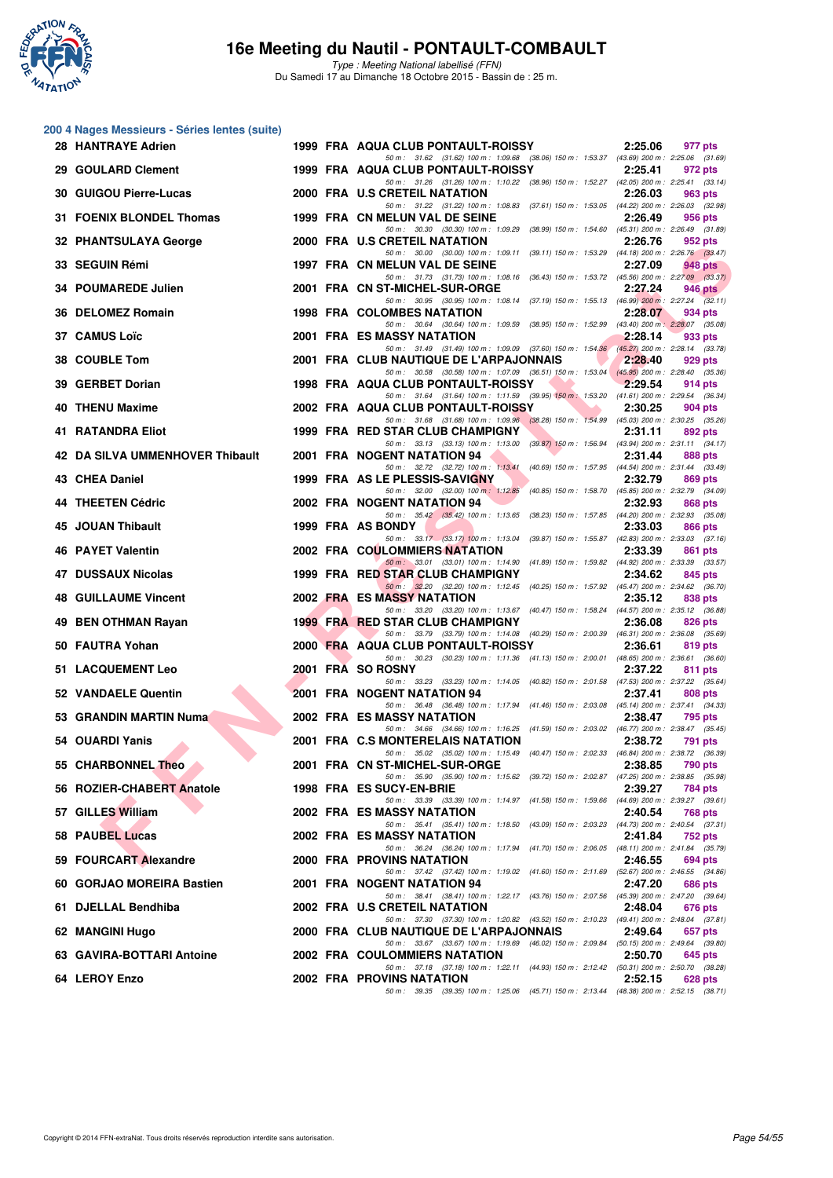

Type : Meeting National labellisé (FFN) Du Samedi 17 au Dimanche 18 Octobre 2015 - Bassin de : 25 m.

# **200 4 Nages Messieurs - Séries lentes (suite)**

| 00 4 Nages Messieurs - Series lentes (Suite)<br>28 HANTRAYE Adrien |  | 1999 FRA AQUA CLUB PONTAULT-ROISSY                                                                                                  | 2:25.06 | 977 pts        |
|--------------------------------------------------------------------|--|-------------------------------------------------------------------------------------------------------------------------------------|---------|----------------|
| 29 GOULARD Clement                                                 |  | 50 m: 31.62 (31.62) 100 m: 1:09.68 (38.06) 150 m: 1:53.37 (43.69) 200 m: 2:25.06 (31.69)<br>1999 FRA AQUA CLUB PONTAULT-ROISSY      | 2:25.41 | 972 pts        |
| 30 GUIGOU Pierre-Lucas                                             |  | 50 m: 31.26 (31.26) 100 m: 1:10.22 (38.96) 150 m: 1:52.27 (42.05) 200 m: 2:25.41 (33.14)<br>2000 FRA U.S CRETEIL NATATION           | 2:26.03 | 963 pts        |
| 31 FOENIX BLONDEL Thomas                                           |  | 50 m: 31.22 (31.22) 100 m: 1:08.83 (37.61) 150 m: 1:53.05 (44.22) 200 m: 2:26.03 (32.98)<br>1999 FRA CN MELUN VAL DE SEINE          | 2:26.49 | 956 pts        |
| 32 PHANTSULAYA George                                              |  | 50 m: 30.30 (30.30) 100 m: 1:09.29 (38.99) 150 m: 1:54.60 (45.31) 200 m: 2:26.49 (31.89)<br>2000 FRA U.S CRETEIL NATATION           | 2:26.76 | 952 pts        |
| 33 SEGUIN Rémi                                                     |  | 50 m: 30.00 (30.00) 100 m: 1:09.11 (39.11) 150 m: 1:53.29 (44.18) 200 m: 2:26.76 (33.47)<br>1997 FRA CN MELUN VAL DE SEINE          | 2:27.09 | 948 pts        |
| 34 POUMAREDE Julien                                                |  | 50 m: 31.73 (31.73) 100 m: 1:08.16 (36.43) 150 m: 1:53.72 (45.56) 200 m: 2:27.09 (33.37)<br>2001 FRA CN ST-MICHEL-SUR-ORGE          | 2:27.24 | <b>946 pts</b> |
| 36 DELOMEZ Romain                                                  |  | 50 m: 30.95 (30.95) 100 m: 1:08.14 (37.19) 150 m: 1:55.13 (46.99) 200 m: 2:27.24 (32.11)<br><b>1998 FRA COLOMBES NATATION</b>       | 2:28.07 | 934 pts        |
| 37 CAMUS Loïc                                                      |  | 50 m: 30.64 (30.64) 100 m: 1:09.59 (38.95) 150 m: 1:52.99 (43.40) 200 m: 2:28.07 (35.08)<br><b>2001 FRA ES MASSY NATATION</b>       | 2:28.14 | 933 pts        |
| 38 COUBLE Tom                                                      |  | 50 m: 31.49 (31.49) 100 m: 1:09.09 (37.60) 150 m: 1:54.36 (45.27) 200 m: 2:28.14 (33.78)<br>2001 FRA CLUB NAUTIQUE DE L'ARPAJONNAIS | 2:28.40 | 929 pts        |
| 39 GERBET Dorian                                                   |  | 50 m: 30.58 (30.58) 100 m: 1:07.09 (36.51) 150 m: 1:53.04 (45.95) 200 m: 2:28.40 (35.36)<br>1998 FRA AQUA CLUB PONTAULT-ROISSY      | 2:29.54 | 914 pts        |
| 40 THENU Maxime                                                    |  | 50 m: 31.64 (31.64) 100 m: 1:11.59 (39.95) 150 m: 1:53.20 (41.61) 200 m: 2:29.54 (36.34)<br>2002 FRA AQUA CLUB PONTAULT-ROISSY      | 2:30.25 | 904 pts        |
| 41 RATANDRA Eliot                                                  |  | 50 m: 31.68 (31.68) 100 m: 1:09.96 (38.28) 150 m: 1:54.99 (45.03) 200 m: 2:30.25 (35.26)<br>1999 FRA RED STAR CLUB CHAMPIGNY        | 2:31.11 | 892 pts        |
| 42 DA SILVA UMMENHOVER Thibault                                    |  | 50 m: 33.13 (33.13) 100 m: 1:13.00 (39.87) 150 m: 1:56.94 (43.94) 200 m: 2:31.11 (34.17)<br>2001 FRA NOGENT NATATION 94             | 2:31.44 | 888 pts        |
| 43 CHEA Daniel                                                     |  | 50 m: 32.72 (32.72) 100 m: 1:13.41 (40.69) 150 m: 1:57.95 (44.54) 200 m: 2:31.44 (33.49)<br>1999 FRA AS LE PLESSIS-SAVIGNY          | 2:32.79 | 869 pts        |
| 44 THEETEN Cédric                                                  |  | 50 m: 32.00 (32.00) 100 m: 1:12.85 (40.85) 150 m: 1:58.70 (45.85) 200 m: 2:32.79 (34.09)<br>2002 FRA NOGENT NATATION 94             | 2:32.93 | 868 pts        |
| 45 JOUAN Thibault                                                  |  | 50 m: 35.42 (35.42) 100 m: 1:13.65 (38.23) 150 m: 1:57.85 (44.20) 200 m: 2:32.93 (35.08)<br>1999 FRA AS BONDY                       | 2:33.03 | 866 pts        |
| 46 PAYET Valentin                                                  |  | 50 m: 33.17 (33.17) 100 m: 1:13.04 (39.87) 150 m: 1:55.87 (42.83) 200 m: 2:33.03 (37.16)<br>2002 FRA COULOMMIERS NATATION           | 2:33.39 | 861 pts        |
| 47 DUSSAUX Nicolas                                                 |  | 50 m: 33.01 (33.01) 100 m: 1:14.90 (41.89) 150 m: 1:59.82 (44.92) 200 m: 2:33.39 (33.57)<br>1999 FRA RED STAR CLUB CHAMPIGNY        | 2:34.62 | 845 pts        |
| 48 GUILLAUME Vincent                                               |  | 50 m: 32.20 (32.20) 100 m: 1:12.45 (40.25) 150 m: 1:57.92 (45.47) 200 m: 2:34.62 (36.70)<br>2002 FRA ES MASSY NATATION              | 2:35.12 | 838 pts        |
| 49 BEN OTHMAN Rayan                                                |  | 50 m: 33.20 (33.20) 100 m: 1:13.67 (40.47) 150 m: 1:58.24 (44.57) 200 m: 2:35.12 (36.88)<br>1999 FRA RED STAR CLUB CHAMPIGNY        | 2:36.08 | 826 pts        |
| 50 FAUTRA Yohan                                                    |  | 50 m: 33.79 (33.79) 100 m: 1:14.08 (40.29) 150 m: 2:00.39 (46.31) 200 m: 2:36.08 (35.69)<br>2000 FRA AQUA CLUB PONTAULT-ROISSY      | 2:36.61 | 819 pts        |
| 51 LACQUEMENT Leo                                                  |  | 50 m: 30.23 (30.23) 100 m: 1:11.36 (41.13) 150 m: 2:00.01 (48.65) 200 m: 2:36.61 (36.60)<br>2001 FRA SO ROSNY                       | 2:37.22 | 811 pts        |
| 52 VANDAELE Quentin                                                |  | 50 m: 33.23 (33.23) 100 m: 1:14.05 (40.82) 150 m: 2:01.58 (47.53) 200 m: 2:37.22 (35.64)<br><b>2001 FRA NOGENT NATATION 94</b>      | 2:37.41 | 808 pts        |
| 53 GRANDIN MARTIN Numa                                             |  | 50 m: 36.48 (36.48) 100 m: 1:17.94 (41.46) 150 m: 2:03.08 (45.14) 200 m: 2:37.41 (34.33)<br><b>2002 FRA ES MASSY NATATION</b>       | 2:38.47 | 795 pts        |
| 54 OUARDI Yanis                                                    |  | 50 m: 34.66 (34.66) 100 m: 1:16.25 (41.59) 150 m: 2:03.02 (46.77) 200 m: 2:38.47 (35.45)<br>2001 FRA C.S MONTERELAIS NATATION       | 2:38.72 | 791 pts        |
| 55 CHARBONNEL Theo                                                 |  | 50 m: 35.02 (35.02) 100 m: 1:15.49 (40.47) 150 m: 2:02.33 (46.84) 200 m: 2:38.72 (36.39)<br>2001 FRA CN ST-MICHEL-SUR-ORGE          | 2:38.85 | <b>790 pts</b> |
| 56 ROZIER-CHABERT Anatole                                          |  | 50 m: 35.90 (35.90) 100 m: 1:15.62 (39.72) 150 m: 2:02.87 (47.25) 200 m: 2:38.85 (35.98)<br>1998 FRA ES SUCY-EN-BRIE                | 2:39.27 | 784 pts        |
| 57 GILLES William                                                  |  | 50 m: 33.39 (33.39) 100 m: 1:14.97 (41.58) 150 m: 1:59.66 (44.69) 200 m: 2:39.27 (39.61)<br>2002 FRA ES MASSY NATATION              | 2:40.54 | 768 pts        |
| <b>58 PAUBEL Lucas</b>                                             |  | 50 m: 35.41 (35.41) 100 m: 1:18.50 (43.09) 150 m: 2:03.23 (44.73) 200 m: 2:40.54 (37.31)<br>2002 FRA ES MASSY NATATION              | 2:41.84 | 752 pts        |
| 59 FOURCART Alexandre                                              |  | 50 m: 36.24 (36.24) 100 m: 1:17.94 (41.70) 150 m: 2:06.05 (48.11) 200 m: 2:41.84 (35.79)<br>2000 FRA PROVINS NATATION               | 2:46.55 | 694 pts        |
| 60 GORJAO MOREIRA Bastien                                          |  | 50 m: 37.42 (37.42) 100 m: 1.19.02 (41.60) 150 m: 2.11.69 (52.67) 200 m: 2.46.55 (34.86)<br>2001 FRA NOGENT NATATION 94             | 2:47.20 | 686 pts        |
| 61 DJELLAL Bendhiba                                                |  | 50 m: 38.41 (38.41) 100 m: 1:22.17 (43.76) 150 m: 2:07.56 (45.39) 200 m: 2:47.20 (39.64)<br>2002 FRA U.S CRETEIL NATATION           | 2:48.04 | 676 pts        |
| 62 MANGINI Hugo                                                    |  | 50 m: 37.30 (37.30) 100 m: 1:20.82 (43.52) 150 m: 2:10.23 (49.41) 200 m: 2:48.04 (37.81)<br>2000 FRA CLUB NAUTIQUE DE L'ARPAJONNAIS | 2:49.64 | 657 pts        |
| 63 GAVIRA-BOTTARI Antoine                                          |  | 50 m: 33.67 (33.67) 100 m: 1:19.69 (46.02) 150 m: 2:09.84 (50.15) 200 m: 2:49.64 (39.80)<br>2002 FRA COULOMMIERS NATATION           | 2:50.70 | 645 pts        |
| 64 LEROY Enzo                                                      |  | 50 m: 37.18 (37.18) 100 m: 1:22.11 (44.93) 150 m: 2:12.42 (50.31) 200 m: 2:50.70 (38.28)<br>2002 FRA PROVINS NATATION               | 2:52.15 | 628 pts        |
|                                                                    |  | 50 m: 39.35 (39.35) 100 m: 1:25.06 (45.71) 150 m: 2:13.44 (48.38) 200 m: 2:52.15 (38.71)                                            |         |                |